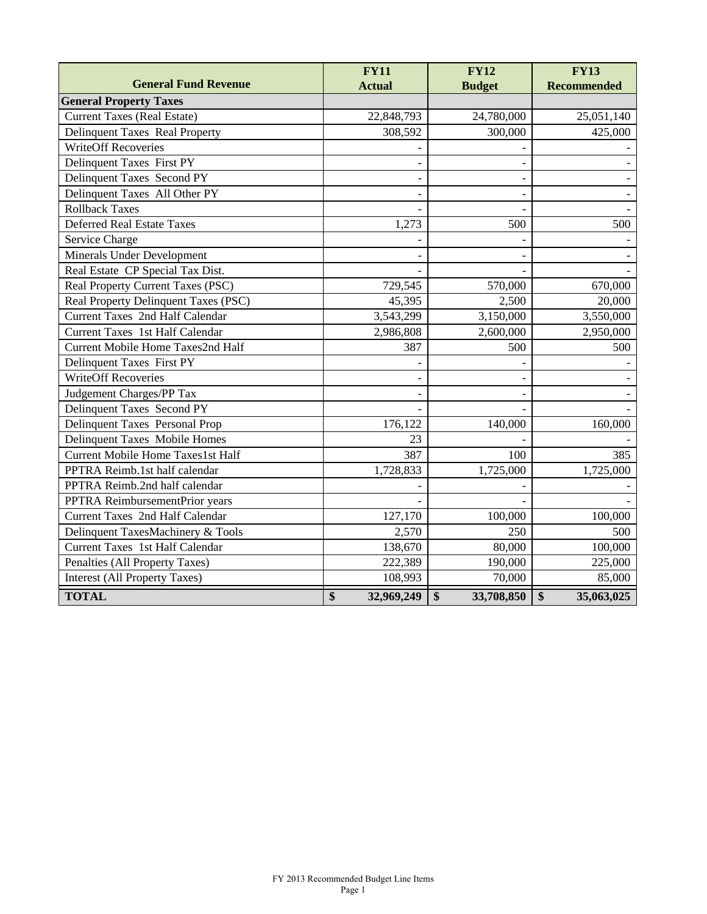|                                          | <b>FY11</b>      | <b>FY12</b>                   | <b>FY13</b>                           |
|------------------------------------------|------------------|-------------------------------|---------------------------------------|
| <b>General Fund Revenue</b>              | <b>Actual</b>    | <b>Budget</b>                 | <b>Recommended</b>                    |
| <b>General Property Taxes</b>            |                  |                               |                                       |
| <b>Current Taxes (Real Estate)</b>       | 22,848,793       | 24,780,000                    | 25,051,140                            |
| Delinquent Taxes Real Property           | 308,592          | 300,000                       | 425,000                               |
| <b>WriteOff Recoveries</b>               |                  |                               |                                       |
| Delinquent Taxes First PY                |                  |                               |                                       |
| Delinquent Taxes Second PY               |                  |                               |                                       |
| Delinquent Taxes All Other PY            |                  |                               |                                       |
| <b>Rollback Taxes</b>                    |                  |                               |                                       |
| <b>Deferred Real Estate Taxes</b>        | 1,273            | 500                           | 500                                   |
| Service Charge                           |                  |                               |                                       |
| Minerals Under Development               |                  |                               |                                       |
| Real Estate CP Special Tax Dist.         |                  |                               |                                       |
| Real Property Current Taxes (PSC)        | 729,545          | 570,000                       | 670,000                               |
| Real Property Delinquent Taxes (PSC)     | 45,395           | 2,500                         | 20,000                                |
| <b>Current Taxes 2nd Half Calendar</b>   | 3,543,299        | 3,150,000                     | 3,550,000                             |
| <b>Current Taxes 1st Half Calendar</b>   | 2,986,808        | 2,600,000                     | 2,950,000                             |
| Current Mobile Home Taxes2nd Half        | 387              | 500                           | 500                                   |
| Delinquent Taxes First PY                |                  |                               |                                       |
| <b>WriteOff Recoveries</b>               |                  |                               |                                       |
| Judgement Charges/PP Tax                 |                  |                               |                                       |
| Delinquent Taxes Second PY               |                  |                               |                                       |
| Delinquent Taxes Personal Prop           | 176,122          | 140,000                       | 160,000                               |
| Delinquent Taxes Mobile Homes            | 23               |                               |                                       |
| <b>Current Mobile Home Taxes1st Half</b> | 387              | 100                           | 385                                   |
| PPTRA Reimb.1st half calendar            | 1,728,833        | 1,725,000                     | 1,725,000                             |
| PPTRA Reimb.2nd half calendar            |                  |                               |                                       |
| PPTRA ReimbursementPrior years           |                  |                               |                                       |
| Current Taxes 2nd Half Calendar          | 127,170          | 100,000                       | 100,000                               |
| Delinquent TaxesMachinery & Tools        | 2,570            | 250                           | 500                                   |
| <b>Current Taxes</b> 1st Half Calendar   | 138,670          | 80,000                        | 100,000                               |
| Penalties (All Property Taxes)           | 222,389          | 190,000                       | 225,000                               |
| <b>Interest (All Property Taxes)</b>     | 108,993          | 70,000                        | 85,000                                |
| <b>TOTAL</b>                             | \$<br>32,969,249 | $\overline{\$}$<br>33,708,850 | $\overline{\mathbf{S}}$<br>35,063,025 |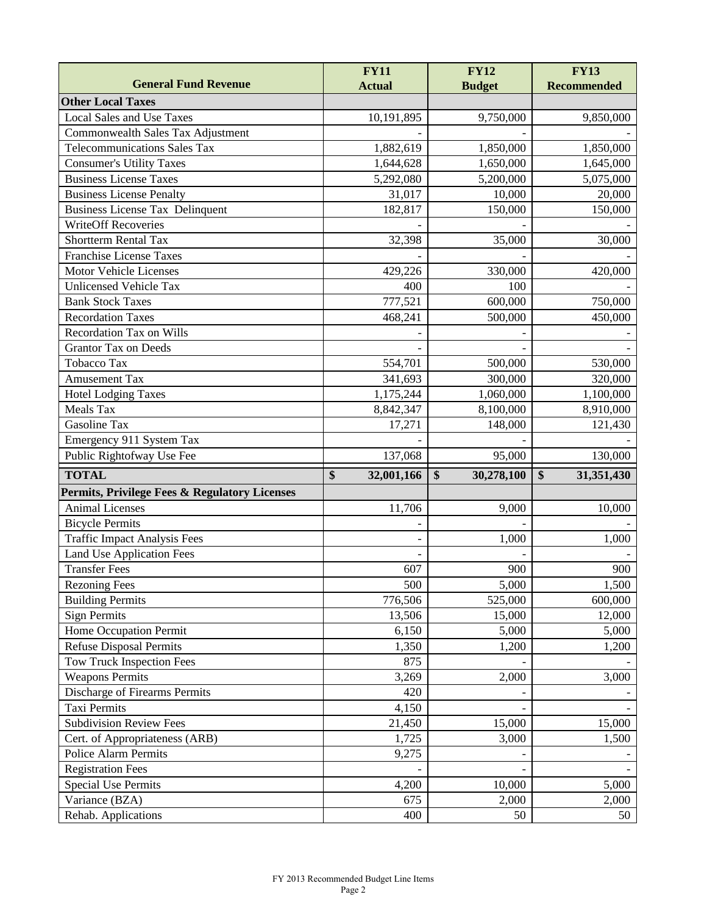|                                                     | <b>FY11</b>      | <b>FY12</b>      | <b>FY13</b>        |
|-----------------------------------------------------|------------------|------------------|--------------------|
| <b>General Fund Revenue</b>                         | <b>Actual</b>    | <b>Budget</b>    | <b>Recommended</b> |
| <b>Other Local Taxes</b>                            |                  |                  |                    |
| Local Sales and Use Taxes                           | 10,191,895       | 9,750,000        | 9,850,000          |
| Commonwealth Sales Tax Adjustment                   |                  |                  |                    |
| <b>Telecommunications Sales Tax</b>                 | 1,882,619        | 1,850,000        | 1,850,000          |
| <b>Consumer's Utility Taxes</b>                     | 1,644,628        | 1,650,000        | 1,645,000          |
| <b>Business License Taxes</b>                       | 5,292,080        | 5,200,000        | 5,075,000          |
| <b>Business License Penalty</b>                     | 31,017           | 10,000           | 20,000             |
| <b>Business License Tax Delinquent</b>              | 182,817          | 150,000          | 150,000            |
| <b>WriteOff Recoveries</b>                          |                  |                  |                    |
| <b>Shortterm Rental Tax</b>                         | 32,398           | 35,000           | 30,000             |
| <b>Franchise License Taxes</b>                      |                  |                  |                    |
| Motor Vehicle Licenses                              | 429,226          | 330,000          | 420,000            |
| <b>Unlicensed Vehicle Tax</b>                       | 400              | 100              |                    |
| <b>Bank Stock Taxes</b>                             | 777,521          | 600,000          | 750,000            |
| <b>Recordation Taxes</b>                            | 468,241          | 500,000          | 450,000            |
| <b>Recordation Tax on Wills</b>                     |                  |                  |                    |
| <b>Grantor Tax on Deeds</b>                         |                  |                  |                    |
| Tobacco Tax                                         | 554,701          | 500,000          | 530,000            |
| <b>Amusement Tax</b>                                | 341,693          | 300,000          | 320,000            |
| <b>Hotel Lodging Taxes</b>                          | 1,175,244        | 1,060,000        | 1,100,000          |
| Meals Tax                                           | 8,842,347        | 8,100,000        | 8,910,000          |
| Gasoline Tax                                        | 17,271           | 148,000          | 121,430            |
| Emergency 911 System Tax                            |                  |                  |                    |
| Public Rightofway Use Fee                           | 137,068          | 95,000           | 130,000            |
| <b>TOTAL</b>                                        | \$<br>32,001,166 | \$<br>30,278,100 | \$<br>31,351,430   |
| Permits, Privilege Fees & Regulatory Licenses       |                  |                  |                    |
| <b>Animal Licenses</b>                              |                  |                  |                    |
|                                                     | 11,706           | 9,000            | 10,000             |
| <b>Bicycle Permits</b>                              |                  |                  |                    |
| <b>Traffic Impact Analysis Fees</b>                 |                  | 1,000            | 1,000              |
| <b>Land Use Application Fees</b>                    |                  |                  |                    |
| <b>Transfer Fees</b>                                | 607              | 900              | 900                |
| <b>Rezoning Fees</b>                                | 500              | 5,000            | 1,500              |
| <b>Building Permits</b>                             | 776,506          | 525,000          | 600,000            |
| Sign Permits                                        | 13,506           | 15,000           | 12,000             |
| Home Occupation Permit                              | 6,150            | 5,000            | 5,000              |
| <b>Refuse Disposal Permits</b>                      | 1,350            | 1,200            | 1,200              |
|                                                     | 875              |                  |                    |
| Tow Truck Inspection Fees<br><b>Weapons Permits</b> | 3,269            | 2,000            | 3,000              |
| Discharge of Firearms Permits                       | 420              |                  |                    |
| <b>Taxi Permits</b>                                 | 4,150            |                  |                    |
| <b>Subdivision Review Fees</b>                      | 21,450           | 15,000           | 15,000             |
| Cert. of Appropriateness (ARB)                      | 1,725            | 3,000            | 1,500              |
| <b>Police Alarm Permits</b>                         | 9,275            |                  |                    |
| <b>Registration Fees</b>                            |                  |                  |                    |
| <b>Special Use Permits</b>                          | 4,200            | 10,000           | 5,000              |
| Variance (BZA)                                      | 675              | 2,000            | 2,000              |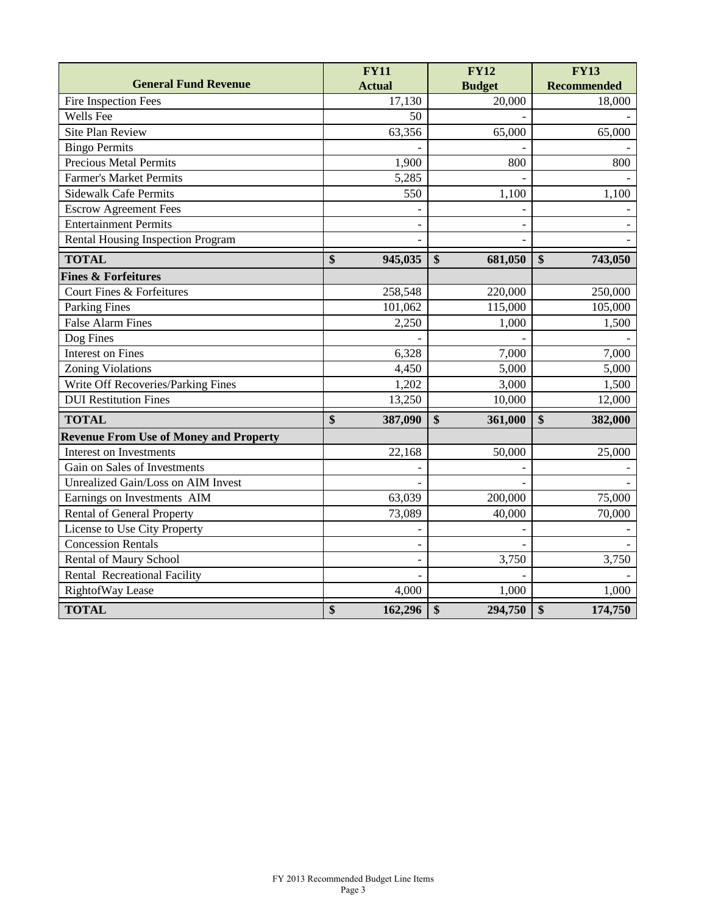|                                               | <b>FY11</b>   | <b>FY12</b>                                | <b>FY13</b>                  |
|-----------------------------------------------|---------------|--------------------------------------------|------------------------------|
| <b>General Fund Revenue</b>                   | <b>Actual</b> | <b>Budget</b>                              | <b>Recommended</b>           |
| Fire Inspection Fees                          | 17,130        | 20,000                                     | 18,000                       |
| Wells Fee                                     | 50            |                                            |                              |
| <b>Site Plan Review</b>                       | 63,356        | 65,000                                     | 65,000                       |
| <b>Bingo Permits</b>                          |               |                                            |                              |
| <b>Precious Metal Permits</b>                 | 1,900         | 800                                        | 800                          |
| <b>Farmer's Market Permits</b>                | 5,285         |                                            |                              |
| <b>Sidewalk Cafe Permits</b>                  | 550           | 1,100                                      | 1,100                        |
| <b>Escrow Agreement Fees</b>                  |               |                                            |                              |
| <b>Entertainment Permits</b>                  |               |                                            |                              |
| Rental Housing Inspection Program             |               |                                            |                              |
| <b>TOTAL</b>                                  | \$<br>945,035 | $\overline{\$}$<br>681,050                 | $\boldsymbol{\$}$<br>743,050 |
| <b>Fines &amp; Forfeitures</b>                |               |                                            |                              |
| Court Fines & Forfeitures                     | 258,548       | 220,000                                    | 250,000                      |
| Parking Fines                                 | 101,062       | 115,000                                    | 105,000                      |
| <b>False Alarm Fines</b>                      | 2,250         | 1,000                                      | 1,500                        |
| Dog Fines                                     |               |                                            |                              |
| <b>Interest on Fines</b>                      | 6,328         | 7,000                                      | 7,000                        |
| <b>Zoning Violations</b>                      | 4,450         | 5,000                                      | 5,000                        |
| Write Off Recoveries/Parking Fines            | 1,202         | 3,000                                      | 1,500                        |
| <b>DUI Restitution Fines</b>                  | 13,250        | 10,000                                     | 12,000                       |
| <b>TOTAL</b>                                  | \$<br>387,090 | $\boldsymbol{\hat{\mathbf{s}}}$<br>361,000 | $\boldsymbol{\$}$<br>382,000 |
| <b>Revenue From Use of Money and Property</b> |               |                                            |                              |
| Interest on Investments                       | 22,168        | 50,000                                     | 25,000                       |
| Gain on Sales of Investments                  |               |                                            |                              |
| Unrealized Gain/Loss on AIM Invest            |               |                                            |                              |
| Earnings on Investments AIM                   | 63,039        | 200,000                                    | 75,000                       |
| Rental of General Property                    | 73,089        | 40,000                                     | 70,000                       |
| License to Use City Property                  |               |                                            |                              |
| <b>Concession Rentals</b>                     |               |                                            |                              |
| Rental of Maury School                        |               | 3,750                                      | 3,750                        |
| Rental Recreational Facility                  |               |                                            |                              |
| RightofWay Lease                              | 4,000         | 1,000                                      | 1,000                        |
| <b>TOTAL</b>                                  | \$<br>162,296 | \$<br>294,750                              | 174,750<br>\$                |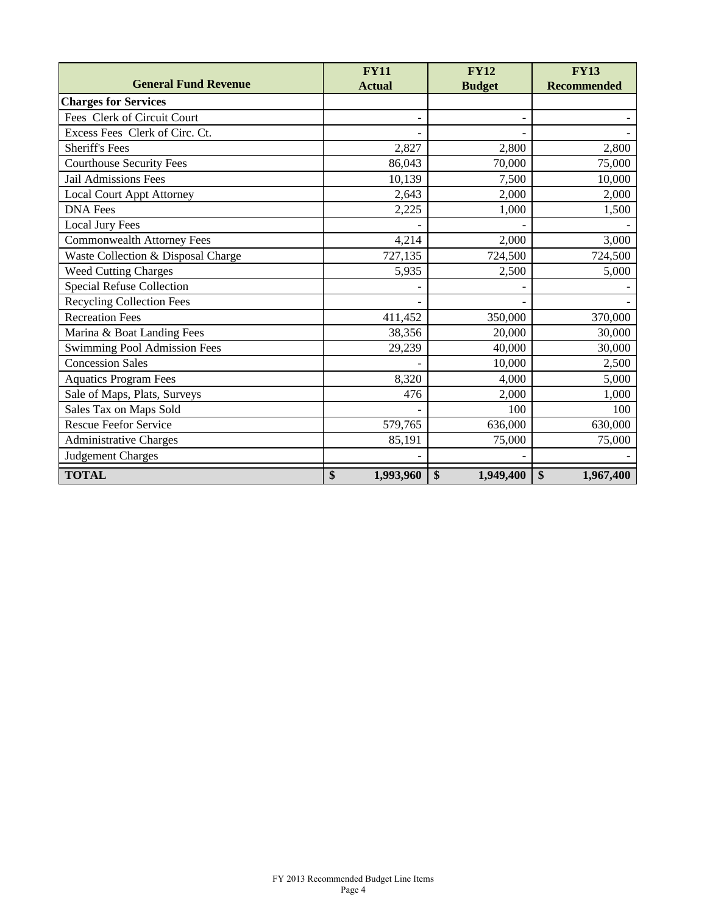|                                    | <b>FY11</b>     | <b>FY12</b>     | <b>FY13</b>        |
|------------------------------------|-----------------|-----------------|--------------------|
| <b>General Fund Revenue</b>        | <b>Actual</b>   | <b>Budget</b>   | <b>Recommended</b> |
| <b>Charges for Services</b>        |                 |                 |                    |
| Fees Clerk of Circuit Court        |                 |                 |                    |
| Excess Fees Clerk of Circ. Ct.     |                 |                 |                    |
| <b>Sheriff's Fees</b>              | 2,827           | 2,800           | 2,800              |
| <b>Courthouse Security Fees</b>    | 86,043          | 70,000          | 75,000             |
| <b>Jail Admissions Fees</b>        | 10,139          | 7,500           | 10,000             |
| <b>Local Court Appt Attorney</b>   | 2,643           | 2,000           | 2,000              |
| <b>DNA</b> Fees                    | 2,225           | 1,000           | 1,500              |
| <b>Local Jury Fees</b>             |                 |                 |                    |
| <b>Commonwealth Attorney Fees</b>  | 4,214           | 2,000           | 3,000              |
| Waste Collection & Disposal Charge | 727,135         | 724,500         | 724,500            |
| <b>Weed Cutting Charges</b>        | 5,935           | 2,500           | 5,000              |
| Special Refuse Collection          |                 |                 |                    |
| <b>Recycling Collection Fees</b>   |                 |                 |                    |
| <b>Recreation Fees</b>             | 411,452         | 350,000         | 370,000            |
| Marina & Boat Landing Fees         | 38,356          | 20,000          | 30,000             |
| Swimming Pool Admission Fees       | 29,239          | 40,000          | 30,000             |
| <b>Concession Sales</b>            |                 | 10,000          | 2,500              |
| <b>Aquatics Program Fees</b>       | 8,320           | 4,000           | 5,000              |
| Sale of Maps, Plats, Surveys       | 476             | 2,000           | 1,000              |
| Sales Tax on Maps Sold             |                 | 100             | 100                |
| <b>Rescue Feefor Service</b>       | 579,765         | 636,000         | 630,000            |
| <b>Administrative Charges</b>      | 85,191          | 75,000          | 75,000             |
| <b>Judgement Charges</b>           |                 |                 |                    |
| <b>TOTAL</b>                       | \$<br>1,993,960 | \$<br>1,949,400 | \$<br>1,967,400    |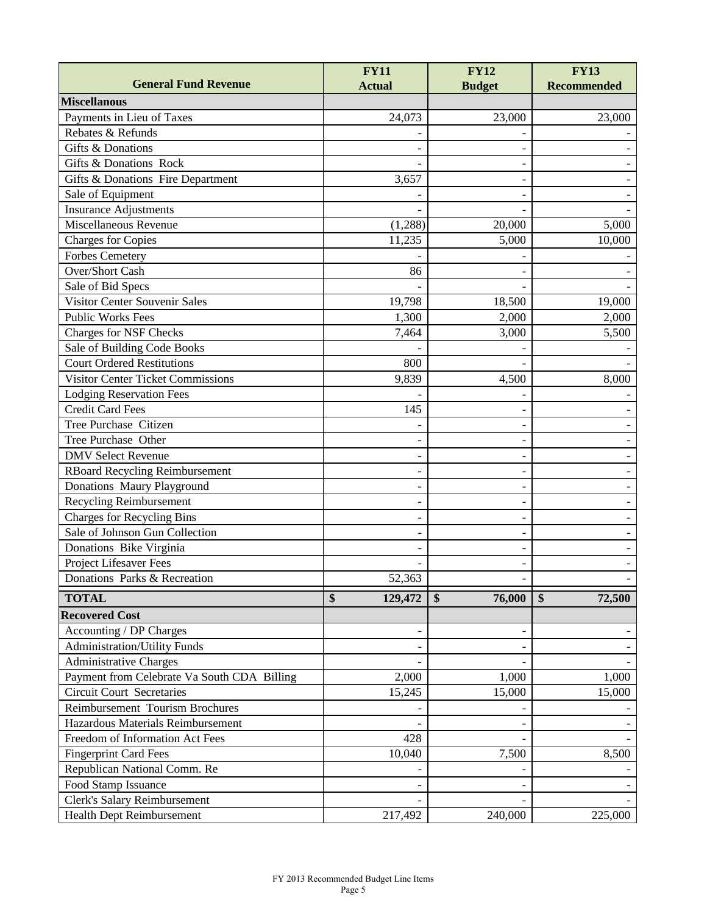|                                             | <b>FY11</b>   | <b>FY12</b>                 | <b>FY13</b>        |
|---------------------------------------------|---------------|-----------------------------|--------------------|
| <b>General Fund Revenue</b>                 | <b>Actual</b> | <b>Budget</b>               | <b>Recommended</b> |
| <b>Miscellanous</b>                         |               |                             |                    |
| Payments in Lieu of Taxes                   | 24,073        | 23,000                      | 23,000             |
| Rebates & Refunds                           |               |                             |                    |
| Gifts & Donations                           |               |                             |                    |
| Gifts & Donations Rock                      |               |                             |                    |
| Gifts & Donations Fire Department           | 3,657         |                             |                    |
| Sale of Equipment                           |               |                             |                    |
| <b>Insurance Adjustments</b>                |               |                             |                    |
| Miscellaneous Revenue                       | (1,288)       | 20,000                      | 5,000              |
| <b>Charges for Copies</b>                   | 11,235        | 5,000                       | 10,000             |
| <b>Forbes Cemetery</b>                      |               |                             |                    |
| <b>Over/Short Cash</b>                      | 86            |                             |                    |
| Sale of Bid Specs                           |               |                             |                    |
| <b>Visitor Center Souvenir Sales</b>        | 19,798        | 18,500                      | 19,000             |
| <b>Public Works Fees</b>                    | 1,300         | 2,000                       | 2,000              |
| <b>Charges for NSF Checks</b>               | 7,464         | 3,000                       | 5,500              |
| Sale of Building Code Books                 |               |                             |                    |
| <b>Court Ordered Restitutions</b>           | 800           |                             |                    |
| <b>Visitor Center Ticket Commissions</b>    | 9,839         | 4,500                       | 8,000              |
| <b>Lodging Reservation Fees</b>             |               |                             |                    |
| <b>Credit Card Fees</b>                     | 145           |                             |                    |
| Tree Purchase Citizen                       |               |                             |                    |
| Tree Purchase Other                         |               |                             |                    |
| <b>DMV Select Revenue</b>                   |               |                             |                    |
| <b>RBoard Recycling Reimbursement</b>       |               |                             |                    |
| Donations Maury Playground                  |               |                             |                    |
| Recycling Reimbursement                     |               |                             |                    |
| <b>Charges for Recycling Bins</b>           |               |                             |                    |
| Sale of Johnson Gun Collection              |               |                             |                    |
| Donations Bike Virginia                     |               |                             |                    |
| Project Lifesaver Fees                      |               |                             |                    |
| Donations Parks & Recreation                | 52,363        |                             |                    |
|                                             |               |                             |                    |
| <b>TOTAL</b>                                | \$<br>129,472 | $\boldsymbol{\$}$<br>76,000 | \$<br>72,500       |
| <b>Recovered Cost</b>                       |               |                             |                    |
| Accounting / DP Charges                     |               |                             |                    |
| <b>Administration/Utility Funds</b>         |               |                             |                    |
| <b>Administrative Charges</b>               |               |                             |                    |
| Payment from Celebrate Va South CDA Billing | 2,000         | 1,000                       | 1,000              |
| <b>Circuit Court Secretaries</b>            | 15,245        | 15,000                      | 15,000             |
| Reimbursement Tourism Brochures             |               |                             |                    |
| Hazardous Materials Reimbursement           |               |                             |                    |
| Freedom of Information Act Fees             | 428           |                             |                    |
| <b>Fingerprint Card Fees</b>                | 10,040        | 7,500                       | 8,500              |
| Republican National Comm. Re                |               |                             |                    |
| Food Stamp Issuance                         |               |                             |                    |
| Clerk's Salary Reimbursement                |               |                             |                    |
| Health Dept Reimbursement                   | 217,492       | 240,000                     | 225,000            |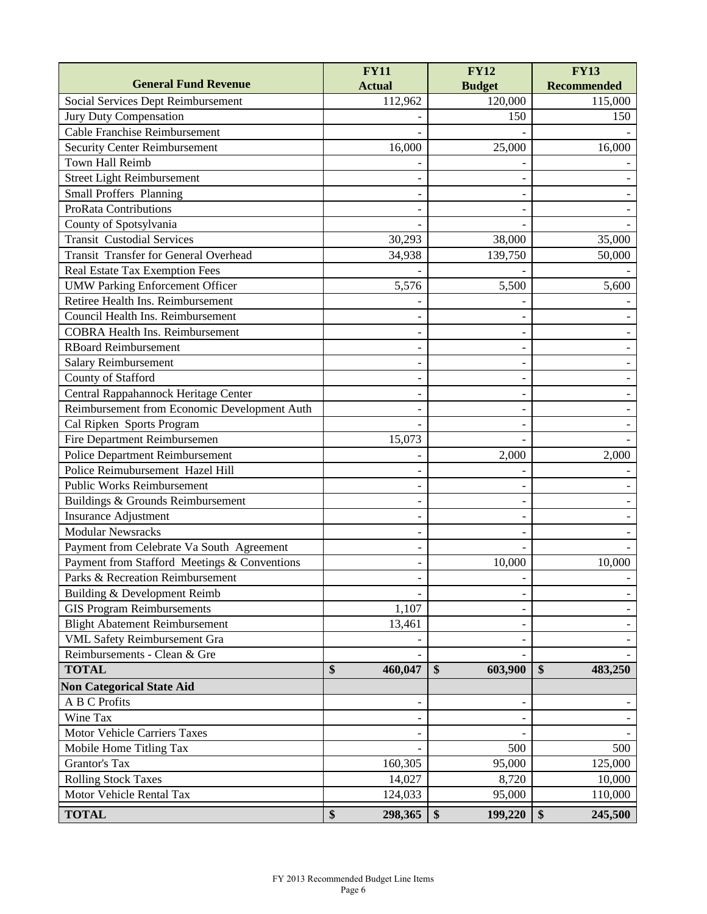|                                              | <b>FY11</b>   | <b>FY12</b>   | <b>FY13</b>        |
|----------------------------------------------|---------------|---------------|--------------------|
| <b>General Fund Revenue</b>                  | <b>Actual</b> | <b>Budget</b> | <b>Recommended</b> |
| Social Services Dept Reimbursement           | 112,962       | 120,000       | 115,000            |
| Jury Duty Compensation                       |               | 150           | 150                |
| <b>Cable Franchise Reimbursement</b>         |               |               |                    |
| <b>Security Center Reimbursement</b>         | 16,000        | 25,000        | 16,000             |
| Town Hall Reimb                              |               |               |                    |
| <b>Street Light Reimbursement</b>            |               |               |                    |
| <b>Small Proffers Planning</b>               |               |               |                    |
| <b>ProRata Contributions</b>                 |               |               |                    |
| County of Spotsylvania                       |               |               |                    |
| <b>Transit Custodial Services</b>            | 30,293        | 38,000        | 35,000             |
| <b>Transit Transfer for General Overhead</b> | 34,938        | 139,750       | 50,000             |
| Real Estate Tax Exemption Fees               |               |               |                    |
| <b>UMW Parking Enforcement Officer</b>       | 5,576         | 5,500         | 5,600              |
| Retiree Health Ins. Reimbursement            |               |               |                    |
| Council Health Ins. Reimbursement            |               |               |                    |
| <b>COBRA Health Ins. Reimbursement</b>       |               |               |                    |
| <b>RBoard Reimbursement</b>                  |               |               |                    |
| <b>Salary Reimbursement</b>                  |               |               |                    |
| County of Stafford                           |               |               |                    |
| Central Rappahannock Heritage Center         |               |               |                    |
| Reimbursement from Economic Development Auth |               |               |                    |
| Cal Ripken Sports Program                    |               |               |                    |
| Fire Department Reimbursemen                 | 15,073        |               |                    |
| Police Department Reimbursement              |               | 2,000         | 2,000              |
| Police Reimubursement Hazel Hill             |               |               |                    |
| <b>Public Works Reimbursement</b>            |               |               |                    |
| Buildings & Grounds Reimbursement            |               |               |                    |
| Insurance Adjustment                         |               |               |                    |
| <b>Modular Newsracks</b>                     |               |               |                    |
| Payment from Celebrate Va South Agreement    |               |               |                    |
| Payment from Stafford Meetings & Conventions |               | 10,000        | 10,000             |
| Parks & Recreation Reimbursement             |               |               |                    |
| Building & Development Reimb                 |               |               |                    |
| <b>GIS Program Reimbursements</b>            | 1,107         |               |                    |
| <b>Blight Abatement Reimbursement</b>        | 13,461        |               |                    |
| <b>VML Safety Reimbursement Gra</b>          |               |               |                    |
| Reimbursements - Clean & Gre                 |               |               |                    |
| <b>TOTAL</b>                                 | \$<br>460,047 | \$<br>603,900 | \$<br>483,250      |
| <b>Non Categorical State Aid</b>             |               |               |                    |
| A B C Profits                                |               |               |                    |
| Wine Tax                                     |               |               |                    |
| Motor Vehicle Carriers Taxes                 |               |               |                    |
| Mobile Home Titling Tax                      |               | 500           | 500                |
| Grantor's Tax                                | 160,305       | 95,000        | 125,000            |
| <b>Rolling Stock Taxes</b>                   | 14,027        | 8,720         | 10,000             |
| Motor Vehicle Rental Tax                     | 124,033       | 95,000        | 110,000            |
| <b>TOTAL</b>                                 | \$<br>298,365 | \$<br>199,220 | 245,500<br>\$      |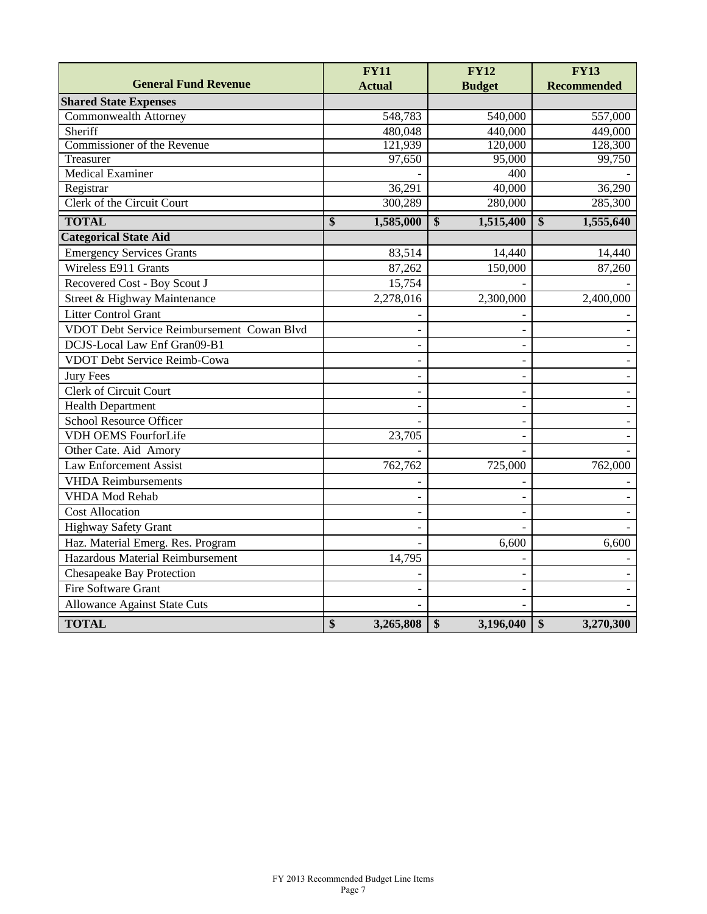|                                            | <b>FY11</b>     | <b>FY12</b>                            | <b>FY13</b>                            |
|--------------------------------------------|-----------------|----------------------------------------|----------------------------------------|
| <b>General Fund Revenue</b>                | <b>Actual</b>   | <b>Budget</b>                          | <b>Recommended</b>                     |
| <b>Shared State Expenses</b>               |                 |                                        |                                        |
| Commonwealth Attorney                      | 548,783         | 540,000                                | 557,000                                |
| Sheriff                                    | 480,048         | 440,000                                | 449,000                                |
| Commissioner of the Revenue                | 121,939         | 120,000                                | 128,300                                |
| Treasurer                                  | 97,650          | 95,000                                 | 99,750                                 |
| <b>Medical Examiner</b>                    |                 | 400                                    |                                        |
| Registrar                                  | 36,291          | 40,000                                 | 36,290                                 |
| Clerk of the Circuit Court                 | 300,289         | 280,000                                | 285,300                                |
| <b>TOTAL</b>                               | \$<br>1,585,000 | $\boldsymbol{\mathsf{s}}$<br>1,515,400 | $\boldsymbol{\mathsf{S}}$<br>1,555,640 |
| <b>Categorical State Aid</b>               |                 |                                        |                                        |
| <b>Emergency Services Grants</b>           | 83,514          | 14,440                                 | 14,440                                 |
| Wireless E911 Grants                       | 87,262          | 150,000                                | 87,260                                 |
| Recovered Cost - Boy Scout J               | 15,754          |                                        |                                        |
| Street & Highway Maintenance               | 2,278,016       | 2,300,000                              | 2,400,000                              |
| <b>Litter Control Grant</b>                |                 |                                        |                                        |
| VDOT Debt Service Reimbursement Cowan Blvd |                 |                                        |                                        |
| DCJS-Local Law Enf Gran09-B1               |                 |                                        |                                        |
| <b>VDOT Debt Service Reimb-Cowa</b>        |                 |                                        |                                        |
| <b>Jury Fees</b>                           |                 |                                        |                                        |
| Clerk of Circuit Court                     |                 |                                        |                                        |
| <b>Health Department</b>                   |                 |                                        |                                        |
| <b>School Resource Officer</b>             |                 |                                        |                                        |
| <b>VDH OEMS FourforLife</b>                | 23,705          |                                        |                                        |
| Other Cate. Aid Amory                      |                 |                                        |                                        |
| <b>Law Enforcement Assist</b>              | 762,762         | 725,000                                | 762,000                                |
| <b>VHDA</b> Reimbursements                 |                 |                                        |                                        |
| <b>VHDA Mod Rehab</b>                      |                 |                                        |                                        |
| <b>Cost Allocation</b>                     |                 |                                        |                                        |
| Highway Safety Grant                       |                 |                                        |                                        |
| Haz. Material Emerg. Res. Program          |                 | 6,600                                  | 6,600                                  |
| Hazardous Material Reimbursement           | 14,795          |                                        |                                        |
| <b>Chesapeake Bay Protection</b>           |                 |                                        |                                        |
| Fire Software Grant                        |                 |                                        |                                        |
| <b>Allowance Against State Cuts</b>        |                 |                                        |                                        |
| <b>TOTAL</b>                               | \$<br>3,265,808 | \$<br>3,196,040                        | \$<br>3,270,300                        |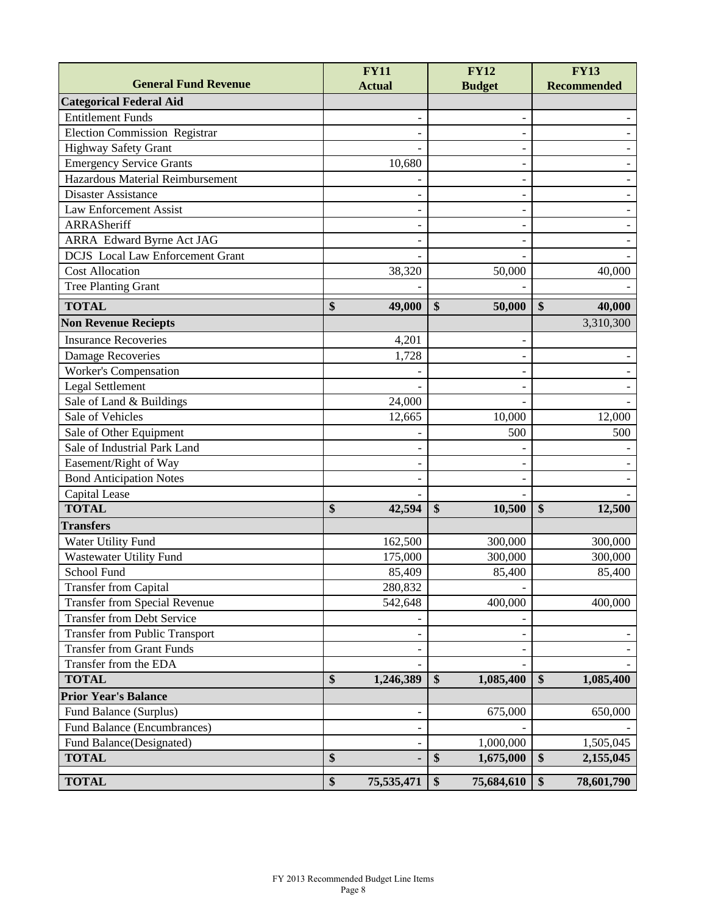|                                         | <b>FY11</b>      | <b>FY12</b>      | <b>FY13</b>        |
|-----------------------------------------|------------------|------------------|--------------------|
| <b>General Fund Revenue</b>             | <b>Actual</b>    | <b>Budget</b>    | <b>Recommended</b> |
| <b>Categorical Federal Aid</b>          |                  |                  |                    |
| <b>Entitlement Funds</b>                |                  |                  |                    |
| <b>Election Commission Registrar</b>    |                  |                  |                    |
| <b>Highway Safety Grant</b>             |                  |                  |                    |
| <b>Emergency Service Grants</b>         | 10,680           |                  |                    |
| Hazardous Material Reimbursement        |                  | ۳                |                    |
| <b>Disaster Assistance</b>              |                  |                  |                    |
| <b>Law Enforcement Assist</b>           |                  |                  |                    |
| ARRASheriff                             |                  |                  |                    |
| <b>ARRA</b> Edward Byrne Act JAG        |                  |                  |                    |
| <b>DCJS</b> Local Law Enforcement Grant |                  |                  |                    |
| <b>Cost Allocation</b>                  | 38,320           | 50,000           | 40,000             |
| <b>Tree Planting Grant</b>              |                  |                  |                    |
| <b>TOTAL</b>                            | \$<br>49,000     | \$<br>50,000     | \$<br>40,000       |
| <b>Non Revenue Reciepts</b>             |                  |                  | 3,310,300          |
| <b>Insurance Recoveries</b>             | 4,201            |                  |                    |
| <b>Damage Recoveries</b>                | 1,728            |                  |                    |
| Worker's Compensation                   |                  |                  |                    |
| <b>Legal Settlement</b>                 |                  |                  |                    |
| Sale of Land & Buildings                | 24,000           |                  |                    |
| Sale of Vehicles                        | 12,665           | 10,000           | 12,000             |
| Sale of Other Equipment                 |                  | 500              | 500                |
| Sale of Industrial Park Land            |                  |                  |                    |
| Easement/Right of Way                   |                  |                  |                    |
| <b>Bond Anticipation Notes</b>          |                  |                  |                    |
| Capital Lease                           |                  |                  |                    |
| <b>TOTAL</b>                            | \$<br>42,594     | \$<br>10,500     | \$<br>12,500       |
| <b>Transfers</b>                        |                  |                  |                    |
| Water Utility Fund                      | 162,500          | 300,000          | 300,000            |
| <b>Wastewater Utility Fund</b>          | 175,000          | 300,000          | 300,000            |
| School Fund                             | 85,409           | 85,400           | 85,400             |
| <b>Transfer from Capital</b>            | 280,832          |                  |                    |
| <b>Transfer from Special Revenue</b>    | 542,648          | 400,000          | 400,000            |
| <b>Transfer from Debt Service</b>       |                  |                  |                    |
| Transfer from Public Transport          |                  |                  |                    |
| <b>Transfer from Grant Funds</b>        |                  |                  |                    |
| Transfer from the EDA                   |                  |                  |                    |
| <b>TOTAL</b>                            | \$<br>1,246,389  | \$<br>1,085,400  | \$<br>1,085,400    |
| <b>Prior Year's Balance</b>             |                  |                  |                    |
| Fund Balance (Surplus)                  |                  | 675,000          | 650,000            |
| Fund Balance (Encumbrances)             |                  |                  |                    |
| Fund Balance(Designated)                |                  | 1,000,000        | 1,505,045          |
| <b>TOTAL</b>                            | \$               | \$<br>1,675,000  | \$<br>2,155,045    |
|                                         |                  |                  |                    |
| <b>TOTAL</b>                            | \$<br>75,535,471 | \$<br>75,684,610 | \$<br>78,601,790   |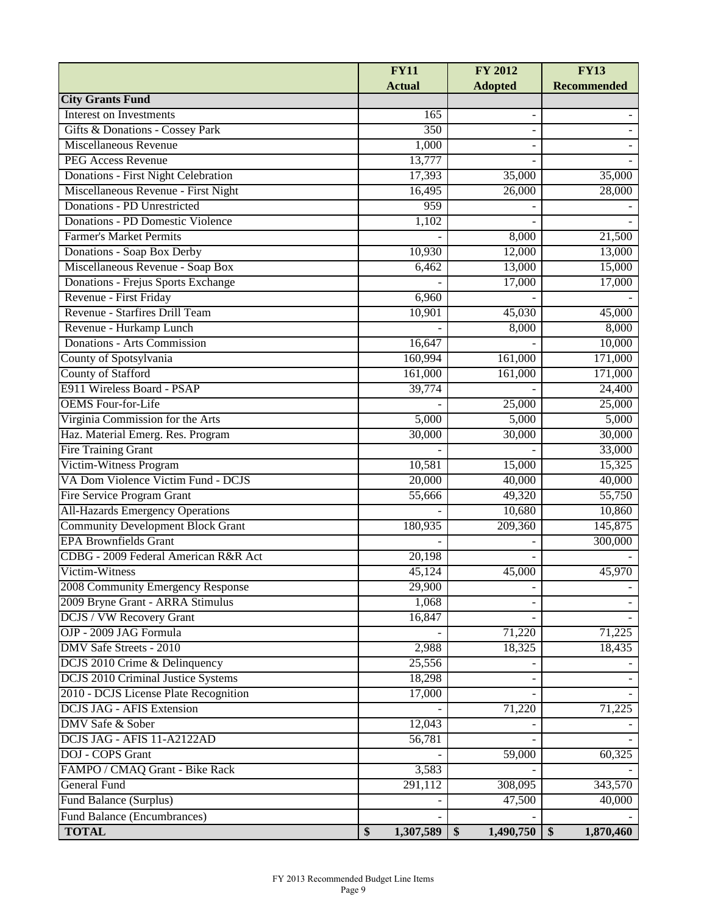|                                                                 | <b>FY11</b>     | FY 2012         | <b>FY13</b>        |
|-----------------------------------------------------------------|-----------------|-----------------|--------------------|
| <b>City Grants Fund</b>                                         | <b>Actual</b>   | <b>Adopted</b>  | <b>Recommended</b> |
| <b>Interest on Investments</b>                                  |                 |                 |                    |
|                                                                 | 165<br>350      |                 |                    |
| Gifts & Donations - Cossey Park<br><b>Miscellaneous Revenue</b> |                 |                 |                    |
|                                                                 | 1,000           |                 |                    |
| <b>PEG Access Revenue</b>                                       | 13,777          |                 |                    |
| Donations - First Night Celebration                             | 17,393          | 35,000          | 35,000             |
| Miscellaneous Revenue - First Night                             | 16,495          | 26,000          | 28,000             |
| <b>Donations - PD Unrestricted</b>                              | 959             |                 |                    |
| Donations - PD Domestic Violence                                | 1,102           |                 |                    |
| <b>Farmer's Market Permits</b>                                  |                 | 8,000           | 21,500             |
| Donations - Soap Box Derby                                      | 10,930          | 12,000          | 13,000             |
| Miscellaneous Revenue - Soap Box                                | 6,462           | 13,000          | 15,000             |
| Donations - Frejus Sports Exchange                              |                 | 17,000          | 17,000             |
| Revenue - First Friday                                          | 6,960           |                 |                    |
| Revenue - Starfires Drill Team                                  | 10,901          | 45,030          | 45,000             |
| Revenue - Hurkamp Lunch                                         |                 | 8,000           | 8,000              |
| Donations - Arts Commission                                     | 16,647          |                 | 10,000             |
| County of Spotsylvania                                          | 160,994         | 161,000         | 171,000            |
| <b>County of Stafford</b>                                       | 161,000         | 161,000         | 171,000            |
| E911 Wireless Board - PSAP                                      | 39,774          |                 | 24,400             |
| <b>OEMS</b> Four-for-Life                                       |                 | 25,000          | 25,000             |
| Virginia Commission for the Arts                                | 5,000           | 5,000           | 5,000              |
| Haz. Material Emerg. Res. Program                               | 30,000          | 30,000          | 30,000             |
| <b>Fire Training Grant</b>                                      |                 |                 | 33,000             |
| Victim-Witness Program                                          | 10,581          | 15,000          | 15,325             |
| VA Dom Violence Victim Fund - DCJS                              | 20,000          | 40,000          | 40,000             |
| Fire Service Program Grant                                      | 55,666          | 49,320          | 55,750             |
| <b>All-Hazards Emergency Operations</b>                         |                 | 10,680          | 10,860             |
| <b>Community Development Block Grant</b>                        | 180,935         | 209,360         | 145,875            |
| <b>EPA Brownfields Grant</b>                                    |                 |                 | 300,000            |
| CDBG - 2009 Federal American R&R Act                            | 20,198          |                 |                    |
| Victim-Witness                                                  | 45,124          | 45,000          | 45,970             |
| 2008 Community Emergency Response                               | 29,900          |                 |                    |
| 2009 Bryne Grant - ARRA Stimulus                                | 1,068           |                 |                    |
| <b>DCJS / VW Recovery Grant</b>                                 | 16,847          |                 |                    |
| OJP - 2009 JAG Formula                                          |                 | 71,220          | 71,225             |
| <b>DMV Safe Streets - 2010</b>                                  | 2,988           | 18,325          | 18,435             |
| DCJS 2010 Crime & Delinquency                                   | 25,556          |                 |                    |
| <b>DCJS 2010 Criminal Justice Systems</b>                       | 18,298          |                 |                    |
| 2010 - DCJS License Plate Recognition                           | 17,000          |                 |                    |
| <b>DCJS JAG - AFIS Extension</b>                                |                 | 71,220          | 71,225             |
| DMV Safe & Sober                                                | 12,043          |                 |                    |
| DCJS JAG - AFIS 11-A2122AD                                      | 56,781          |                 |                    |
| DOJ - COPS Grant                                                |                 | 59,000          | 60,325             |
| FAMPO / CMAQ Grant - Bike Rack                                  | 3,583           |                 |                    |
| <b>General Fund</b>                                             | 291,112         | 308,095         | 343,570            |
| Fund Balance (Surplus)                                          |                 | 47,500          | 40,000             |
| Fund Balance (Encumbrances)                                     |                 |                 |                    |
|                                                                 |                 |                 |                    |
| <b>TOTAL</b>                                                    | \$<br>1,307,589 | \$<br>1,490,750 | \$<br>1,870,460    |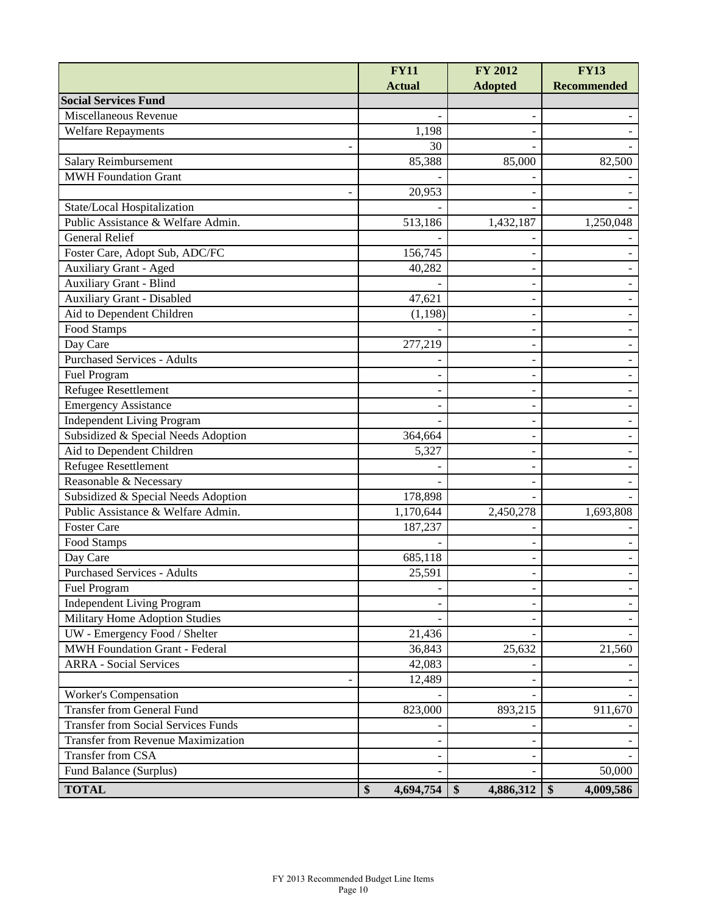|                                            | <b>FY11</b><br><b>Actual</b> | <b>FY 2012</b><br><b>Adopted</b> | <b>FY13</b><br><b>Recommended</b> |
|--------------------------------------------|------------------------------|----------------------------------|-----------------------------------|
| <b>Social Services Fund</b>                |                              |                                  |                                   |
| Miscellaneous Revenue                      |                              |                                  |                                   |
| <b>Welfare Repayments</b>                  | 1,198                        |                                  |                                   |
|                                            | 30                           |                                  |                                   |
| Salary Reimbursement                       | 85,388                       | 85,000                           | 82,500                            |
| <b>MWH Foundation Grant</b>                |                              |                                  |                                   |
|                                            | 20,953                       |                                  |                                   |
| State/Local Hospitalization                |                              |                                  |                                   |
| Public Assistance & Welfare Admin.         | 513,186                      | 1,432,187                        | 1,250,048                         |
| <b>General Relief</b>                      |                              |                                  |                                   |
| Foster Care, Adopt Sub, ADC/FC             | 156,745                      |                                  |                                   |
| <b>Auxiliary Grant - Aged</b>              | 40,282                       |                                  |                                   |
| <b>Auxiliary Grant - Blind</b>             |                              |                                  |                                   |
| <b>Auxiliary Grant - Disabled</b>          | 47,621                       |                                  |                                   |
| Aid to Dependent Children                  | (1, 198)                     |                                  |                                   |
| Food Stamps                                |                              |                                  |                                   |
| Day Care                                   | 277,219                      |                                  |                                   |
| <b>Purchased Services - Adults</b>         |                              |                                  |                                   |
| Fuel Program                               |                              |                                  |                                   |
| <b>Refugee Resettlement</b>                |                              |                                  |                                   |
| <b>Emergency Assistance</b>                |                              |                                  |                                   |
| <b>Independent Living Program</b>          |                              |                                  |                                   |
| Subsidized & Special Needs Adoption        | 364,664                      |                                  |                                   |
| Aid to Dependent Children                  | 5,327                        |                                  |                                   |
| <b>Refugee Resettlement</b>                |                              |                                  |                                   |
| Reasonable & Necessary                     |                              |                                  |                                   |
| Subsidized & Special Needs Adoption        | 178,898                      |                                  |                                   |
| Public Assistance & Welfare Admin.         | 1,170,644                    | 2,450,278                        | 1,693,808                         |
| <b>Foster Care</b>                         | 187,237                      |                                  |                                   |
| Food Stamps                                |                              |                                  |                                   |
| Day Care                                   | 685,118                      |                                  |                                   |
| <b>Purchased Services - Adults</b>         | 25,591                       |                                  |                                   |
| Fuel Program                               |                              |                                  |                                   |
| <b>Independent Living Program</b>          |                              |                                  |                                   |
| Military Home Adoption Studies             |                              |                                  |                                   |
| UW - Emergency Food / Shelter              | 21,436                       |                                  |                                   |
| <b>MWH Foundation Grant - Federal</b>      | 36,843                       | 25,632                           | 21,560                            |
| <b>ARRA - Social Services</b>              | 42,083                       |                                  |                                   |
|                                            | 12,489                       |                                  |                                   |
| Worker's Compensation                      |                              |                                  |                                   |
| <b>Transfer from General Fund</b>          | 823,000                      | 893,215                          | 911,670                           |
| <b>Transfer from Social Services Funds</b> |                              |                                  |                                   |
| <b>Transfer from Revenue Maximization</b>  |                              |                                  |                                   |
| Transfer from CSA                          |                              |                                  |                                   |
| Fund Balance (Surplus)                     |                              |                                  | 50,000                            |
| <b>TOTAL</b>                               | \$<br>4,694,754              | \$<br>4,886,312                  | \$<br>4,009,586                   |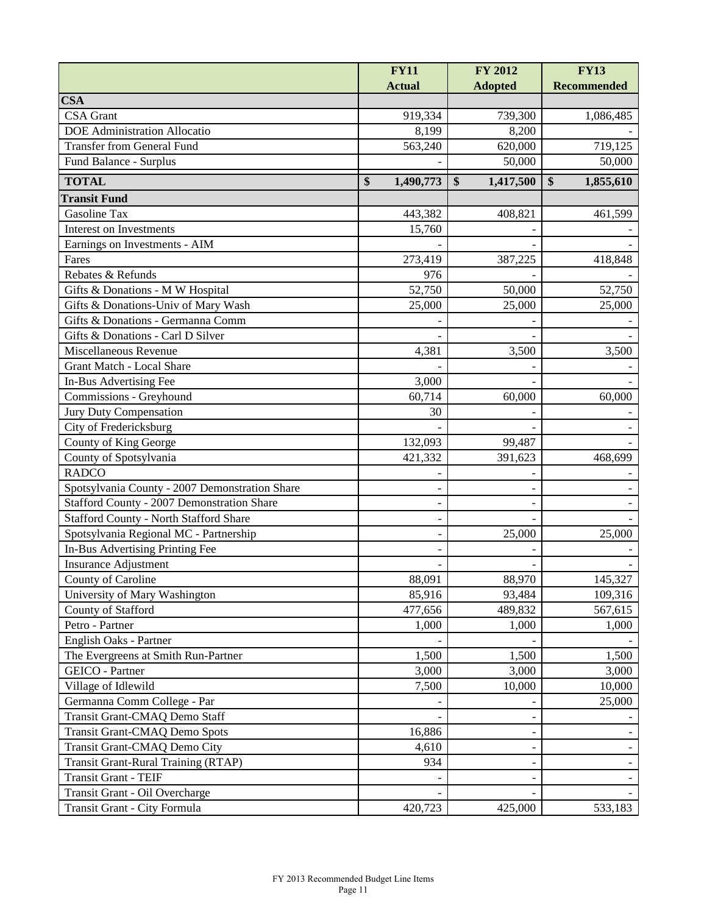|                                                | <b>FY11</b>     | FY 2012         | <b>FY13</b>        |
|------------------------------------------------|-----------------|-----------------|--------------------|
|                                                | <b>Actual</b>   | <b>Adopted</b>  | <b>Recommended</b> |
| <b>CSA</b>                                     |                 |                 |                    |
| <b>CSA</b> Grant                               | 919,334         | 739,300         | 1,086,485          |
| <b>DOE</b> Administration Allocatio            | 8,199           | 8,200           |                    |
| <b>Transfer from General Fund</b>              | 563,240         | 620,000         | 719,125            |
| Fund Balance - Surplus                         |                 | 50,000          | 50,000             |
| <b>TOTAL</b>                                   | \$<br>1,490,773 | \$<br>1,417,500 | \$<br>1,855,610    |
| <b>Transit Fund</b>                            |                 |                 |                    |
| Gasoline Tax                                   | 443,382         | 408,821         | 461,599            |
| Interest on Investments                        | 15,760          |                 |                    |
| Earnings on Investments - AIM                  |                 |                 |                    |
| Fares                                          | 273,419         | 387,225         | 418,848            |
| Rebates & Refunds                              | 976             |                 |                    |
| Gifts & Donations - M W Hospital               | 52,750          | 50,000          | 52,750             |
| Gifts & Donations-Univ of Mary Wash            | 25,000          | 25,000          | 25,000             |
| Gifts & Donations - Germanna Comm              |                 |                 |                    |
| Gifts & Donations - Carl D Silver              |                 |                 |                    |
| Miscellaneous Revenue                          | 4,381           | 3,500           | 3,500              |
| <b>Grant Match - Local Share</b>               |                 |                 |                    |
| In-Bus Advertising Fee                         | 3,000           |                 |                    |
| Commissions - Greyhound                        | 60,714          | 60,000          | 60,000             |
| Jury Duty Compensation                         | 30              |                 |                    |
| City of Fredericksburg                         |                 |                 |                    |
| County of King George                          | 132,093         | 99,487          |                    |
| County of Spotsylvania                         | 421,332         | 391,623         | 468,699            |
| <b>RADCO</b>                                   |                 |                 |                    |
| Spotsylvania County - 2007 Demonstration Share |                 |                 |                    |
| Stafford County - 2007 Demonstration Share     |                 |                 |                    |
| <b>Stafford County - North Stafford Share</b>  |                 |                 |                    |
| Spotsylvania Regional MC - Partnership         |                 | 25,000          | 25,000             |
| In-Bus Advertising Printing Fee                |                 |                 |                    |
| Insurance Adjustment                           |                 |                 |                    |
| County of Caroline                             | 88,091          | 88,970          | 145,327            |
| University of Mary Washington                  | 85,916          | 93,484          | 109,316            |
| County of Stafford                             | 477,656         | 489,832         | 567,615            |
| Petro - Partner                                | 1,000           | 1,000           | 1,000              |
| English Oaks - Partner                         |                 |                 |                    |
| The Evergreens at Smith Run-Partner            | 1,500           | 1,500           | 1,500              |
| GEICO - Partner                                | 3,000           | 3,000           | 3,000              |
| Village of Idlewild                            | 7,500           | 10,000          | 10,000             |
| Germanna Comm College - Par                    |                 |                 | 25,000             |
| Transit Grant-CMAQ Demo Staff                  |                 |                 |                    |
| <b>Transit Grant-CMAQ Demo Spots</b>           | 16,886          |                 |                    |
| Transit Grant-CMAQ Demo City                   | 4,610           |                 |                    |
| Transit Grant-Rural Training (RTAP)            | 934             |                 |                    |
| Transit Grant - TEIF                           |                 |                 |                    |
| Transit Grant - Oil Overcharge                 |                 |                 |                    |
| Transit Grant - City Formula                   | 420,723         | 425,000         | 533,183            |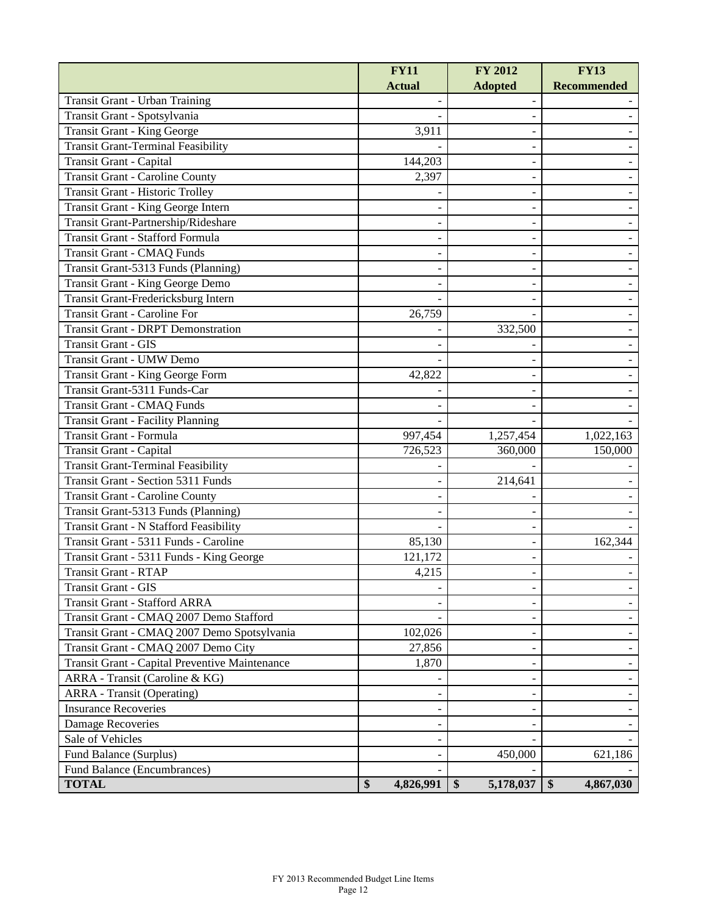|                                                | <b>FY11</b>     | <b>FY 2012</b>  | <b>FY13</b>        |
|------------------------------------------------|-----------------|-----------------|--------------------|
|                                                | <b>Actual</b>   | <b>Adopted</b>  | <b>Recommended</b> |
| Transit Grant - Urban Training                 |                 |                 |                    |
| Transit Grant - Spotsylvania                   |                 |                 |                    |
| Transit Grant - King George                    | 3,911           |                 |                    |
| <b>Transit Grant-Terminal Feasibility</b>      |                 |                 |                    |
| Transit Grant - Capital                        | 144,203         |                 |                    |
| <b>Transit Grant - Caroline County</b>         | 2,397           |                 |                    |
| <b>Transit Grant - Historic Trolley</b>        |                 |                 |                    |
| Transit Grant - King George Intern             |                 |                 |                    |
| Transit Grant-Partnership/Rideshare            |                 |                 |                    |
| Transit Grant - Stafford Formula               |                 |                 |                    |
| Transit Grant - CMAQ Funds                     |                 |                 |                    |
| Transit Grant-5313 Funds (Planning)            |                 |                 |                    |
| Transit Grant - King George Demo               |                 |                 |                    |
| Transit Grant-Fredericksburg Intern            |                 |                 |                    |
| <b>Transit Grant - Caroline For</b>            | 26,759          |                 |                    |
| <b>Transit Grant - DRPT Demonstration</b>      |                 | 332,500         |                    |
| Transit Grant - GIS                            |                 |                 |                    |
| Transit Grant - UMW Demo                       |                 |                 |                    |
| Transit Grant - King George Form               | 42,822          |                 |                    |
| Transit Grant-5311 Funds-Car                   |                 |                 |                    |
| Transit Grant - CMAQ Funds                     |                 |                 |                    |
| Transit Grant - Facility Planning              |                 |                 |                    |
| Transit Grant - Formula                        | 997,454         | 1,257,454       | 1,022,163          |
| Transit Grant - Capital                        | 726,523         | 360,000         | 150,000            |
| <b>Transit Grant-Terminal Feasibility</b>      |                 |                 |                    |
| <b>Transit Grant - Section 5311 Funds</b>      |                 | 214,641         |                    |
| <b>Transit Grant - Caroline County</b>         |                 |                 |                    |
| Transit Grant-5313 Funds (Planning)            |                 |                 |                    |
| Transit Grant - N Stafford Feasibility         |                 |                 |                    |
| Transit Grant - 5311 Funds - Caroline          | 85,130          |                 | 162,344            |
| Transit Grant - 5311 Funds - King George       | 121,172         |                 |                    |
| <b>Transit Grant - RTAP</b>                    | 4,215           |                 |                    |
| Transit Grant - GIS                            |                 |                 |                    |
| <b>Transit Grant - Stafford ARRA</b>           |                 |                 |                    |
| Transit Grant - CMAQ 2007 Demo Stafford        |                 |                 |                    |
| Transit Grant - CMAQ 2007 Demo Spotsylvania    | 102,026         |                 |                    |
| Transit Grant - CMAQ 2007 Demo City            | 27,856          |                 |                    |
| Transit Grant - Capital Preventive Maintenance | 1,870           |                 |                    |
| ARRA - Transit (Caroline & KG)                 |                 |                 |                    |
| <b>ARRA</b> - Transit (Operating)              |                 |                 |                    |
| <b>Insurance Recoveries</b>                    |                 |                 |                    |
| Damage Recoveries                              |                 |                 |                    |
| Sale of Vehicles                               |                 |                 |                    |
| Fund Balance (Surplus)                         |                 | 450,000         | 621,186            |
| Fund Balance (Encumbrances)                    |                 |                 |                    |
| <b>TOTAL</b>                                   | \$<br>4,826,991 | \$<br>5,178,037 | \$<br>4,867,030    |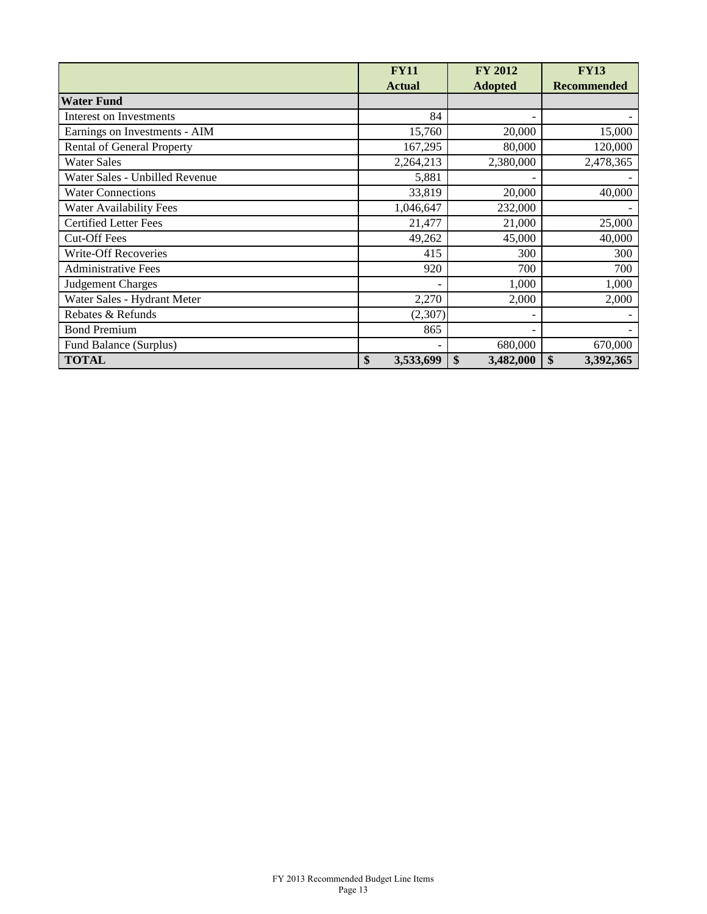|                                   | <b>FY11</b><br><b>Actual</b> | <b>FY 2012</b><br><b>Adopted</b> | <b>FY13</b><br><b>Recommended</b> |
|-----------------------------------|------------------------------|----------------------------------|-----------------------------------|
| <b>Water Fund</b>                 |                              |                                  |                                   |
| Interest on Investments           | 84                           |                                  |                                   |
| Earnings on Investments - AIM     | 15,760                       | 20,000                           | 15,000                            |
| <b>Rental of General Property</b> | 167,295                      | 80,000                           | 120,000                           |
| <b>Water Sales</b>                | 2,264,213                    | 2,380,000                        | 2,478,365                         |
| Water Sales - Unbilled Revenue    | 5,881                        |                                  |                                   |
| <b>Water Connections</b>          | 33,819                       | 20,000                           | 40,000                            |
| <b>Water Availability Fees</b>    | 1,046,647                    | 232,000                          |                                   |
| <b>Certified Letter Fees</b>      | 21,477                       | 21,000                           | 25,000                            |
| <b>Cut-Off Fees</b>               | 49,262                       | 45,000                           | 40,000                            |
| <b>Write-Off Recoveries</b>       | 415                          | 300                              | 300                               |
| <b>Administrative Fees</b>        | 920                          | 700                              | 700                               |
| <b>Judgement Charges</b>          |                              | 1,000                            | 1,000                             |
| Water Sales - Hydrant Meter       | 2,270                        | 2,000                            | 2,000                             |
| Rebates & Refunds                 | (2,307)                      |                                  |                                   |
| <b>Bond Premium</b>               | 865                          |                                  |                                   |
| Fund Balance (Surplus)            |                              | 680,000                          | 670,000                           |
| <b>TOTAL</b>                      | \$<br>3,533,699              | \$<br>3,482,000                  | \$<br>3,392,365                   |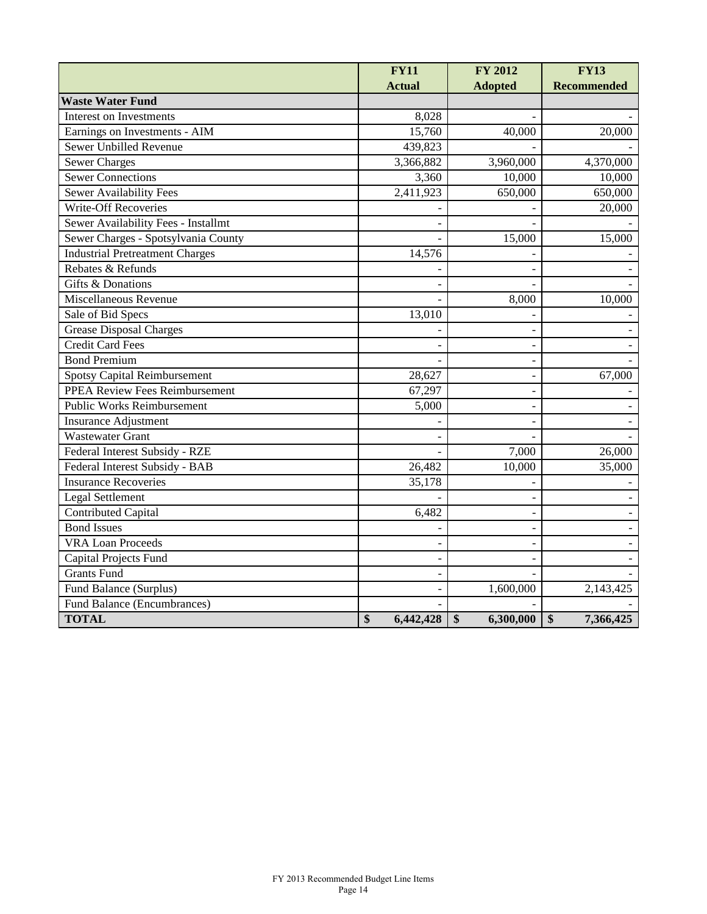|                                        | <b>FY11</b>     | FY 2012         | <b>FY13</b>        |
|----------------------------------------|-----------------|-----------------|--------------------|
|                                        | <b>Actual</b>   | <b>Adopted</b>  | <b>Recommended</b> |
| <b>Waste Water Fund</b>                |                 |                 |                    |
| Interest on Investments                | 8,028           |                 |                    |
| Earnings on Investments - AIM          | 15,760          | 40,000          | 20,000             |
| Sewer Unbilled Revenue                 | 439,823         |                 |                    |
| <b>Sewer Charges</b>                   | 3,366,882       | 3,960,000       | 4,370,000          |
| <b>Sewer Connections</b>               | 3,360           | 10,000          | 10,000             |
| <b>Sewer Availability Fees</b>         | 2,411,923       | 650,000         | 650,000            |
| <b>Write-Off Recoveries</b>            |                 |                 | 20,000             |
| Sewer Availability Fees - Installmt    |                 |                 |                    |
| Sewer Charges - Spotsylvania County    |                 | 15,000          | 15,000             |
| <b>Industrial Pretreatment Charges</b> | 14,576          |                 |                    |
| Rebates & Refunds                      |                 |                 |                    |
| Gifts & Donations                      |                 |                 |                    |
| Miscellaneous Revenue                  |                 | 8,000           | 10,000             |
| Sale of Bid Specs                      | 13,010          |                 |                    |
| <b>Grease Disposal Charges</b>         |                 |                 |                    |
| <b>Credit Card Fees</b>                |                 |                 |                    |
| <b>Bond Premium</b>                    |                 |                 |                    |
| <b>Spotsy Capital Reimbursement</b>    | 28,627          |                 | 67,000             |
| PPEA Review Fees Reimbursement         | 67,297          |                 |                    |
| <b>Public Works Reimbursement</b>      | 5,000           |                 |                    |
| <b>Insurance Adjustment</b>            |                 |                 |                    |
| <b>Wastewater Grant</b>                |                 |                 |                    |
| Federal Interest Subsidy - RZE         |                 | 7,000           | 26,000             |
| Federal Interest Subsidy - BAB         | 26,482          | 10,000          | 35,000             |
| <b>Insurance Recoveries</b>            | 35,178          |                 |                    |
| <b>Legal Settlement</b>                |                 |                 |                    |
| <b>Contributed Capital</b>             | 6,482           |                 |                    |
| <b>Bond Issues</b>                     |                 |                 |                    |
| <b>VRA Loan Proceeds</b>               |                 |                 |                    |
| Capital Projects Fund                  |                 |                 |                    |
| <b>Grants Fund</b>                     |                 |                 |                    |
| Fund Balance (Surplus)                 |                 | 1,600,000       | 2,143,425          |
| <b>Fund Balance (Encumbrances)</b>     |                 |                 |                    |
| <b>TOTAL</b>                           | \$<br>6,442,428 | \$<br>6,300,000 | \$<br>7,366,425    |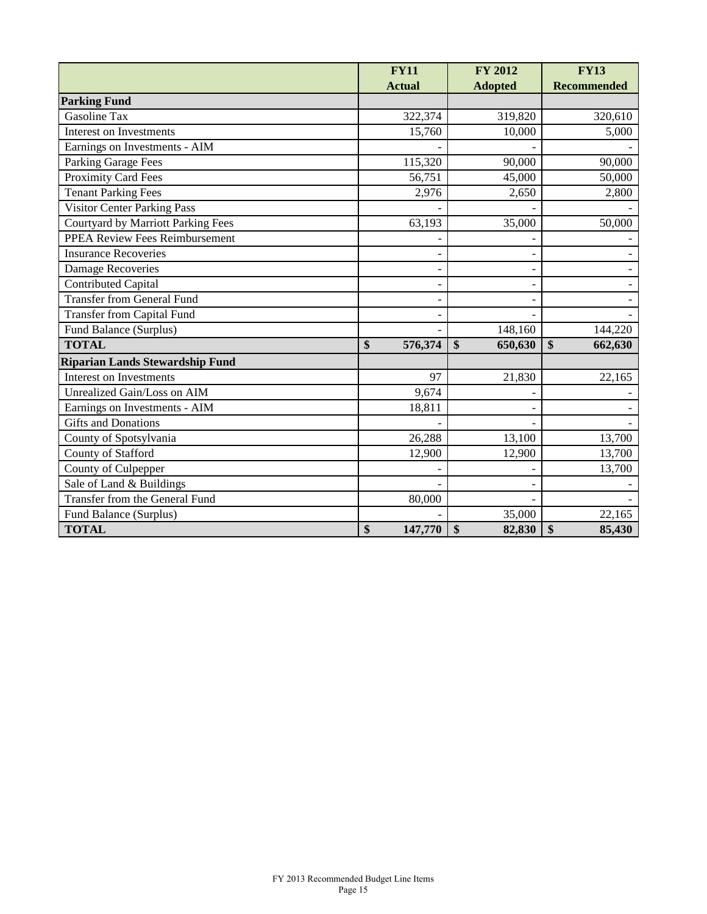|                                           | <b>FY11</b>                  | <b>FY 2012</b>               | <b>FY13</b>        |
|-------------------------------------------|------------------------------|------------------------------|--------------------|
|                                           | <b>Actual</b>                | <b>Adopted</b>               | <b>Recommended</b> |
| <b>Parking Fund</b>                       |                              |                              |                    |
| Gasoline Tax                              | 322,374                      | 319,820                      | 320,610            |
| Interest on Investments                   | 15,760                       | 10,000                       | 5,000              |
| Earnings on Investments - AIM             |                              |                              |                    |
| Parking Garage Fees                       | 115,320                      | 90,000                       | 90,000             |
| <b>Proximity Card Fees</b>                | 56,751                       | 45,000                       | 50,000             |
| <b>Tenant Parking Fees</b>                | 2,976                        | 2,650                        | 2,800              |
| Visitor Center Parking Pass               |                              |                              |                    |
| <b>Courtyard by Marriott Parking Fees</b> | 63,193                       | 35,000                       | 50,000             |
| <b>PPEA Review Fees Reimbursement</b>     |                              |                              |                    |
| <b>Insurance Recoveries</b>               |                              |                              |                    |
| <b>Damage Recoveries</b>                  |                              |                              |                    |
| <b>Contributed Capital</b>                |                              |                              |                    |
| <b>Transfer from General Fund</b>         |                              |                              |                    |
| <b>Transfer from Capital Fund</b>         |                              |                              |                    |
| Fund Balance (Surplus)                    |                              | 148,160                      | 144,220            |
| <b>TOTAL</b>                              | 576,374<br>$\boldsymbol{\$}$ | $\boldsymbol{\$}$<br>650,630 | \$<br>662,630      |
| <b>Riparian Lands Stewardship Fund</b>    |                              |                              |                    |
| Interest on Investments                   | 97                           | 21,830                       | 22,165             |
| Unrealized Gain/Loss on AIM               | 9,674                        |                              |                    |
| Earnings on Investments - AIM             | 18,811                       |                              |                    |
| <b>Gifts</b> and Donations                |                              |                              |                    |
| County of Spotsylvania                    | 26,288                       | 13,100                       | 13,700             |
| County of Stafford                        | 12,900                       | 12,900                       | 13,700             |
| County of Culpepper                       |                              |                              | 13,700             |
| Sale of Land & Buildings                  |                              |                              |                    |
| Transfer from the General Fund            | 80,000                       |                              |                    |
| Fund Balance (Surplus)                    |                              | 35,000                       | 22,165             |
| <b>TOTAL</b>                              | 147,770<br>\$                | $\boldsymbol{\$}$<br>82,830  | \$<br>85,430       |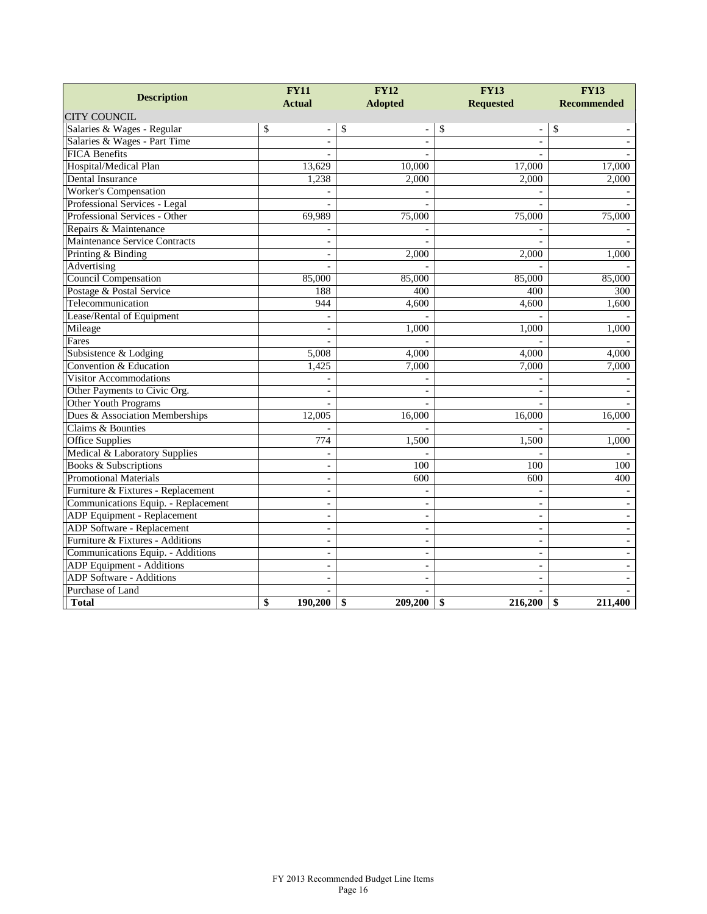| <b>Description</b>                   | <b>FY11</b>              | <b>FY12</b>              | <b>FY13</b>                    | <b>FY13</b>        |  |
|--------------------------------------|--------------------------|--------------------------|--------------------------------|--------------------|--|
|                                      | <b>Actual</b>            | <b>Adopted</b>           | <b>Requested</b>               | <b>Recommended</b> |  |
| <b>CITY COUNCIL</b>                  |                          |                          |                                |                    |  |
| Salaries & Wages - Regular           | \$                       | \$                       | \$<br>$\overline{\phantom{0}}$ | \$                 |  |
| Salaries & Wages - Part Time         | $\sim$                   | $\sim$                   | $\overline{a}$                 |                    |  |
| <b>FICA Benefits</b>                 |                          |                          |                                |                    |  |
| Hospital/Medical Plan                | 13,629                   | 10,000                   | 17,000                         | 17,000             |  |
| Dental Insurance                     | 1,238                    | 2,000                    | 2,000                          | 2,000              |  |
| Worker's Compensation                | $\overline{a}$           |                          |                                |                    |  |
| Professional Services - Legal        |                          |                          |                                |                    |  |
| Professional Services - Other        | 69,989                   | 75,000                   | 75,000                         | 75,000             |  |
| Repairs & Maintenance                |                          |                          |                                |                    |  |
| <b>Maintenance Service Contracts</b> | ÷,                       |                          |                                |                    |  |
| Printing & Binding                   | $\sim$                   | 2,000                    | 2,000                          | 1,000              |  |
| Advertising                          |                          |                          |                                |                    |  |
| Council Compensation                 | 85,000                   | 85,000                   | 85,000                         | 85,000             |  |
| Postage & Postal Service             | 188                      | 400                      | 400                            | 300                |  |
| Telecommunication                    | 944                      | 4,600                    | 4,600                          | 1,600              |  |
| Lease/Rental of Equipment            |                          |                          |                                |                    |  |
| Mileage                              | $\overline{\phantom{a}}$ | 1,000                    | 1,000                          | 1,000              |  |
| Fares                                |                          |                          |                                |                    |  |
| Subsistence & Lodging                | 5,008                    | 4,000                    | 4.000                          | 4,000              |  |
| Convention & Education               | 1,425                    | 7,000                    | 7,000                          | 7,000              |  |
| <b>Visitor Accommodations</b>        |                          |                          |                                |                    |  |
| Other Payments to Civic Org.         | $\overline{\phantom{a}}$ |                          | $\overline{\phantom{a}}$       |                    |  |
| Other Youth Programs                 |                          |                          |                                |                    |  |
| Dues & Association Memberships       | 12.005                   | 16,000                   | 16,000                         | 16.000             |  |
| Claims & Bounties                    |                          |                          |                                |                    |  |
| <b>Office Supplies</b>               | $\overline{774}$         | 1,500                    | 1,500                          | 1,000              |  |
| Medical & Laboratory Supplies        |                          |                          |                                |                    |  |
| Books & Subscriptions                | $\overline{a}$           | 100                      | 100                            | 100                |  |
| <b>Promotional Materials</b>         | $\overline{\phantom{a}}$ | 600                      | 600                            | 400                |  |
| Furniture & Fixtures - Replacement   | $\overline{\phantom{a}}$ |                          |                                |                    |  |
| Communications Equip. - Replacement  | $\sim$                   | $\overline{\phantom{a}}$ | $\blacksquare$                 |                    |  |
| ADP Equipment - Replacement          | $\overline{a}$           | $\sim$                   | $\overline{\phantom{a}}$       |                    |  |
| ADP Software - Replacement           | $\sim$                   | $\blacksquare$           | $\blacksquare$                 |                    |  |
| Furniture & Fixtures - Additions     | $\overline{\phantom{a}}$ | $\sim$                   | $\overline{\phantom{a}}$       |                    |  |
| Communications Equip. - Additions    | $\overline{\phantom{a}}$ | $\overline{\phantom{a}}$ | $\blacksquare$                 |                    |  |
| ADP Equipment - Additions            |                          |                          | $\overline{\phantom{a}}$       |                    |  |
| <b>ADP</b> Software - Additions      | ÷,                       |                          | $\overline{\phantom{a}}$       |                    |  |
| Purchase of Land                     |                          |                          |                                |                    |  |
| <b>Total</b>                         | \$<br>190,200            | \$<br>209,200            | $\mathbf{s}$<br>216,200        | 211,400<br>\$      |  |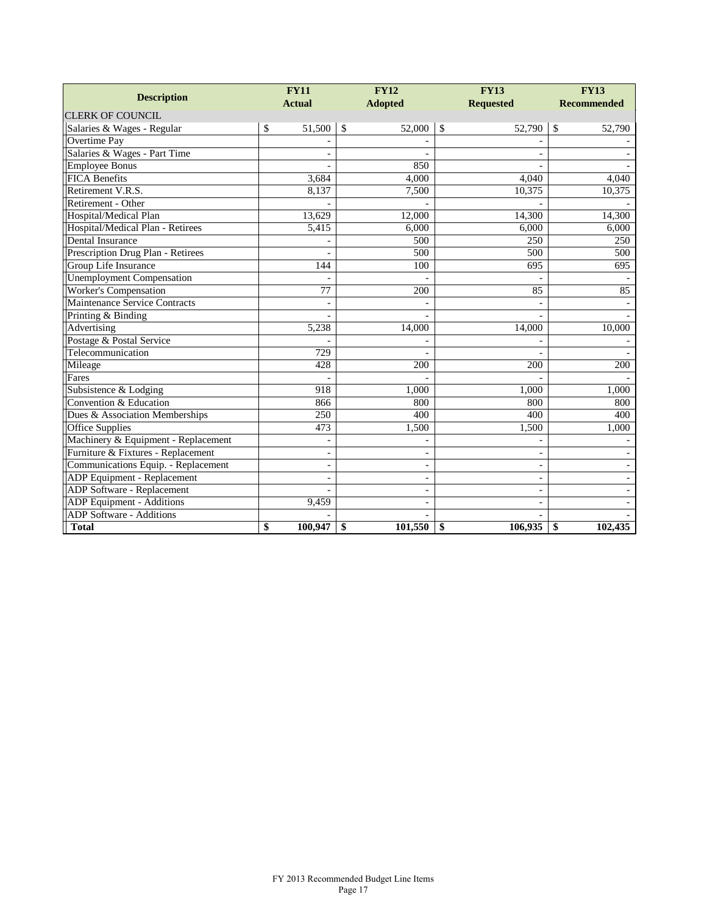|                                     | <b>FY11</b>              |               | <b>FY12</b>              | <b>FY13</b>              | <b>FY13</b>        |  |
|-------------------------------------|--------------------------|---------------|--------------------------|--------------------------|--------------------|--|
| <b>Description</b>                  | <b>Actual</b>            |               | <b>Adopted</b>           | <b>Requested</b>         | <b>Recommended</b> |  |
| <b>CLERK OF COUNCIL</b>             |                          |               |                          |                          |                    |  |
| Salaries & Wages - Regular          | \$<br>51,500             | $\mathcal{S}$ | 52,000                   | $\mathcal{S}$<br>52,790  | 52,790<br>\$       |  |
| Overtime Pay                        |                          |               |                          |                          |                    |  |
| Salaries & Wages - Part Time        |                          |               |                          |                          |                    |  |
| <b>Employee Bonus</b>               |                          |               | 850                      |                          |                    |  |
| <b>FICA Benefits</b>                | 3,684                    |               | 4,000                    | 4,040                    | 4,040              |  |
| Retirement V.R.S.                   | 8,137                    |               | 7,500                    | 10,375                   | 10,375             |  |
| Retirement - Other                  |                          |               |                          |                          |                    |  |
| Hospital/Medical Plan               | 13,629                   |               | 12,000                   | 14,300                   | 14,300             |  |
| Hospital/Medical Plan - Retirees    | 5,415                    |               | 6,000                    | 6,000                    | 6,000              |  |
| Dental Insurance                    |                          |               | 500                      | 250                      | 250                |  |
| Prescription Drug Plan - Retirees   |                          |               | 500                      | 500                      | 500                |  |
| Group Life Insurance                | 144                      |               | 100                      | 695                      | 695                |  |
| <b>Unemployment Compensation</b>    |                          |               |                          |                          |                    |  |
| <b>Worker's Compensation</b>        | 77                       |               | 200                      | 85                       | 85                 |  |
| Maintenance Service Contracts       |                          |               |                          |                          |                    |  |
| Printing & Binding                  |                          |               |                          |                          |                    |  |
| Advertising                         | 5,238                    |               | 14,000                   | 14,000                   | 10,000             |  |
| Postage & Postal Service            |                          |               |                          |                          |                    |  |
| Telecommunication                   | $\overline{729}$         |               |                          |                          |                    |  |
| Mileage                             | 428                      |               | 200                      | 200                      | 200                |  |
| Fares                               |                          |               |                          |                          |                    |  |
| Subsistence & Lodging               | 918                      |               | 1,000                    | 1,000                    | 1,000              |  |
| Convention & Education              | 866                      |               | 800                      | 800                      | 800                |  |
| Dues & Association Memberships      | 250                      |               | 400                      | 400                      | 400                |  |
| <b>Office Supplies</b>              | 473                      |               | 1,500                    | 1,500                    | 1.000              |  |
| Machinery & Equipment - Replacement | $\overline{\phantom{a}}$ |               | $\qquad \qquad -$        | $\overline{\phantom{a}}$ |                    |  |
| Furniture & Fixtures - Replacement  | $\overline{\phantom{a}}$ |               | $\overline{\phantom{0}}$ | $\overline{\phantom{a}}$ |                    |  |
| Communications Equip. - Replacement | $\overline{\phantom{a}}$ |               | $\overline{a}$           | $\overline{\phantom{a}}$ |                    |  |
| ADP Equipment - Replacement         | L.                       |               | $\overline{a}$           | $\overline{a}$           |                    |  |
| <b>ADP Software - Replacement</b>   |                          |               |                          |                          |                    |  |
| ADP Equipment - Additions           | 9,459                    |               |                          |                          |                    |  |
| <b>ADP</b> Software - Additions     |                          |               |                          |                          |                    |  |
| <b>Total</b>                        | \$<br>100,947            | \$            | 101,550                  | 106,935<br>\$            | 102,435<br>\$      |  |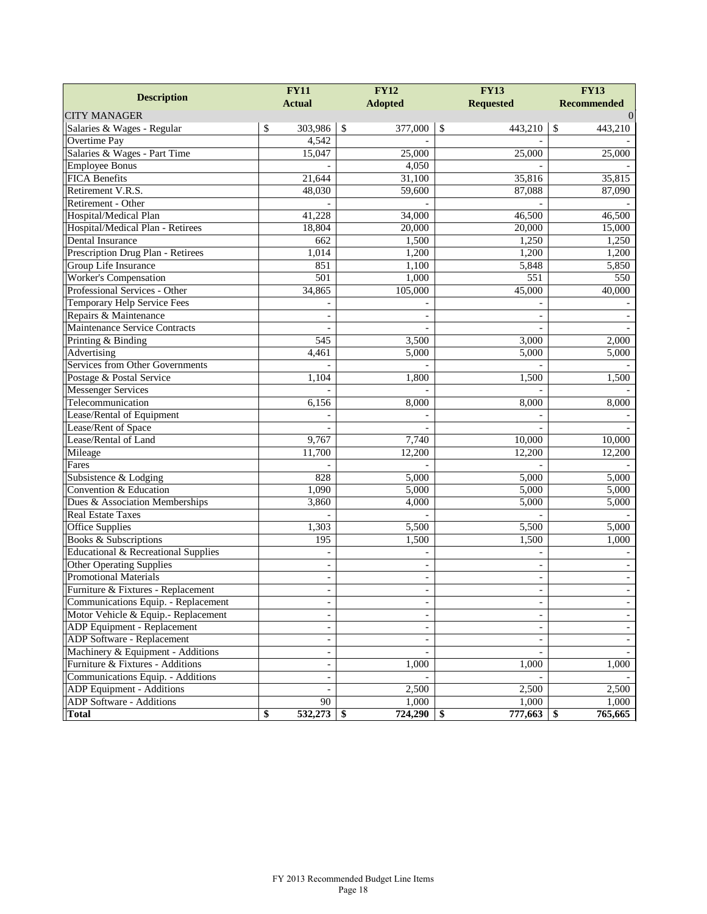|                                     | <b>FY11</b>              | <b>FY12</b>              | <b>FY13</b>              | <b>FY13</b>        |  |
|-------------------------------------|--------------------------|--------------------------|--------------------------|--------------------|--|
| <b>Description</b>                  | <b>Actual</b>            | <b>Adopted</b>           | <b>Requested</b>         | <b>Recommended</b> |  |
| <b>CITY MANAGER</b>                 |                          |                          |                          | $\Omega$           |  |
| Salaries & Wages - Regular          | \$<br>303,986            | $\mathcal{S}$<br>377,000 | \$<br>443,210            | \$<br>443,210      |  |
| Overtime Pay                        | 4,542                    |                          |                          |                    |  |
| Salaries & Wages - Part Time        | 15,047                   | 25,000                   | 25,000                   | 25,000             |  |
| <b>Employee Bonus</b>               |                          | 4,050                    |                          |                    |  |
| <b>FICA Benefits</b>                | 21,644                   | 31,100                   | 35,816                   | 35,815             |  |
| Retirement V.R.S.                   | 48,030                   | 59,600                   | 87,088                   | 87,090             |  |
| Retirement - Other                  |                          |                          |                          |                    |  |
| Hospital/Medical Plan               | 41,228                   | 34,000                   | 46,500                   | 46,500             |  |
| Hospital/Medical Plan - Retirees    | 18,804                   | 20,000                   | 20,000                   | 15,000             |  |
| Dental Insurance                    | 662                      | 1,500                    | 1,250                    | 1,250              |  |
| Prescription Drug Plan - Retirees   | 1,014                    | 1,200                    | 1,200                    | 1,200              |  |
| Group Life Insurance                | 851                      | 1,100                    | 5,848                    | 5,850              |  |
| <b>Worker's Compensation</b>        | 501                      | 1,000                    | $\overline{551}$         | 550                |  |
| Professional Services - Other       | 34,865                   | 105,000                  | 45,000                   | 40,000             |  |
| Temporary Help Service Fees         |                          |                          |                          |                    |  |
| Repairs & Maintenance               |                          |                          |                          |                    |  |
| Maintenance Service Contracts       |                          |                          | ÷.                       |                    |  |
| Printing & Binding                  | 545                      | 3,500                    | 3,000                    | 2,000              |  |
| Advertising                         | 4,461                    | 5,000                    | 5,000                    | 5,000              |  |
| Services from Other Governments     |                          |                          |                          |                    |  |
| Postage & Postal Service            | 1,104                    | 1,800                    | 1,500                    | 1,500              |  |
| <b>Messenger Services</b>           |                          |                          |                          |                    |  |
| Telecommunication                   | 6,156                    | 8,000                    | 8,000                    | 8,000              |  |
| Lease/Rental of Equipment           |                          |                          |                          |                    |  |
| Lease/Rent of Space                 |                          |                          |                          |                    |  |
| Lease/Rental of Land                | 9,767                    | 7,740                    | 10,000                   | 10,000             |  |
| Mileage                             | 11,700                   | 12,200                   | 12,200                   | 12,200             |  |
| Fares                               |                          |                          |                          |                    |  |
| Subsistence & Lodging               | 828                      | 5,000                    | 5,000                    | 5,000              |  |
| Convention & Education              | 1,090                    | 5,000                    | 5,000                    | 5,000              |  |
| Dues & Association Memberships      | 3,860                    | 4,000                    | 5,000                    | 5,000              |  |
| <b>Real Estate Taxes</b>            |                          |                          |                          |                    |  |
| <b>Office Supplies</b>              | 1,303                    | 5,500                    | 5,500                    | 5,000              |  |
| <b>Books &amp; Subscriptions</b>    | 195                      | 1,500                    | 1,500                    | 1,000              |  |
| Educational & Recreational Supplies |                          |                          |                          |                    |  |
| Other Operating Supplies            |                          |                          |                          |                    |  |
| <b>Promotional Materials</b>        | $\overline{\phantom{a}}$ | $\blacksquare$           | $\overline{\phantom{a}}$ | $\blacksquare$     |  |
| Furniture & Fixtures - Replacement  | $\overline{\phantom{a}}$ | $\overline{\phantom{0}}$ | $\overline{\phantom{0}}$ |                    |  |
| Communications Equip. - Replacement | $\overline{\phantom{a}}$ | $\overline{\phantom{m}}$ | $\overline{\phantom{0}}$ |                    |  |
| Motor Vehicle & Equip.- Replacement | $\blacksquare$           |                          | $\overline{\phantom{a}}$ |                    |  |
| ADP Equipment - Replacement         | $\overline{\phantom{a}}$ |                          |                          |                    |  |
| ADP Software - Replacement          | $\overline{\phantom{a}}$ |                          | $\overline{\phantom{a}}$ |                    |  |
| Machinery & Equipment - Additions   | $\overline{\phantom{a}}$ |                          |                          |                    |  |
| Furniture & Fixtures - Additions    | $\overline{\phantom{a}}$ | 1,000                    | 1,000                    | 1,000              |  |
| Communications Equip. - Additions   | $\blacksquare$           |                          |                          |                    |  |
| ADP Equipment - Additions           |                          | 2,500                    | 2,500                    | 2,500              |  |
| ADP Software - Additions            | 90                       | 1,000                    | 1,000                    | 1,000              |  |
| <b>Total</b>                        | 532,273<br>\$            | 724,290<br>- \$          | 777,663<br>\$            | 765,665<br>\$      |  |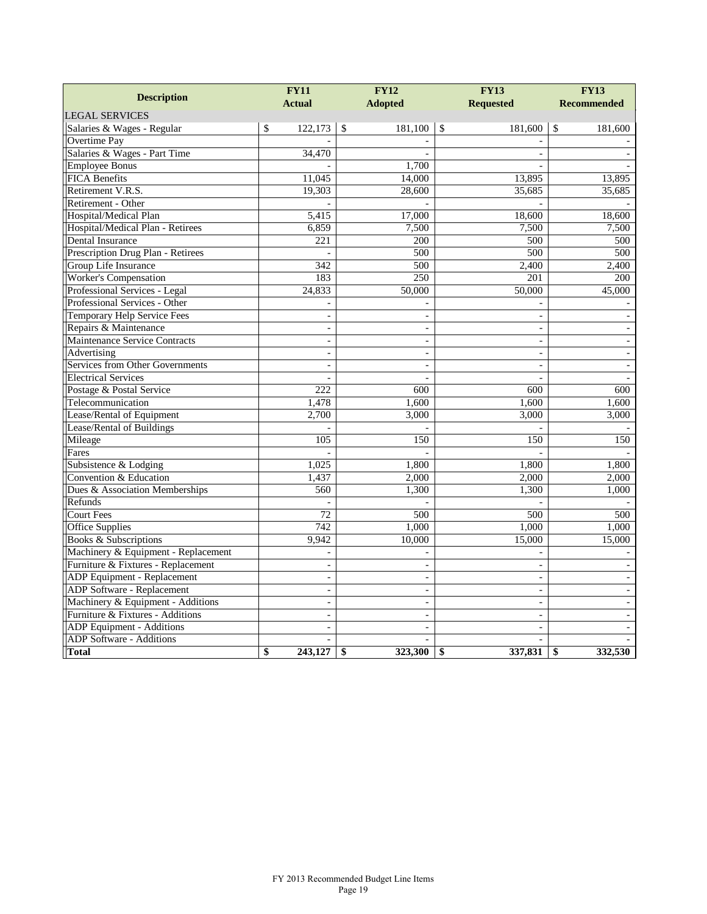| <b>Description</b>                  | <b>FY12</b><br><b>FY11</b> |               | <b>FY13</b>      | <b>FY13</b>   |                          |    |                    |
|-------------------------------------|----------------------------|---------------|------------------|---------------|--------------------------|----|--------------------|
|                                     | <b>Actual</b>              |               | <b>Adopted</b>   |               | <b>Requested</b>         |    | <b>Recommended</b> |
| <b>LEGAL SERVICES</b>               |                            |               |                  |               |                          |    |                    |
| Salaries & Wages - Regular          | \$<br>122,173              | $\mathcal{S}$ | 181,100          | $\mathcal{S}$ | 181,600                  | \$ | 181,600            |
| Overtime Pay                        |                            |               |                  |               |                          |    |                    |
| Salaries & Wages - Part Time        | 34,470                     |               |                  |               |                          |    |                    |
| <b>Employee Bonus</b>               |                            |               | 1,700            |               |                          |    |                    |
| <b>FICA Benefits</b>                | 11,045                     |               | 14,000           |               | 13,895                   |    | 13,895             |
| Retirement V.R.S.                   | 19,303                     |               | 28,600           |               | 35,685                   |    | 35,685             |
| Retirement - Other                  |                            |               |                  |               |                          |    |                    |
| Hospital/Medical Plan               | 5,415                      |               | 17,000           |               | 18,600                   |    | 18,600             |
| Hospital/Medical Plan - Retirees    | 6,859                      |               | 7,500            |               | 7,500                    |    | 7,500              |
| <b>Dental Insurance</b>             | 221                        |               | 200              |               | 500                      |    | 500                |
| Prescription Drug Plan - Retirees   |                            |               | 500              |               | 500                      |    | 500                |
| Group Life Insurance                | 342                        |               | 500              |               | 2,400                    |    | 2,400              |
| Worker's Compensation               | 183                        |               | 250              |               | 201                      |    | 200                |
| Professional Services - Legal       | 24,833                     |               | 50,000           |               | 50,000                   |    | 45,000             |
| Professional Services - Other       |                            |               |                  |               |                          |    |                    |
| <b>Temporary Help Service Fees</b>  | $\overline{\phantom{a}}$   |               | $\overline{a}$   |               | $\overline{\phantom{a}}$ |    |                    |
| Repairs & Maintenance               | $\overline{\phantom{a}}$   |               |                  |               | $\sim$                   |    |                    |
| Maintenance Service Contracts       | $\overline{\phantom{a}}$   |               | $\overline{a}$   |               | $\blacksquare$           |    |                    |
| Advertising                         | $\sim$                     |               |                  |               | $\overline{a}$           |    |                    |
| Services from Other Governments     |                            |               |                  |               | $\frac{1}{2}$            |    |                    |
| <b>Electrical Services</b>          |                            |               |                  |               |                          |    |                    |
| Postage & Postal Service            | 222                        |               | 600              |               | 600                      |    | 600                |
| Telecommunication                   | 1,478                      |               | 1,600            |               | 1,600                    |    | 1,600              |
| Lease/Rental of Equipment           | 2,700                      |               | 3,000            |               | 3,000                    |    | 3,000              |
| Lease/Rental of Buildings           |                            |               |                  |               |                          |    |                    |
| Mileage                             | 105                        |               | 150              |               | 150                      |    | 150                |
| Fares                               |                            |               |                  |               |                          |    |                    |
| Subsistence & Lodging               | 1,025                      |               | 1,800            |               | 1,800                    |    | 1,800              |
| Convention & Education              | 1,437                      |               | 2,000            |               | 2,000                    |    | 2,000              |
| Dues & Association Memberships      | 560                        |               | 1,300            |               | 1,300                    |    | 1,000              |
| Refunds                             |                            |               |                  |               |                          |    |                    |
| <b>Court Fees</b>                   | 72                         |               | $\overline{500}$ |               | 500                      |    | 500                |
| <b>Office Supplies</b>              | 742                        |               | 1,000            |               | 1,000                    |    | 1,000              |
| Books & Subscriptions               | 9,942                      |               | 10,000           |               | 15,000                   |    | 15,000             |
| Machinery & Equipment - Replacement | $\overline{a}$             |               |                  |               |                          |    |                    |
| Furniture & Fixtures - Replacement  | $\overline{a}$             |               |                  |               | $\overline{a}$           |    |                    |
| ADP Equipment - Replacement         | $\blacksquare$             |               |                  |               | $\overline{\phantom{a}}$ |    |                    |
| ADP Software - Replacement          | $\sim$                     |               | $\overline{a}$   |               | $\sim$                   |    |                    |
| Machinery & Equipment - Additions   | $\equiv$                   |               | $\overline{a}$   |               | $\blacksquare$           |    |                    |
| Furniture & Fixtures - Additions    | $\overline{a}$             |               | $\overline{a}$   |               | $\blacksquare$           |    |                    |
| ADP Equipment - Additions           |                            |               |                  |               | $\blacksquare$           |    |                    |
| ADP Software - Additions            |                            |               |                  |               | $\overline{a}$           |    |                    |
| <b>Total</b>                        | \$<br>243,127              | \$            | 323,300          | \$            | 337,831                  | \$ | 332,530            |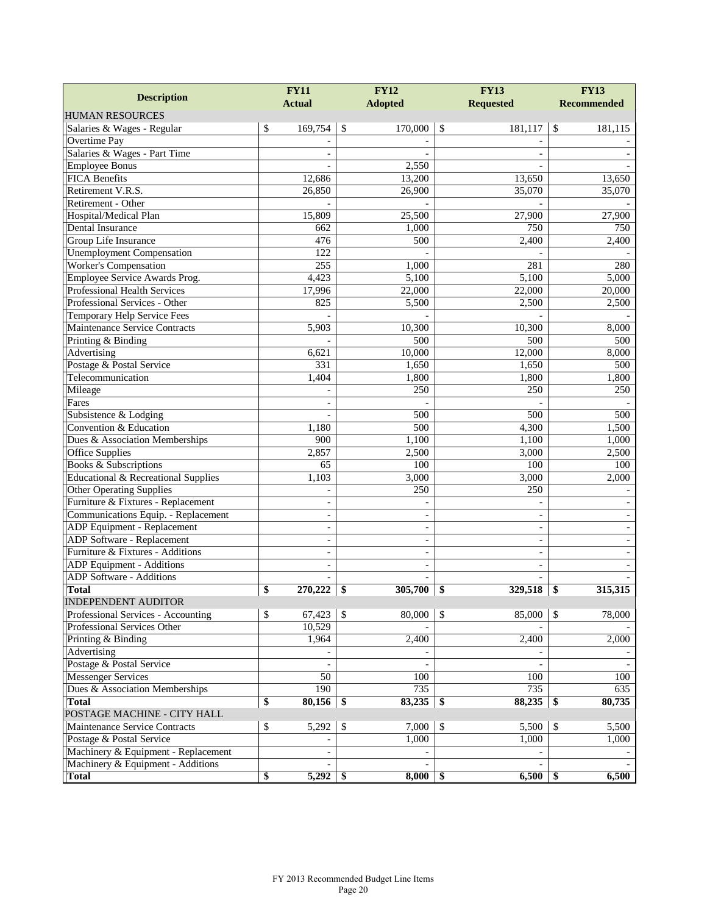| <b>Description</b>                  | <b>FY11</b>              | <b>FY12</b>              | <b>FY13</b>              | <b>FY13</b>        |  |
|-------------------------------------|--------------------------|--------------------------|--------------------------|--------------------|--|
|                                     | <b>Actual</b>            | <b>Adopted</b>           | <b>Requested</b>         | <b>Recommended</b> |  |
| <b>HUMAN RESOURCES</b>              |                          |                          |                          |                    |  |
| Salaries & Wages - Regular          | \$<br>169,754            | $\sqrt{3}$<br>170,000    | \$<br>181,117            | \$<br>181,115      |  |
| Overtime Pay                        |                          |                          |                          |                    |  |
| Salaries & Wages - Part Time        |                          |                          |                          |                    |  |
| <b>Employee Bonus</b>               |                          | 2,550                    |                          |                    |  |
| <b>FICA Benefits</b>                | 12,686                   | 13,200                   | 13,650                   | 13,650             |  |
| Retirement V.R.S.                   | 26,850                   | 26,900                   | 35,070                   | 35,070             |  |
| Retirement - Other                  |                          |                          |                          |                    |  |
| Hospital/Medical Plan               | 15,809                   | 25,500                   | 27,900                   | 27,900             |  |
| Dental Insurance                    | 662                      | 1,000                    | 750                      | 750                |  |
| Group Life Insurance                | 476                      | 500                      | 2,400                    | 2,400              |  |
| <b>Unemployment Compensation</b>    | 122                      |                          |                          |                    |  |
| Worker's Compensation               | 255                      | 1,000                    | 281                      | 280                |  |
| Employee Service Awards Prog.       | 4,423                    | 5,100                    | 5,100                    | 5,000              |  |
| Professional Health Services        | 17,996                   | 22,000                   | 22,000                   | 20,000             |  |
| Professional Services - Other       | 825                      | 5,500                    | 2,500                    | 2,500              |  |
| Temporary Help Service Fees         |                          |                          |                          |                    |  |
| Maintenance Service Contracts       | 5,903                    | 10,300                   | 10,300                   | 8,000              |  |
| Printing & Binding                  |                          | 500                      | 500                      | 500                |  |
| Advertising                         | 6,621                    | 10,000                   | 12,000                   | 8,000              |  |
| Postage & Postal Service            | 331                      | 1,650                    | 1,650                    | 500                |  |
| Telecommunication                   | 1,404                    | 1,800                    | 1,800                    | 1,800              |  |
| Mileage                             |                          | 250                      | 250                      | 250                |  |
| Fares                               |                          |                          |                          |                    |  |
| Subsistence & Lodging               |                          | 500                      | 500                      | 500                |  |
| Convention & Education              | 1,180                    | 500                      | 4,300                    | 1,500              |  |
| Dues & Association Memberships      | 900                      | 1,100                    | 1,100                    | 1,000              |  |
| Office Supplies                     | 2,857                    | 2,500                    | 3,000                    | 2,500              |  |
| Books & Subscriptions               | 65                       | 100                      | 100                      | 100                |  |
| Educational & Recreational Supplies | 1,103                    | 3,000                    | 3,000                    | 2,000              |  |
| <b>Other Operating Supplies</b>     |                          | 250                      | 250                      |                    |  |
| Furniture & Fixtures - Replacement  |                          |                          |                          |                    |  |
| Communications Equip. - Replacement | $\blacksquare$           | $\overline{\phantom{0}}$ | $\overline{\phantom{a}}$ |                    |  |
| ADP Equipment - Replacement         | $\overline{\phantom{a}}$ |                          | $\overline{a}$           |                    |  |
| <b>ADP</b> Software - Replacement   | $\overline{\phantom{a}}$ | L,                       | $\overline{\phantom{a}}$ |                    |  |
| Furniture & Fixtures - Additions    | $\sim$                   | L,                       | $\overline{\phantom{a}}$ |                    |  |
| ADP Equipment - Additions           |                          |                          |                          |                    |  |
| <b>ADP</b> Software - Additions     |                          | $\frac{1}{2}$            |                          |                    |  |
| <b>Total</b>                        | \$<br>270,222            | 305,700<br>-\$           | 329,518<br>\$            | 315,315<br>\$      |  |
| INDEPENDENT AUDITOR                 |                          |                          |                          |                    |  |
| Professional Services - Accounting  | 67,423<br>\$             | $\mathcal{S}$<br>80,000  | $\sqrt{3}$<br>85,000     | 78,000<br>\$       |  |
| Professional Services Other         | 10,529                   |                          |                          |                    |  |
| Printing & Binding                  | 1,964                    | 2,400                    | 2,400                    | 2,000              |  |
| Advertising                         |                          |                          |                          |                    |  |
| Postage & Postal Service            | $\blacksquare$           | $\overline{\phantom{a}}$ | $\blacksquare$           |                    |  |
| <b>Messenger Services</b>           | $\overline{50}$          | 100                      | 100                      | 100                |  |
| Dues & Association Memberships      | 190                      | $\overline{735}$         | 735                      | 635                |  |
| <b>Total</b>                        | \$<br>80,156             | 83,235<br>-\$            | 88,235<br>-\$            | \$<br>80,735       |  |
| POSTAGE MACHINE - CITY HALL         |                          |                          |                          |                    |  |
| Maintenance Service Contracts       | \$<br>5,292              | \$<br>7,000              | $\mathcal{S}$<br>5,500   | 5,500<br>\$        |  |
| Postage & Postal Service            |                          | 1,000                    | 1,000                    | 1,000              |  |
| Machinery & Equipment - Replacement |                          |                          |                          |                    |  |
| Machinery & Equipment - Additions   | $\overline{\phantom{a}}$ | $\overline{\phantom{0}}$ | $\blacksquare$           |                    |  |
| Total                               | \$<br>5,292              | 8,000<br>\$              | 6,500<br>\$              | 6,500<br>\$        |  |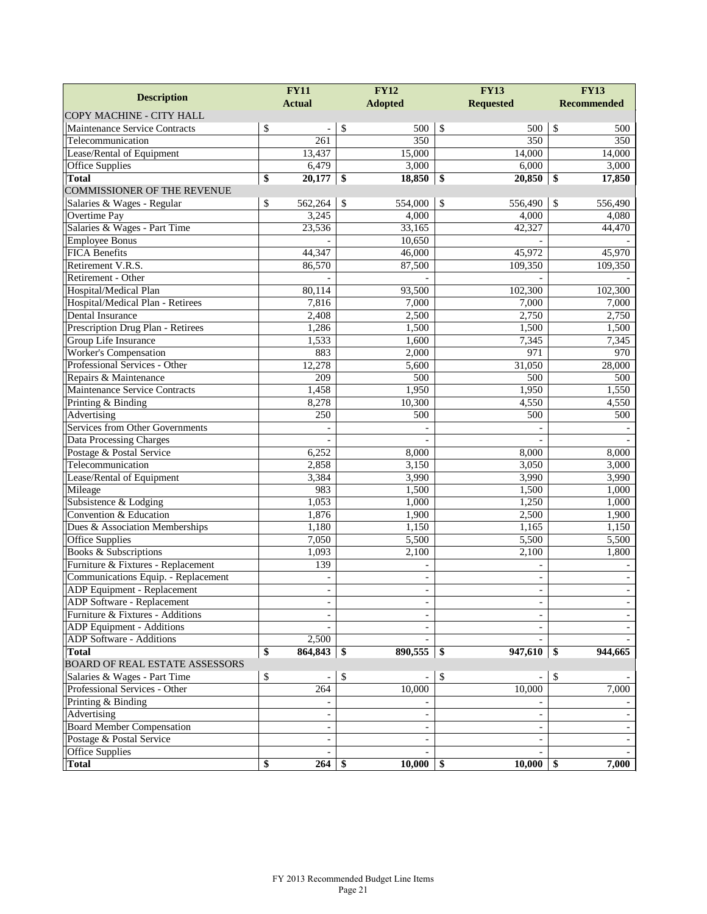| <b>Description</b>                     | <b>FY12</b><br><b>FY11</b> |                          |               | <b>FY13</b>    |     | <b>FY13</b>                  |    |                    |
|----------------------------------------|----------------------------|--------------------------|---------------|----------------|-----|------------------------------|----|--------------------|
|                                        |                            | <b>Actual</b>            |               | <b>Adopted</b> |     | <b>Requested</b>             |    | <b>Recommended</b> |
| COPY MACHINE - CITY HALL               |                            |                          |               |                |     |                              |    |                    |
| Maintenance Service Contracts          | \$                         |                          | \$            | 500            | \$  | 500                          | \$ | 500                |
| Telecommunication                      |                            | 261                      |               | 350            |     | 350                          |    | 350                |
| Lease/Rental of Equipment              |                            | 13,437                   |               | 15,000         |     | 14,000                       |    | 14,000             |
| Office Supplies                        |                            | 6,479                    |               | 3,000          |     | 6,000                        |    | 3,000              |
| <b>Total</b>                           | \$                         | 20,177                   | -\$           | 18,850         | \$  | 20,850                       | \$ | 17,850             |
| <b>COMMISSIONER OF THE REVENUE</b>     |                            |                          |               |                |     |                              |    |                    |
| Salaries & Wages - Regular             | \$                         | 562,264                  | <sup>\$</sup> | 554,000        | \$  | 556,490                      | \$ | 556,490            |
| Overtime Pay                           |                            | 3,245                    |               | 4,000          |     | 4,000                        |    | 4,080              |
| Salaries & Wages - Part Time           |                            | 23,536                   |               | 33,165         |     | 42,327                       |    | 44,470             |
| <b>Employee Bonus</b>                  |                            |                          |               | 10,650         |     |                              |    |                    |
| <b>FICA Benefits</b>                   |                            | 44,347                   |               | 46,000         |     | 45,972                       |    | 45,970             |
| Retirement V.R.S.                      |                            | 86,570                   |               | 87,500         |     | 109,350                      |    | 109,350            |
| Retirement - Other                     |                            |                          |               |                |     |                              |    |                    |
| Hospital/Medical Plan                  |                            | 80,114                   |               | 93,500         |     | 102,300                      |    | 102,300            |
| Hospital/Medical Plan - Retirees       |                            | 7,816                    |               | 7,000          |     | 7,000                        |    | 7,000              |
| Dental Insurance                       |                            | 2,408                    |               | 2,500          |     | 2,750                        |    | 2,750              |
| Prescription Drug Plan - Retirees      |                            | 1,286                    |               | 1,500          |     | 1,500                        |    | 1,500              |
| Group Life Insurance                   |                            | 1,533                    |               | 1,600          |     | 7,345                        |    | 7,345              |
| <b>Worker's Compensation</b>           |                            | 883                      |               | 2,000          |     | 971                          |    | 970                |
| Professional Services - Other          |                            | 12,278                   |               | 5,600          |     | 31,050                       |    | 28,000             |
| Repairs & Maintenance                  |                            | 209                      |               | 500            |     | 500                          |    | 500                |
| Maintenance Service Contracts          |                            | 1,458                    |               | 1,950          |     | 1,950                        |    | 1,550              |
| Printing & Binding                     |                            | 8,278                    |               | 10,300         |     | 4,550                        |    | 4,550              |
| Advertising                            |                            | 250                      |               | 500            |     | 500                          |    | 500                |
| <b>Services from Other Governments</b> |                            |                          |               |                |     |                              |    |                    |
| Data Processing Charges                |                            |                          |               |                |     |                              |    |                    |
| Postage & Postal Service               |                            | 6,252                    |               | 8,000          |     | 8,000                        |    | 8,000              |
| Telecommunication                      |                            | 2,858                    |               | 3,150          |     | 3,050                        |    | 3,000              |
| Lease/Rental of Equipment              |                            | 3,384                    |               | 3,990          |     | 3,990                        |    | 3,990              |
| Mileage                                |                            | 983                      |               | 1,500          |     | 1,500                        |    | 1,000              |
| Subsistence & Lodging                  |                            | 1,053                    |               | 1,000          |     | 1,250                        |    | 1,000              |
| Convention & Education                 |                            | 1,876                    |               | 1,900          |     | 2,500                        |    | 1,900              |
| Dues & Association Memberships         |                            | 1,180                    |               | 1,150          |     | 1,165                        |    | 1,150              |
| Office Supplies                        |                            | 7,050                    |               | 5,500          |     | 5,500                        |    | 5,500              |
| <b>Books &amp; Subscriptions</b>       |                            | 1,093                    |               | 2,100          |     | 2,100                        |    | 1,800              |
| Furniture & Fixtures - Replacement     |                            | 139                      |               |                |     |                              |    |                    |
| Communications Equip. - Replacement    |                            | $\blacksquare$           |               | $\overline{a}$ |     | $\overline{\phantom{a}}$     |    |                    |
| ADP Equipment - Replacement            |                            | $\overline{\phantom{a}}$ |               |                |     | $\qquad \qquad \blacksquare$ |    |                    |
| <b>ADP</b> Software - Replacement      |                            | ÷,                       |               |                |     |                              |    |                    |
| Furniture & Fixtures - Additions       |                            |                          |               |                |     |                              |    |                    |
| ADP Equipment - Additions              |                            |                          |               |                |     |                              |    |                    |
| ADP Software - Additions               |                            | $\overline{2,500}$       |               |                |     |                              |    |                    |
| <b>Total</b>                           | \$                         |                          |               | 890,555        | -\$ | 947,610                      | \$ | 944,665            |
| BOARD OF REAL ESTATE ASSESSORS         |                            |                          |               |                |     |                              |    |                    |
| Salaries & Wages - Part Time           | \$                         |                          | \$            |                | \$  |                              | \$ |                    |
| Professional Services - Other          |                            | 264                      |               | 10,000         |     | 10,000                       |    | 7,000              |
| Printing & Binding                     |                            |                          |               |                |     |                              |    |                    |
| Advertising                            |                            |                          |               |                |     |                              |    |                    |
| <b>Board Member Compensation</b>       |                            | $\overline{\phantom{a}}$ |               |                |     |                              |    |                    |
| Postage & Postal Service               |                            | $\blacksquare$           |               |                |     | $\overline{\phantom{a}}$     |    |                    |
| Office Supplies                        |                            |                          |               |                |     |                              |    |                    |
| <b>Total</b>                           | \$                         | $264$ \$                 |               | $10,000$ \$    |     | $10,000$ \ \$                |    | 7,000              |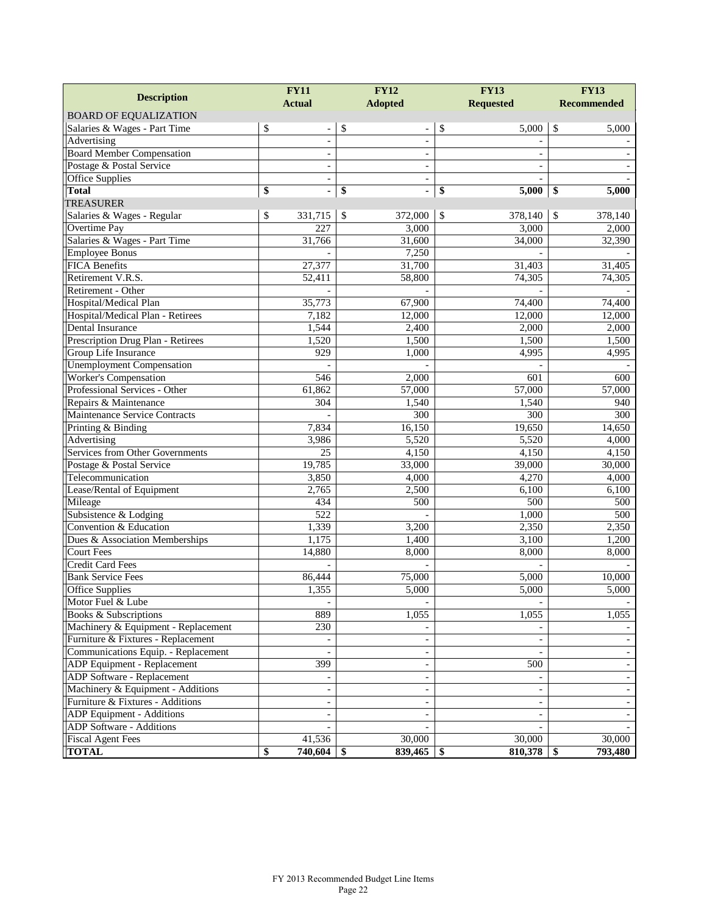| <b>Description</b>                  | <b>FY12</b><br><b>FY11</b>     |                              | <b>FY13</b>              | <b>FY13</b>        |  |
|-------------------------------------|--------------------------------|------------------------------|--------------------------|--------------------|--|
|                                     | <b>Actual</b>                  | <b>Adopted</b>               | <b>Requested</b>         | <b>Recommended</b> |  |
| <b>BOARD OF EQUALIZATION</b>        |                                |                              |                          |                    |  |
| Salaries & Wages - Part Time        | \$<br>$\overline{\phantom{a}}$ | \$<br>$\overline{a}$         | \$<br>5,000              | \$<br>5,000        |  |
| Advertising                         | $\blacksquare$                 | $\overline{a}$               | $\overline{a}$           |                    |  |
| <b>Board Member Compensation</b>    | $\overline{\phantom{a}}$       | $\qquad \qquad \blacksquare$ |                          |                    |  |
| Postage & Postal Service            | $\blacksquare$                 | ÷,                           | $\frac{1}{2}$            |                    |  |
| <b>Office Supplies</b>              | $\blacksquare$                 | ÷,                           |                          |                    |  |
| <b>Total</b>                        | \$<br>$\blacksquare$           | \$<br>$\blacksquare$         | \$<br>5,000              | \$<br>5,000        |  |
| <b>TREASURER</b>                    |                                |                              |                          |                    |  |
| Salaries & Wages - Regular          | \$<br>331,715                  | \$<br>372,000                | \$<br>378,140            | \$<br>378,140      |  |
| Overtime Pay                        | 227                            | 3,000                        | 3,000                    | 2,000              |  |
| Salaries & Wages - Part Time        | 31,766                         | 31,600                       | 34,000                   | 32,390             |  |
| <b>Employee Bonus</b>               |                                | 7,250                        |                          |                    |  |
| <b>FICA Benefits</b>                | 27,377                         | 31,700                       | 31,403                   | 31,405             |  |
| Retirement V.R.S.                   | 52,411                         | 58,800                       | 74,305                   | 74,305             |  |
| Retirement - Other                  |                                |                              |                          |                    |  |
| Hospital/Medical Plan               | 35,773                         | 67,900                       | 74,400                   | 74,400             |  |
| Hospital/Medical Plan - Retirees    | 7,182                          | 12,000                       | 12,000                   | 12,000             |  |
| Dental Insurance                    | 1,544                          | 2,400                        | 2,000                    | 2,000              |  |
| Prescription Drug Plan - Retirees   | 1,520                          | 1,500                        | 1,500                    | 1,500              |  |
| Group Life Insurance                | 929                            | 1,000                        | 4,995                    | 4,995              |  |
| <b>Unemployment Compensation</b>    |                                |                              |                          |                    |  |
| <b>Worker's Compensation</b>        | 546                            | 2,000                        | 601                      | 600                |  |
| Professional Services - Other       | 61,862                         | 57,000                       | 57,000                   | 57,000             |  |
| Repairs & Maintenance               | 304                            | 1,540                        | 1,540                    | 940                |  |
| Maintenance Service Contracts       |                                | 300                          | 300                      | 300                |  |
| Printing & Binding                  | 7,834                          | 16,150                       | 19,650                   | 14,650             |  |
| Advertising                         | 3,986                          | 5,520                        | 5,520                    | 4,000              |  |
| Services from Other Governments     | 25                             | 4,150                        | 4,150                    | 4,150              |  |
| Postage & Postal Service            | 19,785                         | 33,000                       | 39,000                   | 30,000             |  |
| Telecommunication                   | 3,850                          | 4,000                        | 4,270                    | 4,000              |  |
| Lease/Rental of Equipment           | 2,765                          | 2,500                        | 6,100                    | 6,100              |  |
| Mileage                             | 434                            | 500                          | 500                      | 500                |  |
| Subsistence & Lodging               | 522                            |                              | 1,000                    | 500                |  |
| Convention & Education              | 1,339                          | 3,200                        | 2,350                    | 2,350              |  |
| Dues $\&$ Association Memberships   | 1,175                          | 1,400                        | 3,100                    | 1,200              |  |
| <b>Court Fees</b>                   | 14,880                         | 8,000                        | 8,000                    | 8,000              |  |
| <b>Credit Card Fees</b>             |                                |                              |                          |                    |  |
| <b>Bank Service Fees</b>            | 86,444                         | 75,000                       | 5,000                    | 10,000             |  |
| <b>Office Supplies</b>              | 1,355                          | 5,000                        | 5,000                    | 5,000              |  |
| Motor Fuel & Lube                   |                                |                              |                          |                    |  |
| Books & Subscriptions               | 889                            | 1,055                        | 1,055                    | 1,055              |  |
| Machinery & Equipment - Replacement | 230                            |                              |                          |                    |  |
| Furniture & Fixtures - Replacement  | $\overline{\phantom{a}}$       | $\blacksquare$               | $\overline{\phantom{a}}$ |                    |  |
| Communications Equip. - Replacement |                                |                              |                          |                    |  |
| ADP Equipment - Replacement         | 399                            |                              | 500                      |                    |  |
| <b>ADP</b> Software - Replacement   |                                |                              |                          |                    |  |
| Machinery & Equipment - Additions   |                                |                              | ÷,                       |                    |  |
| Furniture & Fixtures - Additions    | $\blacksquare$                 |                              | $\sim$                   |                    |  |
| ADP Equipment - Additions           |                                |                              |                          |                    |  |
| ADP Software - Additions            |                                |                              |                          |                    |  |
| <b>Fiscal Agent Fees</b>            | 41,536                         | 30,000                       | 30,000                   | 30,000             |  |
| <b>TOTAL</b>                        | \$<br>740,604                  | 839,465<br>-\$               | 810,378<br>\$            | 793,480<br>\$      |  |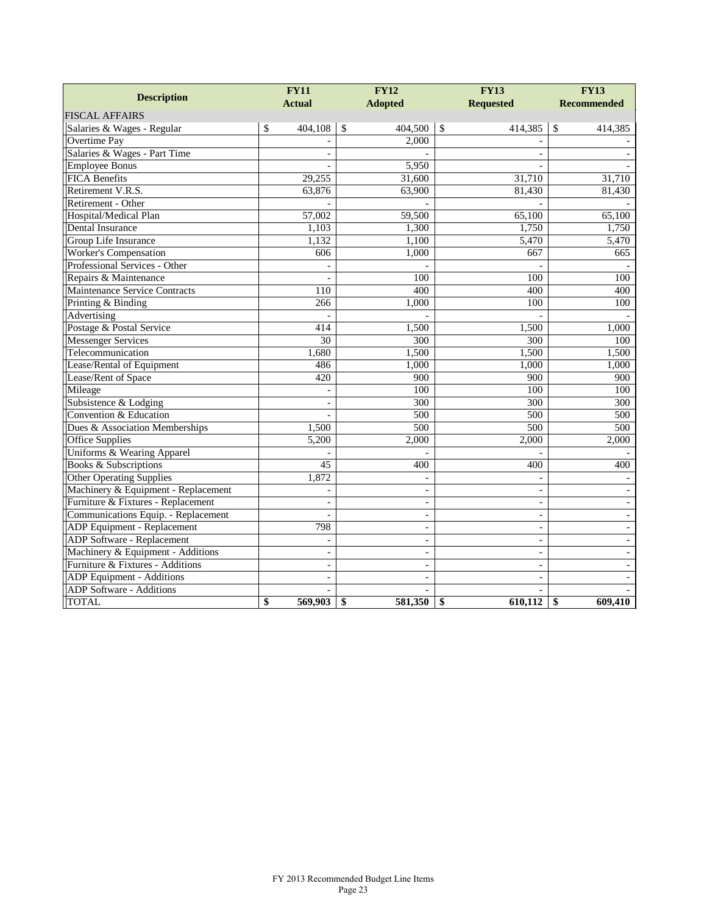|                                     | <b>FY11</b>      | <b>FY12</b>              | <b>FY13</b>              | <b>FY13</b>        |  |
|-------------------------------------|------------------|--------------------------|--------------------------|--------------------|--|
| <b>Description</b>                  | <b>Actual</b>    | <b>Adopted</b>           | <b>Requested</b>         | <b>Recommended</b> |  |
| <b>FISCAL AFFAIRS</b>               |                  |                          |                          |                    |  |
| Salaries & Wages - Regular          | \$<br>404,108    | $\mathbb{S}$<br>404,500  | $\sqrt{3}$<br>414,385    | \$<br>414,385      |  |
| Overtime Pay                        |                  | 2.000                    |                          |                    |  |
| Salaries & Wages - Part Time        |                  |                          |                          |                    |  |
| <b>Employee Bonus</b>               |                  | 5,950                    |                          |                    |  |
| <b>FICA Benefits</b>                | 29,255           | 31,600                   | 31,710                   | 31,710             |  |
| Retirement V.R.S.                   | 63,876           | 63,900                   | 81,430                   | 81,430             |  |
| Retirement - Other                  |                  |                          |                          |                    |  |
| Hospital/Medical Plan               | 57,002           | 59,500                   | 65,100                   | 65,100             |  |
| Dental Insurance                    | 1,103            | 1,300                    | 1,750                    | 1,750              |  |
| Group Life Insurance                | 1,132            | 1,100                    | 5,470                    | 5,470              |  |
| <b>Worker's Compensation</b>        | 606              | 1,000                    | 667                      | 665                |  |
| Professional Services - Other       |                  |                          |                          |                    |  |
| Repairs & Maintenance               |                  | 100                      | 100                      | 100                |  |
| Maintenance Service Contracts       | $\overline{110}$ | 400                      | 400                      | 400                |  |
| Printing & Binding                  | 266              | 1,000                    | 100                      | 100                |  |
| Advertising                         |                  |                          |                          |                    |  |
| Postage & Postal Service            | 414              | 1,500                    | 1,500                    | 1,000              |  |
| <b>Messenger Services</b>           | 30               | 300                      | 300                      | 100                |  |
| Telecommunication                   | 1,680            | 1,500                    | 1,500                    | 1,500              |  |
| Lease/Rental of Equipment           | 486              | 1,000                    | 1,000                    | 1,000              |  |
| Lease/Rent of Space                 | 420              | 900                      | 900                      | 900                |  |
| Mileage                             |                  | 100                      | 100                      | 100                |  |
| Subsistence & Lodging               | $\blacksquare$   | 300                      | 300                      | 300                |  |
| Convention & Education              |                  | 500                      | 500                      | 500                |  |
| Dues & Association Memberships      | 1,500            | 500                      | 500                      | 500                |  |
| <b>Office Supplies</b>              | 5,200            | 2,000                    | 2,000                    | 2,000              |  |
| Uniforms & Wearing Apparel          |                  |                          |                          |                    |  |
| <b>Books &amp; Subscriptions</b>    | 45               | 400                      | 400                      | 400                |  |
| <b>Other Operating Supplies</b>     | 1,872            |                          |                          |                    |  |
| Machinery & Equipment - Replacement |                  |                          | ÷,                       |                    |  |
| Furniture & Fixtures - Replacement  |                  | $\overline{a}$           | $\overline{a}$           |                    |  |
| Communications Equip. - Replacement | $\overline{a}$   |                          |                          |                    |  |
| ADP Equipment - Replacement         | 798              | $\blacksquare$           | $\overline{\phantom{a}}$ | $\sim$             |  |
| <b>ADP</b> Software - Replacement   |                  | $\overline{\phantom{0}}$ | $\overline{\phantom{a}}$ |                    |  |
| Machinery & Equipment - Additions   | $\sim$           | $\overline{\phantom{a}}$ | $\overline{a}$           |                    |  |
| Furniture & Fixtures - Additions    |                  |                          | $\overline{\phantom{a}}$ |                    |  |
| ADP Equipment - Additions           | $\blacksquare$   | ÷,                       | $\blacksquare$           |                    |  |
| <b>ADP</b> Software - Additions     |                  |                          |                          |                    |  |
| <b>TOTAL</b>                        | \$<br>569,903    | 581,350<br>\$            | \$<br>610.112            | 609,410<br>\$      |  |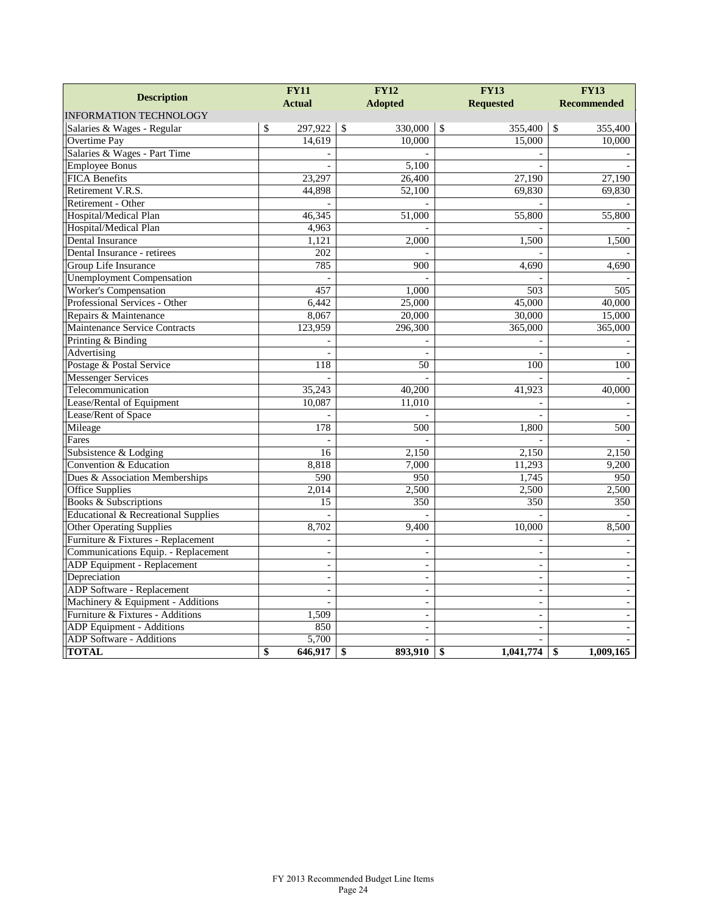| <b>Description</b>                  | <b>FY12</b><br><b>FY11</b> |              |                | <b>FY13</b>   | <b>FY13</b>              |                    |
|-------------------------------------|----------------------------|--------------|----------------|---------------|--------------------------|--------------------|
|                                     | <b>Actual</b>              |              | <b>Adopted</b> |               | <b>Requested</b>         | <b>Recommended</b> |
| <b>INFORMATION TECHNOLOGY</b>       |                            |              |                |               |                          |                    |
| Salaries & Wages - Regular          | \$<br>297,922              | $\mathbb{S}$ | 330,000        | $\mathcal{S}$ | 355,400                  | \$<br>355,400      |
| Overtime Pay                        | 14,619                     |              | 10,000         |               | 15,000                   | 10,000             |
| Salaries & Wages - Part Time        |                            |              |                |               |                          |                    |
| <b>Employee Bonus</b>               |                            |              | 5,100          |               |                          |                    |
| <b>FICA Benefits</b>                | 23,297                     |              | 26,400         |               | 27,190                   | 27,190             |
| Retirement V.R.S.                   | 44.898                     |              | 52,100         |               | 69,830                   | 69,830             |
| Retirement - Other                  |                            |              |                |               |                          |                    |
| Hospital/Medical Plan               | 46,345                     |              | 51,000         |               | 55,800                   | 55,800             |
| Hospital/Medical Plan               | 4,963                      |              |                |               |                          |                    |
| Dental Insurance                    | 1,121                      |              | 2,000          |               | 1,500                    | 1,500              |
| Dental Insurance - retirees         | 202                        |              |                |               |                          |                    |
| Group Life Insurance                | 785                        |              | 900            |               | 4,690                    | 4,690              |
| <b>Unemployment Compensation</b>    |                            |              |                |               |                          |                    |
| <b>Worker's Compensation</b>        | 457                        |              | 1,000          |               | 503                      | 505                |
| Professional Services - Other       | 6,442                      |              | 25,000         |               | 45,000                   | 40,000             |
| Repairs & Maintenance               | 8,067                      |              | 20,000         |               | 30,000                   | 15,000             |
| Maintenance Service Contracts       | 123,959                    |              | 296,300        |               | 365,000                  | 365,000            |
| Printing & Binding                  |                            |              |                |               |                          |                    |
| Advertising                         |                            |              |                |               |                          |                    |
| Postage & Postal Service            | 118                        |              | 50             |               | 100                      | 100                |
| <b>Messenger Services</b>           |                            |              |                |               |                          |                    |
| Telecommunication                   | 35,243                     |              | 40,200         |               | 41,923                   | 40,000             |
| Lease/Rental of Equipment           | 10,087                     |              | 11,010         |               |                          |                    |
| Lease/Rent of Space                 |                            |              |                |               |                          |                    |
| Mileage                             | 178                        |              | 500            |               | 1,800                    | 500                |
| Fares                               |                            |              |                |               |                          |                    |
| Subsistence & Lodging               | 16                         |              | 2,150          |               | 2,150                    | 2,150              |
| Convention & Education              | 8,818                      |              | 7,000          |               | 11,293                   | 9,200              |
| Dues & Association Memberships      | 590                        |              | 950            |               | 1,745                    | 950                |
| Office Supplies                     | 2,014                      |              | 2,500          |               | 2,500                    | 2,500              |
| <b>Books &amp; Subscriptions</b>    | 15                         |              | 350            |               | 350                      | 350                |
| Educational & Recreational Supplies |                            |              |                |               |                          |                    |
| <b>Other Operating Supplies</b>     | 8,702                      |              | 9,400          |               | 10.000                   | 8,500              |
| Furniture & Fixtures - Replacement  | $\sim$                     |              |                |               | $\sim$                   |                    |
| Communications Equip. - Replacement | $\sim$                     |              | $\overline{a}$ |               | $\blacksquare$           |                    |
| ADP Equipment - Replacement         | $\sim$                     |              | $\overline{a}$ |               | $\overline{a}$           |                    |
| Depreciation                        | $\overline{\phantom{a}}$   |              | $\frac{1}{2}$  |               | $\overline{\phantom{a}}$ |                    |
| ADP Software - Replacement          |                            |              |                |               | $\sim$                   |                    |
| Machinery & Equipment - Additions   | $\sim$                     |              | $\Box$         |               | $\frac{1}{2}$            | $\sim$             |
| Furniture & Fixtures - Additions    | 1,509                      |              | $\sim$         |               | $\blacksquare$           |                    |
| <b>ADP</b> Equipment - Additions    | 850                        |              |                |               |                          |                    |
| ADP Software - Additions            | 5,700                      |              |                |               |                          |                    |
| <b>TOTAL</b>                        | \$<br>646,917              | \$           | 893,910        | \$            | 1,041,774                | \$<br>1,009,165    |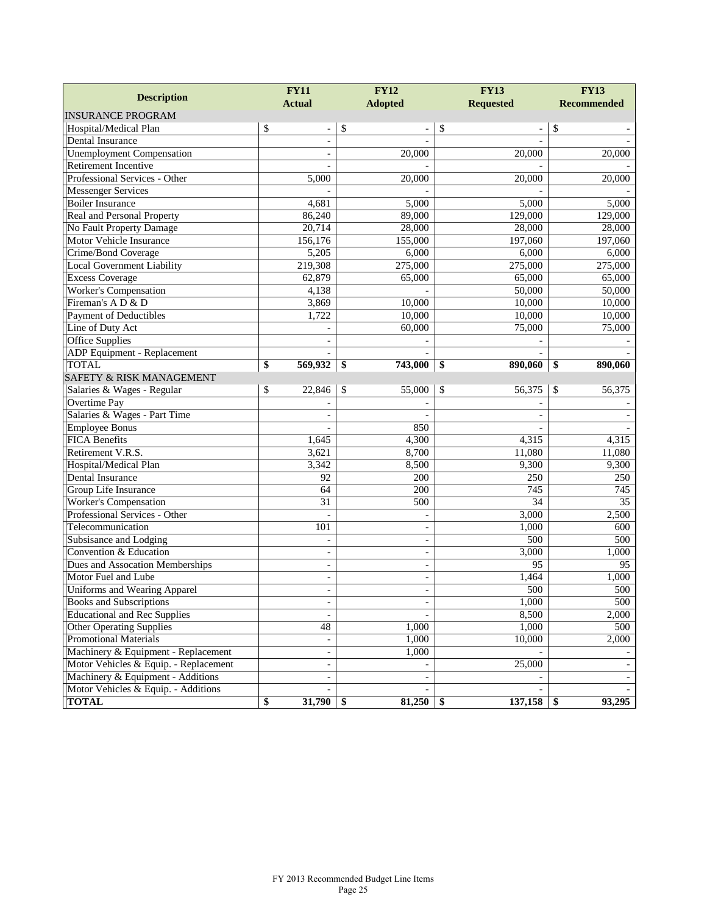| <b>Description</b>                    | <b>FY11</b><br><b>Actual</b> | <b>FY12</b><br><b>Adopted</b> | <b>FY13</b><br><b>Requested</b> | <b>FY13</b><br><b>Recommended</b> |
|---------------------------------------|------------------------------|-------------------------------|---------------------------------|-----------------------------------|
| <b>INSURANCE PROGRAM</b>              |                              |                               |                                 |                                   |
| Hospital/Medical Plan                 | \$                           | \$                            | \$                              | \$                                |
| <b>Dental Insurance</b>               | $\overline{\phantom{a}}$     |                               |                                 |                                   |
| <b>Unemployment Compensation</b>      |                              | 20,000                        | 20,000                          | 20,000                            |
| Retirement Incentive                  |                              |                               |                                 |                                   |
| Professional Services - Other         | 5,000                        | 20,000                        | 20,000                          | 20,000                            |
| <b>Messenger Services</b>             |                              |                               |                                 |                                   |
| <b>Boiler Insurance</b>               | 4,681                        | 5,000                         | 5,000                           | 5,000                             |
| Real and Personal Property            | 86,240                       | 89,000                        | 129,000                         | 129,000                           |
| No Fault Property Damage              | 20,714                       | 28,000                        | 28,000                          | 28,000                            |
| Motor Vehicle Insurance               | 156,176                      | 155,000                       | 197,060                         | 197,060                           |
| Crime/Bond Coverage                   | 5,205                        | 6,000                         | 6,000                           | 6,000                             |
| Local Government Liability            | 219,308                      | 275,000                       | 275,000                         | 275,000                           |
| <b>Excess Coverage</b>                | 62,879                       | 65,000                        | 65,000                          | 65,000                            |
| Worker's Compensation                 | 4,138                        |                               | 50,000                          | 50,000                            |
| Fireman's A D & D                     | 3,869                        | 10,000                        | 10,000                          | 10,000                            |
| Payment of Deductibles                | 1,722                        | 10,000                        | 10,000                          | 10,000                            |
| Line of Duty Act                      |                              | 60,000                        | 75,000                          | 75,000                            |
| <b>Office Supplies</b>                | $\overline{\phantom{a}}$     |                               |                                 |                                   |
| ADP Equipment - Replacement           |                              |                               |                                 |                                   |
| <b>TOTAL</b>                          | \$<br>569,932                | \$<br>743,000                 | \$<br>890,060                   | \$<br>890,060                     |
| <b>SAFETY &amp; RISK MANAGEMENT</b>   |                              |                               |                                 |                                   |
| Salaries & Wages - Regular            | \$<br>22,846                 | \$<br>55,000                  | \$<br>56,375                    | \$<br>56,375                      |
| Overtime Pay                          |                              |                               |                                 |                                   |
| Salaries & Wages - Part Time          |                              |                               |                                 |                                   |
| <b>Employee Bonus</b>                 |                              | 850                           |                                 |                                   |
| <b>FICA Benefits</b>                  | 1,645                        | 4,300                         | 4,315                           | 4,315                             |
| Retirement V.R.S.                     | 3,621                        | 8,700                         | 11,080                          | 11,080                            |
| Hospital/Medical Plan                 | 3,342                        | 8,500                         | 9,300                           | 9,300                             |
| Dental Insurance                      | 92                           | 200                           | 250                             | 250                               |
| Group Life Insurance                  | 64                           | 200                           | 745                             | 745                               |
| Worker's Compensation                 | 31                           | 500                           | 34                              | 35                                |
| Professional Services - Other         | $\overline{\phantom{a}}$     |                               | 3,000                           | 2,500                             |
| Telecommunication                     | 101                          | $\overline{\phantom{a}}$      | 1,000                           | 600                               |
| Subsisance and Lodging                | $\overline{a}$               | $\sim$                        | 500                             | 500                               |
| Convention & Education                | $\overline{\phantom{a}}$     | $\overline{\phantom{a}}$      | 3,000                           | 1,000                             |
| Dues and Assocation Memberships       | $\overline{\phantom{a}}$     | $\overline{\phantom{a}}$      | $\overline{95}$                 | 95                                |
| Motor Fuel and Lube                   | $\blacksquare$               | $\sim$                        | 1,464                           | 1,000                             |
| Uniforms and Wearing Apparel          |                              | $\overline{\phantom{0}}$      | 500                             | 500                               |
| Books and Subscriptions               | $\overline{\phantom{a}}$     |                               | 1,000                           | 500                               |
| <b>Educational and Rec Supplies</b>   | $\overline{\phantom{a}}$     |                               | 8,500                           | 2,000                             |
| <b>Other Operating Supplies</b>       | $\overline{48}$              | 1,000                         | 1,000                           | 500                               |
| <b>Promotional Materials</b>          | $\overline{\phantom{a}}$     | 1,000                         | 10,000                          | 2,000                             |
| Machinery & Equipment - Replacement   | $\overline{\phantom{a}}$     | 1,000                         |                                 |                                   |
| Motor Vehicles & Equip. - Replacement | $\overline{\phantom{a}}$     |                               | 25,000                          |                                   |
| Machinery & Equipment - Additions     | $\overline{\phantom{a}}$     |                               |                                 |                                   |
| Motor Vehicles & Equip. - Additions   |                              |                               |                                 |                                   |
| <b>TOTAL</b>                          | 31,790<br>\$                 | 81,250<br>-\$                 | 137,158<br>-\$                  | 93,295<br>\$                      |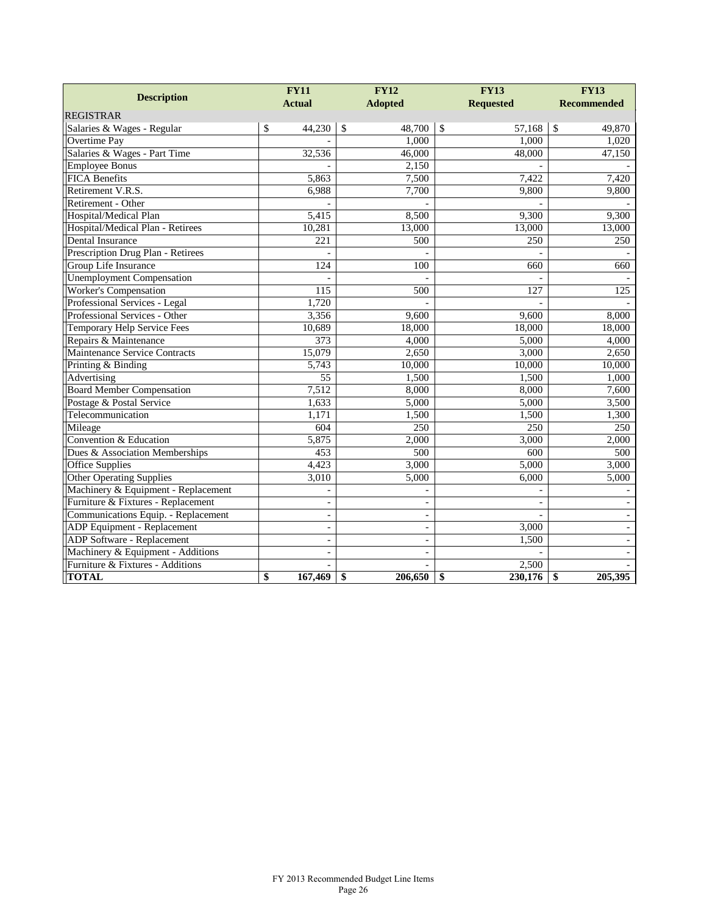|                                     | <b>FY11</b>              |               | <b>FY12</b>        |               | <b>FY13</b>      | <b>FY13</b>        |  |
|-------------------------------------|--------------------------|---------------|--------------------|---------------|------------------|--------------------|--|
| <b>Description</b>                  | <b>Actual</b>            |               | <b>Adopted</b>     |               | <b>Requested</b> | <b>Recommended</b> |  |
| <b>REGISTRAR</b>                    |                          |               |                    |               |                  |                    |  |
| Salaries & Wages - Regular          | \$<br>44,230             | $\mathcal{S}$ | 48,700             | $\mathcal{S}$ | 57,168           | \$<br>49,870       |  |
| Overtime Pay                        |                          |               | 1,000              |               | 1,000            | 1,020              |  |
| Salaries & Wages - Part Time        | 32,536                   |               | 46,000             |               | 48,000           | 47,150             |  |
| <b>Employee Bonus</b>               |                          |               | 2,150              |               |                  |                    |  |
| <b>FICA Benefits</b>                | 5,863                    |               | 7,500              |               | 7,422            | 7,420              |  |
| Retirement V.R.S.                   | 6,988                    |               | 7,700              |               | 9,800            | 9,800              |  |
| Retirement - Other                  |                          |               |                    |               |                  |                    |  |
| Hospital/Medical Plan               | 5,415                    |               | 8,500              |               | 9,300            | 9,300              |  |
| Hospital/Medical Plan - Retirees    | 10,281                   |               | 13,000             |               | 13,000           | 13,000             |  |
| Dental Insurance                    | 221                      |               | 500                |               | 250              | 250                |  |
| Prescription Drug Plan - Retirees   |                          |               |                    |               |                  |                    |  |
| Group Life Insurance                | 124                      |               | 100                |               | 660              | 660                |  |
| <b>Unemployment Compensation</b>    |                          |               |                    |               |                  |                    |  |
| <b>Worker's Compensation</b>        | 115                      |               | 500                |               | 127              | 125                |  |
| Professional Services - Legal       | 1,720                    |               |                    |               |                  |                    |  |
| Professional Services - Other       | 3,356                    |               | 9,600              |               | 9,600            | 8,000              |  |
| <b>Temporary Help Service Fees</b>  | 10,689                   |               | 18,000             |               | 18,000           | 18,000             |  |
| Repairs & Maintenance               | 373                      |               | 4,000              |               | 5,000            | 4,000              |  |
| Maintenance Service Contracts       | 15,079                   |               | 2,650              |               | 3,000            | 2,650              |  |
| Printing & Binding                  | 5,743                    |               | 10,000             |               | 10,000           | 10,000             |  |
| Advertising                         | $\overline{55}$          |               | 1,500              |               | 1,500            | 1,000              |  |
| <b>Board Member Compensation</b>    | 7,512                    |               | 8,000              |               | 8,000            | 7,600              |  |
| Postage & Postal Service            | 1,633                    |               | 5,000              |               | 5,000            | 3,500              |  |
| Telecommunication                   | 1,171                    |               | 1,500              |               | 1,500            | 1,300              |  |
| Mileage                             | 604                      |               | 250                |               | 250              | 250                |  |
| Convention & Education              | 5,875                    |               | 2,000              |               | 3,000            | 2,000              |  |
| Dues & Association Memberships      | 453                      |               | 500                |               | 600              | 500                |  |
| <b>Office Supplies</b>              | 4,423                    |               | $\overline{3,000}$ |               | 5,000            | $\overline{3,000}$ |  |
| <b>Other Operating Supplies</b>     | 3,010                    |               | 5,000              |               | 6,000            | 5,000              |  |
| Machinery & Equipment - Replacement |                          |               |                    |               |                  |                    |  |
| Furniture & Fixtures - Replacement  | $\overline{\phantom{a}}$ |               | ÷,                 |               | ÷,               |                    |  |
| Communications Equip. - Replacement | $\overline{\phantom{a}}$ |               | $\frac{1}{2}$      |               | ÷.               |                    |  |
| ADP Equipment - Replacement         | $\blacksquare$           |               | $\frac{1}{2}$      |               | 3,000            |                    |  |
| ADP Software - Replacement          | $\overline{\phantom{a}}$ |               | $\qquad \qquad -$  |               | 1,500            |                    |  |
| Machinery & Equipment - Additions   | $\overline{\phantom{a}}$ |               | $\overline{a}$     |               |                  |                    |  |
| Furniture & Fixtures - Additions    |                          |               |                    |               | 2,500            |                    |  |
| <b>TOTAL</b>                        | \$<br>167,469            | \$            | 206,650            | \$            | 230,176          | \$<br>205,395      |  |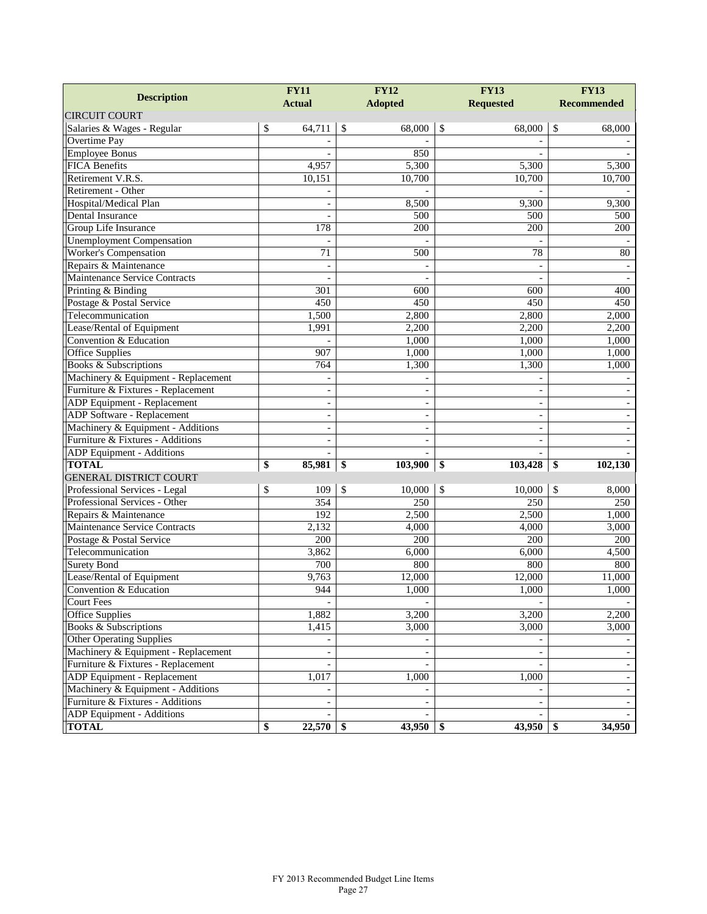|                                      | <b>FY11</b>              | <b>FY12</b>           | <b>FY13</b>              | <b>FY13</b><br><b>Recommended</b> |  |
|--------------------------------------|--------------------------|-----------------------|--------------------------|-----------------------------------|--|
| <b>Description</b>                   | <b>Actual</b>            | <b>Adopted</b>        | <b>Requested</b>         |                                   |  |
| <b>CIRCUIT COURT</b>                 |                          |                       |                          |                                   |  |
| Salaries & Wages - Regular           | \$<br>64,711             | \$<br>68,000          | \$<br>68,000             | 68,000<br>\$                      |  |
| Overtime Pay                         |                          |                       |                          |                                   |  |
| <b>Employee Bonus</b>                |                          | 850                   |                          |                                   |  |
| <b>FICA Benefits</b>                 | 4,957                    | 5,300                 | 5,300                    | 5,300                             |  |
| Retirement V.R.S.                    | 10,151                   | 10,700                | 10,700                   | 10,700                            |  |
| Retirement - Other                   |                          |                       |                          |                                   |  |
| Hospital/Medical Plan                | $\sim$                   | 8,500                 | 9,300                    | 9,300                             |  |
| <b>Dental Insurance</b>              |                          | 500                   | 500                      | 500                               |  |
| Group Life Insurance                 | 178                      | 200                   | 200                      | 200                               |  |
| <b>Unemployment Compensation</b>     |                          |                       |                          |                                   |  |
| Worker's Compensation                | 71                       | 500                   | 78                       | 80                                |  |
| Repairs & Maintenance                | $\blacksquare$           |                       | ÷,                       |                                   |  |
| <b>Maintenance Service Contracts</b> |                          |                       |                          |                                   |  |
| Printing & Binding                   | 301                      | 600                   | 600                      | 400                               |  |
| Postage & Postal Service             | 450                      | 450                   | 450                      | 450                               |  |
| Telecommunication                    | 1,500                    | 2,800                 | 2,800                    | 2,000                             |  |
| Lease/Rental of Equipment            | 1,991                    | 2,200                 | 2,200                    | 2,200                             |  |
| Convention & Education               |                          | 1,000                 | 1,000                    | 1,000                             |  |
| <b>Office Supplies</b>               | 907                      | 1,000                 | 1,000                    | 1,000                             |  |
| <b>Books &amp; Subscriptions</b>     | 764                      | 1,300                 | 1,300                    | 1,000                             |  |
| Machinery & Equipment - Replacement  |                          |                       |                          |                                   |  |
| Furniture & Fixtures - Replacement   | $\sim$                   | $\blacksquare$        | $\overline{\phantom{a}}$ |                                   |  |
| ADP Equipment - Replacement          | $\overline{\phantom{a}}$ |                       | $\overline{a}$           |                                   |  |
| <b>ADP</b> Software - Replacement    | $\overline{\phantom{a}}$ | L,                    | $\overline{\phantom{a}}$ |                                   |  |
| Machinery & Equipment - Additions    | $\blacksquare$           | L,                    | $\overline{\phantom{a}}$ |                                   |  |
| Furniture & Fixtures - Additions     |                          |                       |                          |                                   |  |
| ADP Equipment - Additions            |                          |                       |                          |                                   |  |
| <b>TOTAL</b>                         | \$<br>85,981             | \$<br>103,900         | 103,428<br>\$            | 102,130<br>\$                     |  |
| <b>GENERAL DISTRICT COURT</b>        |                          |                       |                          |                                   |  |
| Professional Services - Legal        | \$<br>109                | \$<br>10,000          | $\mathcal{S}$<br>10,000  | \$<br>8,000                       |  |
| Professional Services - Other        | 354                      | 250                   | 250                      | 250                               |  |
| Repairs & Maintenance                | 192                      | 2,500                 | 2,500                    | 1,000                             |  |
| Maintenance Service Contracts        | 2,132                    | 4,000                 | 4,000                    | 3,000                             |  |
| Postage & Postal Service             | 200                      | 200                   | 200                      | 200                               |  |
| Telecommunication                    | 3,862                    | 6,000                 | 6,000                    | 4,500                             |  |
| <b>Surety Bond</b>                   | 700                      | 800                   | 800                      | 800                               |  |
| Lease/Rental of Equipment            | 9,763                    | 12,000                | 12,000                   | 11,000                            |  |
| Convention & Education               | 944                      | 1,000                 | 1,000                    | 1,000                             |  |
| <b>Court Fees</b>                    |                          |                       |                          |                                   |  |
| Office Supplies                      | 1,882                    | 3,200                 | 3,200                    | 2,200                             |  |
| Books & Subscriptions                | 1,415                    | 3,000                 | 3,000                    | 3,000                             |  |
| <b>Other Operating Supplies</b>      |                          |                       |                          |                                   |  |
| Machinery & Equipment - Replacement  |                          |                       |                          |                                   |  |
| Furniture & Fixtures - Replacement   |                          |                       |                          |                                   |  |
| ADP Equipment - Replacement          | 1,017                    | 1,000                 | 1,000                    |                                   |  |
| Machinery & Equipment - Additions    |                          |                       |                          |                                   |  |
| Furniture & Fixtures - Additions     |                          |                       |                          |                                   |  |
| ADP Equipment - Additions            |                          |                       |                          |                                   |  |
| <b>TOTAL</b>                         | 22,570<br>\$             | $43,950$ \ \$<br>- \$ | 43,950                   | 34,950<br>\$                      |  |
|                                      |                          |                       |                          |                                   |  |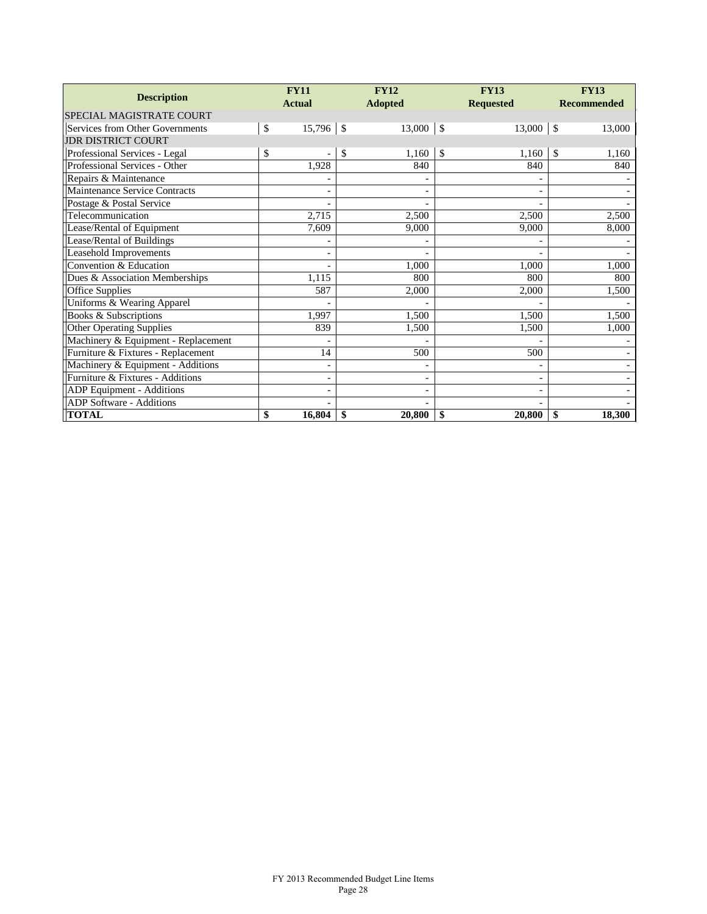| <b>Description</b>                  | <b>FY11</b> |                              | <b>FY12</b>                  | <b>FY13</b>   |                          | <b>FY13</b> |                    |
|-------------------------------------|-------------|------------------------------|------------------------------|---------------|--------------------------|-------------|--------------------|
|                                     |             | <b>Actual</b>                | <b>Adopted</b>               |               | <b>Requested</b>         |             | <b>Recommended</b> |
| SPECIAL MAGISTRATE COURT            |             |                              |                              |               |                          |             |                    |
| Services from Other Governments     | \$          | $15,796$ \$                  | 13,000                       | $\mathcal{S}$ | 13,000                   | -\$         | 13,000             |
| <b>JDR DISTRICT COURT</b>           |             |                              |                              |               |                          |             |                    |
| Professional Services - Legal       | \$          |                              | \$<br>1,160                  | \$            | 1,160                    | \$          | 1,160              |
| Professional Services - Other       |             | 1.928                        | 840                          |               | 840                      |             | 840                |
| Repairs & Maintenance               |             |                              |                              |               |                          |             |                    |
| Maintenance Service Contracts       |             | -                            | $\overline{\phantom{a}}$     |               | $\overline{\phantom{a}}$ |             |                    |
| Postage & Postal Service            |             |                              |                              |               |                          |             |                    |
| Telecommunication                   |             | 2,715                        | 2,500                        |               | 2,500                    |             | 2,500              |
| Lease/Rental of Equipment           |             | 7,609                        | 9,000                        |               | 9,000                    |             | 8,000              |
| Lease/Rental of Buildings           |             |                              |                              |               |                          |             |                    |
| <b>Leasehold Improvements</b>       |             |                              |                              |               |                          |             |                    |
| Convention & Education              |             |                              | 1.000                        |               | 1,000                    |             | 1,000              |
| Dues & Association Memberships      |             | 1,115                        | 800                          |               | 800                      |             | 800                |
| <b>Office Supplies</b>              |             | 587                          | 2,000                        |               | 2,000                    |             | 1,500              |
| Uniforms & Wearing Apparel          |             |                              |                              |               |                          |             |                    |
| Books & Subscriptions               |             | 1.997                        | 1,500                        |               | 1,500                    |             | 1,500              |
| Other Operating Supplies            |             | 839                          | 1,500                        |               | 1,500                    |             | 1,000              |
| Machinery & Equipment - Replacement |             |                              |                              |               |                          |             |                    |
| Furniture & Fixtures - Replacement  |             | 14                           | 500                          |               | 500                      |             |                    |
| Machinery & Equipment - Additions   |             | $\overline{\phantom{0}}$     |                              |               | $\overline{\phantom{a}}$ |             |                    |
| Furniture & Fixtures - Additions    |             | $\qquad \qquad \blacksquare$ | $\qquad \qquad \blacksquare$ |               | $\overline{\phantom{a}}$ |             |                    |
| ADP Equipment - Additions           |             |                              |                              |               |                          |             |                    |
| ADP Software - Additions            |             |                              |                              |               |                          |             |                    |
| <b>TOTAL</b>                        | \$          | 16,804                       | \$<br>20,800                 | \$            | 20,800                   | \$          | 18,300             |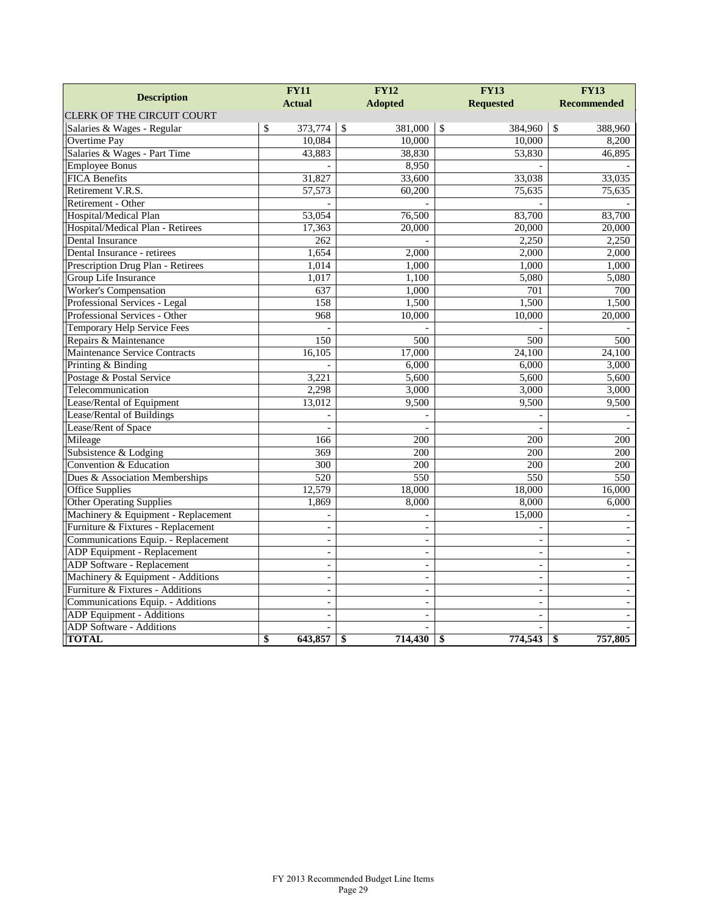|                                     | <b>FY11</b>              |              | <b>FY12</b>    | <b>FY13</b>              | <b>FY13</b>        |
|-------------------------------------|--------------------------|--------------|----------------|--------------------------|--------------------|
| <b>Description</b>                  | <b>Actual</b>            |              | <b>Adopted</b> | <b>Requested</b>         | <b>Recommended</b> |
| <b>CLERK OF THE CIRCUIT COURT</b>   |                          |              |                |                          |                    |
| Salaries & Wages - Regular          | \$<br>373,774            | $\mathbb{S}$ | 381,000        | \$<br>384,960            | \$<br>388,960      |
| Overtime Pay                        | 10,084                   |              | 10,000         | 10,000                   | 8,200              |
| Salaries & Wages - Part Time        | 43,883                   |              | 38,830         | 53,830                   | 46,895             |
| <b>Employee Bonus</b>               |                          |              | 8,950          |                          |                    |
| <b>FICA Benefits</b>                | 31,827                   |              | 33,600         | 33,038                   | 33,035             |
| Retirement V.R.S.                   | 57,573                   |              | 60,200         | 75,635                   | 75,635             |
| Retirement - Other                  |                          |              |                |                          |                    |
| Hospital/Medical Plan               | 53,054                   |              | 76,500         | 83,700                   | 83,700             |
| Hospital/Medical Plan - Retirees    | 17,363                   |              | 20,000         | 20,000                   | 20,000             |
| <b>Dental Insurance</b>             | 262                      |              |                | 2,250                    | 2,250              |
| Dental Insurance - retirees         | 1,654                    |              | 2,000          | 2,000                    | 2,000              |
| Prescription Drug Plan - Retirees   | 1,014                    |              | 1,000          | 1,000                    | 1,000              |
| Group Life Insurance                | 1,017                    |              | 1,100          | 5,080                    | 5,080              |
| <b>Worker's Compensation</b>        | 637                      |              | 1,000          | 701                      | 700                |
| Professional Services - Legal       | 158                      |              | 1,500          | 1,500                    | 1,500              |
| Professional Services - Other       | 968                      |              | 10,000         | 10,000                   | 20,000             |
| <b>Temporary Help Service Fees</b>  |                          |              |                |                          |                    |
| Repairs & Maintenance               | 150                      |              | 500            | 500                      | 500                |
| Maintenance Service Contracts       | 16,105                   |              | 17,000         | 24,100                   | 24,100             |
| Printing & Binding                  |                          |              | 6,000          | 6,000                    | 3,000              |
| Postage & Postal Service            | 3,221                    |              | 5,600          | 5,600                    | 5,600              |
| Telecommunication                   | 2,298                    |              | 3,000          | 3,000                    | 3,000              |
| Lease/Rental of Equipment           | 13,012                   |              | 9,500          | 9,500                    | 9,500              |
| Lease/Rental of Buildings           |                          |              |                |                          |                    |
| Lease/Rent of Space                 |                          |              |                |                          |                    |
| Mileage                             | 166                      |              | 200            | 200                      | 200                |
| Subsistence & Lodging               | 369                      |              | 200            | 200                      | 200                |
| Convention & Education              | 300                      |              | 200            | 200                      | 200                |
| Dues & Association Memberships      | 520                      |              | 550            | 550                      | 550                |
| <b>Office Supplies</b>              | 12,579                   |              | 18,000         | 18,000                   | 16,000             |
| <b>Other Operating Supplies</b>     | 1,869                    |              | 8,000          | 8,000                    | 6,000              |
| Machinery & Equipment - Replacement | $\equiv$                 |              |                | 15,000                   |                    |
| Furniture & Fixtures - Replacement  | $\overline{\phantom{a}}$ |              |                |                          |                    |
| Communications Equip. - Replacement | $\frac{1}{2}$            |              |                | $\frac{1}{2}$            |                    |
| ADP Equipment - Replacement         | $\equiv$                 |              | $\equiv$       | $\sim$                   | $\sim$             |
| <b>ADP</b> Software - Replacement   | $\bar{\phantom{a}}$      |              | L,             | $\blacksquare$           | $\bar{a}$          |
| Machinery & Equipment - Additions   | $\sim$                   |              | $\overline{a}$ | $\overline{a}$           |                    |
| Furniture & Fixtures - Additions    | $\blacksquare$           |              | $\equiv$       | $\blacksquare$           | $\blacksquare$     |
| Communications Equip. - Additions   | $\overline{\phantom{a}}$ |              | ÷,             | $\overline{\phantom{a}}$ | $\overline{a}$     |
| ADP Equipment - Additions           |                          |              |                | $\overline{a}$           |                    |
| ADP Software - Additions            |                          |              |                |                          |                    |
| <b>TOTAL</b>                        | \$<br>643,857            | \$           | 714,430        | \$<br>774,543            | \$<br>757,805      |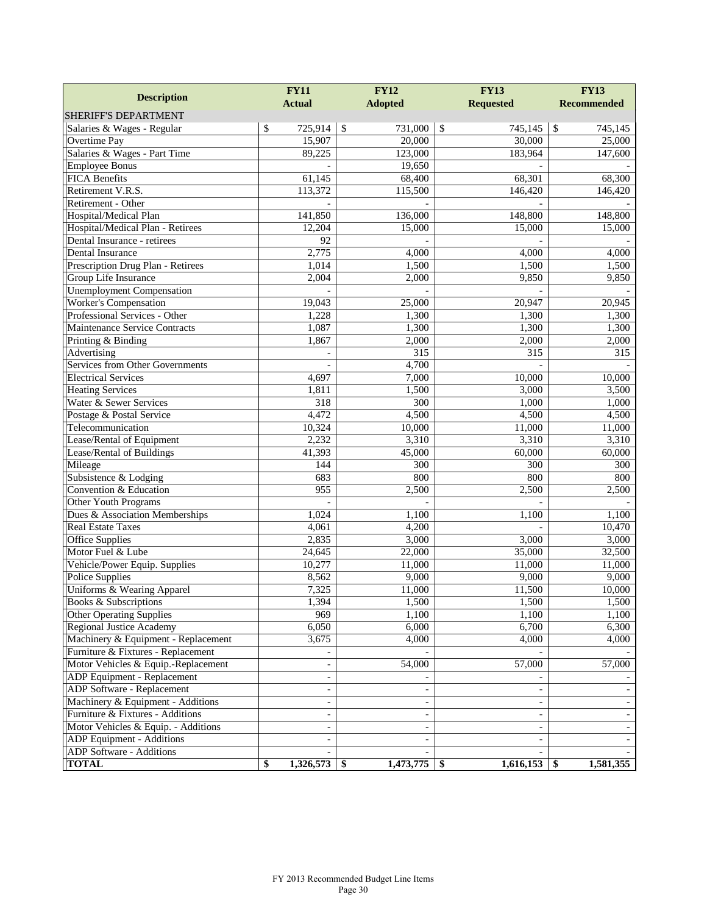|                                      | <b>FY11</b>   |                          | <b>FY12</b>           | <b>FY13</b>              | <b>FY13</b>        |
|--------------------------------------|---------------|--------------------------|-----------------------|--------------------------|--------------------|
| <b>Description</b>                   | <b>Actual</b> |                          | <b>Adopted</b>        | <b>Requested</b>         | <b>Recommended</b> |
| SHERIFF'S DEPARTMENT                 |               |                          |                       |                          |                    |
| Salaries & Wages - Regular           | \$            | 725,914                  | $\sqrt{S}$<br>731,000 | \$<br>745,145            | $\$$<br>745,145    |
| Overtime Pay                         |               | 15,907                   | 20,000                | 30,000                   | 25,000             |
| Salaries & Wages - Part Time         |               | 89,225                   | 123,000               | 183,964                  | 147,600            |
| <b>Employee Bonus</b>                |               |                          | 19,650                |                          |                    |
| <b>FICA Benefits</b>                 |               | 61,145                   | 68,400                | 68,301                   | 68,300             |
| Retirement V.R.S.                    |               | 113,372                  | 115,500               | 146,420                  | 146,420            |
| Retirement - Other                   |               |                          |                       |                          |                    |
| Hospital/Medical Plan                |               | 141,850                  | 136,000               | 148,800                  | 148,800            |
| Hospital/Medical Plan - Retirees     |               | 12,204                   | 15,000                | 15,000                   | 15,000             |
| Dental Insurance - retirees          |               | $\overline{92}$          |                       |                          |                    |
| Dental Insurance                     |               | 2,775                    | 4,000                 | 4,000                    | 4,000              |
| Prescription Drug Plan - Retirees    |               | 1,014                    | 1,500                 | 1,500                    | 1,500              |
| Group Life Insurance                 |               | 2,004                    | 2,000                 | 9,850                    | 9,850              |
| <b>Unemployment Compensation</b>     |               |                          |                       |                          |                    |
| <b>Worker's Compensation</b>         |               | 19,043                   | 25,000                | 20,947                   | 20,945             |
| Professional Services - Other        |               | 1,228                    | 1,300                 | 1,300                    | 1,300              |
| <b>Maintenance Service Contracts</b> |               | 1,087                    | 1,300                 | 1,300                    | 1,300              |
| Printing & Binding                   |               | 1,867                    | 2,000                 | 2,000                    | 2,000              |
| Advertising                          |               |                          | $\overline{315}$      | $\overline{315}$         | $\overline{315}$   |
| Services from Other Governments      |               |                          | 4,700                 |                          |                    |
| <b>Electrical Services</b>           |               | 4,697                    | 7,000                 | 10,000                   | 10,000             |
| <b>Heating Services</b>              |               | 1,811                    | 1,500                 | 3,000                    | 3,500              |
| Water & Sewer Services               |               | $\overline{318}$         | $\overline{300}$      | 1,000                    | 1,000              |
| Postage & Postal Service             |               | 4,472                    | 4,500                 | 4,500                    | 4,500              |
| Telecommunication                    |               | 10,324                   | 10,000                | 11,000                   | 11,000             |
| Lease/Rental of Equipment            |               | 2,232                    | 3,310                 | 3,310                    | 3,310              |
| Lease/Rental of Buildings            |               | 41,393                   | 45,000                | 60,000                   | 60,000             |
| Mileage                              |               | 144                      | 300                   | 300                      | 300                |
| Subsistence & Lodging                |               | 683                      | 800                   | 800                      | 800                |
| Convention & Education               |               | 955                      | 2,500                 | 2,500                    | 2,500              |
| Other Youth Programs                 |               |                          |                       |                          |                    |
| Dues & Association Memberships       |               | 1,024                    | 1,100                 | 1,100                    | 1,100              |
| <b>Real Estate Taxes</b>             |               | 4,061                    | 4,200                 |                          | 10,470             |
| <b>Office Supplies</b>               |               | 2,835                    | 3,000                 | 3,000                    | 3,000              |
| Motor Fuel & Lube                    |               | 24,645                   | 22,000                | 35,000                   | 32,500             |
| Vehicle/Power Equip. Supplies        |               | 10,277                   | 11,000                | 11,000                   | 11,000             |
| <b>Police Supplies</b>               |               | 8,562                    | 9,000                 | 9,000                    | 9,000              |
| Uniforms & Wearing Apparel           |               | 7,325                    | 11,000                | 11,500                   | 10,000             |
| Books & Subscriptions                |               | 1,394                    | 1,500                 | 1,500                    | 1,500              |
| <b>Other Operating Supplies</b>      |               | 969                      | 1,100                 | 1,100                    | 1,100              |
| <b>Regional Justice Academy</b>      |               | 6,050                    | 6,000                 | 6,700                    | 6,300              |
| Machinery & Equipment - Replacement  |               | 3,675                    | 4,000                 | 4,000                    | 4,000              |
| Furniture & Fixtures - Replacement   |               |                          |                       |                          |                    |
| Motor Vehicles & Equip.-Replacement  |               | $\overline{\phantom{a}}$ | 54,000                | 57,000                   | 57,000             |
| ADP Equipment - Replacement          |               | $\overline{\phantom{a}}$ |                       |                          |                    |
| ADP Software - Replacement           |               |                          |                       |                          |                    |
| Machinery & Equipment - Additions    |               | $\overline{\phantom{a}}$ |                       |                          |                    |
| Furniture & Fixtures - Additions     |               | $\overline{\phantom{a}}$ |                       | $\overline{\phantom{a}}$ |                    |
| Motor Vehicles & Equip. - Additions  |               | $\overline{\phantom{a}}$ |                       | $\overline{\phantom{a}}$ |                    |
| ADP Equipment - Additions            |               | $\overline{\phantom{a}}$ |                       | $\overline{\phantom{a}}$ |                    |
| ADP Software - Additions             |               |                          |                       |                          |                    |
| <b>TOTAL</b>                         | \$            | $1,326,573$ \$           | 1,473,775             | 1,616,153<br>-\$         | 1,581,355<br>\$    |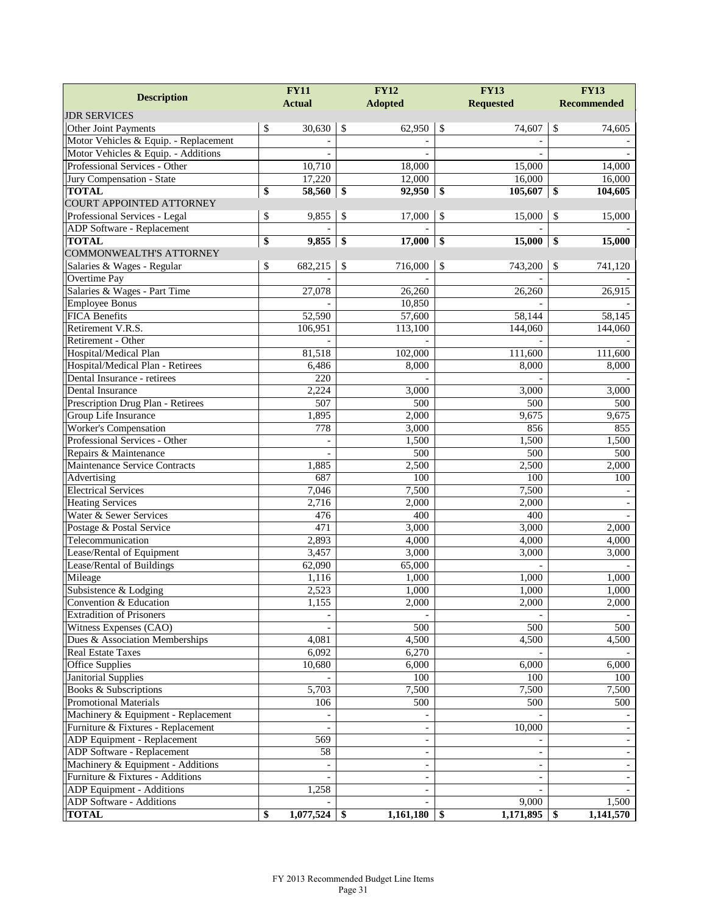| <b>Description</b>                    |               | <b>FY11</b>      |               | <b>FY12</b>              |     | <b>FY13</b>              | <b>FY13</b>        |
|---------------------------------------|---------------|------------------|---------------|--------------------------|-----|--------------------------|--------------------|
|                                       | <b>Actual</b> |                  |               | <b>Adopted</b>           |     | <b>Requested</b>         | <b>Recommended</b> |
| <b>JDR SERVICES</b>                   |               |                  |               |                          |     |                          |                    |
| Other Joint Payments                  | \$            | 30,630           | $\mathcal{S}$ | 62,950                   | \$  | 74,607                   | \$<br>74,605       |
| Motor Vehicles & Equip. - Replacement |               |                  |               |                          |     |                          |                    |
| Motor Vehicles & Equip. - Additions   |               |                  |               |                          |     |                          |                    |
| Professional Services - Other         |               | 10,710           |               | 18,000                   |     | 15,000                   | 14,000             |
| Jury Compensation - State             |               | 17,220           |               | 12,000                   |     | 16,000                   | 16,000             |
| <b>TOTAL</b>                          | \$            | 58,560           | $\frac{1}{2}$ | 92,950                   | \$  | 105,607                  | \$<br>104,605      |
| <b>COURT APPOINTED ATTORNEY</b>       |               |                  |               |                          |     |                          |                    |
| Professional Services - Legal         | \$            | 9,855            | \$            | 17,000                   | \$  | 15,000                   | \$<br>15,000       |
| ADP Software - Replacement            |               |                  |               |                          |     |                          |                    |
| <b>TOTAL</b>                          | \$            | 9,855            | \$            | 17,000                   | \$  | 15,000                   | \$<br>15,000       |
| <b>COMMONWEALTH'S ATTORNEY</b>        |               |                  |               |                          |     |                          |                    |
| Salaries & Wages - Regular            | \$            | 682,215          | \$            | 716,000                  | \$  | 743,200                  | \$<br>741,120      |
| Overtime Pay                          |               |                  |               |                          |     |                          |                    |
| Salaries & Wages - Part Time          |               | 27,078           |               | 26,260                   |     | 26,260                   | 26,915             |
| <b>Employee Bonus</b>                 |               |                  |               | 10,850                   |     |                          |                    |
| <b>FICA Benefits</b>                  |               | 52,590           |               | 57,600                   |     | 58,144                   | 58,145             |
| Retirement V.R.S.                     |               | 106,951          |               | 113,100                  |     | 144,060                  | 144,060            |
| Retirement - Other                    |               |                  |               |                          |     |                          |                    |
| Hospital/Medical Plan                 |               | 81,518           |               | 102,000                  |     | 111,600                  | 111,600            |
| Hospital/Medical Plan - Retirees      |               | 6,486            |               | 8,000                    |     | 8,000                    | 8,000              |
| Dental Insurance - retirees           |               | $\overline{220}$ |               |                          |     |                          |                    |
| Dental Insurance                      |               | 2,224            |               | 3,000                    |     | 3,000                    | 3,000              |
| Prescription Drug Plan - Retirees     |               | 507              |               | 500                      |     | 500                      | 500                |
| Group Life Insurance                  |               | 1,895            |               | 2,000                    |     | 9,675                    | 9,675              |
| Worker's Compensation                 |               | 778              |               | 3,000                    |     | 856                      | 855                |
| Professional Services - Other         |               |                  |               | 1,500                    |     | 1,500                    | 1,500              |
| Repairs & Maintenance                 |               | $\blacksquare$   |               | 500                      |     | 500                      | 500                |
| Maintenance Service Contracts         |               | 1,885            |               | 2,500                    |     | 2,500                    | 2,000              |
| Advertising                           |               | 687              |               | 100                      |     | 100                      | 100                |
| <b>Electrical Services</b>            |               | 7,046            |               | 7,500                    |     | 7,500                    |                    |
| <b>Heating Services</b>               |               | 2,716            |               | 2,000                    |     | 2,000                    |                    |
| Water & Sewer Services                |               | 476              |               | 400                      |     | 400                      |                    |
| Postage & Postal Service              |               | 471              |               | 3,000                    |     | 3,000                    | 2,000              |
| Telecommunication                     |               | 2,893            |               | 4,000                    |     | 4,000                    | 4,000              |
| Lease/Rental of Equipment             |               | 3,457            |               | 3,000                    |     | 3,000                    | 3,000              |
| Lease/Rental of Buildings             |               | 62,090           |               | 65,000                   |     |                          |                    |
| Mileage                               |               | 1,116            |               | 1,000                    |     | 1,000                    | 1,000              |
| Subsistence & Lodging                 |               | 2,523            |               | 1,000                    |     | 1,000                    | 1,000              |
| Convention & Education                |               | 1,155            |               | 2,000                    |     | 2,000                    | 2,000              |
| <b>Extradition of Prisoners</b>       |               |                  |               |                          |     |                          |                    |
| Witness Expenses (CAO)                |               |                  |               | 500                      |     | 500                      | 500                |
| Dues & Association Memberships        |               | 4,081            |               | 4,500                    |     | 4,500                    | 4,500              |
| <b>Real Estate Taxes</b>              |               | 6,092            |               | 6,270                    |     |                          |                    |
| Office Supplies                       |               | 10,680           |               | 6,000                    |     | 6,000                    | 6,000              |
| Janitorial Supplies                   |               |                  |               | 100                      |     | 100                      | 100                |
| Books & Subscriptions                 |               | 5,703            |               | 7,500                    |     | 7,500                    | 7,500              |
| <b>Promotional Materials</b>          |               | 106              |               | 500                      |     | 500                      | 500                |
| Machinery & Equipment - Replacement   |               |                  |               |                          |     |                          |                    |
| Furniture & Fixtures - Replacement    |               |                  |               |                          |     | 10,000                   |                    |
| ADP Equipment - Replacement           |               | 569              |               |                          |     |                          |                    |
| ADP Software - Replacement            |               | 58               |               |                          |     | $\blacksquare$           |                    |
| Machinery & Equipment - Additions     |               | $\blacksquare$   |               | $\overline{\phantom{a}}$ |     | $\overline{\phantom{a}}$ |                    |
| Furniture & Fixtures - Additions      |               |                  |               |                          |     |                          |                    |
| ADP Equipment - Additions             |               | 1,258            |               |                          |     |                          |                    |
| ADP Software - Additions              |               |                  |               |                          |     | 9,000                    | 1,500              |
| <b>TOTAL</b>                          | \$            | $1,077,524$ \$   |               | 1,161,180                | -\$ | $1,171,895$ \$           | 1,141,570          |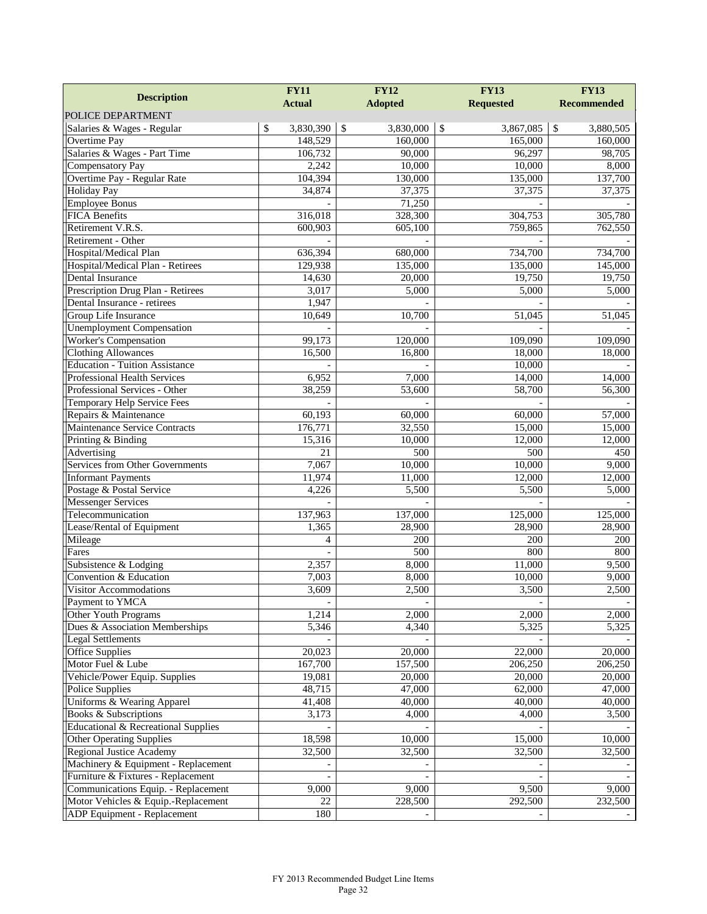|                                                 | <b>FY11</b>     | <b>FY12</b>      | <b>FY13</b>      | <b>FY13</b>        |
|-------------------------------------------------|-----------------|------------------|------------------|--------------------|
| <b>Description</b>                              | <b>Actual</b>   | <b>Adopted</b>   | <b>Requested</b> | <b>Recommended</b> |
| POLICE DEPARTMENT                               |                 |                  |                  |                    |
| Salaries & Wages - Regular                      | \$<br>3,830,390 | \$<br>3,830,000  | \$<br>3,867,085  | \$<br>3,880,505    |
| Overtime Pay                                    | 148,529         | 160,000          | 165,000          | 160,000            |
| Salaries & Wages - Part Time                    | 106,732         | 90,000           | 96,297           | 98,705             |
| <b>Compensatory Pay</b>                         | 2,242           | 10,000           | 10,000           | 8,000              |
| Overtime Pay - Regular Rate                     | 104,394         | 130,000          | 135,000          | 137,700            |
| <b>Holiday Pay</b>                              | 34,874          | 37,375           | 37,375           | 37,375             |
| <b>Employee Bonus</b>                           |                 | 71,250           |                  |                    |
| <b>FICA Benefits</b>                            | 316,018         | 328,300          | 304,753          | 305,780            |
| Retirement V.R.S.                               | 600,903         | 605,100          | 759,865          | 762,550            |
| Retirement - Other                              |                 |                  |                  |                    |
| Hospital/Medical Plan                           | 636,394         | 680,000          | 734,700          | 734,700            |
| Hospital/Medical Plan - Retirees                | 129,938         | 135,000          | 135,000          | 145,000            |
| <b>Dental Insurance</b>                         | 14,630          | 20,000           | 19,750           | 19,750             |
| Prescription Drug Plan - Retirees               | 3,017           | 5,000            | 5,000            | 5,000              |
| Dental Insurance - retirees                     | 1,947           |                  |                  |                    |
| Group Life Insurance                            | 10,649          | 10,700           | 51,045           | 51,045             |
| <b>Unemployment Compensation</b>                |                 |                  |                  |                    |
| <b>Worker's Compensation</b>                    | 99,173          | 120,000          | 109,090          | 109,090            |
| <b>Clothing Allowances</b>                      | 16,500          | 16,800           | 18,000           | 18,000             |
| <b>Education - Tuition Assistance</b>           |                 |                  | 10,000           |                    |
| <b>Professional Health Services</b>             | 6,952           | 7,000            | 14,000           | 14,000             |
| Professional Services - Other                   | 38,259          | 53,600           | 58,700           | 56,300             |
| Temporary Help Service Fees                     |                 |                  |                  |                    |
| Repairs & Maintenance                           | 60,193          | 60,000           | 60,000           | 57,000             |
| Maintenance Service Contracts                   | 176,771         | 32,550           | 15,000           | 15,000             |
| Printing & Binding                              | 15,316          | 10,000           | 12,000           | 12,000             |
| Advertising                                     | 21              | $\overline{500}$ | 500              | 450                |
| <b>Services from Other Governments</b>          | 7,067           | 10,000           | 10,000           | 9,000              |
| <b>Informant Payments</b>                       | 11,974          | 11,000           | 12,000           | 12,000             |
| Postage & Postal Service                        | 4,226           | 5,500            | 5,500            | 5,000              |
| <b>Messenger Services</b>                       |                 |                  |                  |                    |
| Telecommunication                               | 137,963         | 137,000          | 125,000          | 125,000            |
| Lease/Rental of Equipment                       | 1,365           | 28,900           | 28,900           | 28,900             |
| Mileage                                         | 4               | 200              | 200              | 200                |
| Fares                                           |                 | 500              | 800              | 800                |
| Subsistence & Lodging<br>Convention & Education | 2,357<br>7,003  | 8,000            | 11,000           | 9,500              |
| <b>Visitor Accommodations</b>                   | 3,609           | 8,000<br>2,500   | 10,000           | 9,000              |
| Payment to YMCA                                 |                 |                  | 3,500            | 2,500              |
| Other Youth Programs                            | 1,214           | 2,000            | 2,000            | 2,000              |
| Dues & Association Memberships                  | 5,346           | 4,340            | 5,325            | 5,325              |
| <b>Legal Settlements</b>                        |                 |                  |                  |                    |
| <b>Office Supplies</b>                          | 20,023          | 20,000           | 22,000           | 20,000             |
| Motor Fuel & Lube                               | 167,700         | 157,500          | 206,250          | 206,250            |
| Vehicle/Power Equip. Supplies                   | 19,081          | 20,000           | 20,000           | 20,000             |
| <b>Police Supplies</b>                          | 48,715          | 47,000           | 62,000           | 47,000             |
| Uniforms & Wearing Apparel                      | 41,408          | 40,000           | 40,000           | 40,000             |
| Books & Subscriptions                           | 3,173           | 4,000            | 4,000            | 3,500              |
| Educational & Recreational Supplies             |                 |                  |                  |                    |
| <b>Other Operating Supplies</b>                 | 18,598          | 10,000           | 15,000           | 10,000             |
| <b>Regional Justice Academy</b>                 | 32,500          | 32,500           | 32,500           | 32,500             |
| Machinery & Equipment - Replacement             |                 |                  |                  |                    |
| Furniture & Fixtures - Replacement              |                 |                  |                  |                    |
| Communications Equip. - Replacement             | 9,000           | 9,000            | 9,500            | 9,000              |
| Motor Vehicles & Equip.-Replacement             | 22              | 228,500          | 292,500          | 232,500            |
| ADP Equipment - Replacement                     | 180             |                  |                  |                    |
|                                                 |                 |                  |                  |                    |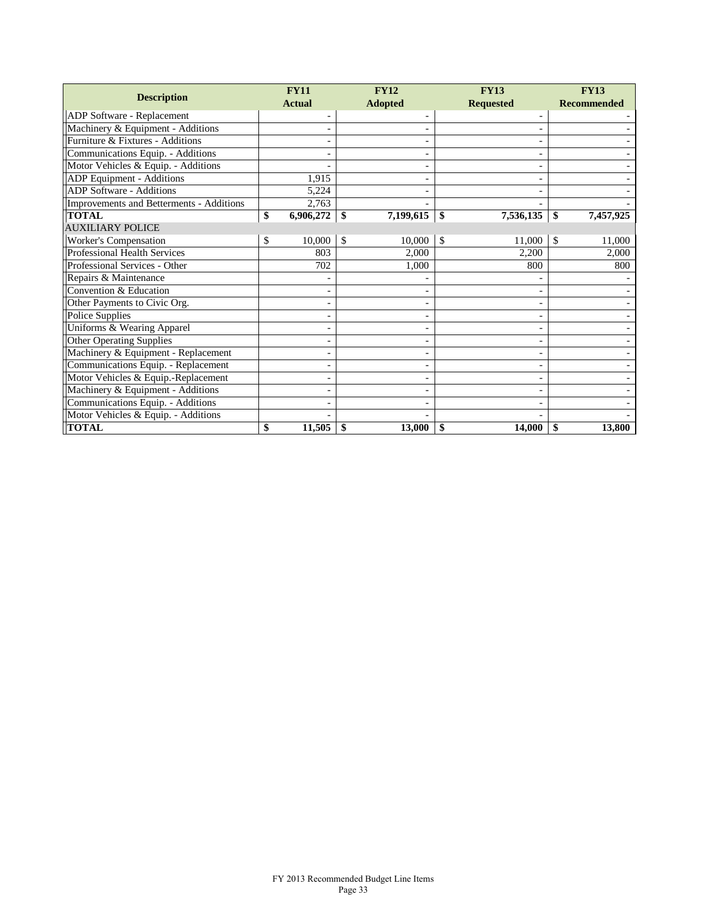|                                          |    | <b>FY11</b>              | <b>FY12</b>   |                |               | <b>FY13</b>      |     | <b>FY13</b>        |  |
|------------------------------------------|----|--------------------------|---------------|----------------|---------------|------------------|-----|--------------------|--|
| <b>Description</b>                       |    | <b>Actual</b>            |               | <b>Adopted</b> |               | <b>Requested</b> |     | <b>Recommended</b> |  |
| ADP Software - Replacement               |    |                          |               |                |               |                  |     |                    |  |
| Machinery & Equipment - Additions        |    |                          |               |                |               | -                |     |                    |  |
| Furniture & Fixtures - Additions         |    |                          |               |                |               |                  |     |                    |  |
| Communications Equip. - Additions        |    |                          |               |                |               | -                |     |                    |  |
| Motor Vehicles & Equip. - Additions      |    |                          |               |                |               |                  |     |                    |  |
| ADP Equipment - Additions                |    | 1,915                    |               |                |               |                  |     |                    |  |
| <b>ADP</b> Software - Additions          |    | 5.224                    |               |                |               | ۰                |     |                    |  |
| Improvements and Betterments - Additions |    | 2,763                    |               |                |               |                  |     |                    |  |
| <b>TOTAL</b>                             | \$ | 6,906,272                | \$            | 7,199,615      | \$            | 7,536,135        | \$  | 7,457,925          |  |
| <b>AUXILIARY POLICE</b>                  |    |                          |               |                |               |                  |     |                    |  |
| Worker's Compensation                    | \$ | 10,000                   | <sup>\$</sup> | 10,000         | <sup>\$</sup> | 11,000           | \$. | 11,000             |  |
| Professional Health Services             |    | 803                      |               | 2,000          |               | 2,200            |     | 2,000              |  |
| Professional Services - Other            |    | 702                      |               | 1,000          |               | 800              |     | 800                |  |
| Repairs & Maintenance                    |    |                          |               |                |               |                  |     |                    |  |
| Convention & Education                   |    | $\overline{\phantom{a}}$ |               |                |               | ۰                |     |                    |  |
| Other Payments to Civic Org.             |    |                          |               |                |               | -                |     |                    |  |
| <b>Police Supplies</b>                   |    |                          |               |                |               |                  |     |                    |  |
| Uniforms & Wearing Apparel               |    |                          |               |                |               | -                |     |                    |  |
| <b>Other Operating Supplies</b>          |    |                          |               |                |               | -                |     |                    |  |
| Machinery & Equipment - Replacement      |    |                          |               |                |               |                  |     |                    |  |
| Communications Equip. - Replacement      |    |                          |               |                |               | -                |     |                    |  |
| Motor Vehicles & Equip.-Replacement      |    |                          |               |                |               | ٠                |     |                    |  |
| Machinery & Equipment - Additions        |    |                          |               |                |               |                  |     |                    |  |
| Communications Equip. - Additions        |    |                          |               |                |               |                  |     |                    |  |
| Motor Vehicles & Equip. - Additions      |    |                          |               |                |               |                  |     |                    |  |
| <b>TOTAL</b>                             | \$ | 11,505                   | \$            | 13,000         | \$            | 14,000           | \$  | 13,800             |  |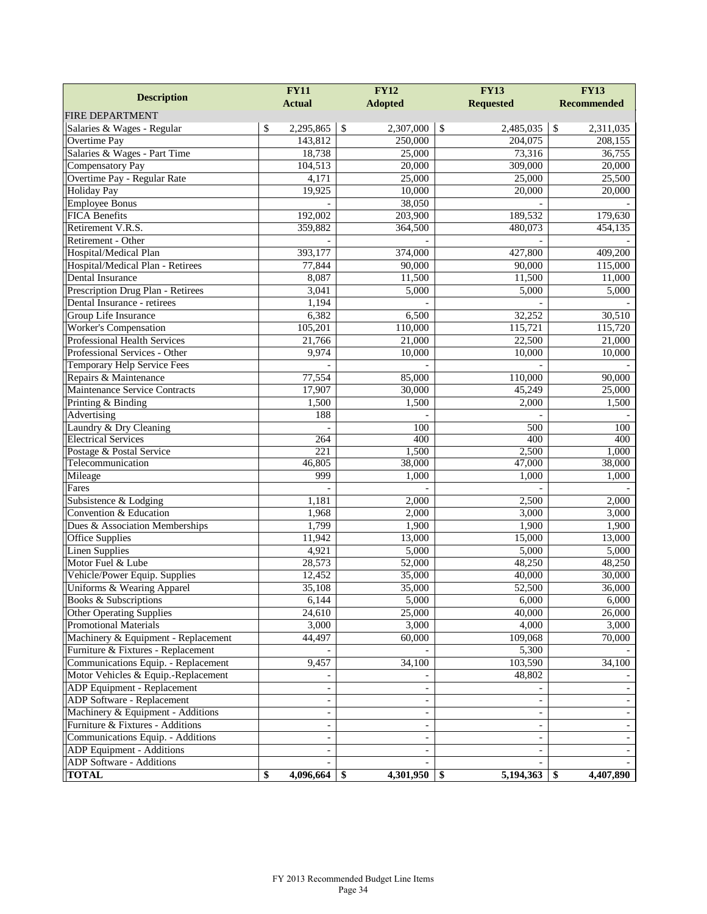| <b>Description</b>                  | <b>FY11</b>     | <b>FY12</b>                | <b>FY13</b>                | <b>FY13</b>                           |  |
|-------------------------------------|-----------------|----------------------------|----------------------------|---------------------------------------|--|
|                                     | <b>Actual</b>   | <b>Adopted</b>             | <b>Requested</b>           | <b>Recommended</b>                    |  |
| <b>FIRE DEPARTMENT</b>              |                 |                            |                            |                                       |  |
| Salaries & Wages - Regular          | \$<br>2,295,865 | $\mathcal{S}$<br>2,307,000 | $\mathcal{S}$<br>2,485,035 | $\overline{\mathcal{S}}$<br>2,311,035 |  |
| Overtime Pay                        | 143,812         | 250,000                    | 204,075                    | 208,155                               |  |
| Salaries & Wages - Part Time        | 18,738          | 25,000                     | 73,316                     | 36,755                                |  |
| <b>Compensatory Pay</b>             | 104,513         | 20,000                     | 309,000                    | 20,000                                |  |
| Overtime Pay - Regular Rate         | 4,171           | 25,000                     | 25,000                     | 25,500                                |  |
| <b>Holiday Pay</b>                  | 19,925          | 10,000                     | 20,000                     | 20,000                                |  |
| <b>Employee Bonus</b>               |                 | 38,050                     |                            |                                       |  |
| <b>FICA Benefits</b>                | 192.002         | 203,900                    | 189,532                    | 179,630                               |  |
| Retirement V.R.S.                   | 359,882         | 364,500                    | 480,073                    | 454,135                               |  |
| Retirement - Other                  |                 |                            |                            |                                       |  |
| Hospital/Medical Plan               | 393,177         | 374,000                    | 427,800                    | 409,200                               |  |
| Hospital/Medical Plan - Retirees    | 77,844          | 90,000                     | 90,000                     | 115,000                               |  |
| Dental Insurance                    | 8,087           | 11,500                     | 11,500                     | 11,000                                |  |
| Prescription Drug Plan - Retirees   | 3,041           | 5,000                      | 5,000                      | 5,000                                 |  |
| Dental Insurance - retirees         | 1,194           |                            |                            |                                       |  |
| Group Life Insurance                | 6,382           | 6,500                      | 32,252                     | 30,510                                |  |
| Worker's Compensation               | 105,201         | 110,000                    | 115,721                    | 115,720                               |  |
| Professional Health Services        | 21,766          | 21,000                     | 22,500                     | 21,000                                |  |
| Professional Services - Other       | 9,974           | 10,000                     | 10,000                     | 10,000                                |  |
| Temporary Help Service Fees         |                 |                            |                            |                                       |  |
| Repairs & Maintenance               | 77,554          | 85,000                     | 110,000                    | 90,000                                |  |
| Maintenance Service Contracts       | 17,907          | 30,000                     | 45,249                     | 25,000                                |  |
| Printing & Binding                  | 1,500           | 1,500                      | 2,000                      | 1,500                                 |  |
| Advertising                         | 188             |                            |                            |                                       |  |
| Laundry & Dry Cleaning              |                 | 100                        | 500                        | 100                                   |  |
| <b>Electrical Services</b>          | 264             | 400                        | 400                        | 400                                   |  |
| Postage & Postal Service            | 221             | 1,500                      | 2,500                      | 1,000                                 |  |
| Telecommunication                   | 46,805          | 38,000                     | 47,000                     | 38,000                                |  |
| Mileage                             | 999             | 1,000                      | 1,000                      | 1,000                                 |  |
| Fares                               |                 |                            |                            |                                       |  |
| Subsistence & Lodging               | 1,181           | 2,000                      | 2,500                      | 2,000                                 |  |
| Convention & Education              | 1,968           | 2,000                      | 3,000                      | 3,000                                 |  |
| Dues & Association Memberships      | 1,799           | 1,900                      | 1,900                      | 1,900                                 |  |
| <b>Office Supplies</b>              | 11,942          | 13,000                     | 15,000                     | 13,000                                |  |
| <b>Linen Supplies</b>               | 4,921           | 5,000                      | 5,000                      | 5,000                                 |  |
| Motor Fuel & Lube                   | 28,573          | 52,000                     | 48,250                     | 48,250                                |  |
| Vehicle/Power Equip. Supplies       | 12,452          | 35,000                     | 40,000                     | 30,000                                |  |
| Uniforms & Wearing Apparel          | 35,108          | 35,000                     | 52,500                     | 36,000                                |  |
| <b>Books &amp; Subscriptions</b>    | 6,144           | 5,000                      | 6,000                      | 6,000                                 |  |
| <b>Other Operating Supplies</b>     | 24,610          | 25,000                     | 40,000                     | 26,000                                |  |
| <b>Promotional Materials</b>        | 3,000           | 3,000                      | 4,000                      | 3,000                                 |  |
| Machinery & Equipment - Replacement | 44,497          | 60,000                     | 109,068                    | 70,000                                |  |
| Furniture & Fixtures - Replacement  |                 |                            | 5,300                      |                                       |  |
| Communications Equip. - Replacement | 9,457           | 34,100                     | 103,590                    | 34,100                                |  |
| Motor Vehicles & Equip.-Replacement |                 |                            | 48,802                     |                                       |  |
| ADP Equipment - Replacement         |                 |                            |                            |                                       |  |
| ADP Software - Replacement          |                 |                            |                            |                                       |  |
| Machinery & Equipment - Additions   |                 |                            | $\overline{\phantom{a}}$   |                                       |  |
| Furniture & Fixtures - Additions    |                 |                            | $\overline{\phantom{a}}$   |                                       |  |
| Communications Equip. - Additions   |                 |                            |                            |                                       |  |
| ADP Equipment - Additions           |                 |                            | $\overline{\phantom{a}}$   |                                       |  |
| ADP Software - Additions            |                 |                            |                            |                                       |  |
| <b>TOTAL</b>                        | \$              | 4,301,950                  | 5,194,363<br>- \$          | 4,407,890<br>\$                       |  |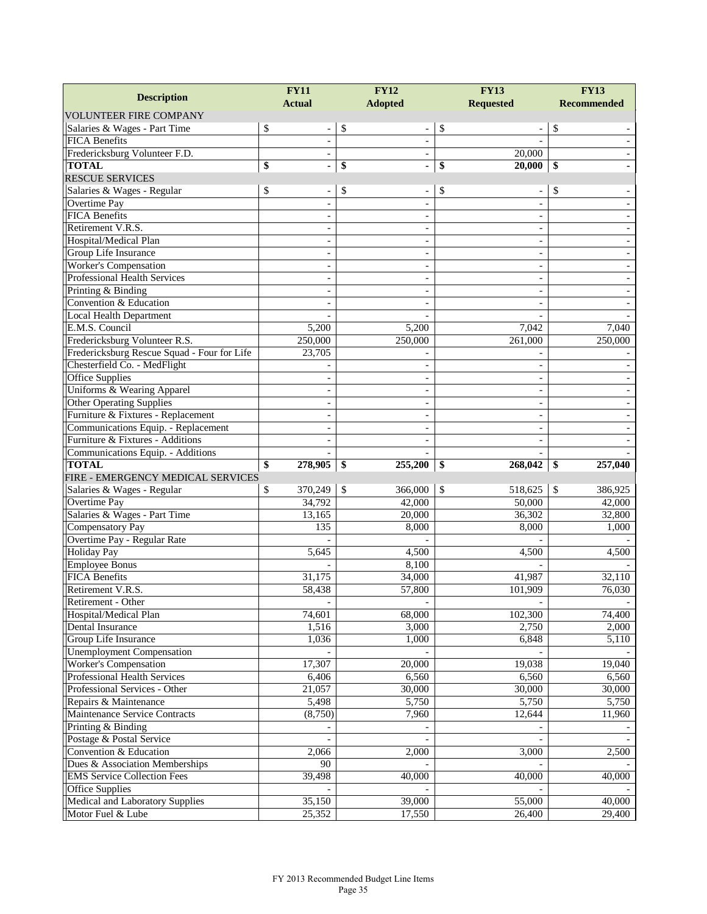|                                               | <b>FY11</b>                    | <b>FY12</b>                        | <b>FY13</b>                  | <b>FY13</b>        |  |
|-----------------------------------------------|--------------------------------|------------------------------------|------------------------------|--------------------|--|
| <b>Description</b>                            | <b>Actual</b>                  | <b>Adopted</b>                     | <b>Requested</b>             | <b>Recommended</b> |  |
| <b>VOLUNTEER FIRE COMPANY</b>                 |                                |                                    |                              |                    |  |
| Salaries & Wages - Part Time                  | \$<br>$\overline{\phantom{a}}$ | \$<br>$\qquad \qquad -$            | \$<br>$\overline{a}$         | \$                 |  |
| <b>FICA Benefits</b>                          | $\overline{\phantom{a}}$       | $\overline{\phantom{a}}$           |                              |                    |  |
| Fredericksburg Volunteer F.D.                 |                                | $\overline{\phantom{a}}$           | 20,000                       |                    |  |
| <b>TOTAL</b>                                  | \$<br>$\blacksquare$           | \$<br>$\qquad \qquad \blacksquare$ | \$<br>20,000                 | \$                 |  |
| <b>RESCUE SERVICES</b>                        |                                |                                    |                              |                    |  |
| Salaries & Wages - Regular                    | \$                             | \$                                 | \$                           | \$                 |  |
| Overtime Pay                                  | $\blacksquare$                 | $\blacksquare$                     | $\overline{\phantom{a}}$     |                    |  |
| <b>FICA Benefits</b>                          |                                |                                    |                              |                    |  |
| Retirement V.R.S.                             | $\overline{\phantom{a}}$       |                                    | $\overline{a}$               |                    |  |
| Hospital/Medical Plan                         | $\sim$                         |                                    | $\overline{\phantom{a}}$     |                    |  |
| Group Life Insurance                          |                                |                                    | $\overline{\phantom{a}}$     |                    |  |
| Worker's Compensation                         | $\blacksquare$                 | $\blacksquare$                     | $\qquad \qquad \blacksquare$ |                    |  |
| <b>Professional Health Services</b>           |                                |                                    |                              |                    |  |
| Printing & Binding                            |                                |                                    |                              |                    |  |
| Convention & Education                        |                                |                                    | $\sim$                       |                    |  |
| <b>Local Health Department</b>                |                                |                                    |                              |                    |  |
| E.M.S. Council                                | 5,200                          | 5,200                              | 7,042                        | 7,040              |  |
| Fredericksburg Volunteer R.S.                 | 250,000                        | 250,000                            | 261,000                      | 250,000            |  |
| Fredericksburg Rescue Squad - Four for Life   | 23,705                         |                                    |                              |                    |  |
| Chesterfield Co. - MedFlight                  |                                |                                    | $\sim$                       |                    |  |
| <b>Office Supplies</b>                        |                                |                                    | $\sim$                       |                    |  |
| Uniforms & Wearing Apparel                    | $\sim$                         | $\overline{\phantom{a}}$           | $\overline{\phantom{a}}$     |                    |  |
| <b>Other Operating Supplies</b>               | $\overline{a}$                 |                                    |                              |                    |  |
| Furniture & Fixtures - Replacement            | $\overline{\phantom{a}}$       |                                    |                              |                    |  |
| Communications Equip. - Replacement           |                                |                                    | $\overline{a}$               |                    |  |
| Furniture & Fixtures - Additions              |                                |                                    |                              |                    |  |
| Communications Equip. - Additions             |                                |                                    |                              |                    |  |
| <b>TOTAL</b>                                  | 278,905<br>\$                  | 255,200<br>-\$                     | 268,042<br>\$                | \$<br>257,040      |  |
| FIRE - EMERGENCY MEDICAL SERVICES             |                                |                                    |                              |                    |  |
| Salaries & Wages - Regular                    | \$<br>370,249                  | $\mathbb{S}$<br>366,000            | \$<br>518,625                | \$<br>386,925      |  |
| Overtime Pay                                  | 34,792                         | 42,000                             | 50,000                       | 42,000             |  |
| Salaries & Wages - Part Time                  | 13,165                         | 20,000                             | 36,302                       | 32,800             |  |
| Compensatory Pay                              | 135                            | 8,000                              | 8,000                        | 1,000              |  |
| Overtime Pay - Regular Rate                   |                                |                                    |                              |                    |  |
| <b>Holiday Pay</b>                            | 5,645                          | 4,500                              | 4,500                        | 4,500              |  |
| <b>Employee Bonus</b><br><b>FICA Benefits</b> |                                | 8,100<br>34,000                    |                              | 32.110             |  |
| Retirement V.R.S.                             | 31,175<br>58,438               | 57,800                             | 41,987<br>101,909            | 76,030             |  |
| Retirement - Other                            |                                |                                    |                              |                    |  |
| Hospital/Medical Plan                         | 74,601                         | 68,000                             | 102,300                      | 74,400             |  |
| Dental Insurance                              | 1,516                          | 3,000                              | 2,750                        | 2,000              |  |
| Group Life Insurance                          | 1,036                          | 1,000                              | 6,848                        | 5,110              |  |
| <b>Unemployment Compensation</b>              |                                |                                    |                              |                    |  |
| Worker's Compensation                         | 17,307                         | 20,000                             | 19,038                       | 19,040             |  |
| Professional Health Services                  | 6,406                          | 6,560                              | 6,560                        | 6,560              |  |
| Professional Services - Other                 | 21,057                         | 30,000                             | 30,000                       | 30,000             |  |
| Repairs & Maintenance                         | 5,498                          | 5,750                              | 5,750                        | 5,750              |  |
| Maintenance Service Contracts                 | (8,750)                        | 7,960                              | 12,644                       | 11,960             |  |
| Printing & Binding                            |                                |                                    |                              |                    |  |
| Postage & Postal Service                      |                                |                                    |                              |                    |  |
| Convention & Education                        | 2,066                          | 2,000                              | 3,000                        | 2,500              |  |
| Dues $\&$ Association Memberships             | 90                             |                                    |                              |                    |  |
| <b>EMS</b> Service Collection Fees            | 39,498                         | 40,000                             | 40,000                       | 40,000             |  |
| <b>Office Supplies</b>                        |                                |                                    |                              |                    |  |
| Medical and Laboratory Supplies               | 35,150                         | 39,000                             | 55,000                       | 40,000             |  |
| Motor Fuel & Lube                             | 25,352                         | 17,550                             | 26,400                       | 29,400             |  |
|                                               |                                |                                    |                              |                    |  |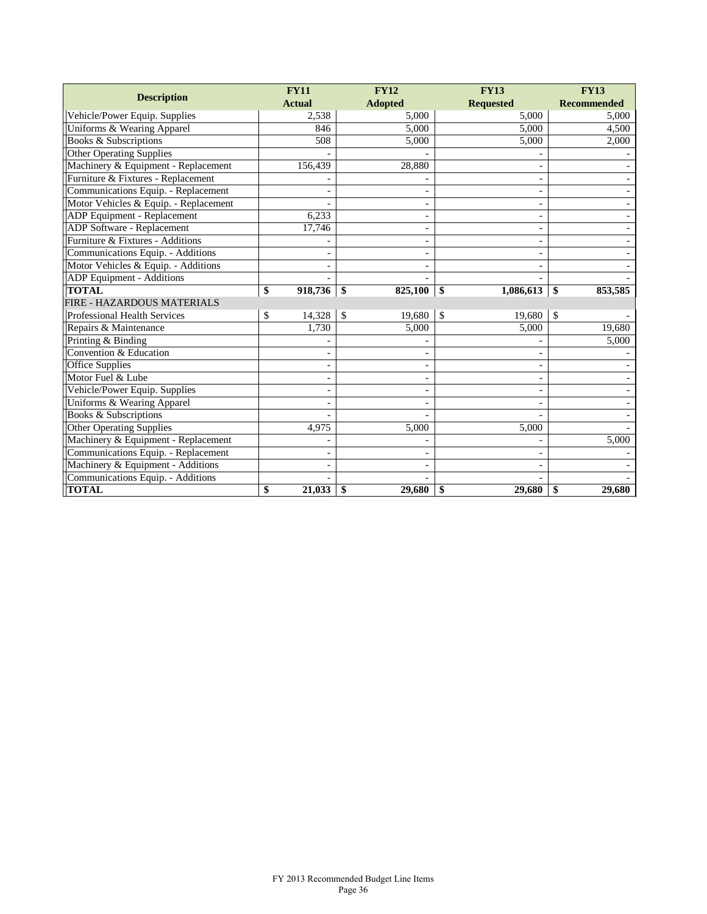|                                       | <b>FY11</b>              | <b>FY12</b>             | <b>FY13</b>              | <b>FY13</b>        |  |
|---------------------------------------|--------------------------|-------------------------|--------------------------|--------------------|--|
| <b>Description</b>                    | <b>Actual</b>            | <b>Adopted</b>          | <b>Requested</b>         | <b>Recommended</b> |  |
| Vehicle/Power Equip. Supplies         | 2,538                    | 5.000                   | 5.000                    | 5.000              |  |
| Uniforms & Wearing Apparel            | 846                      | 5.000                   | 5,000                    | 4,500              |  |
| <b>Books &amp; Subscriptions</b>      | 508                      | 5,000                   | 5,000                    | 2,000              |  |
| <b>Other Operating Supplies</b>       |                          |                         |                          |                    |  |
| Machinery & Equipment - Replacement   | 156,439                  | 28,880                  | -                        |                    |  |
| Furniture & Fixtures - Replacement    |                          |                         |                          |                    |  |
| Communications Equip. - Replacement   |                          |                         | $\overline{\phantom{a}}$ |                    |  |
| Motor Vehicles & Equip. - Replacement |                          |                         | $\blacksquare$           |                    |  |
| ADP Equipment - Replacement           | 6,233                    |                         | ÷,                       |                    |  |
| ADP Software - Replacement            | 17,746                   | ٠                       | -                        |                    |  |
| Furniture & Fixtures - Additions      |                          |                         |                          |                    |  |
| Communications Equip. - Additions     |                          |                         | $\overline{\phantom{a}}$ |                    |  |
| Motor Vehicles & Equip. - Additions   |                          |                         |                          |                    |  |
| ADP Equipment - Additions             |                          |                         |                          |                    |  |
| <b>TOTAL</b>                          | \$<br>918,736            | 825,100<br>\$           | 1,086,613<br>\$          | 853,585<br>\$      |  |
| FIRE - HAZARDOUS MATERIALS            |                          |                         |                          |                    |  |
| <b>Professional Health Services</b>   | \$<br>14,328             | $\mathcal{S}$<br>19,680 | $\mathbb{S}$<br>19,680   | \$                 |  |
| Repairs & Maintenance                 | 1,730                    | 5,000                   | 5,000                    | 19,680             |  |
| Printing & Binding                    |                          |                         |                          | 5,000              |  |
| Convention & Education                |                          |                         |                          |                    |  |
| <b>Office Supplies</b>                |                          |                         | ÷,                       |                    |  |
| Motor Fuel & Lube                     | $\overline{\phantom{a}}$ |                         | $\overline{\phantom{a}}$ |                    |  |
| Vehicle/Power Equip. Supplies         |                          |                         |                          |                    |  |
| Uniforms & Wearing Apparel            |                          |                         |                          |                    |  |
| Books & Subscriptions                 |                          |                         |                          |                    |  |
| <b>Other Operating Supplies</b>       | 4,975                    | 5,000                   | 5,000                    |                    |  |
| Machinery & Equipment - Replacement   |                          |                         |                          | 5,000              |  |
| Communications Equip. - Replacement   |                          |                         |                          |                    |  |
| Machinery & Equipment - Additions     |                          |                         |                          |                    |  |
| Communications Equip. - Additions     |                          |                         |                          |                    |  |
| <b>TOTAL</b>                          | \$<br>21,033             | 29,680<br>-\$           | 29,680<br>\$             | 29,680<br>\$       |  |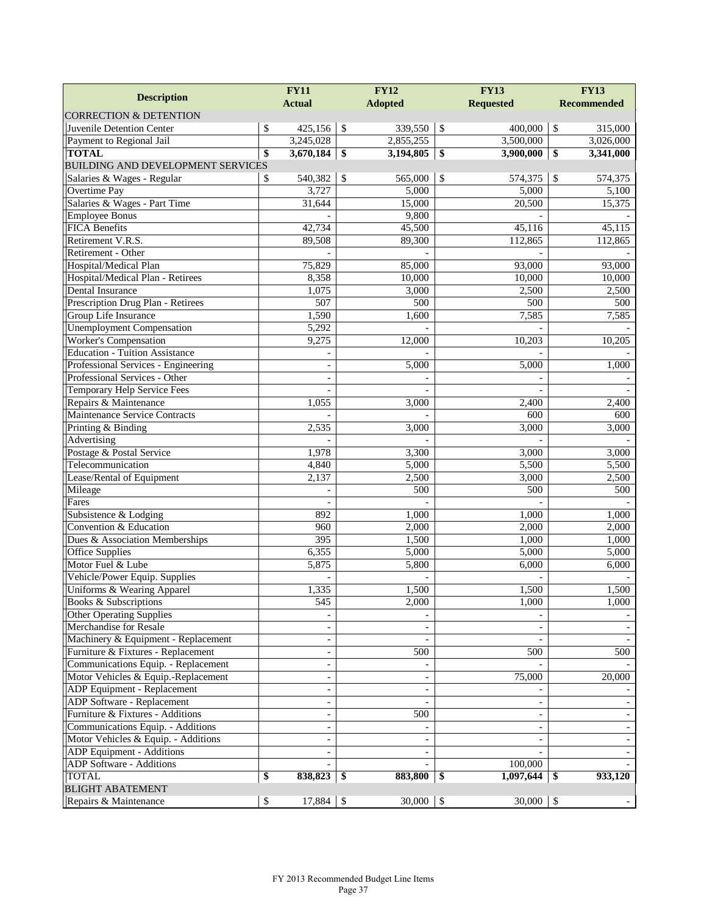| <b>Description</b>                       | <b>FY11</b>              |               | <b>FY12</b>    |               | <b>FY13</b>              |                    | <b>FY13</b> |  |  |
|------------------------------------------|--------------------------|---------------|----------------|---------------|--------------------------|--------------------|-------------|--|--|
|                                          | <b>Actual</b>            |               | <b>Adopted</b> |               | <b>Requested</b>         | <b>Recommended</b> |             |  |  |
| <b>CORRECTION &amp; DETENTION</b>        |                          |               |                |               |                          |                    |             |  |  |
| Juvenile Detention Center                | \$<br>425,156            | $\mathcal{S}$ | 339,550        | $\sqrt{3}$    | 400,000                  | $\$$               | 315,000     |  |  |
| Payment to Regional Jail                 | 3,245,028                |               | 2,855,255      |               | 3,500,000                |                    | 3,026,000   |  |  |
| <b>TOTAL</b>                             | \$<br>3,670,184          | \$            | 3,194,805      | -\$           | 3,900,000                | \$                 | 3,341,000   |  |  |
| <b>BUILDING AND DEVELOPMENT SERVICES</b> |                          |               |                |               |                          |                    |             |  |  |
| Salaries & Wages - Regular               | \$<br>540,382            | $\mathcal{S}$ | 565,000        | $\mathcal{S}$ | 574,375                  | \$                 | 574,375     |  |  |
| Overtime Pay                             | 3,727                    |               | 5,000          |               | 5,000                    |                    | 5,100       |  |  |
| Salaries & Wages - Part Time             | 31,644                   |               | 15,000         |               | 20,500                   |                    | 15,375      |  |  |
| <b>Employee Bonus</b>                    |                          |               | 9,800          |               |                          |                    |             |  |  |
| <b>FICA Benefits</b>                     | 42,734                   |               | 45,500         |               | 45,116                   |                    | 45,115      |  |  |
| Retirement V.R.S.                        | 89,508                   |               | 89,300         |               | 112,865                  |                    | 112,865     |  |  |
| Retirement - Other                       |                          |               |                |               |                          |                    |             |  |  |
| Hospital/Medical Plan                    | 75,829                   |               | 85,000         |               | 93,000                   |                    | 93,000      |  |  |
| Hospital/Medical Plan - Retirees         | 8,358                    |               | 10,000         |               | 10,000                   |                    | 10,000      |  |  |
| Dental Insurance                         | 1,075                    |               | 3,000          |               | 2,500                    |                    | 2,500       |  |  |
| Prescription Drug Plan - Retirees        | 507                      |               | 500            |               | 500                      |                    | 500         |  |  |
| Group Life Insurance                     | 1,590                    |               | 1,600          |               | 7,585                    |                    | 7,585       |  |  |
| <b>Unemployment Compensation</b>         | 5,292                    |               |                |               |                          |                    |             |  |  |
| <b>Worker's Compensation</b>             | 9,275                    |               | 12,000         |               | 10,203                   |                    | 10,205      |  |  |
| <b>Education - Tuition Assistance</b>    |                          |               |                |               |                          |                    |             |  |  |
| Professional Services - Engineering      | $\overline{\phantom{a}}$ |               | 5,000          |               | 5,000                    |                    | 1,000       |  |  |
| Professional Services - Other            |                          |               |                |               |                          |                    |             |  |  |
| Temporary Help Service Fees              |                          |               |                |               |                          |                    |             |  |  |
| Repairs & Maintenance                    | 1,055                    |               | 3,000          |               | 2,400                    |                    | 2,400       |  |  |
| <b>Maintenance Service Contracts</b>     |                          |               |                |               | 600                      |                    | 600         |  |  |
| Printing & Binding                       | 2,535                    |               | 3,000          |               | 3,000                    |                    | 3,000       |  |  |
| Advertising                              |                          |               |                |               |                          |                    |             |  |  |
| Postage & Postal Service                 | 1,978                    |               | 3,300          |               | 3,000                    |                    | 3,000       |  |  |
| Telecommunication                        | 4,840                    |               | 5,000          |               | 5,500                    |                    | 5,500       |  |  |
| Lease/Rental of Equipment                | 2,137                    |               | 2,500          |               | 3,000                    |                    | 2,500       |  |  |
| Mileage                                  |                          |               | 500            |               | 500                      |                    | 500         |  |  |
| Fares                                    |                          |               |                |               |                          |                    |             |  |  |
| Subsistence & Lodging                    | 892                      |               | 1,000          |               | 1,000                    |                    | 1,000       |  |  |
| Convention & Education                   | 960                      |               | 2,000          |               | 2,000                    |                    | 2,000       |  |  |
| Dues & Association Memberships           | $\overline{395}$         |               | 1,500          |               | 1,000                    |                    | 1,000       |  |  |
| <b>Office Supplies</b>                   | 6,355                    |               | 5,000          |               | 5,000                    |                    | 5,000       |  |  |
| Motor Fuel & Lube                        | 5,875                    |               | 5,800          |               | 6,000                    |                    | 6,000       |  |  |
| Vehicle/Power Equip. Supplies            |                          |               |                |               |                          |                    |             |  |  |
| Uniforms & Wearing Apparel               | 1,335                    |               | 1,500          |               | 1,500                    |                    | 1,500       |  |  |
| Books & Subscriptions                    | 545                      |               | 2,000          |               | 1,000                    |                    | 1,000       |  |  |
| <b>Other Operating Supplies</b>          |                          |               |                |               |                          |                    |             |  |  |
| Merchandise for Resale                   |                          |               |                |               |                          |                    |             |  |  |
| Machinery & Equipment - Replacement      | $\overline{\phantom{a}}$ |               |                |               |                          |                    |             |  |  |
| Furniture & Fixtures - Replacement       | $\overline{\phantom{a}}$ |               | 500            |               | 500                      |                    | 500         |  |  |
| Communications Equip. - Replacement      | $\overline{\phantom{a}}$ |               |                |               |                          |                    |             |  |  |
| Motor Vehicles & Equip.-Replacement      | $\overline{\phantom{a}}$ |               |                |               | 75,000                   |                    | 20,000      |  |  |
| ADP Equipment - Replacement              | $\overline{\phantom{a}}$ |               |                |               |                          |                    |             |  |  |
| ADP Software - Replacement               | $\overline{\phantom{a}}$ |               |                |               |                          |                    |             |  |  |
| Furniture & Fixtures - Additions         | $\overline{\phantom{a}}$ |               | 500            |               | $\overline{\phantom{a}}$ |                    |             |  |  |
| Communications Equip. - Additions        | $\overline{\phantom{a}}$ |               |                |               | $\overline{\phantom{a}}$ |                    |             |  |  |
| Motor Vehicles & Equip. - Additions      | $\overline{\phantom{a}}$ |               |                |               | $\overline{\phantom{a}}$ |                    |             |  |  |
| ADP Equipment - Additions                |                          |               |                |               |                          |                    |             |  |  |
| ADP Software - Additions                 |                          |               |                |               | 100,000                  |                    |             |  |  |
| TOTAL                                    | \$<br>838,823            | -S            | 883,800        | -\$           | 1,097,644                | \$                 | 933,120     |  |  |
| <b>BLIGHT ABATEMENT</b>                  |                          |               |                |               |                          |                    |             |  |  |
| Repairs & Maintenance                    | \$<br>17,884             | -\$           | 30,000         | \$            | $30,000$ \ \ \$          |                    |             |  |  |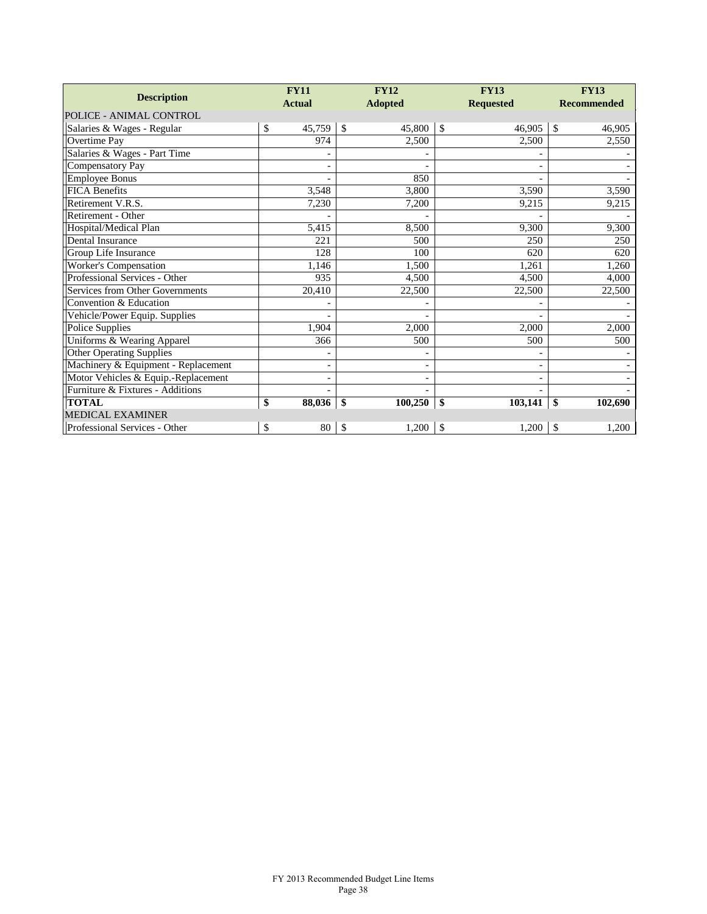| <b>Description</b>                  | <b>FY11</b><br><b>Actual</b> | <b>FY12</b><br><b>Adopted</b> | <b>FY13</b><br><b>Requested</b> | <b>FY13</b><br><b>Recommended</b> |
|-------------------------------------|------------------------------|-------------------------------|---------------------------------|-----------------------------------|
| POLICE - ANIMAL CONTROL             |                              |                               |                                 |                                   |
| Salaries & Wages - Regular          | \$<br>45,759                 | $\mathbb{S}$<br>45,800        | \$<br>46,905                    | \$<br>46,905                      |
| Overtime Pay                        | 974                          | 2,500                         | 2,500                           | 2,550                             |
| Salaries & Wages - Part Time        |                              |                               |                                 |                                   |
| Compensatory Pay                    |                              |                               |                                 |                                   |
| <b>Employee Bonus</b>               |                              | 850                           |                                 |                                   |
| <b>FICA Benefits</b>                | 3,548                        | 3,800                         | 3,590                           | 3,590                             |
| Retirement V.R.S.                   | 7,230                        | 7,200                         | 9,215                           | 9,215                             |
| Retirement - Other                  |                              |                               |                                 |                                   |
| Hospital/Medical Plan               | 5,415                        | 8,500                         | 9,300                           | 9,300                             |
| Dental Insurance                    | 221                          | 500                           | 250                             | 250                               |
| Group Life Insurance                | 128                          | 100                           | 620                             | 620                               |
| Worker's Compensation               | 1,146                        | 1,500                         | 1,261                           | 1,260                             |
| Professional Services - Other       | 935                          | 4,500                         | 4,500                           | 4,000                             |
| Services from Other Governments     | 20,410                       | 22,500                        | 22,500                          | 22,500                            |
| Convention & Education              |                              |                               |                                 |                                   |
| Vehicle/Power Equip. Supplies       |                              |                               |                                 |                                   |
| Police Supplies                     | 1,904                        | 2,000                         | 2,000                           | 2,000                             |
| Uniforms & Wearing Apparel          | 366                          | 500                           | 500                             | 500                               |
| <b>Other Operating Supplies</b>     |                              |                               |                                 |                                   |
| Machinery & Equipment - Replacement |                              | $\overline{\phantom{0}}$      | $\overline{\phantom{a}}$        |                                   |
| Motor Vehicles & Equip.-Replacement |                              |                               |                                 |                                   |
| Furniture & Fixtures - Additions    |                              |                               |                                 |                                   |
| <b>TOTAL</b>                        | \$<br>88,036                 | \$<br>100,250                 | \$<br>103,141                   | \$<br>102,690                     |
| <b>MEDICAL EXAMINER</b>             |                              |                               |                                 |                                   |
| Professional Services - Other       | \$<br>80                     | \$<br>1,200                   | \$<br>1,200                     | \$<br>1,200                       |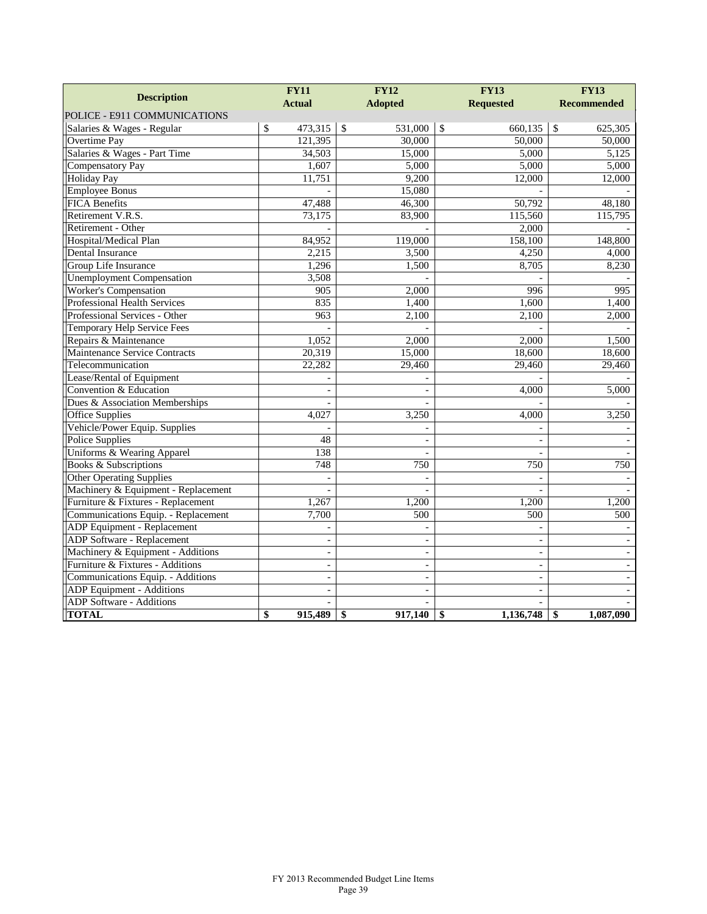|                                      | <b>FY11</b>              |               | <b>FY12</b>    | <b>FY13</b>              | <b>FY13</b>              |
|--------------------------------------|--------------------------|---------------|----------------|--------------------------|--------------------------|
| <b>Description</b>                   | <b>Actual</b>            |               | <b>Adopted</b> | <b>Requested</b>         | <b>Recommended</b>       |
| POLICE - E911 COMMUNICATIONS         |                          |               |                |                          |                          |
| Salaries & Wages - Regular           | \$<br>473,315            | $\mathcal{S}$ | 531,000        | \$<br>660,135            | \$<br>625,305            |
| Overtime Pay                         | 121,395                  |               | 30,000         | 50,000                   | 50,000                   |
| Salaries & Wages - Part Time         | 34,503                   |               | 15,000         | 5,000                    | 5,125                    |
| <b>Compensatory Pay</b>              | 1,607                    |               | 5,000          | 5,000                    | 5,000                    |
| <b>Holiday Pay</b>                   | 11,751                   |               | 9.200          | 12,000                   | 12,000                   |
| <b>Employee Bonus</b>                |                          |               | 15,080         |                          |                          |
| <b>FICA Benefits</b>                 | 47, 488                  |               | 46,300         | 50,792                   | 48,180                   |
| Retirement V.R.S.                    | 73,175                   |               | 83,900         | 115,560                  | 115,795                  |
| Retirement - Other                   |                          |               |                | 2,000                    |                          |
| Hospital/Medical Plan                | 84,952                   |               | 119,000        | 158,100                  | 148,800                  |
| Dental Insurance                     | 2,215                    |               | 3,500          | 4,250                    | 4,000                    |
| Group Life Insurance                 | 1,296                    |               | 1,500          | 8,705                    | 8,230                    |
| <b>Unemployment Compensation</b>     | 3,508                    |               |                |                          |                          |
| <b>Worker's Compensation</b>         | 905                      |               | 2,000          | 996                      | 995                      |
| <b>Professional Health Services</b>  | 835                      |               | 1,400          | 1,600                    | 1,400                    |
| Professional Services - Other        | 963                      |               | 2,100          | 2,100                    | 2,000                    |
| Temporary Help Service Fees          |                          |               |                |                          |                          |
| Repairs & Maintenance                | 1,052                    |               | 2,000          | 2,000                    | 1,500                    |
| <b>Maintenance Service Contracts</b> | 20,319                   |               | 15,000         | 18,600                   | 18,600                   |
| Telecommunication                    | 22,282                   |               | 29,460         | 29,460                   | 29,460                   |
| Lease/Rental of Equipment            |                          |               |                |                          |                          |
| Convention & Education               |                          |               |                | 4,000                    | 5,000                    |
| Dues & Association Memberships       |                          |               |                |                          |                          |
| <b>Office Supplies</b>               | 4,027                    |               | 3,250          | 4,000                    | 3,250                    |
| Vehicle/Power Equip. Supplies        |                          |               |                |                          |                          |
| <b>Police Supplies</b>               | 48                       |               |                |                          |                          |
| Uniforms & Wearing Apparel           | 138                      |               |                | $\overline{\phantom{a}}$ |                          |
| <b>Books &amp; Subscriptions</b>     | 748                      |               | 750            | 750                      | 750                      |
| <b>Other Operating Supplies</b>      | $\blacksquare$           |               |                | $\sim$                   |                          |
| Machinery & Equipment - Replacement  |                          |               |                |                          |                          |
| Furniture & Fixtures - Replacement   | 1,267                    |               | 1,200          | 1,200                    | 1,200                    |
| Communications Equip. - Replacement  | 7,700                    |               | 500            | 500                      | 500                      |
| ADP Equipment - Replacement          |                          |               |                |                          |                          |
| <b>ADP</b> Software - Replacement    | $\overline{a}$           |               |                | $\overline{a}$           |                          |
| Machinery & Equipment - Additions    | $\overline{\phantom{a}}$ |               | $\overline{a}$ | $\overline{\phantom{a}}$ |                          |
| Furniture & Fixtures - Additions     | $\blacksquare$           |               | $\overline{a}$ | $\blacksquare$           | $\overline{\phantom{a}}$ |
| Communications Equip. - Additions    |                          |               |                | $\sim$                   |                          |
| ADP Equipment - Additions            | $\blacksquare$           |               | $\overline{a}$ | $\frac{1}{2}$            |                          |
| ADP Software - Additions             |                          |               |                |                          |                          |
| <b>TOTAL</b>                         | \$<br>915,489            | \$            | 917,140        | \$<br>1,136,748          | \$<br>1,087,090          |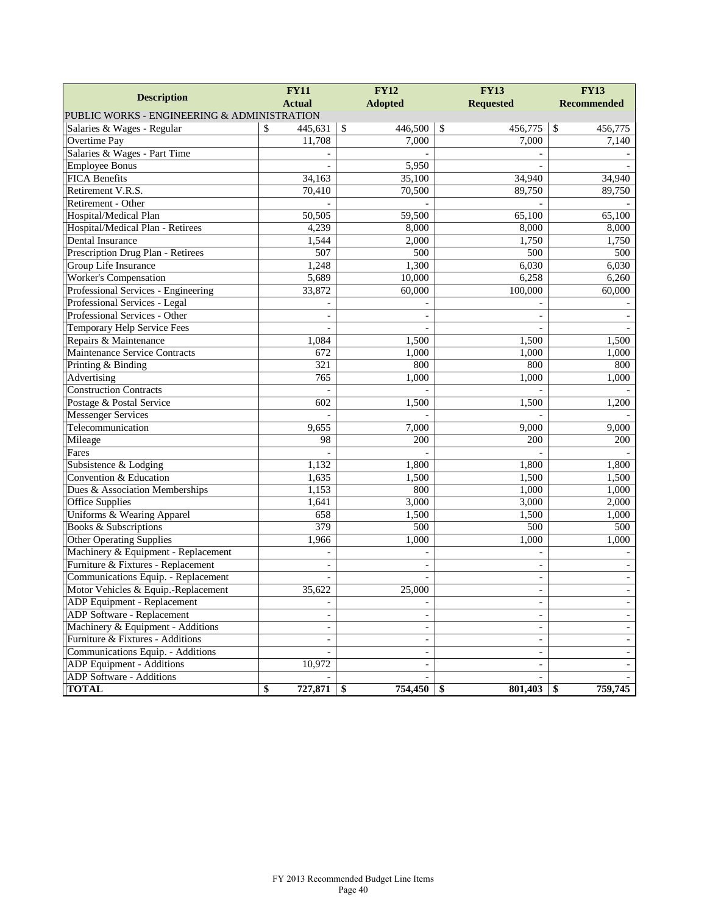|                                             | <b>FY11</b>              | <b>FY12</b>                  | <b>FY13</b>              | <b>FY13</b>        |  |
|---------------------------------------------|--------------------------|------------------------------|--------------------------|--------------------|--|
| <b>Description</b>                          | <b>Actual</b>            | <b>Adopted</b>               | <b>Requested</b>         | <b>Recommended</b> |  |
| PUBLIC WORKS - ENGINEERING & ADMINISTRATION |                          |                              |                          |                    |  |
| Salaries & Wages - Regular                  | \$<br>445,631            | $\mathcal{S}$<br>446,500     | \$<br>456,775            | \$<br>456,775      |  |
| <b>Overtime Pay</b>                         | 11,708                   | 7,000                        | 7,000                    | 7,140              |  |
| Salaries & Wages - Part Time                |                          |                              |                          |                    |  |
| <b>Employee Bonus</b>                       |                          | 5,950                        |                          |                    |  |
| <b>FICA Benefits</b>                        | 34,163                   | 35,100                       | 34,940                   | 34,940             |  |
| Retirement V.R.S.                           | 70,410                   | 70,500                       | 89,750                   | 89,750             |  |
| Retirement - Other                          |                          |                              |                          |                    |  |
| Hospital/Medical Plan                       | 50,505                   | 59,500                       | 65,100                   | 65,100             |  |
| Hospital/Medical Plan - Retirees            | 4,239                    | 8,000                        | 8,000                    | 8,000              |  |
| Dental Insurance                            | 1,544                    | 2,000                        | 1,750                    | 1,750              |  |
| Prescription Drug Plan - Retirees           | 507                      | 500                          | 500                      | 500                |  |
| Group Life Insurance                        | 1,248                    | 1,300                        | 6,030                    | 6,030              |  |
| Worker's Compensation                       | 5,689                    | 10,000                       | 6,258                    | 6,260              |  |
| Professional Services - Engineering         | 33,872                   | 60,000                       | 100,000                  | 60,000             |  |
| Professional Services - Legal               |                          |                              |                          |                    |  |
| Professional Services - Other               |                          |                              |                          |                    |  |
| Temporary Help Service Fees                 | $\overline{a}$           |                              |                          |                    |  |
| Repairs & Maintenance                       | 1,084                    | 1,500                        | 1,500                    | 1,500              |  |
| Maintenance Service Contracts               | 672                      | 1,000                        | 1,000                    | 1,000              |  |
| Printing & Binding                          | 321                      | 800                          | 800                      | 800                |  |
| Advertising                                 | 765                      | 1,000                        | 1,000                    | 1,000              |  |
| <b>Construction Contracts</b>               |                          |                              |                          |                    |  |
| Postage & Postal Service                    | 602                      | 1,500                        | 1,500                    | 1,200              |  |
| <b>Messenger Services</b>                   |                          |                              |                          |                    |  |
| Telecommunication                           | 9,655                    | 7,000                        | 9,000                    | 9,000              |  |
| Mileage                                     | 98                       | 200                          | 200                      | 200                |  |
| Fares                                       |                          |                              |                          |                    |  |
| Subsistence & Lodging                       | 1,132                    | 1,800                        | 1,800                    | 1,800              |  |
| Convention & Education                      | 1,635                    | 1,500                        | 1,500                    | 1,500              |  |
| Dues & Association Memberships              | 1,153                    | 800                          | 1,000                    | 1,000              |  |
| <b>Office Supplies</b>                      | 1,641                    | 3,000                        | 3,000                    | 2,000              |  |
| Uniforms & Wearing Apparel                  | 658                      | 1,500                        | 1,500                    | 1,000              |  |
| Books & Subscriptions                       | 379                      | $\overline{500}$             | 500                      | 500                |  |
| <b>Other Operating Supplies</b>             | 1,966                    | 1,000                        | 1,000                    | 1,000              |  |
| Machinery & Equipment - Replacement         | $\overline{a}$           |                              |                          |                    |  |
| Furniture & Fixtures - Replacement          | $\blacksquare$           |                              | $\overline{\phantom{a}}$ |                    |  |
| Communications Equip. - Replacement         |                          |                              |                          |                    |  |
| Motor Vehicles & Equip.-Replacement         | 35,622                   | 25,000                       | $\overline{\phantom{a}}$ | $\blacksquare$     |  |
| ADP Equipment - Replacement                 | $\overline{\phantom{a}}$ |                              | $\overline{\phantom{a}}$ |                    |  |
| <b>ADP</b> Software - Replacement           |                          |                              | $\blacksquare$           |                    |  |
| Machinery & Equipment - Additions           |                          |                              |                          |                    |  |
| Furniture & Fixtures - Additions            |                          |                              |                          |                    |  |
| Communications Equip. - Additions           |                          | $\qquad \qquad \blacksquare$ | $\overline{\phantom{a}}$ |                    |  |
| ADP Equipment - Additions                   | 10,972                   |                              |                          |                    |  |
| <b>ADP</b> Software - Additions             |                          |                              |                          |                    |  |
| <b>TOTAL</b>                                | \$<br>727,871            | 754,450<br>-\$               | 801,403<br>-\$           | 759,745<br>\$      |  |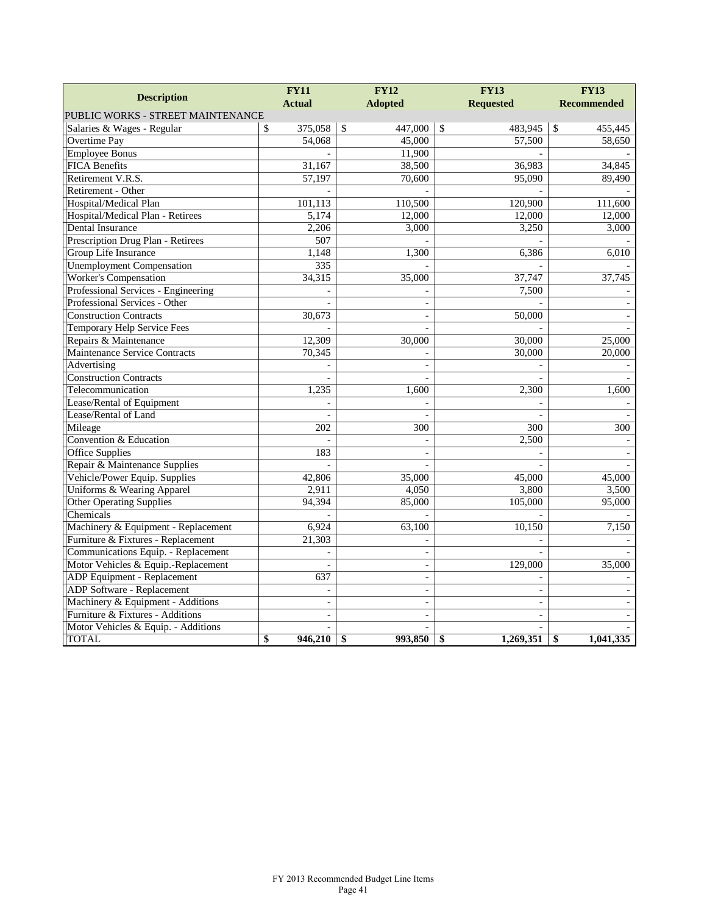| <b>Description</b>                   | <b>FY11</b>      | <b>FY12</b>              | <b>FY13</b>      | <b>FY13</b>        |
|--------------------------------------|------------------|--------------------------|------------------|--------------------|
|                                      | <b>Actual</b>    | <b>Adopted</b>           | <b>Requested</b> | <b>Recommended</b> |
| PUBLIC WORKS - STREET MAINTENANCE    |                  |                          |                  |                    |
| Salaries & Wages - Regular           | 375,058<br>\$    | $\mathcal{S}$<br>447,000 | \$<br>483,945    | \$<br>455,445      |
| <b>Overtime Pay</b>                  | 54,068           | 45,000                   | 57,500           | 58,650             |
| <b>Employee Bonus</b>                |                  | 11,900                   |                  |                    |
| <b>FICA</b> Benefits                 | 31,167           | 38,500                   | 36,983           | 34,845             |
| Retirement V.R.S.                    | 57,197           | 70,600                   | 95,090           | 89,490             |
| Retirement - Other                   |                  |                          |                  |                    |
| Hospital/Medical Plan                | 101,113          | 110,500                  | 120,900          | 111,600            |
| Hospital/Medical Plan - Retirees     | 5,174            | 12,000                   | 12,000           | 12,000             |
| Dental Insurance                     | 2,206            | 3,000                    | 3,250            | 3.000              |
| Prescription Drug Plan - Retirees    | 507              |                          |                  |                    |
| Group Life Insurance                 | 1,148            | 1,300                    | 6,386            | 6,010              |
| <b>Unemployment Compensation</b>     | 335              |                          |                  |                    |
| <b>Worker's Compensation</b>         | 34,315           | 35,000                   | 37,747           | 37,745             |
| Professional Services - Engineering  |                  |                          | 7,500            |                    |
| Professional Services - Other        |                  | $\overline{a}$           |                  |                    |
| <b>Construction Contracts</b>        | 30,673           | $\overline{a}$           | 50,000           |                    |
| Temporary Help Service Fees          |                  |                          |                  |                    |
| Repairs & Maintenance                | 12,309           | 30,000                   | 30,000           | 25,000             |
| <b>Maintenance Service Contracts</b> | 70,345           |                          | 30,000           | 20,000             |
| Advertising                          |                  |                          |                  |                    |
| <b>Construction Contracts</b>        |                  |                          |                  |                    |
| Telecommunication                    | 1,235            | 1,600                    | 2,300            | 1,600              |
| Lease/Rental of Equipment            |                  |                          |                  |                    |
| Lease/Rental of Land                 |                  |                          |                  |                    |
| Mileage                              | $\overline{202}$ | 300                      | 300              | $\overline{300}$   |
| Convention & Education               |                  |                          | 2,500            |                    |
| <b>Office Supplies</b>               | 183              | L,                       |                  |                    |
| Repair & Maintenance Supplies        |                  |                          |                  |                    |
| Vehicle/Power Equip. Supplies        | 42,806           | 35,000                   | 45,000           | 45,000             |
| Uniforms & Wearing Apparel           | 2,911            | 4,050                    | 3,800            | 3,500              |
| <b>Other Operating Supplies</b>      | 94,394           | 85,000                   | 105,000          | 95,000             |
| Chemicals                            |                  |                          |                  |                    |
| Machinery & Equipment - Replacement  | 6,924            | 63,100                   | 10,150           | 7,150              |
| Furniture & Fixtures - Replacement   | 21,303           |                          |                  |                    |
| Communications Equip. - Replacement  |                  | $\blacksquare$           |                  |                    |
| Motor Vehicles & Equip.-Replacement  |                  |                          | 129,000          | 35,000             |
| ADP Equipment - Replacement          | 637              | $\blacksquare$           |                  |                    |
| <b>ADP</b> Software - Replacement    | $\blacksquare$   | $\blacksquare$           | $\overline{a}$   |                    |
| Machinery & Equipment - Additions    | $\overline{a}$   | L.                       | $\frac{1}{2}$    |                    |
| Furniture & Fixtures - Additions     |                  |                          |                  |                    |
| Motor Vehicles & Equip. - Additions  |                  |                          |                  |                    |
| <b>TOTAL</b>                         | \$<br>946,210    | \$<br>993,850            | \$<br>1,269,351  | \$<br>1,041,335    |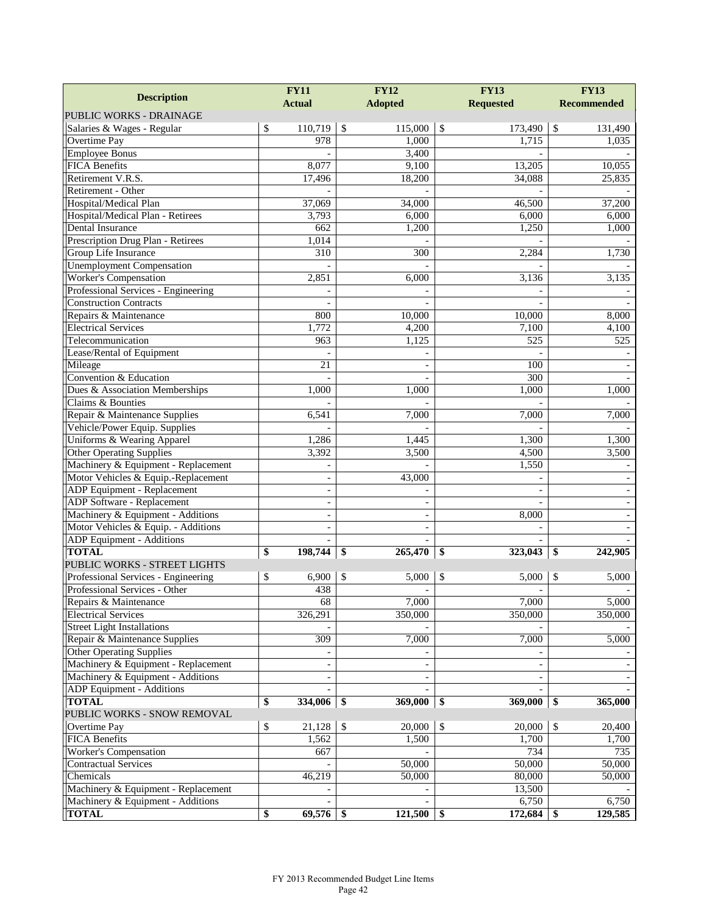| <b>Description</b>                                       | <b>FY11</b>              | <b>FY12</b>              | <b>FY13</b>              | <b>FY13</b>        |  |
|----------------------------------------------------------|--------------------------|--------------------------|--------------------------|--------------------|--|
|                                                          | <b>Actual</b>            | <b>Adopted</b>           | <b>Requested</b>         | <b>Recommended</b> |  |
| PUBLIC WORKS - DRAINAGE                                  |                          |                          |                          |                    |  |
| Salaries & Wages - Regular                               | \$<br>110,719            | $\mathcal{S}$<br>115,000 | $\sqrt{3}$<br>173,490    | \$<br>131,490      |  |
| Overtime Pay                                             | 978                      | 1,000                    | 1,715                    | 1,035              |  |
| <b>Employee Bonus</b>                                    |                          | 3,400                    |                          |                    |  |
| <b>FICA Benefits</b>                                     | 8,077                    | 9,100                    | 13,205                   | 10,055             |  |
| Retirement V.R.S.                                        | 17,496                   | 18,200                   | 34,088                   | 25,835             |  |
| Retirement - Other                                       |                          |                          |                          |                    |  |
| Hospital/Medical Plan                                    | 37,069                   | 34,000                   | 46,500                   | 37,200             |  |
| Hospital/Medical Plan - Retirees<br>Dental Insurance     | 3,793                    | 6,000                    | 6,000                    | 6,000              |  |
|                                                          | 662                      | 1,200                    | 1,250                    | 1,000              |  |
| Prescription Drug Plan - Retirees                        | 1,014<br>310             | 300                      | 2,284                    | 1,730              |  |
| Group Life Insurance<br><b>Unemployment Compensation</b> |                          |                          |                          |                    |  |
| Worker's Compensation                                    | 2,851                    | 6,000                    | 3,136                    | 3,135              |  |
| Professional Services - Engineering                      |                          |                          |                          |                    |  |
| <b>Construction Contracts</b>                            |                          |                          |                          |                    |  |
| Repairs & Maintenance                                    | 800                      | 10,000                   | 10,000                   | 8,000              |  |
| <b>Electrical Services</b>                               | 1,772                    | 4,200                    | 7,100                    | 4,100              |  |
| Telecommunication                                        | 963                      | 1,125                    | 525                      | 525                |  |
| Lease/Rental of Equipment                                |                          |                          |                          |                    |  |
| Mileage                                                  | 21                       |                          | 100                      |                    |  |
| Convention & Education                                   |                          |                          | 300                      |                    |  |
| Dues & Association Memberships                           | 1,000                    | 1,000                    | 1,000                    | 1,000              |  |
| Claims & Bounties                                        |                          |                          |                          |                    |  |
| Repair & Maintenance Supplies                            | 6,541                    | 7,000                    | 7,000                    | 7,000              |  |
| Vehicle/Power Equip. Supplies                            |                          |                          |                          |                    |  |
| Uniforms & Wearing Apparel                               | 1,286                    | 1,445                    | 1,300                    | 1,300              |  |
| <b>Other Operating Supplies</b>                          | 3,392                    | 3,500                    | 4,500                    | 3,500              |  |
| Machinery & Equipment - Replacement                      | $\sim$                   |                          | 1,550                    |                    |  |
| Motor Vehicles & Equip.-Replacement                      | $\sim$                   | 43,000                   |                          |                    |  |
| ADP Equipment - Replacement                              | $\overline{\phantom{a}}$ |                          | $\overline{\phantom{a}}$ |                    |  |
| <b>ADP</b> Software - Replacement                        | $\overline{\phantom{m}}$ |                          |                          |                    |  |
| Machinery & Equipment - Additions                        | $\blacksquare$           |                          | 8,000                    |                    |  |
| Motor Vehicles & Equip. - Additions                      | $\sim$                   | $\overline{\phantom{a}}$ |                          |                    |  |
| ADP Equipment - Additions                                |                          |                          |                          |                    |  |
| <b>TOTAL</b>                                             | \$<br>198,744            | \$<br>265,470            | 323,043<br>\$            | 242,905<br>\$      |  |
| PUBLIC WORKS - STREET LIGHTS                             |                          |                          |                          |                    |  |
| Professional Services - Engineering                      | \$<br>6,900              | 5,000<br>\$              | \$<br>5,000              | 5,000<br>\$        |  |
| Professional Services - Other                            | 438                      | ÷,                       |                          |                    |  |
| Repairs & Maintenance                                    | 68                       | 7,000                    | 7,000                    | 5,000              |  |
| <b>Electrical Services</b>                               | 326,291                  | 350,000                  | 350,000                  | 350,000            |  |
| <b>Street Light Installations</b>                        |                          |                          |                          |                    |  |
| Repair & Maintenance Supplies                            | 309                      | 7,000                    | 7,000                    | 5,000              |  |
| <b>Other Operating Supplies</b>                          |                          |                          |                          |                    |  |
| Machinery & Equipment - Replacement                      |                          |                          | $\overline{\phantom{a}}$ |                    |  |
| Machinery & Equipment - Additions                        | $\overline{\phantom{a}}$ |                          |                          |                    |  |
| <b>ADP</b> Equipment - Additions                         |                          |                          |                          |                    |  |
| <b>TOTAL</b>                                             | \$<br>334,006            | 369,000<br>-\$           | 369,000<br>-\$           | 365,000<br>\$      |  |
| PUBLIC WORKS - SNOW REMOVAL                              |                          |                          |                          |                    |  |
| Overtime Pay                                             | \$<br>21,128             | 20,000<br>-S             | $\mathcal{S}$<br>20,000  | 20,400<br>\$       |  |
| <b>FICA Benefits</b>                                     | 1,562                    | 1,500                    | 1,700                    | 1,700              |  |
| Worker's Compensation                                    | 667                      |                          | 734                      | 735                |  |
| <b>Contractual Services</b>                              |                          | 50,000                   | 50,000                   | 50,000             |  |
| Chemicals                                                | 46,219                   | 50,000                   | 80,000                   | 50,000             |  |
| Machinery & Equipment - Replacement                      |                          |                          | 13,500                   |                    |  |
| Machinery & Equipment - Additions                        |                          |                          | 6,750                    | 6,750              |  |
| <b>TOTAL</b>                                             | 69,576<br>\$             | 121,500                  | 172,684<br>-S            | 129,585<br>\$      |  |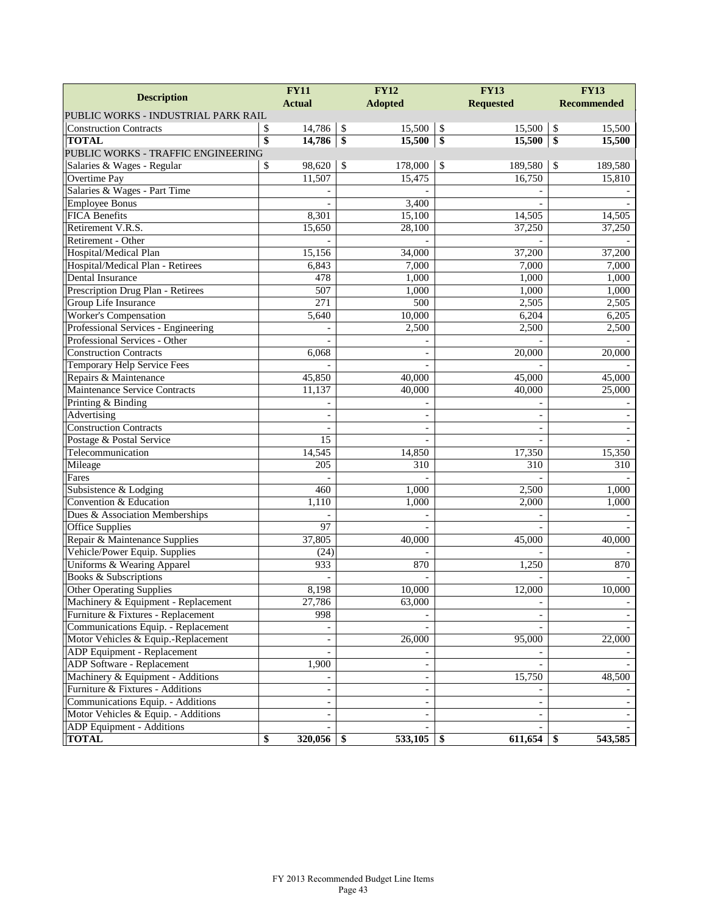|                                      | <b>FY11</b>     |                          | <b>FY12</b>             |                |    | <b>FY13</b>              | <b>FY13</b>        |         |
|--------------------------------------|-----------------|--------------------------|-------------------------|----------------|----|--------------------------|--------------------|---------|
| <b>Description</b>                   | <b>Actual</b>   |                          |                         | <b>Adopted</b> |    | <b>Requested</b>         | <b>Recommended</b> |         |
| PUBLIC WORKS - INDUSTRIAL PARK RAIL  |                 |                          |                         |                |    |                          |                    |         |
| <b>Construction Contracts</b>        | \$              | 14,786                   | $\mathcal{S}$           | 15,500         | \$ | 15,500                   | \$                 | 15,500  |
| <b>TOTAL</b>                         | $\overline{\$}$ | 14,786                   | $\overline{\mathbf{S}}$ | 15,500         | \$ | 15,500                   | \$                 | 15,500  |
| PUBLIC WORKS - TRAFFIC ENGINEERING   |                 |                          |                         |                |    |                          |                    |         |
| Salaries & Wages - Regular           | \$              | 98,620                   | \$                      | 178,000        | \$ | 189,580                  | \$                 | 189,580 |
| Overtime Pay                         |                 | 11,507                   |                         | 15,475         |    | 16,750                   |                    | 15,810  |
| Salaries & Wages - Part Time         |                 |                          |                         |                |    |                          |                    |         |
| <b>Employee Bonus</b>                |                 |                          |                         | 3,400          |    |                          |                    |         |
| <b>FICA Benefits</b>                 |                 | 8,301                    |                         | 15,100         |    | 14,505                   |                    | 14,505  |
| Retirement V.R.S.                    |                 | 15,650                   |                         | 28,100         |    | 37,250                   |                    | 37,250  |
| Retirement - Other                   |                 |                          |                         |                |    |                          |                    |         |
| Hospital/Medical Plan                |                 | 15,156                   |                         | 34,000         |    | 37,200                   |                    | 37,200  |
| Hospital/Medical Plan - Retirees     |                 | 6,843                    |                         | 7,000          |    | 7,000                    |                    | 7,000   |
| Dental Insurance                     |                 | 478                      |                         | 1,000          |    | 1,000                    |                    | 1,000   |
| Prescription Drug Plan - Retirees    |                 | 507                      |                         | 1,000          |    | 1,000                    |                    | 1,000   |
| Group Life Insurance                 |                 | $\overline{271}$         |                         | 500            |    | 2,505                    |                    | 2,505   |
| <b>Worker's Compensation</b>         |                 | 5,640                    |                         | 10,000         |    | 6,204                    |                    | 6,205   |
| Professional Services - Engineering  |                 |                          |                         | 2,500          |    | 2,500                    |                    | 2,500   |
| Professional Services - Other        |                 |                          |                         |                |    |                          |                    |         |
| <b>Construction Contracts</b>        |                 | 6,068                    |                         |                |    | 20,000                   |                    | 20,000  |
| Temporary Help Service Fees          |                 |                          |                         |                |    |                          |                    |         |
| Repairs & Maintenance                |                 | 45,850                   |                         | 40,000         |    | 45,000                   |                    | 45,000  |
| <b>Maintenance Service Contracts</b> |                 | 11,137                   |                         | 40,000         |    | 40,000                   |                    | 25,000  |
| Printing & Binding                   |                 |                          |                         |                |    |                          |                    |         |
| Advertising                          |                 |                          |                         |                |    |                          |                    |         |
| <b>Construction Contracts</b>        |                 |                          |                         |                |    | $\overline{\phantom{a}}$ |                    |         |
| Postage & Postal Service             |                 | 15                       |                         |                |    |                          |                    |         |
| Telecommunication                    |                 | 14,545                   |                         | 14,850         |    | 17,350                   |                    | 15,350  |
| Mileage                              |                 | 205                      |                         | 310            |    | 310                      |                    | 310     |
| Fares                                |                 |                          |                         |                |    |                          |                    |         |
| Subsistence & Lodging                |                 | 460                      |                         | 1,000          |    | 2,500                    |                    | 1,000   |
| Convention & Education               |                 | 1,110                    |                         | 1,000          |    | 2,000                    |                    | 1,000   |
| Dues & Association Memberships       |                 |                          |                         |                |    |                          |                    |         |
| Office Supplies                      |                 | 97                       |                         |                |    |                          |                    |         |
| Repair & Maintenance Supplies        |                 | 37,805                   |                         | 40,000         |    | 45,000                   |                    | 40,000  |
| Vehicle/Power Equip. Supplies        |                 | (24)                     |                         |                |    |                          |                    |         |
| Uniforms & Wearing Apparel           |                 | 933                      |                         | 870            |    | 1,250                    |                    | 870     |
| <b>Books &amp; Subscriptions</b>     |                 |                          |                         |                |    |                          |                    |         |
| <b>Other Operating Supplies</b>      |                 | 8,198                    |                         | 10,000         |    | 12,000                   |                    | 10,000  |
| Machinery & Equipment - Replacement  |                 | 27,786                   |                         | 63,000         |    |                          |                    |         |
| Furniture & Fixtures - Replacement   |                 | 998                      |                         |                |    | $\overline{a}$           |                    |         |
| Communications Equip. - Replacement  |                 |                          |                         |                |    |                          |                    |         |
| Motor Vehicles & Equip.-Replacement  |                 | $\overline{\phantom{a}}$ |                         | 26,000         |    | 95,000                   |                    | 22,000  |
| ADP Equipment - Replacement          |                 |                          |                         |                |    |                          |                    |         |
| ADP Software - Replacement           |                 | 1,900                    |                         |                |    |                          |                    |         |
| Machinery & Equipment - Additions    |                 |                          |                         |                |    | 15,750                   |                    | 48,500  |
| Furniture & Fixtures - Additions     |                 |                          |                         |                |    |                          |                    |         |
| Communications Equip. - Additions    |                 | $\overline{\phantom{a}}$ |                         |                |    | $\overline{\phantom{a}}$ |                    |         |
| Motor Vehicles & Equip. - Additions  |                 | $\overline{\phantom{a}}$ |                         |                |    | $\overline{\phantom{0}}$ |                    |         |
| ADP Equipment - Additions            |                 |                          |                         |                |    |                          |                    |         |
| <b>TOTAL</b>                         | \$              | 320,056                  | S                       | 533,105        | \$ | 611,654                  | \$                 | 543,585 |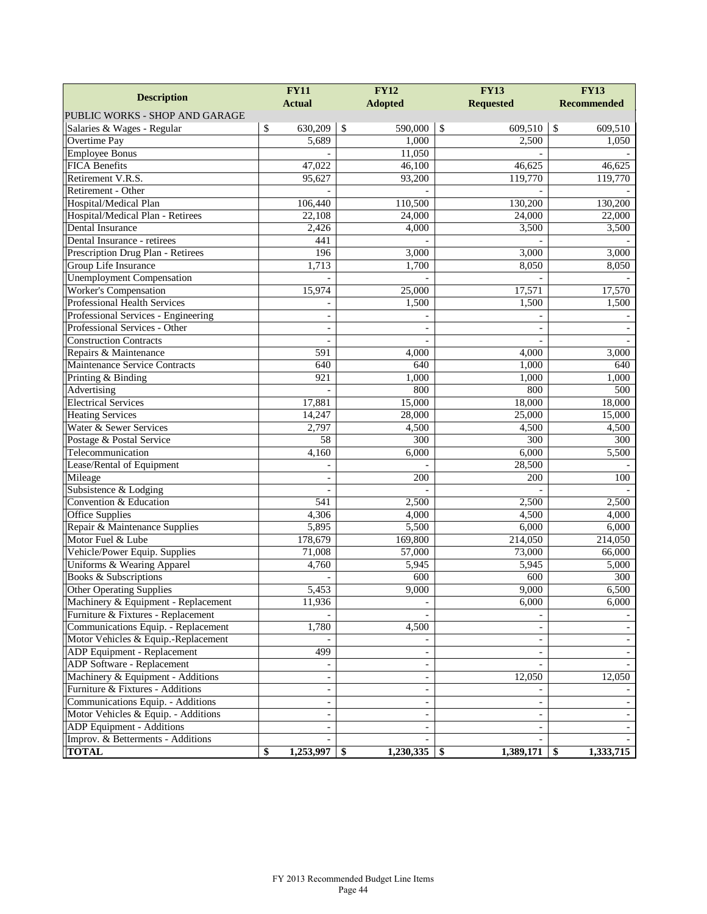| <b>FY11</b>                         |                 | <b>FY12</b>              | <b>FY13</b>              | <b>FY13</b>        |  |  |
|-------------------------------------|-----------------|--------------------------|--------------------------|--------------------|--|--|
| <b>Description</b>                  | <b>Actual</b>   | <b>Adopted</b>           | <b>Requested</b>         | <b>Recommended</b> |  |  |
| PUBLIC WORKS - SHOP AND GARAGE      |                 |                          |                          |                    |  |  |
| Salaries & Wages - Regular          | \$<br>630,209   | \$<br>590,000            | \$<br>609,510            | \$<br>609,510      |  |  |
| Overtime Pay                        | 5,689           | 1,000                    | 2,500                    | 1,050              |  |  |
| <b>Employee Bonus</b>               |                 | 11,050                   |                          |                    |  |  |
| <b>FICA Benefits</b>                | 47,022          | 46,100                   | 46,625                   | 46,625             |  |  |
| Retirement V.R.S.                   | 95,627          | 93,200                   | 119,770                  | 119,770            |  |  |
| Retirement - Other                  |                 |                          |                          |                    |  |  |
| Hospital/Medical Plan               | 106,440         | 110,500                  | 130,200                  | 130,200            |  |  |
| Hospital/Medical Plan - Retirees    | 22,108          | 24,000                   | 24,000                   | 22,000             |  |  |
| Dental Insurance                    | 2,426           | 4,000                    | 3,500                    | 3,500              |  |  |
| Dental Insurance - retirees         | 441             |                          |                          |                    |  |  |
| Prescription Drug Plan - Retirees   | 196             | 3,000                    | 3,000                    | 3,000              |  |  |
| Group Life Insurance                | 1,713           | 1,700                    | 8,050                    | 8,050              |  |  |
| <b>Unemployment Compensation</b>    |                 |                          |                          |                    |  |  |
| <b>Worker's Compensation</b>        | 15,974          | 25,000                   | 17,571                   | 17,570             |  |  |
| <b>Professional Health Services</b> |                 | 1,500                    | 1,500                    | 1,500              |  |  |
| Professional Services - Engineering |                 |                          |                          |                    |  |  |
| Professional Services - Other       |                 |                          |                          |                    |  |  |
| <b>Construction Contracts</b>       |                 |                          |                          |                    |  |  |
| Repairs & Maintenance               | 591             | 4,000                    | 4,000                    | 3,000              |  |  |
| Maintenance Service Contracts       | 640             | 640                      | 1,000                    | 640                |  |  |
| Printing & Binding                  | 921             | 1,000                    | 1,000                    | 1,000              |  |  |
| Advertising                         |                 | 800                      | 800                      | 500                |  |  |
| <b>Electrical Services</b>          | 17,881          | 15,000                   | 18,000                   | 18,000             |  |  |
| <b>Heating Services</b>             | 14,247          | 28,000                   | 25,000                   | 15,000             |  |  |
| Water & Sewer Services              | 2,797           | 4,500                    | 4,500                    | 4,500              |  |  |
| Postage & Postal Service            | $\overline{58}$ | 300                      | 300                      | 300                |  |  |
| Telecommunication                   | 4,160           | 6,000                    | 6,000                    | 5,500              |  |  |
| Lease/Rental of Equipment           |                 |                          | 28,500                   |                    |  |  |
| Mileage                             |                 | 200                      | 200                      | 100                |  |  |
| Subsistence & Lodging               |                 |                          |                          |                    |  |  |
| Convention & Education              | 541             | 2,500                    | 2,500                    | 2,500              |  |  |
| <b>Office Supplies</b>              | 4,306           | 4,000                    | 4,500                    | 4,000              |  |  |
| Repair & Maintenance Supplies       | 5,895           | 5,500                    | 6,000                    | 6,000              |  |  |
| Motor Fuel & Lube                   | 178,679         | 169,800                  | 214,050                  | 214,050            |  |  |
| Vehicle/Power Equip. Supplies       | 71,008          | 57,000                   | 73,000                   | 66,000             |  |  |
| Uniforms & Wearing Apparel          | 4,760           | 5,945                    | 5,945                    | 5,000              |  |  |
| <b>Books &amp; Subscriptions</b>    |                 | 600                      | 600                      | 300                |  |  |
| <b>Other Operating Supplies</b>     | 5,453           | 9,000                    | 9,000                    | 6,500              |  |  |
| Machinery & Equipment - Replacement | 11,936          |                          | 6,000                    | 6,000              |  |  |
| Furniture & Fixtures - Replacement  |                 |                          |                          |                    |  |  |
| Communications Equip. - Replacement | 1,780           | 4,500                    |                          |                    |  |  |
| Motor Vehicles & Equip.-Replacement |                 |                          |                          |                    |  |  |
| ADP Equipment - Replacement         | 499             | $\sim$                   | $\overline{\phantom{a}}$ |                    |  |  |
| ADP Software - Replacement          |                 |                          |                          |                    |  |  |
| Machinery & Equipment - Additions   |                 |                          | 12,050                   | 12,050             |  |  |
| Furniture & Fixtures - Additions    |                 |                          |                          |                    |  |  |
| Communications Equip. - Additions   |                 |                          | $\overline{\phantom{a}}$ |                    |  |  |
| Motor Vehicles & Equip. - Additions | $\blacksquare$  | $\overline{\phantom{a}}$ | $\overline{\phantom{a}}$ |                    |  |  |
| ADP Equipment - Additions           |                 |                          |                          |                    |  |  |
| Improv. & Betterments - Additions   |                 |                          |                          |                    |  |  |
| <b>TOTAL</b>                        | \$<br>1,253,997 | 1,230,335<br>\$          | 1,389,171<br>-SS         | 1,333,715<br>-SS   |  |  |
|                                     |                 |                          |                          |                    |  |  |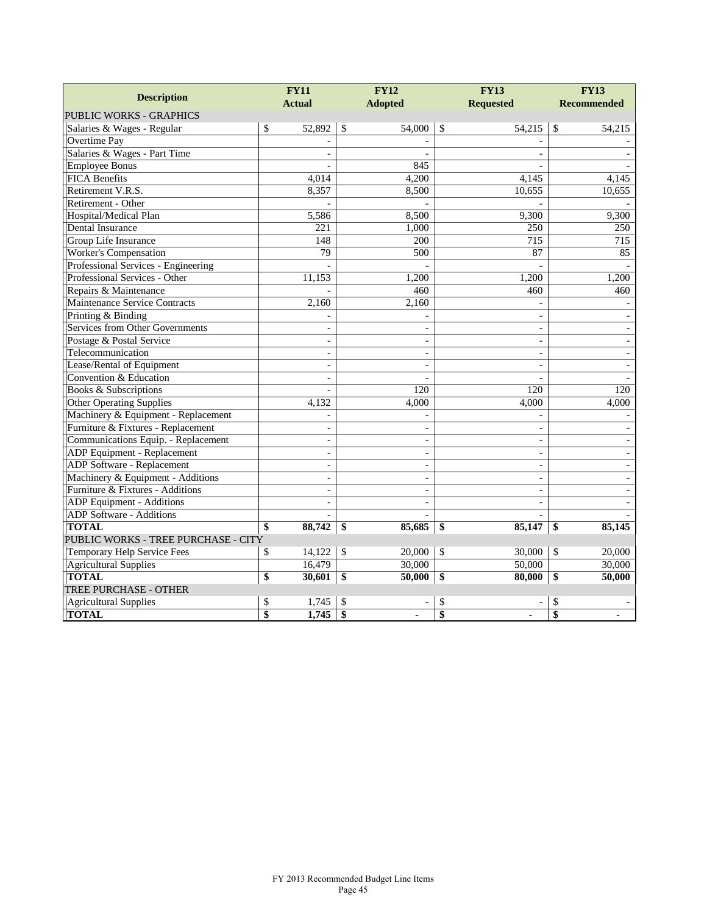|                                     | <b>FY11</b>     |                          |                         | <b>FY12</b>    |    | <b>FY13</b>              | <b>FY13</b>   |                          |
|-------------------------------------|-----------------|--------------------------|-------------------------|----------------|----|--------------------------|---------------|--------------------------|
| <b>Description</b>                  |                 | <b>Actual</b>            |                         | <b>Adopted</b> |    | <b>Requested</b>         |               | <b>Recommended</b>       |
| <b>PUBLIC WORKS - GRAPHICS</b>      |                 |                          |                         |                |    |                          |               |                          |
| Salaries & Wages - Regular          | \$              | 52,892                   | $\mathbb{S}$            | 54,000         | \$ | 54,215                   | \$            | 54,215                   |
| Overtime Pay                        |                 |                          |                         |                |    |                          |               |                          |
| Salaries & Wages - Part Time        |                 |                          |                         |                |    | $\sim$                   |               |                          |
| <b>Employee Bonus</b>               |                 |                          |                         | 845            |    |                          |               |                          |
| <b>FICA Benefits</b>                |                 | 4,014                    |                         | 4,200          |    | 4,145                    |               | 4,145                    |
| Retirement V.R.S.                   |                 | 8,357                    |                         | 8,500          |    | 10,655                   |               | 10,655                   |
| Retirement - Other                  |                 |                          |                         |                |    |                          |               |                          |
| Hospital/Medical Plan               |                 | 5,586                    |                         | 8,500          |    | 9,300                    |               | 9,300                    |
| Dental Insurance                    |                 | 221                      |                         | 1,000          |    | 250                      |               | 250                      |
| Group Life Insurance                |                 | 148                      |                         | 200            |    | 715                      |               | 715                      |
| Worker's Compensation               |                 | 79                       |                         | 500            |    | 87                       |               | 85                       |
| Professional Services - Engineering |                 | $\overline{a}$           |                         |                |    | $\overline{a}$           |               |                          |
| Professional Services - Other       |                 | 11,153                   |                         | 1,200          |    | 1,200                    |               | 1,200                    |
| Repairs & Maintenance               |                 |                          |                         | 460            |    | 460                      |               | 460                      |
| Maintenance Service Contracts       |                 | 2,160                    |                         | 2,160          |    |                          |               |                          |
| Printing & Binding                  |                 |                          |                         |                |    | $\sim$                   |               |                          |
| Services from Other Governments     |                 | ÷,                       |                         |                |    | $\blacksquare$           |               |                          |
| Postage & Postal Service            |                 | $\sim$                   |                         | $\sim$         |    | $\blacksquare$           |               |                          |
| Telecommunication                   |                 | $\overline{a}$           |                         |                |    | $\overline{a}$           |               |                          |
| Lease/Rental of Equipment           |                 | $\blacksquare$           |                         | $\blacksquare$ |    | $\blacksquare$           |               | $\overline{\phantom{a}}$ |
| Convention & Education              |                 | $\overline{a}$           |                         |                |    |                          |               |                          |
| Books & Subscriptions               |                 |                          |                         | 120            |    | 120                      |               | 120                      |
| <b>Other Operating Supplies</b>     |                 | 4,132                    |                         | 4,000          |    | 4,000                    |               | 4,000                    |
| Machinery & Equipment - Replacement |                 |                          |                         |                |    |                          |               |                          |
| Furniture & Fixtures - Replacement  |                 | $\blacksquare$           |                         | $\sim$         |    | $\blacksquare$           |               |                          |
| Communications Equip. - Replacement |                 | $\blacksquare$           |                         |                |    | $\sim$                   |               |                          |
| ADP Equipment - Replacement         |                 | $\blacksquare$           |                         | $\sim$         |    | $\overline{\phantom{a}}$ |               |                          |
| ADP Software - Replacement          |                 | $\overline{a}$           |                         | $\blacksquare$ |    | $\overline{a}$           |               |                          |
| Machinery & Equipment - Additions   |                 | $\overline{\phantom{a}}$ |                         | $\sim$         |    | $\blacksquare$           |               |                          |
| Furniture & Fixtures - Additions    |                 | $\overline{a}$           |                         |                |    | $\overline{a}$           |               |                          |
| ADP Equipment - Additions           |                 | $\bar{\phantom{a}}$      |                         | $\blacksquare$ |    | $\blacksquare$           |               |                          |
| ADP Software - Additions            |                 |                          |                         |                |    | $\overline{a}$           |               |                          |
| <b>TOTAL</b>                        | \$              | 88,742                   | \$                      | 85,685         | \$ | 85,147                   | \$            | 85,145                   |
| PUBLIC WORKS - TREE PURCHASE - CITY |                 |                          |                         |                |    |                          |               |                          |
| Temporary Help Service Fees         | \$              | 14,122                   | $\mathcal{S}$           | 20,000         | \$ | 30,000                   | $\mathcal{S}$ | 20,000                   |
| <b>Agricultural Supplies</b>        |                 | 16,479                   |                         | 30,000         |    | 50,000                   |               | 30,000                   |
| <b>TOTAL</b>                        | $\overline{\$}$ | 30,601                   | $\overline{\mathbf{S}}$ | 50,000         | \$ | 80,000                   | \$            | 50,000                   |
| TREE PURCHASE - OTHER               |                 |                          |                         |                |    |                          |               |                          |
| <b>Agricultural Supplies</b>        | \$              | 1,745                    | \$                      |                | \$ |                          | \$            |                          |
| <b>TOTAL</b>                        | $\overline{\$}$ | 1,745                    | $\overline{\$}$         |                | \$ |                          | \$            |                          |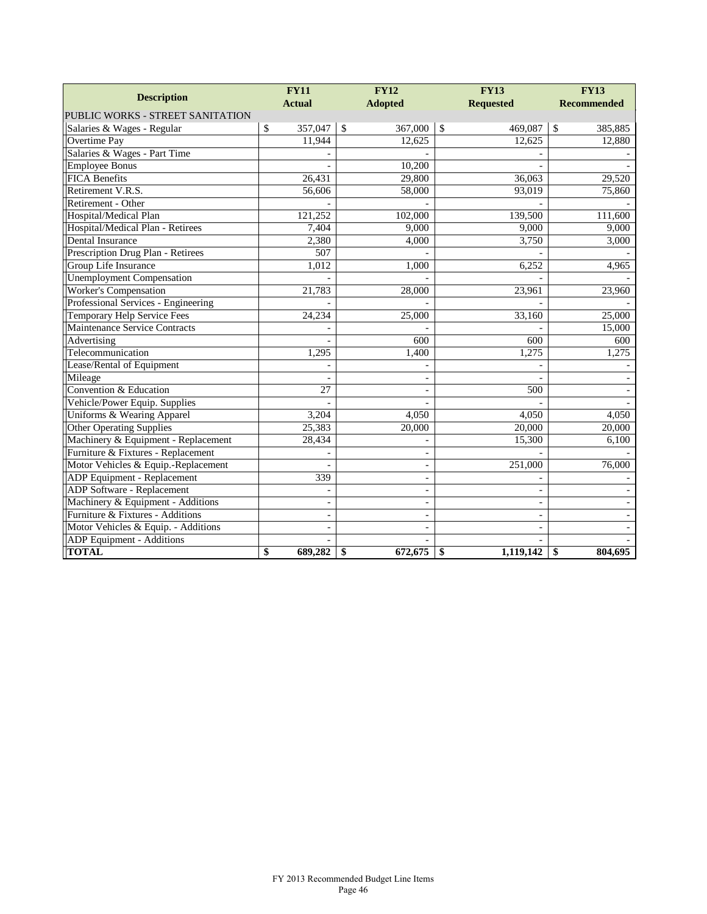|                                     | <b>FY11</b>   | <b>FY12</b>              | <b>FY13</b>              | <b>FY13</b>        |  |
|-------------------------------------|---------------|--------------------------|--------------------------|--------------------|--|
| <b>Description</b>                  | <b>Actual</b> | <b>Adopted</b>           | <b>Requested</b>         | <b>Recommended</b> |  |
| PUBLIC WORKS - STREET SANITATION    |               |                          |                          |                    |  |
| Salaries & Wages - Regular          | 357,047<br>\$ | $\mathbb{S}$<br>367,000  | \$<br>469,087            | \$<br>385,885      |  |
| Overtime Pay                        | 11,944        | 12,625                   | 12,625                   | 12,880             |  |
| Salaries & Wages - Part Time        |               |                          |                          |                    |  |
| <b>Employee Bonus</b>               |               | 10,200                   |                          |                    |  |
| <b>FICA Benefits</b>                | 26,431        | 29,800                   | 36,063                   | 29,520             |  |
| Retirement V.R.S.                   | 56,606        | 58,000                   | 93,019                   | 75,860             |  |
| Retirement - Other                  |               |                          |                          |                    |  |
| Hospital/Medical Plan               | 121,252       | 102,000                  | 139,500                  | 111,600            |  |
| Hospital/Medical Plan - Retirees    | 7,404         | 9,000                    | 9,000                    | 9,000              |  |
| Dental Insurance                    | 2,380         | 4,000                    | 3,750                    | 3,000              |  |
| Prescription Drug Plan - Retirees   | 507           |                          |                          |                    |  |
| Group Life Insurance                | 1,012         | 1,000                    | 6,252                    | 4,965              |  |
| <b>Unemployment Compensation</b>    |               |                          |                          |                    |  |
| <b>Worker's Compensation</b>        | 21,783        | 28,000                   | 23,961                   | 23,960             |  |
| Professional Services - Engineering |               |                          |                          |                    |  |
| Temporary Help Service Fees         | 24,234        | 25,000                   | 33,160                   | 25,000             |  |
| Maintenance Service Contracts       |               |                          |                          | 15,000             |  |
| Advertising                         |               | 600                      | 600                      | 600                |  |
| Telecommunication                   | 1,295         | 1,400                    | 1,275                    | 1,275              |  |
| Lease/Rental of Equipment           |               |                          |                          |                    |  |
| Mileage                             |               |                          |                          |                    |  |
| Convention & Education              | 27            | $\overline{a}$           | 500                      |                    |  |
| Vehicle/Power Equip. Supplies       |               |                          |                          |                    |  |
| Uniforms & Wearing Apparel          | 3,204         | 4,050                    | 4,050                    | 4,050              |  |
| <b>Other Operating Supplies</b>     | 25,383        | 20,000                   | 20,000                   | 20,000             |  |
| Machinery & Equipment - Replacement | 28,434        |                          | 15,300                   | 6,100              |  |
| Furniture & Fixtures - Replacement  |               |                          |                          |                    |  |
| Motor Vehicles & Equip.-Replacement |               | $\overline{a}$           | 251,000                  | 76,000             |  |
| ADP Equipment - Replacement         | 339           | ÷,                       |                          |                    |  |
| ADP Software - Replacement          |               | $\overline{\phantom{a}}$ |                          |                    |  |
| Machinery & Equipment - Additions   | ÷,            |                          | $\overline{\phantom{a}}$ |                    |  |
| Furniture & Fixtures - Additions    | ÷,            | $\overline{a}$           | $\blacksquare$           |                    |  |
| Motor Vehicles & Equip. - Additions |               |                          |                          |                    |  |
| ADP Equipment - Additions           |               |                          |                          |                    |  |
| <b>TOTAL</b>                        | \$<br>689,282 | \$<br>672,675            | \$<br>1,119,142          | \$<br>804,695      |  |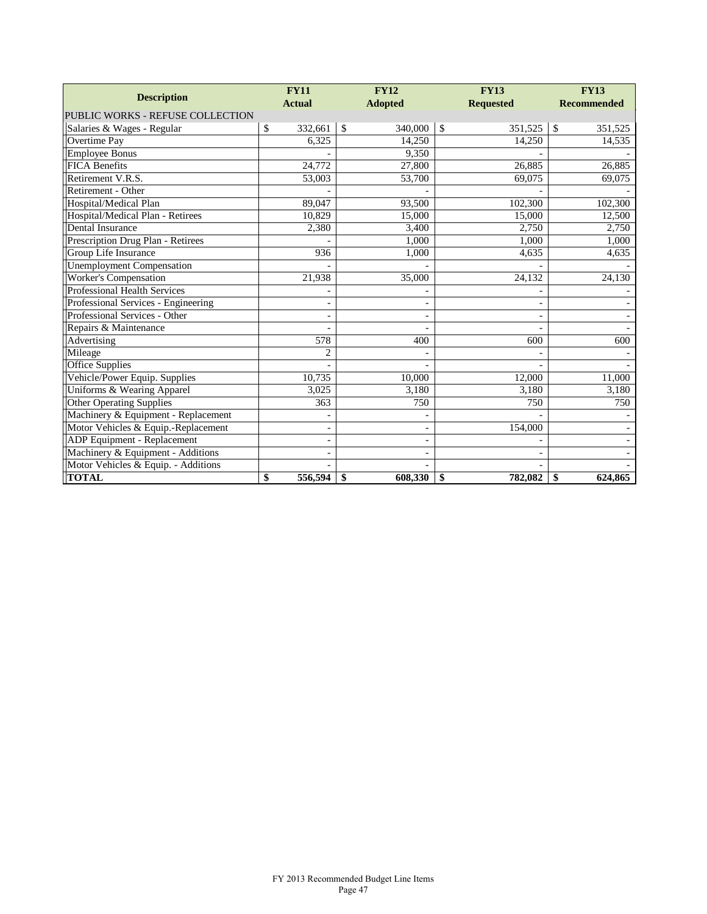| <b>Description</b>                  | <b>FY11</b>              | <b>FY12</b>            | <b>FY13</b>              | <b>FY13</b>        |
|-------------------------------------|--------------------------|------------------------|--------------------------|--------------------|
|                                     | <b>Actual</b>            | <b>Adopted</b>         | <b>Requested</b>         | <b>Recommended</b> |
| PUBLIC WORKS - REFUSE COLLECTION    |                          |                        |                          |                    |
| Salaries & Wages - Regular          | \$<br>332,661            | $\mathbf S$<br>340,000 | $\mathcal{S}$<br>351,525 | \$<br>351,525      |
| Overtime Pay                        | 6,325                    | 14,250                 | 14,250                   | 14,535             |
| <b>Employee Bonus</b>               |                          | 9,350                  |                          |                    |
| <b>FICA Benefits</b>                | 24,772                   | 27,800                 | 26,885                   | 26,885             |
| Retirement V.R.S.                   | 53,003                   | 53,700                 | 69,075                   | 69,075             |
| Retirement - Other                  |                          |                        |                          |                    |
| Hospital/Medical Plan               | 89,047                   | 93,500                 | 102,300                  | 102,300            |
| Hospital/Medical Plan - Retirees    | 10,829                   | 15,000                 | 15,000                   | 12,500             |
| Dental Insurance                    | 2,380                    | 3,400                  | 2,750                    | 2,750              |
| Prescription Drug Plan - Retirees   |                          | 1,000                  | 1,000                    | 1,000              |
| Group Life Insurance                | 936                      | 1,000                  | 4,635                    | 4,635              |
| <b>Unemployment Compensation</b>    |                          |                        |                          |                    |
| Worker's Compensation               | 21,938                   | 35,000                 | 24,132                   | 24,130             |
| <b>Professional Health Services</b> |                          |                        |                          |                    |
| Professional Services - Engineering | $\overline{\phantom{0}}$ |                        |                          |                    |
| Professional Services - Other       |                          |                        |                          |                    |
| Repairs & Maintenance               |                          |                        |                          |                    |
| Advertising                         | 578                      | 400                    | 600                      | 600                |
| Mileage                             | 2                        |                        |                          |                    |
| <b>Office Supplies</b>              |                          |                        |                          |                    |
| Vehicle/Power Equip. Supplies       | 10,735                   | 10,000                 | 12,000                   | 11,000             |
| Uniforms & Wearing Apparel          | 3,025                    | 3,180                  | 3,180                    | 3,180              |
| <b>Other Operating Supplies</b>     | 363                      | 750                    | 750                      | 750                |
| Machinery & Equipment - Replacement |                          |                        |                          |                    |
| Motor Vehicles & Equip.-Replacement |                          |                        | 154,000                  |                    |
| <b>ADP</b> Equipment - Replacement  |                          |                        |                          |                    |
| Machinery & Equipment - Additions   |                          |                        |                          |                    |
| Motor Vehicles & Equip. - Additions |                          |                        |                          |                    |
| <b>TOTAL</b>                        | \$<br>556,594            | \$<br>608,330          | 782,082<br>$\mathbf{\$}$ | 624,865<br>\$      |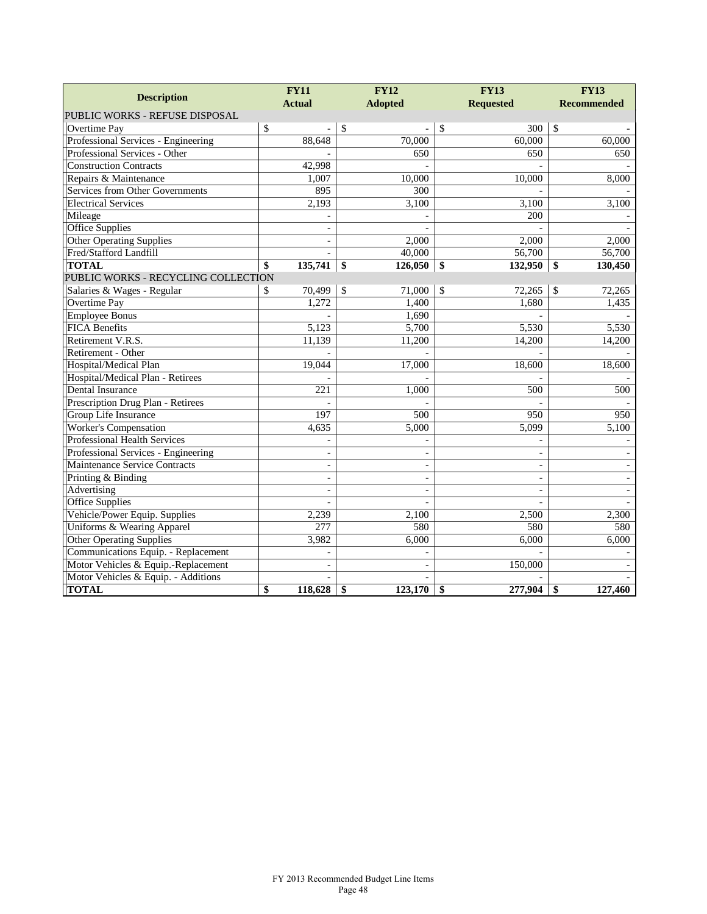|                                     | <b>FY11</b>              | <b>FY12</b>              | <b>FY13</b>              | <b>FY13</b>        |  |
|-------------------------------------|--------------------------|--------------------------|--------------------------|--------------------|--|
| <b>Description</b>                  | <b>Actual</b>            | <b>Adopted</b>           | <b>Requested</b>         | <b>Recommended</b> |  |
| PUBLIC WORKS - REFUSE DISPOSAL      |                          |                          |                          |                    |  |
| Overtime Pay                        | \$                       | $\mathcal{S}$            | $\mathbb{S}$<br>300      | \$                 |  |
| Professional Services - Engineering | 88,648                   | 70,000                   | 60,000                   | 60,000             |  |
| Professional Services - Other       |                          | 650                      | 650                      | 650                |  |
| <b>Construction Contracts</b>       | 42,998                   |                          |                          |                    |  |
| Repairs & Maintenance               | 1,007                    | 10,000                   | 10,000                   | 8,000              |  |
| Services from Other Governments     | 895                      | 300                      |                          |                    |  |
| <b>Electrical Services</b>          | 2,193                    | 3,100                    | 3,100                    | 3,100              |  |
| Mileage                             |                          |                          | 200                      |                    |  |
| Office Supplies                     | $\overline{\phantom{a}}$ |                          |                          |                    |  |
| <b>Other Operating Supplies</b>     | $\sim$                   | 2,000                    | 2,000                    | 2,000              |  |
| Fred/Stafford Landfill              |                          | 40,000                   | 56,700                   | 56,700             |  |
| <b>TOTAL</b>                        | \$<br>135,741            | \$<br>126,050            | \$<br>132,950            | \$<br>130,450      |  |
| PUBLIC WORKS - RECYCLING COLLECTION |                          |                          |                          |                    |  |
| Salaries & Wages - Regular          | 70,499<br>\$             | $\mathbb{S}$<br>71,000   | $\mathbb{S}$<br>72,265   | \$<br>72,265       |  |
| <b>Overtime Pay</b>                 | 1,272                    | 1,400                    | 1,680                    | 1,435              |  |
| <b>Employee Bonus</b>               |                          | 1,690                    |                          |                    |  |
| <b>FICA Benefits</b>                | 5,123                    | 5,700                    | 5,530                    | 5,530              |  |
| Retirement V.R.S.                   | 11,139                   | 11,200                   | 14,200                   | 14,200             |  |
| Retirement - Other                  |                          |                          |                          |                    |  |
| Hospital/Medical Plan               | 19,044                   | 17,000                   | 18,600                   | 18,600             |  |
| Hospital/Medical Plan - Retirees    |                          |                          |                          |                    |  |
| Dental Insurance                    | 221                      | 1,000                    | 500                      | 500                |  |
| Prescription Drug Plan - Retirees   |                          |                          |                          |                    |  |
| Group Life Insurance                | 197                      | 500                      | 950                      | $\overline{950}$   |  |
| <b>Worker's Compensation</b>        | 4,635                    | 5,000                    | 5.099                    | 5,100              |  |
| <b>Professional Health Services</b> |                          |                          |                          |                    |  |
| Professional Services - Engineering | $\overline{\phantom{a}}$ | $\blacksquare$           | $\overline{\phantom{a}}$ |                    |  |
| Maintenance Service Contracts       | $\overline{\phantom{a}}$ | $\overline{\phantom{a}}$ | $\overline{\phantom{a}}$ |                    |  |
| Printing & Binding                  | $\bar{a}$                | $\overline{a}$           | $\overline{a}$           |                    |  |
| Advertising                         | $\overline{\phantom{a}}$ | $\overline{\phantom{a}}$ | $\overline{\phantom{a}}$ |                    |  |
| <b>Office Supplies</b>              |                          |                          |                          |                    |  |
| Vehicle/Power Equip. Supplies       | 2,239                    | 2,100                    | 2,500                    | 2,300              |  |
| Uniforms & Wearing Apparel          | 277                      | 580                      | 580                      | 580                |  |
| <b>Other Operating Supplies</b>     | 3,982                    | 6,000                    | 6,000                    | 6,000              |  |
| Communications Equip. - Replacement |                          |                          |                          |                    |  |
| Motor Vehicles & Equip.-Replacement | $\overline{a}$           | $\overline{a}$           | 150,000                  |                    |  |
| Motor Vehicles & Equip. - Additions |                          |                          |                          |                    |  |
| <b>TOTAL</b>                        | \$<br>118,628            | \$<br>123,170            | 277,904<br>\$            | 127,460<br>\$      |  |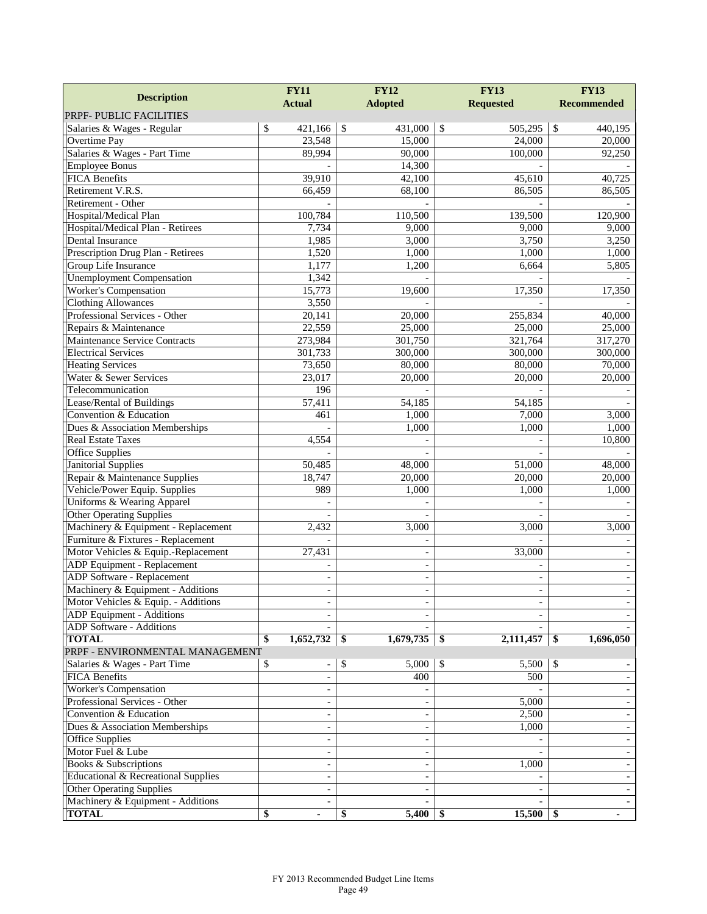| <b>Actual</b><br><b>Adopted</b><br><b>Requested</b><br><b>Recommended</b><br>\$<br>421,166<br>\$<br>431,000<br>\$<br>505,295<br>$\$$<br>Salaries & Wages - Regular<br>23,548<br>15,000<br>Overtime Pay<br>24,000<br>Salaries & Wages - Part Time<br>89,994<br>90,000<br>100,000<br><b>Employee Bonus</b><br>14,300<br><b>FICA Benefits</b><br>39,910<br>42,100<br>45,610<br>Retirement V.R.S.<br>66,459<br>68,100<br>86,505<br>86,505<br>Retirement - Other<br>100,784<br>Hospital/Medical Plan<br>110,500<br>139,500<br>Hospital/Medical Plan - Retirees<br>9,000<br>9,000<br>7,734<br>Dental Insurance<br>1,985<br>3,000<br>3,750<br>Prescription Drug Plan - Retirees<br>1,520<br>1,000<br>1,000<br>Group Life Insurance<br>1,177<br>1,200<br>6,664<br><b>Unemployment Compensation</b><br>1,342<br><b>Worker's Compensation</b><br>15,773<br>19,600<br>17,350<br><b>Clothing Allowances</b><br>3,550<br>Professional Services - Other<br>20,141<br>255,834<br>20,000<br>22,559<br>Repairs & Maintenance<br>25,000<br>25,000<br>Maintenance Service Contracts<br>273,984<br>301,750<br>321,764<br><b>Electrical Services</b><br>300,000<br>300,000<br>301,733<br><b>Heating Services</b><br>73,650<br>80,000<br>80,000<br>Water & Sewer Services<br>23,017<br>20,000<br>20,000<br>Telecommunication<br>196<br>Lease/Rental of Buildings<br>57,411<br>54,185<br>54,185<br>Convention & Education<br>1,000<br>7,000<br>461<br>Dues & Association Memberships<br>1,000<br>1,000<br><b>Real Estate Taxes</b><br>4,554<br>10,800<br><b>Office Supplies</b><br>$\equiv$<br><b>Janitorial Supplies</b><br>50,485<br>48,000<br>51,000<br>Repair & Maintenance Supplies<br>20,000<br>18,747<br>20,000<br>Vehicle/Power Equip. Supplies<br>989<br>1,000<br>1,000<br>Uniforms & Wearing Apparel<br>Other Operating Supplies<br>$\overline{a}$<br>Machinery & Equipment - Replacement<br>2,432<br>3,000<br>3,000<br>Furniture & Fixtures - Replacement<br>Motor Vehicles & Equip.-Replacement<br>33,000<br>27,431<br>$\blacksquare$<br><b>ADP</b> Equipment - Replacement<br>$\overline{\phantom{a}}$<br><b>ADP</b> Software - Replacement<br>$\overline{\phantom{a}}$<br>Machinery & Equipment - Additions<br>$\blacksquare$<br>$\overline{\phantom{a}}$<br>$\blacksquare$<br>Motor Vehicles & Equip. - Additions<br>$\overline{\phantom{a}}$<br>ADP Equipment - Additions<br>ADP Software - Additions<br>1,652,732<br>1,679,735<br>2,111,457<br><b>TOTAL</b><br>\$<br>\$<br>\$<br>\$<br>PRPF - ENVIRONMENTAL MANAGEMENT<br>\$<br>Salaries & Wages - Part Time<br>\$<br>\$<br>\$<br>5,000<br>5,500<br>$\overline{\phantom{m}}$<br><b>FICA Benefits</b><br>400<br>500<br>$\overline{\phantom{a}}$<br><b>Worker's Compensation</b><br>$\overline{\phantom{a}}$<br>Professional Services - Other<br>5,000<br>$\overline{\phantom{a}}$<br>Convention & Education<br>2,500<br>$\overline{\phantom{a}}$<br>$\blacksquare$<br>Dues & Association Memberships<br>1,000<br>$\overline{\phantom{a}}$<br>Office Supplies<br>$\overline{\phantom{a}}$<br>Motor Fuel & Lube<br>$\overline{\phantom{a}}$<br>Books & Subscriptions<br>1,000<br>$\overline{\phantom{a}}$<br>Educational & Recreational Supplies<br>$\overline{\phantom{a}}$<br><b>Other Operating Supplies</b><br>$\overline{\phantom{a}}$<br>Machinery & Equipment - Additions<br>$\blacksquare$<br><b>TOTAL</b><br>\$<br>15,500<br>\$<br>5,400<br>\$ |                         | <b>FY11</b> | <b>FY12</b> | <b>FY13</b> | <b>FY13</b>              |
|------------------------------------------------------------------------------------------------------------------------------------------------------------------------------------------------------------------------------------------------------------------------------------------------------------------------------------------------------------------------------------------------------------------------------------------------------------------------------------------------------------------------------------------------------------------------------------------------------------------------------------------------------------------------------------------------------------------------------------------------------------------------------------------------------------------------------------------------------------------------------------------------------------------------------------------------------------------------------------------------------------------------------------------------------------------------------------------------------------------------------------------------------------------------------------------------------------------------------------------------------------------------------------------------------------------------------------------------------------------------------------------------------------------------------------------------------------------------------------------------------------------------------------------------------------------------------------------------------------------------------------------------------------------------------------------------------------------------------------------------------------------------------------------------------------------------------------------------------------------------------------------------------------------------------------------------------------------------------------------------------------------------------------------------------------------------------------------------------------------------------------------------------------------------------------------------------------------------------------------------------------------------------------------------------------------------------------------------------------------------------------------------------------------------------------------------------------------------------------------------------------------------------------------------------------------------------------------------------------------------------------------------------------------------------------------------------------------------------------------------------------------------------------------------------------------------------------------------------------------------------------------------------------------------------------------------------------------------------------------------------------------------------------------------------------------------------------------------------------------------------------------------------------------------------------------------------------------------------------------------------------------------------------------------------------------------------------------------------------------------------------------------|-------------------------|-------------|-------------|-------------|--------------------------|
|                                                                                                                                                                                                                                                                                                                                                                                                                                                                                                                                                                                                                                                                                                                                                                                                                                                                                                                                                                                                                                                                                                                                                                                                                                                                                                                                                                                                                                                                                                                                                                                                                                                                                                                                                                                                                                                                                                                                                                                                                                                                                                                                                                                                                                                                                                                                                                                                                                                                                                                                                                                                                                                                                                                                                                                                                                                                                                                                                                                                                                                                                                                                                                                                                                                                                                                                                                                                | <b>Description</b>      |             |             |             |                          |
|                                                                                                                                                                                                                                                                                                                                                                                                                                                                                                                                                                                                                                                                                                                                                                                                                                                                                                                                                                                                                                                                                                                                                                                                                                                                                                                                                                                                                                                                                                                                                                                                                                                                                                                                                                                                                                                                                                                                                                                                                                                                                                                                                                                                                                                                                                                                                                                                                                                                                                                                                                                                                                                                                                                                                                                                                                                                                                                                                                                                                                                                                                                                                                                                                                                                                                                                                                                                | PRPF- PUBLIC FACILITIES |             |             |             |                          |
|                                                                                                                                                                                                                                                                                                                                                                                                                                                                                                                                                                                                                                                                                                                                                                                                                                                                                                                                                                                                                                                                                                                                                                                                                                                                                                                                                                                                                                                                                                                                                                                                                                                                                                                                                                                                                                                                                                                                                                                                                                                                                                                                                                                                                                                                                                                                                                                                                                                                                                                                                                                                                                                                                                                                                                                                                                                                                                                                                                                                                                                                                                                                                                                                                                                                                                                                                                                                |                         |             |             |             | 440,195                  |
|                                                                                                                                                                                                                                                                                                                                                                                                                                                                                                                                                                                                                                                                                                                                                                                                                                                                                                                                                                                                                                                                                                                                                                                                                                                                                                                                                                                                                                                                                                                                                                                                                                                                                                                                                                                                                                                                                                                                                                                                                                                                                                                                                                                                                                                                                                                                                                                                                                                                                                                                                                                                                                                                                                                                                                                                                                                                                                                                                                                                                                                                                                                                                                                                                                                                                                                                                                                                |                         |             |             |             | 20,000                   |
|                                                                                                                                                                                                                                                                                                                                                                                                                                                                                                                                                                                                                                                                                                                                                                                                                                                                                                                                                                                                                                                                                                                                                                                                                                                                                                                                                                                                                                                                                                                                                                                                                                                                                                                                                                                                                                                                                                                                                                                                                                                                                                                                                                                                                                                                                                                                                                                                                                                                                                                                                                                                                                                                                                                                                                                                                                                                                                                                                                                                                                                                                                                                                                                                                                                                                                                                                                                                |                         |             |             |             | 92,250                   |
|                                                                                                                                                                                                                                                                                                                                                                                                                                                                                                                                                                                                                                                                                                                                                                                                                                                                                                                                                                                                                                                                                                                                                                                                                                                                                                                                                                                                                                                                                                                                                                                                                                                                                                                                                                                                                                                                                                                                                                                                                                                                                                                                                                                                                                                                                                                                                                                                                                                                                                                                                                                                                                                                                                                                                                                                                                                                                                                                                                                                                                                                                                                                                                                                                                                                                                                                                                                                |                         |             |             |             |                          |
|                                                                                                                                                                                                                                                                                                                                                                                                                                                                                                                                                                                                                                                                                                                                                                                                                                                                                                                                                                                                                                                                                                                                                                                                                                                                                                                                                                                                                                                                                                                                                                                                                                                                                                                                                                                                                                                                                                                                                                                                                                                                                                                                                                                                                                                                                                                                                                                                                                                                                                                                                                                                                                                                                                                                                                                                                                                                                                                                                                                                                                                                                                                                                                                                                                                                                                                                                                                                |                         |             |             |             | 40,725                   |
|                                                                                                                                                                                                                                                                                                                                                                                                                                                                                                                                                                                                                                                                                                                                                                                                                                                                                                                                                                                                                                                                                                                                                                                                                                                                                                                                                                                                                                                                                                                                                                                                                                                                                                                                                                                                                                                                                                                                                                                                                                                                                                                                                                                                                                                                                                                                                                                                                                                                                                                                                                                                                                                                                                                                                                                                                                                                                                                                                                                                                                                                                                                                                                                                                                                                                                                                                                                                |                         |             |             |             |                          |
|                                                                                                                                                                                                                                                                                                                                                                                                                                                                                                                                                                                                                                                                                                                                                                                                                                                                                                                                                                                                                                                                                                                                                                                                                                                                                                                                                                                                                                                                                                                                                                                                                                                                                                                                                                                                                                                                                                                                                                                                                                                                                                                                                                                                                                                                                                                                                                                                                                                                                                                                                                                                                                                                                                                                                                                                                                                                                                                                                                                                                                                                                                                                                                                                                                                                                                                                                                                                |                         |             |             |             |                          |
|                                                                                                                                                                                                                                                                                                                                                                                                                                                                                                                                                                                                                                                                                                                                                                                                                                                                                                                                                                                                                                                                                                                                                                                                                                                                                                                                                                                                                                                                                                                                                                                                                                                                                                                                                                                                                                                                                                                                                                                                                                                                                                                                                                                                                                                                                                                                                                                                                                                                                                                                                                                                                                                                                                                                                                                                                                                                                                                                                                                                                                                                                                                                                                                                                                                                                                                                                                                                |                         |             |             |             | 120,900                  |
|                                                                                                                                                                                                                                                                                                                                                                                                                                                                                                                                                                                                                                                                                                                                                                                                                                                                                                                                                                                                                                                                                                                                                                                                                                                                                                                                                                                                                                                                                                                                                                                                                                                                                                                                                                                                                                                                                                                                                                                                                                                                                                                                                                                                                                                                                                                                                                                                                                                                                                                                                                                                                                                                                                                                                                                                                                                                                                                                                                                                                                                                                                                                                                                                                                                                                                                                                                                                |                         |             |             |             | 9,000                    |
|                                                                                                                                                                                                                                                                                                                                                                                                                                                                                                                                                                                                                                                                                                                                                                                                                                                                                                                                                                                                                                                                                                                                                                                                                                                                                                                                                                                                                                                                                                                                                                                                                                                                                                                                                                                                                                                                                                                                                                                                                                                                                                                                                                                                                                                                                                                                                                                                                                                                                                                                                                                                                                                                                                                                                                                                                                                                                                                                                                                                                                                                                                                                                                                                                                                                                                                                                                                                |                         |             |             |             | 3,250                    |
|                                                                                                                                                                                                                                                                                                                                                                                                                                                                                                                                                                                                                                                                                                                                                                                                                                                                                                                                                                                                                                                                                                                                                                                                                                                                                                                                                                                                                                                                                                                                                                                                                                                                                                                                                                                                                                                                                                                                                                                                                                                                                                                                                                                                                                                                                                                                                                                                                                                                                                                                                                                                                                                                                                                                                                                                                                                                                                                                                                                                                                                                                                                                                                                                                                                                                                                                                                                                |                         |             |             |             | 1,000                    |
|                                                                                                                                                                                                                                                                                                                                                                                                                                                                                                                                                                                                                                                                                                                                                                                                                                                                                                                                                                                                                                                                                                                                                                                                                                                                                                                                                                                                                                                                                                                                                                                                                                                                                                                                                                                                                                                                                                                                                                                                                                                                                                                                                                                                                                                                                                                                                                                                                                                                                                                                                                                                                                                                                                                                                                                                                                                                                                                                                                                                                                                                                                                                                                                                                                                                                                                                                                                                |                         |             |             |             | 5,805                    |
|                                                                                                                                                                                                                                                                                                                                                                                                                                                                                                                                                                                                                                                                                                                                                                                                                                                                                                                                                                                                                                                                                                                                                                                                                                                                                                                                                                                                                                                                                                                                                                                                                                                                                                                                                                                                                                                                                                                                                                                                                                                                                                                                                                                                                                                                                                                                                                                                                                                                                                                                                                                                                                                                                                                                                                                                                                                                                                                                                                                                                                                                                                                                                                                                                                                                                                                                                                                                |                         |             |             |             |                          |
|                                                                                                                                                                                                                                                                                                                                                                                                                                                                                                                                                                                                                                                                                                                                                                                                                                                                                                                                                                                                                                                                                                                                                                                                                                                                                                                                                                                                                                                                                                                                                                                                                                                                                                                                                                                                                                                                                                                                                                                                                                                                                                                                                                                                                                                                                                                                                                                                                                                                                                                                                                                                                                                                                                                                                                                                                                                                                                                                                                                                                                                                                                                                                                                                                                                                                                                                                                                                |                         |             |             |             | 17,350                   |
|                                                                                                                                                                                                                                                                                                                                                                                                                                                                                                                                                                                                                                                                                                                                                                                                                                                                                                                                                                                                                                                                                                                                                                                                                                                                                                                                                                                                                                                                                                                                                                                                                                                                                                                                                                                                                                                                                                                                                                                                                                                                                                                                                                                                                                                                                                                                                                                                                                                                                                                                                                                                                                                                                                                                                                                                                                                                                                                                                                                                                                                                                                                                                                                                                                                                                                                                                                                                |                         |             |             |             |                          |
|                                                                                                                                                                                                                                                                                                                                                                                                                                                                                                                                                                                                                                                                                                                                                                                                                                                                                                                                                                                                                                                                                                                                                                                                                                                                                                                                                                                                                                                                                                                                                                                                                                                                                                                                                                                                                                                                                                                                                                                                                                                                                                                                                                                                                                                                                                                                                                                                                                                                                                                                                                                                                                                                                                                                                                                                                                                                                                                                                                                                                                                                                                                                                                                                                                                                                                                                                                                                |                         |             |             |             | 40,000                   |
|                                                                                                                                                                                                                                                                                                                                                                                                                                                                                                                                                                                                                                                                                                                                                                                                                                                                                                                                                                                                                                                                                                                                                                                                                                                                                                                                                                                                                                                                                                                                                                                                                                                                                                                                                                                                                                                                                                                                                                                                                                                                                                                                                                                                                                                                                                                                                                                                                                                                                                                                                                                                                                                                                                                                                                                                                                                                                                                                                                                                                                                                                                                                                                                                                                                                                                                                                                                                |                         |             |             |             | 25,000                   |
|                                                                                                                                                                                                                                                                                                                                                                                                                                                                                                                                                                                                                                                                                                                                                                                                                                                                                                                                                                                                                                                                                                                                                                                                                                                                                                                                                                                                                                                                                                                                                                                                                                                                                                                                                                                                                                                                                                                                                                                                                                                                                                                                                                                                                                                                                                                                                                                                                                                                                                                                                                                                                                                                                                                                                                                                                                                                                                                                                                                                                                                                                                                                                                                                                                                                                                                                                                                                |                         |             |             |             | 317,270                  |
|                                                                                                                                                                                                                                                                                                                                                                                                                                                                                                                                                                                                                                                                                                                                                                                                                                                                                                                                                                                                                                                                                                                                                                                                                                                                                                                                                                                                                                                                                                                                                                                                                                                                                                                                                                                                                                                                                                                                                                                                                                                                                                                                                                                                                                                                                                                                                                                                                                                                                                                                                                                                                                                                                                                                                                                                                                                                                                                                                                                                                                                                                                                                                                                                                                                                                                                                                                                                |                         |             |             |             | 300,000                  |
|                                                                                                                                                                                                                                                                                                                                                                                                                                                                                                                                                                                                                                                                                                                                                                                                                                                                                                                                                                                                                                                                                                                                                                                                                                                                                                                                                                                                                                                                                                                                                                                                                                                                                                                                                                                                                                                                                                                                                                                                                                                                                                                                                                                                                                                                                                                                                                                                                                                                                                                                                                                                                                                                                                                                                                                                                                                                                                                                                                                                                                                                                                                                                                                                                                                                                                                                                                                                |                         |             |             |             | 70,000                   |
|                                                                                                                                                                                                                                                                                                                                                                                                                                                                                                                                                                                                                                                                                                                                                                                                                                                                                                                                                                                                                                                                                                                                                                                                                                                                                                                                                                                                                                                                                                                                                                                                                                                                                                                                                                                                                                                                                                                                                                                                                                                                                                                                                                                                                                                                                                                                                                                                                                                                                                                                                                                                                                                                                                                                                                                                                                                                                                                                                                                                                                                                                                                                                                                                                                                                                                                                                                                                |                         |             |             |             | 20,000                   |
|                                                                                                                                                                                                                                                                                                                                                                                                                                                                                                                                                                                                                                                                                                                                                                                                                                                                                                                                                                                                                                                                                                                                                                                                                                                                                                                                                                                                                                                                                                                                                                                                                                                                                                                                                                                                                                                                                                                                                                                                                                                                                                                                                                                                                                                                                                                                                                                                                                                                                                                                                                                                                                                                                                                                                                                                                                                                                                                                                                                                                                                                                                                                                                                                                                                                                                                                                                                                |                         |             |             |             |                          |
|                                                                                                                                                                                                                                                                                                                                                                                                                                                                                                                                                                                                                                                                                                                                                                                                                                                                                                                                                                                                                                                                                                                                                                                                                                                                                                                                                                                                                                                                                                                                                                                                                                                                                                                                                                                                                                                                                                                                                                                                                                                                                                                                                                                                                                                                                                                                                                                                                                                                                                                                                                                                                                                                                                                                                                                                                                                                                                                                                                                                                                                                                                                                                                                                                                                                                                                                                                                                |                         |             |             |             |                          |
|                                                                                                                                                                                                                                                                                                                                                                                                                                                                                                                                                                                                                                                                                                                                                                                                                                                                                                                                                                                                                                                                                                                                                                                                                                                                                                                                                                                                                                                                                                                                                                                                                                                                                                                                                                                                                                                                                                                                                                                                                                                                                                                                                                                                                                                                                                                                                                                                                                                                                                                                                                                                                                                                                                                                                                                                                                                                                                                                                                                                                                                                                                                                                                                                                                                                                                                                                                                                |                         |             |             |             | 3,000                    |
|                                                                                                                                                                                                                                                                                                                                                                                                                                                                                                                                                                                                                                                                                                                                                                                                                                                                                                                                                                                                                                                                                                                                                                                                                                                                                                                                                                                                                                                                                                                                                                                                                                                                                                                                                                                                                                                                                                                                                                                                                                                                                                                                                                                                                                                                                                                                                                                                                                                                                                                                                                                                                                                                                                                                                                                                                                                                                                                                                                                                                                                                                                                                                                                                                                                                                                                                                                                                |                         |             |             |             | 1,000                    |
|                                                                                                                                                                                                                                                                                                                                                                                                                                                                                                                                                                                                                                                                                                                                                                                                                                                                                                                                                                                                                                                                                                                                                                                                                                                                                                                                                                                                                                                                                                                                                                                                                                                                                                                                                                                                                                                                                                                                                                                                                                                                                                                                                                                                                                                                                                                                                                                                                                                                                                                                                                                                                                                                                                                                                                                                                                                                                                                                                                                                                                                                                                                                                                                                                                                                                                                                                                                                |                         |             |             |             |                          |
|                                                                                                                                                                                                                                                                                                                                                                                                                                                                                                                                                                                                                                                                                                                                                                                                                                                                                                                                                                                                                                                                                                                                                                                                                                                                                                                                                                                                                                                                                                                                                                                                                                                                                                                                                                                                                                                                                                                                                                                                                                                                                                                                                                                                                                                                                                                                                                                                                                                                                                                                                                                                                                                                                                                                                                                                                                                                                                                                                                                                                                                                                                                                                                                                                                                                                                                                                                                                |                         |             |             |             |                          |
|                                                                                                                                                                                                                                                                                                                                                                                                                                                                                                                                                                                                                                                                                                                                                                                                                                                                                                                                                                                                                                                                                                                                                                                                                                                                                                                                                                                                                                                                                                                                                                                                                                                                                                                                                                                                                                                                                                                                                                                                                                                                                                                                                                                                                                                                                                                                                                                                                                                                                                                                                                                                                                                                                                                                                                                                                                                                                                                                                                                                                                                                                                                                                                                                                                                                                                                                                                                                |                         |             |             |             | 48,000                   |
|                                                                                                                                                                                                                                                                                                                                                                                                                                                                                                                                                                                                                                                                                                                                                                                                                                                                                                                                                                                                                                                                                                                                                                                                                                                                                                                                                                                                                                                                                                                                                                                                                                                                                                                                                                                                                                                                                                                                                                                                                                                                                                                                                                                                                                                                                                                                                                                                                                                                                                                                                                                                                                                                                                                                                                                                                                                                                                                                                                                                                                                                                                                                                                                                                                                                                                                                                                                                |                         |             |             |             | 20,000                   |
|                                                                                                                                                                                                                                                                                                                                                                                                                                                                                                                                                                                                                                                                                                                                                                                                                                                                                                                                                                                                                                                                                                                                                                                                                                                                                                                                                                                                                                                                                                                                                                                                                                                                                                                                                                                                                                                                                                                                                                                                                                                                                                                                                                                                                                                                                                                                                                                                                                                                                                                                                                                                                                                                                                                                                                                                                                                                                                                                                                                                                                                                                                                                                                                                                                                                                                                                                                                                |                         |             |             |             | 1,000                    |
|                                                                                                                                                                                                                                                                                                                                                                                                                                                                                                                                                                                                                                                                                                                                                                                                                                                                                                                                                                                                                                                                                                                                                                                                                                                                                                                                                                                                                                                                                                                                                                                                                                                                                                                                                                                                                                                                                                                                                                                                                                                                                                                                                                                                                                                                                                                                                                                                                                                                                                                                                                                                                                                                                                                                                                                                                                                                                                                                                                                                                                                                                                                                                                                                                                                                                                                                                                                                |                         |             |             |             |                          |
|                                                                                                                                                                                                                                                                                                                                                                                                                                                                                                                                                                                                                                                                                                                                                                                                                                                                                                                                                                                                                                                                                                                                                                                                                                                                                                                                                                                                                                                                                                                                                                                                                                                                                                                                                                                                                                                                                                                                                                                                                                                                                                                                                                                                                                                                                                                                                                                                                                                                                                                                                                                                                                                                                                                                                                                                                                                                                                                                                                                                                                                                                                                                                                                                                                                                                                                                                                                                |                         |             |             |             |                          |
|                                                                                                                                                                                                                                                                                                                                                                                                                                                                                                                                                                                                                                                                                                                                                                                                                                                                                                                                                                                                                                                                                                                                                                                                                                                                                                                                                                                                                                                                                                                                                                                                                                                                                                                                                                                                                                                                                                                                                                                                                                                                                                                                                                                                                                                                                                                                                                                                                                                                                                                                                                                                                                                                                                                                                                                                                                                                                                                                                                                                                                                                                                                                                                                                                                                                                                                                                                                                |                         |             |             |             | 3,000                    |
|                                                                                                                                                                                                                                                                                                                                                                                                                                                                                                                                                                                                                                                                                                                                                                                                                                                                                                                                                                                                                                                                                                                                                                                                                                                                                                                                                                                                                                                                                                                                                                                                                                                                                                                                                                                                                                                                                                                                                                                                                                                                                                                                                                                                                                                                                                                                                                                                                                                                                                                                                                                                                                                                                                                                                                                                                                                                                                                                                                                                                                                                                                                                                                                                                                                                                                                                                                                                |                         |             |             |             |                          |
|                                                                                                                                                                                                                                                                                                                                                                                                                                                                                                                                                                                                                                                                                                                                                                                                                                                                                                                                                                                                                                                                                                                                                                                                                                                                                                                                                                                                                                                                                                                                                                                                                                                                                                                                                                                                                                                                                                                                                                                                                                                                                                                                                                                                                                                                                                                                                                                                                                                                                                                                                                                                                                                                                                                                                                                                                                                                                                                                                                                                                                                                                                                                                                                                                                                                                                                                                                                                |                         |             |             |             |                          |
|                                                                                                                                                                                                                                                                                                                                                                                                                                                                                                                                                                                                                                                                                                                                                                                                                                                                                                                                                                                                                                                                                                                                                                                                                                                                                                                                                                                                                                                                                                                                                                                                                                                                                                                                                                                                                                                                                                                                                                                                                                                                                                                                                                                                                                                                                                                                                                                                                                                                                                                                                                                                                                                                                                                                                                                                                                                                                                                                                                                                                                                                                                                                                                                                                                                                                                                                                                                                |                         |             |             |             |                          |
|                                                                                                                                                                                                                                                                                                                                                                                                                                                                                                                                                                                                                                                                                                                                                                                                                                                                                                                                                                                                                                                                                                                                                                                                                                                                                                                                                                                                                                                                                                                                                                                                                                                                                                                                                                                                                                                                                                                                                                                                                                                                                                                                                                                                                                                                                                                                                                                                                                                                                                                                                                                                                                                                                                                                                                                                                                                                                                                                                                                                                                                                                                                                                                                                                                                                                                                                                                                                |                         |             |             |             | $\blacksquare$           |
|                                                                                                                                                                                                                                                                                                                                                                                                                                                                                                                                                                                                                                                                                                                                                                                                                                                                                                                                                                                                                                                                                                                                                                                                                                                                                                                                                                                                                                                                                                                                                                                                                                                                                                                                                                                                                                                                                                                                                                                                                                                                                                                                                                                                                                                                                                                                                                                                                                                                                                                                                                                                                                                                                                                                                                                                                                                                                                                                                                                                                                                                                                                                                                                                                                                                                                                                                                                                |                         |             |             |             | $\overline{\phantom{a}}$ |
|                                                                                                                                                                                                                                                                                                                                                                                                                                                                                                                                                                                                                                                                                                                                                                                                                                                                                                                                                                                                                                                                                                                                                                                                                                                                                                                                                                                                                                                                                                                                                                                                                                                                                                                                                                                                                                                                                                                                                                                                                                                                                                                                                                                                                                                                                                                                                                                                                                                                                                                                                                                                                                                                                                                                                                                                                                                                                                                                                                                                                                                                                                                                                                                                                                                                                                                                                                                                |                         |             |             |             |                          |
|                                                                                                                                                                                                                                                                                                                                                                                                                                                                                                                                                                                                                                                                                                                                                                                                                                                                                                                                                                                                                                                                                                                                                                                                                                                                                                                                                                                                                                                                                                                                                                                                                                                                                                                                                                                                                                                                                                                                                                                                                                                                                                                                                                                                                                                                                                                                                                                                                                                                                                                                                                                                                                                                                                                                                                                                                                                                                                                                                                                                                                                                                                                                                                                                                                                                                                                                                                                                |                         |             |             |             |                          |
|                                                                                                                                                                                                                                                                                                                                                                                                                                                                                                                                                                                                                                                                                                                                                                                                                                                                                                                                                                                                                                                                                                                                                                                                                                                                                                                                                                                                                                                                                                                                                                                                                                                                                                                                                                                                                                                                                                                                                                                                                                                                                                                                                                                                                                                                                                                                                                                                                                                                                                                                                                                                                                                                                                                                                                                                                                                                                                                                                                                                                                                                                                                                                                                                                                                                                                                                                                                                |                         |             |             |             |                          |
|                                                                                                                                                                                                                                                                                                                                                                                                                                                                                                                                                                                                                                                                                                                                                                                                                                                                                                                                                                                                                                                                                                                                                                                                                                                                                                                                                                                                                                                                                                                                                                                                                                                                                                                                                                                                                                                                                                                                                                                                                                                                                                                                                                                                                                                                                                                                                                                                                                                                                                                                                                                                                                                                                                                                                                                                                                                                                                                                                                                                                                                                                                                                                                                                                                                                                                                                                                                                |                         |             |             |             | 1,696,050                |
|                                                                                                                                                                                                                                                                                                                                                                                                                                                                                                                                                                                                                                                                                                                                                                                                                                                                                                                                                                                                                                                                                                                                                                                                                                                                                                                                                                                                                                                                                                                                                                                                                                                                                                                                                                                                                                                                                                                                                                                                                                                                                                                                                                                                                                                                                                                                                                                                                                                                                                                                                                                                                                                                                                                                                                                                                                                                                                                                                                                                                                                                                                                                                                                                                                                                                                                                                                                                |                         |             |             |             |                          |
|                                                                                                                                                                                                                                                                                                                                                                                                                                                                                                                                                                                                                                                                                                                                                                                                                                                                                                                                                                                                                                                                                                                                                                                                                                                                                                                                                                                                                                                                                                                                                                                                                                                                                                                                                                                                                                                                                                                                                                                                                                                                                                                                                                                                                                                                                                                                                                                                                                                                                                                                                                                                                                                                                                                                                                                                                                                                                                                                                                                                                                                                                                                                                                                                                                                                                                                                                                                                |                         |             |             |             |                          |
|                                                                                                                                                                                                                                                                                                                                                                                                                                                                                                                                                                                                                                                                                                                                                                                                                                                                                                                                                                                                                                                                                                                                                                                                                                                                                                                                                                                                                                                                                                                                                                                                                                                                                                                                                                                                                                                                                                                                                                                                                                                                                                                                                                                                                                                                                                                                                                                                                                                                                                                                                                                                                                                                                                                                                                                                                                                                                                                                                                                                                                                                                                                                                                                                                                                                                                                                                                                                |                         |             |             |             |                          |
|                                                                                                                                                                                                                                                                                                                                                                                                                                                                                                                                                                                                                                                                                                                                                                                                                                                                                                                                                                                                                                                                                                                                                                                                                                                                                                                                                                                                                                                                                                                                                                                                                                                                                                                                                                                                                                                                                                                                                                                                                                                                                                                                                                                                                                                                                                                                                                                                                                                                                                                                                                                                                                                                                                                                                                                                                                                                                                                                                                                                                                                                                                                                                                                                                                                                                                                                                                                                |                         |             |             |             |                          |
|                                                                                                                                                                                                                                                                                                                                                                                                                                                                                                                                                                                                                                                                                                                                                                                                                                                                                                                                                                                                                                                                                                                                                                                                                                                                                                                                                                                                                                                                                                                                                                                                                                                                                                                                                                                                                                                                                                                                                                                                                                                                                                                                                                                                                                                                                                                                                                                                                                                                                                                                                                                                                                                                                                                                                                                                                                                                                                                                                                                                                                                                                                                                                                                                                                                                                                                                                                                                |                         |             |             |             |                          |
|                                                                                                                                                                                                                                                                                                                                                                                                                                                                                                                                                                                                                                                                                                                                                                                                                                                                                                                                                                                                                                                                                                                                                                                                                                                                                                                                                                                                                                                                                                                                                                                                                                                                                                                                                                                                                                                                                                                                                                                                                                                                                                                                                                                                                                                                                                                                                                                                                                                                                                                                                                                                                                                                                                                                                                                                                                                                                                                                                                                                                                                                                                                                                                                                                                                                                                                                                                                                |                         |             |             |             |                          |
|                                                                                                                                                                                                                                                                                                                                                                                                                                                                                                                                                                                                                                                                                                                                                                                                                                                                                                                                                                                                                                                                                                                                                                                                                                                                                                                                                                                                                                                                                                                                                                                                                                                                                                                                                                                                                                                                                                                                                                                                                                                                                                                                                                                                                                                                                                                                                                                                                                                                                                                                                                                                                                                                                                                                                                                                                                                                                                                                                                                                                                                                                                                                                                                                                                                                                                                                                                                                |                         |             |             |             |                          |
|                                                                                                                                                                                                                                                                                                                                                                                                                                                                                                                                                                                                                                                                                                                                                                                                                                                                                                                                                                                                                                                                                                                                                                                                                                                                                                                                                                                                                                                                                                                                                                                                                                                                                                                                                                                                                                                                                                                                                                                                                                                                                                                                                                                                                                                                                                                                                                                                                                                                                                                                                                                                                                                                                                                                                                                                                                                                                                                                                                                                                                                                                                                                                                                                                                                                                                                                                                                                |                         |             |             |             |                          |
|                                                                                                                                                                                                                                                                                                                                                                                                                                                                                                                                                                                                                                                                                                                                                                                                                                                                                                                                                                                                                                                                                                                                                                                                                                                                                                                                                                                                                                                                                                                                                                                                                                                                                                                                                                                                                                                                                                                                                                                                                                                                                                                                                                                                                                                                                                                                                                                                                                                                                                                                                                                                                                                                                                                                                                                                                                                                                                                                                                                                                                                                                                                                                                                                                                                                                                                                                                                                |                         |             |             |             |                          |
|                                                                                                                                                                                                                                                                                                                                                                                                                                                                                                                                                                                                                                                                                                                                                                                                                                                                                                                                                                                                                                                                                                                                                                                                                                                                                                                                                                                                                                                                                                                                                                                                                                                                                                                                                                                                                                                                                                                                                                                                                                                                                                                                                                                                                                                                                                                                                                                                                                                                                                                                                                                                                                                                                                                                                                                                                                                                                                                                                                                                                                                                                                                                                                                                                                                                                                                                                                                                |                         |             |             |             |                          |
|                                                                                                                                                                                                                                                                                                                                                                                                                                                                                                                                                                                                                                                                                                                                                                                                                                                                                                                                                                                                                                                                                                                                                                                                                                                                                                                                                                                                                                                                                                                                                                                                                                                                                                                                                                                                                                                                                                                                                                                                                                                                                                                                                                                                                                                                                                                                                                                                                                                                                                                                                                                                                                                                                                                                                                                                                                                                                                                                                                                                                                                                                                                                                                                                                                                                                                                                                                                                |                         |             |             |             |                          |
|                                                                                                                                                                                                                                                                                                                                                                                                                                                                                                                                                                                                                                                                                                                                                                                                                                                                                                                                                                                                                                                                                                                                                                                                                                                                                                                                                                                                                                                                                                                                                                                                                                                                                                                                                                                                                                                                                                                                                                                                                                                                                                                                                                                                                                                                                                                                                                                                                                                                                                                                                                                                                                                                                                                                                                                                                                                                                                                                                                                                                                                                                                                                                                                                                                                                                                                                                                                                |                         |             |             |             |                          |
|                                                                                                                                                                                                                                                                                                                                                                                                                                                                                                                                                                                                                                                                                                                                                                                                                                                                                                                                                                                                                                                                                                                                                                                                                                                                                                                                                                                                                                                                                                                                                                                                                                                                                                                                                                                                                                                                                                                                                                                                                                                                                                                                                                                                                                                                                                                                                                                                                                                                                                                                                                                                                                                                                                                                                                                                                                                                                                                                                                                                                                                                                                                                                                                                                                                                                                                                                                                                |                         |             |             |             |                          |
|                                                                                                                                                                                                                                                                                                                                                                                                                                                                                                                                                                                                                                                                                                                                                                                                                                                                                                                                                                                                                                                                                                                                                                                                                                                                                                                                                                                                                                                                                                                                                                                                                                                                                                                                                                                                                                                                                                                                                                                                                                                                                                                                                                                                                                                                                                                                                                                                                                                                                                                                                                                                                                                                                                                                                                                                                                                                                                                                                                                                                                                                                                                                                                                                                                                                                                                                                                                                |                         |             |             |             |                          |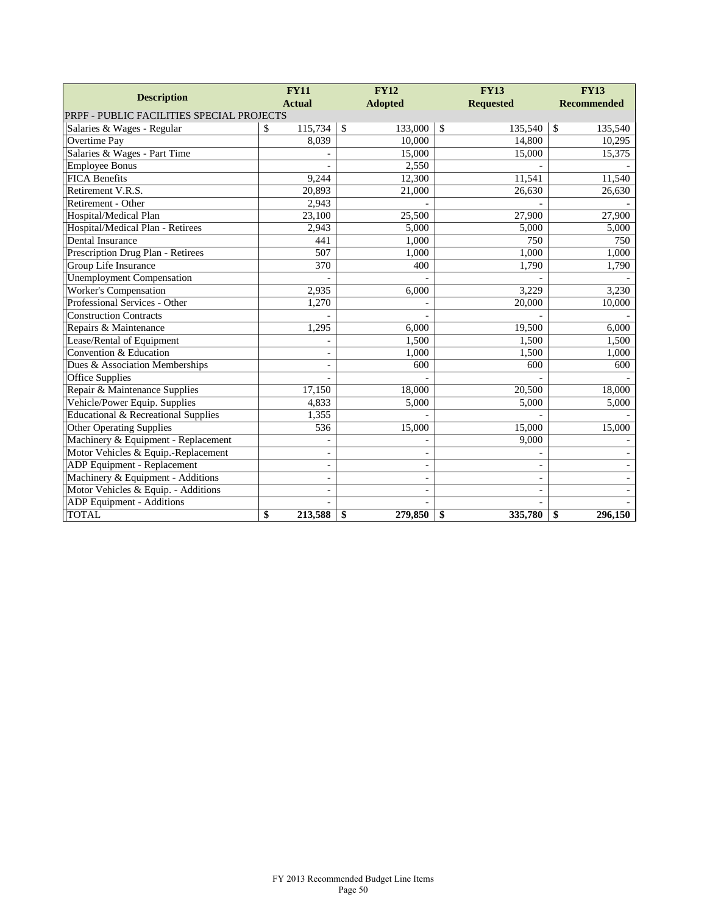| <b>Description</b>                        | <b>FY11</b>              | <b>FY12</b>              | <b>FY13</b>              | <b>FY13</b>        |
|-------------------------------------------|--------------------------|--------------------------|--------------------------|--------------------|
|                                           | <b>Actual</b>            | <b>Adopted</b>           | <b>Requested</b>         | <b>Recommended</b> |
| PRPF - PUBLIC FACILITIES SPECIAL PROJECTS |                          |                          |                          |                    |
| Salaries & Wages - Regular                | 115,734<br>\$            | $\mathcal{S}$<br>133,000 | \$<br>135,540            | \$<br>135,540      |
| Overtime Pay                              | 8,039                    | 10,000                   | 14,800                   | 10,295             |
| Salaries & Wages - Part Time              |                          | 15,000                   | 15,000                   | 15,375             |
| <b>Employee Bonus</b>                     |                          | 2,550                    |                          |                    |
| <b>FICA Benefits</b>                      | 9,244                    | 12,300                   | 11,541                   | 11,540             |
| Retirement V.R.S.                         | 20,893                   | 21,000                   | 26,630                   | 26,630             |
| Retirement - Other                        | 2,943                    |                          |                          |                    |
| Hospital/Medical Plan                     | 23,100                   | 25,500                   | 27,900                   | 27,900             |
| Hospital/Medical Plan - Retirees          | 2,943                    | 5,000                    | 5,000                    | 5,000              |
| <b>Dental Insurance</b>                   | 441                      | 1,000                    | 750                      | 750                |
| Prescription Drug Plan - Retirees         | 507                      | 1,000                    | 1,000                    | 1,000              |
| Group Life Insurance                      | 370                      | 400                      | 1,790                    | 1,790              |
| <b>Unemployment Compensation</b>          |                          |                          |                          |                    |
| <b>Worker's Compensation</b>              | 2,935                    | 6,000                    | 3,229                    | 3,230              |
| Professional Services - Other             | 1,270                    |                          | 20,000                   | 10,000             |
| <b>Construction Contracts</b>             |                          |                          |                          |                    |
| Repairs & Maintenance                     | 1,295                    | 6,000                    | 19,500                   | 6,000              |
| Lease/Rental of Equipment                 |                          | 1,500                    | 1,500                    | 1,500              |
| Convention & Education                    | L,                       | 1,000                    | 1,500                    | 1,000              |
| Dues & Association Memberships            | $\overline{\phantom{a}}$ | 600                      | 600                      | 600                |
| <b>Office Supplies</b>                    |                          |                          |                          |                    |
| Repair & Maintenance Supplies             | 17,150                   | 18,000                   | 20,500                   | 18,000             |
| Vehicle/Power Equip. Supplies             | 4,833                    | 5,000                    | 5,000                    | 5,000              |
| Educational & Recreational Supplies       | 1,355                    |                          |                          |                    |
| <b>Other Operating Supplies</b>           | 536                      | 15,000                   | 15,000                   | 15,000             |
| Machinery & Equipment - Replacement       |                          |                          | 9,000                    |                    |
| Motor Vehicles & Equip.-Replacement       | $\overline{\phantom{0}}$ |                          |                          |                    |
| ADP Equipment - Replacement               | L,                       | $\overline{\phantom{0}}$ |                          |                    |
| Machinery & Equipment - Additions         | $\overline{\phantom{a}}$ | $\overline{\phantom{0}}$ | $\overline{\phantom{a}}$ |                    |
| Motor Vehicles & Equip. - Additions       | $\overline{\phantom{0}}$ | $\overline{\phantom{0}}$ |                          |                    |
| ADP Equipment - Additions                 |                          |                          |                          |                    |
| <b>TOTAL</b>                              | \$<br>213,588            | \$<br>279,850            | \$<br>335,780            | 296,150<br>\$      |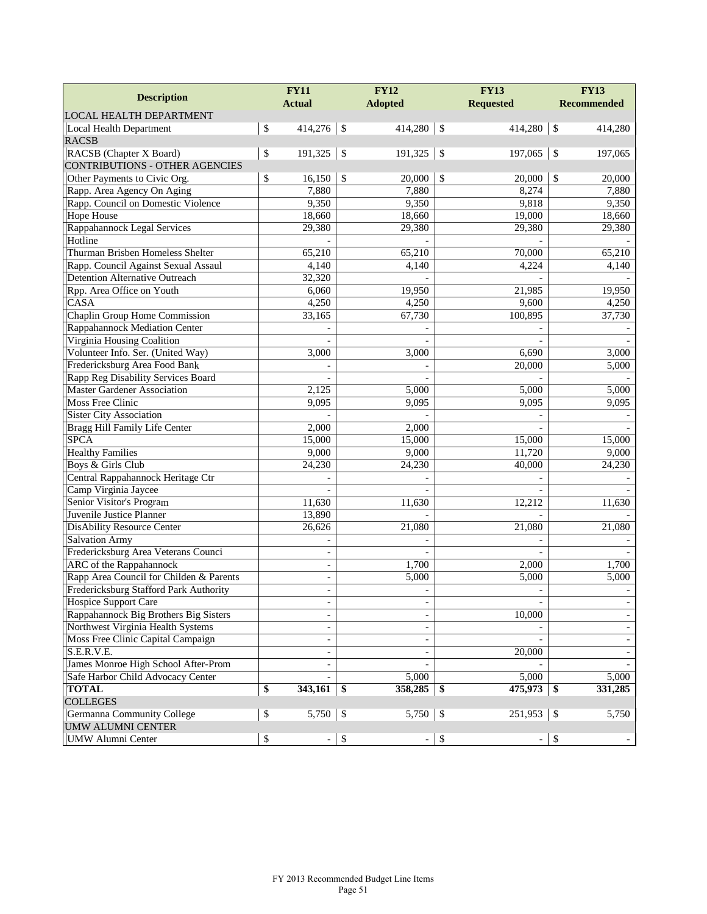|                                                        | <b>FY11</b>                    |            | <b>FY12</b>              |               | <b>FY13</b>              | <b>FY13</b>        |
|--------------------------------------------------------|--------------------------------|------------|--------------------------|---------------|--------------------------|--------------------|
| <b>Description</b>                                     | <b>Actual</b>                  |            | <b>Adopted</b>           |               | <b>Requested</b>         | <b>Recommended</b> |
| LOCAL HEALTH DEPARTMENT                                |                                |            |                          |               |                          |                    |
| Local Health Department                                | \$<br>$414,276$ \$             |            | 414,280                  | $\mathcal{S}$ | 414,280                  | \$<br>414,280      |
| <b>RACSB</b>                                           |                                |            |                          |               |                          |                    |
| RACSB (Chapter X Board)                                | \$<br>191,325                  | $\vert$ \$ | 191,325                  | $\mathcal{S}$ | 197,065                  | \$<br>197,065      |
| <b>CONTRIBUTIONS - OTHER AGENCIES</b>                  |                                |            |                          |               |                          |                    |
| Other Payments to Civic Org.                           | \$<br>16,150                   | $\sqrt{3}$ | 20,000                   | \$            | 20,000                   | \$<br>20,000       |
| Rapp. Area Agency On Aging                             | 7,880                          |            | 7,880                    |               | 8,274                    | 7,880              |
| Rapp. Council on Domestic Violence                     | 9,350                          |            | 9,350                    |               | 9,818                    | 9,350              |
| <b>Hope House</b>                                      | 18,660                         |            | 18,660                   |               | 19,000                   | 18,660             |
| Rappahannock Legal Services                            | 29,380                         |            | 29,380                   |               | 29,380                   | 29,380             |
| Hotline                                                |                                |            |                          |               |                          |                    |
| Thurman Brisben Homeless Shelter                       | 65,210                         |            | 65,210                   |               | 70,000                   | 65,210             |
| Rapp. Council Against Sexual Assaul                    | 4,140                          |            | 4,140                    |               | 4,224                    | 4,140              |
| <b>Detention Alternative Outreach</b>                  | 32,320                         |            |                          |               |                          |                    |
| Rpp. Area Office on Youth                              | 6,060                          |            | 19,950                   |               | 21,985                   | 19,950             |
| CASA                                                   | 4,250                          |            | 4,250                    |               | 9,600                    | 4,250              |
| Chaplin Group Home Commission                          | 33,165                         |            | 67,730                   |               | 100,895                  | 37,730             |
| Rappahannock Mediation Center                          |                                |            |                          |               |                          |                    |
| Virginia Housing Coalition                             |                                |            |                          |               |                          |                    |
| Volunteer Info. Ser. (United Way)                      | 3.000                          |            | 3,000                    |               | 6,690                    | 3,000              |
| Fredericksburg Area Food Bank                          |                                |            |                          |               | 20,000                   | 5,000              |
| Rapp Reg Disability Services Board                     |                                |            |                          |               |                          |                    |
| <b>Master Gardener Association</b>                     | 2,125                          |            | 5,000                    |               | 5,000                    | 5,000              |
| <b>Moss Free Clinic</b>                                | 9,095                          |            | 9,095                    |               | 9,095                    | 9,095              |
| <b>Sister City Association</b>                         |                                |            |                          |               |                          |                    |
| Bragg Hill Family Life Center                          | 2,000                          |            | 2,000                    |               |                          |                    |
| <b>SPCA</b>                                            | 15,000                         |            | 15,000                   |               | 15,000                   | 15,000             |
| <b>Healthy Families</b>                                | 9,000                          |            | 9,000                    |               | 11,720                   | 9,000              |
| Boys & Girls Club                                      | 24,230                         |            | 24,230                   |               | 40,000                   | 24,230             |
| Central Rappahannock Heritage Ctr                      |                                |            |                          |               |                          |                    |
| Camp Virginia Jaycee                                   |                                |            |                          |               |                          |                    |
| Senior Visitor's Program                               | 11,630                         |            | 11,630                   |               | 12,212                   | 11,630             |
| Juvenile Justice Planner                               | 13,890                         |            |                          |               |                          |                    |
| <b>DisAbility Resource Center</b>                      | 26,626                         |            | 21,080                   |               | 21,080                   | 21,080             |
| <b>Salvation Army</b>                                  |                                |            |                          |               |                          |                    |
| Fredericksburg Area Veterans Counci                    |                                |            |                          |               |                          |                    |
| <b>ARC</b> of the Rappahannock                         | $\overline{\phantom{a}}$       |            | 1,700                    |               | 2,000                    | 1,700              |
| Rapp Area Council for Childen & Parents                | $\blacksquare$                 |            | 5,000                    |               | 5,000                    | 5,000              |
| Fredericksburg Stafford Park Authority                 |                                |            |                          |               | $\overline{\phantom{a}}$ |                    |
| <b>Hospice Support Care</b>                            | $\overline{\phantom{a}}$       |            | $\overline{\phantom{a}}$ |               |                          |                    |
| Rappahannock Big Brothers Big Sisters                  | $\overline{\phantom{a}}$       |            |                          |               | 10,000                   |                    |
| Northwest Virginia Health Systems                      | $\frac{1}{2}$                  |            |                          |               |                          |                    |
|                                                        |                                |            |                          |               |                          |                    |
| Moss Free Clinic Capital Campaign<br>S.E.R.V.E.        | $\overline{a}$                 |            |                          |               | 20,000                   |                    |
| James Monroe High School After-Prom                    | $\overline{\phantom{a}}$       |            |                          |               |                          |                    |
|                                                        | $\overline{\phantom{a}}$       |            |                          |               |                          | 5,000              |
| Safe Harbor Child Advocacy Center                      |                                |            | 5,000                    |               | 5,000                    |                    |
| <b>TOTAL</b>                                           | \$<br>$343,161$ \$             |            | 358,285                  | -\$           | 475,973                  | \$<br>331,285      |
| <b>COLLEGES</b>                                        |                                |            |                          |               |                          |                    |
| Germanna Community College<br><b>UMW ALUMNI CENTER</b> | \$                             |            | 5,750                    | \$            | $251,953$ \$             | 5,750              |
|                                                        |                                |            |                          |               |                          |                    |
| UMW Alumni Center                                      | \$<br>$\overline{\phantom{a}}$ | \$         | $\qquad \qquad -$        | \$            | $\overline{\phantom{a}}$ | \$                 |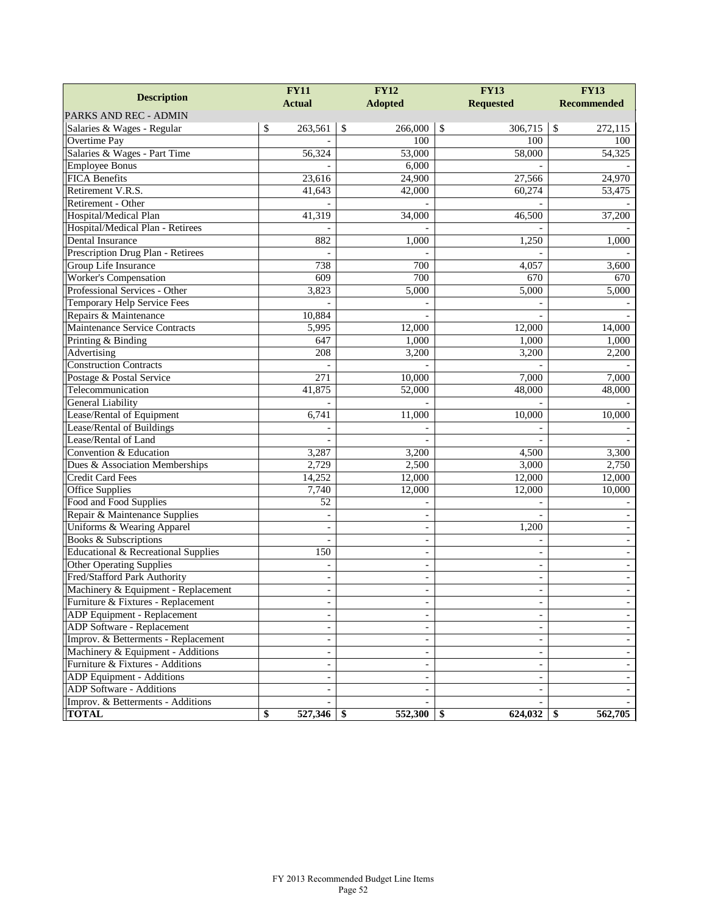|                                     | <b>FY11</b>              | <b>FY12</b>     | <b>FY13</b>              | <b>FY13</b>              |  |  |
|-------------------------------------|--------------------------|-----------------|--------------------------|--------------------------|--|--|
| <b>Description</b>                  | <b>Actual</b>            | <b>Adopted</b>  | <b>Requested</b>         | <b>Recommended</b>       |  |  |
| PARKS AND REC - ADMIN               |                          |                 |                          |                          |  |  |
| Salaries & Wages - Regular          | \$<br>263,561            | \$<br>266,000   | \$<br>306,715            | \$<br>272,115            |  |  |
| Overtime Pay                        |                          | 100             | 100                      | 100                      |  |  |
| Salaries & Wages - Part Time        | 56,324                   | 53,000          | 58,000                   | 54,325                   |  |  |
| <b>Employee Bonus</b>               |                          | 6,000           |                          |                          |  |  |
| <b>FICA Benefits</b>                | 23,616                   | 24,900          | 27,566                   | 24,970                   |  |  |
| Retirement V.R.S.                   | 41,643                   | 42,000          | 60,274                   | 53,475                   |  |  |
| Retirement - Other                  |                          |                 |                          |                          |  |  |
| Hospital/Medical Plan               | 41,319                   | 34,000          | 46,500                   | 37,200                   |  |  |
| Hospital/Medical Plan - Retirees    |                          |                 |                          |                          |  |  |
| Dental Insurance                    | 882                      | 1,000           | 1,250                    | 1,000                    |  |  |
| Prescription Drug Plan - Retirees   |                          |                 |                          |                          |  |  |
| Group Life Insurance                | 738                      | 700             | 4,057                    | 3,600                    |  |  |
| Worker's Compensation               | 609                      | 700             | 670                      | 670                      |  |  |
| Professional Services - Other       | 3,823                    | 5,000           | 5,000                    | 5,000                    |  |  |
| Temporary Help Service Fees         |                          |                 |                          |                          |  |  |
| Repairs & Maintenance               | 10,884                   |                 |                          |                          |  |  |
| Maintenance Service Contracts       | 5,995                    | 12,000          | 12,000                   | 14,000                   |  |  |
| Printing & Binding                  | 647                      | 1,000           | 1,000                    | 1,000                    |  |  |
| Advertising                         | 208                      | 3,200           | 3,200                    | 2,200                    |  |  |
| <b>Construction Contracts</b>       |                          |                 |                          |                          |  |  |
| Postage & Postal Service            | 271                      | 10,000          | 7,000                    | 7,000                    |  |  |
| Telecommunication                   | 41,875                   | 52,000          | 48,000                   | 48,000                   |  |  |
| General Liability                   |                          |                 |                          |                          |  |  |
| Lease/Rental of Equipment           | 6,741                    | 11,000          | 10,000                   | 10,000                   |  |  |
| Lease/Rental of Buildings           |                          |                 |                          |                          |  |  |
| Lease/Rental of Land                |                          |                 |                          |                          |  |  |
| Convention & Education              | 3,287                    | 3,200           | 4,500                    | 3,300                    |  |  |
| Dues & Association Memberships      | 2,729                    | 2,500           | 3,000                    | 2,750                    |  |  |
| Credit Card Fees                    | 14,252                   | 12,000          | 12,000                   | 12,000                   |  |  |
| Office Supplies                     | 7,740                    | 12,000          | 12,000                   | 10,000                   |  |  |
| Food and Food Supplies              | 52                       |                 |                          |                          |  |  |
| Repair & Maintenance Supplies       | $\overline{a}$           | $\overline{a}$  |                          |                          |  |  |
| Uniforms & Wearing Apparel          |                          | $\overline{a}$  | 1,200                    |                          |  |  |
| <b>Books &amp; Subscriptions</b>    |                          | L,              |                          |                          |  |  |
| Educational & Recreational Supplies | 150                      | $\blacksquare$  | $\sim$                   |                          |  |  |
| Other Operating Supplies            |                          |                 | $\overline{\phantom{a}}$ |                          |  |  |
| Fred/Stafford Park Authority        | $\overline{\phantom{a}}$ | $\blacksquare$  | $\sim$                   | $\overline{\phantom{a}}$ |  |  |
| Machinery & Equipment - Replacement | $\overline{\phantom{a}}$ | ÷,              | $\overline{\phantom{a}}$ |                          |  |  |
| Furniture & Fixtures - Replacement  | $\overline{\phantom{a}}$ |                 | -                        |                          |  |  |
| ADP Equipment - Replacement         | $\overline{\phantom{a}}$ |                 | $\overline{\phantom{a}}$ |                          |  |  |
| ADP Software - Replacement          |                          |                 |                          |                          |  |  |
| Improv. & Betterments - Replacement | $\overline{\phantom{a}}$ |                 | $\overline{\phantom{a}}$ |                          |  |  |
| Machinery & Equipment - Additions   | $\overline{\phantom{a}}$ |                 | $\overline{\phantom{a}}$ |                          |  |  |
| Furniture & Fixtures - Additions    | $\overline{\phantom{a}}$ |                 | $\overline{\phantom{a}}$ |                          |  |  |
| ADP Equipment - Additions           | $\overline{\phantom{a}}$ |                 | $\overline{\phantom{a}}$ |                          |  |  |
| ADP Software - Additions            |                          |                 |                          |                          |  |  |
| Improv. & Betterments - Additions   |                          |                 |                          |                          |  |  |
| <b>TOTAL</b>                        | \$<br>527,346            | 552,300<br>- \$ | 624,032<br>-S            | 562,705<br>\$            |  |  |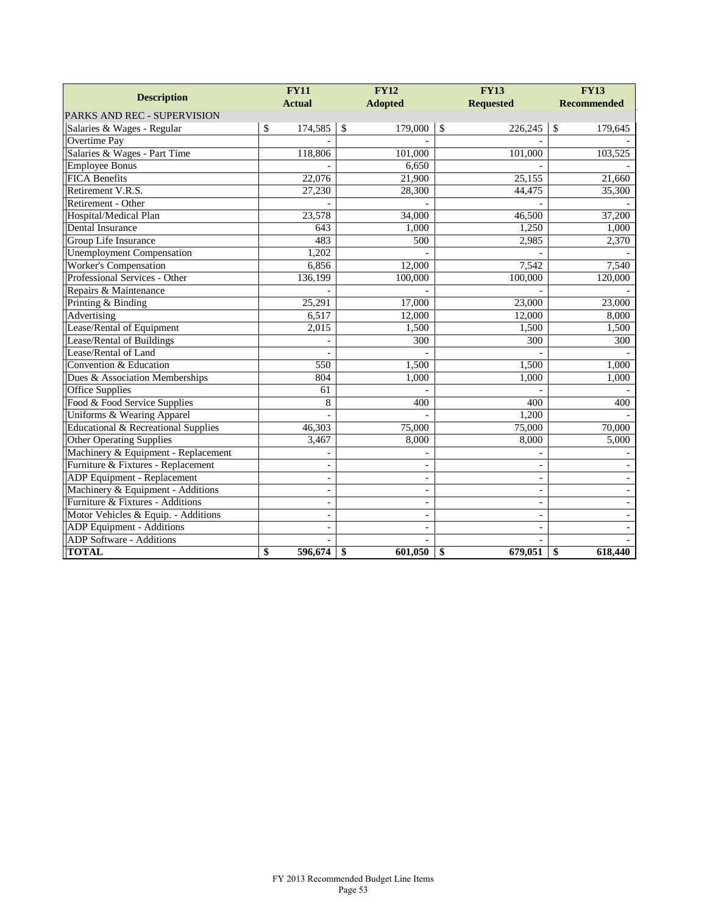|                                     | <b>FY11</b>              | <b>FY12</b>              | <b>FY13</b>              | <b>FY13</b>        |
|-------------------------------------|--------------------------|--------------------------|--------------------------|--------------------|
| <b>Description</b>                  | <b>Actual</b>            | <b>Adopted</b>           | <b>Requested</b>         | <b>Recommended</b> |
| PARKS AND REC - SUPERVISION         |                          |                          |                          |                    |
| Salaries & Wages - Regular          | 174,585<br>\$            | $\mathbb{S}$<br>179,000  | \$<br>226,245            | \$<br>179,645      |
| Overtime Pay                        |                          |                          |                          |                    |
| Salaries & Wages - Part Time        | 118,806                  | 101,000                  | 101,000                  | 103,525            |
| <b>Employee Bonus</b>               |                          | 6,650                    |                          |                    |
| <b>FICA Benefits</b>                | 22,076                   | 21,900                   | 25,155                   | 21,660             |
| Retirement V.R.S.                   | 27,230                   | 28,300                   | 44,475                   | 35,300             |
| Retirement - Other                  |                          |                          |                          |                    |
| Hospital/Medical Plan               | 23,578                   | 34,000                   | 46,500                   | 37,200             |
| Dental Insurance                    | 643                      | 1,000                    | 1,250                    | 1,000              |
| Group Life Insurance                | 483                      | 500                      | 2,985                    | 2,370              |
| <b>Unemployment Compensation</b>    | 1,202                    |                          |                          |                    |
| <b>Worker's Compensation</b>        | 6,856                    | 12,000                   | 7,542                    | 7,540              |
| Professional Services - Other       | 136,199                  | 100,000                  | 100,000                  | 120,000            |
| Repairs & Maintenance               |                          |                          |                          |                    |
| Printing & Binding                  | 25,291                   | 17,000                   | 23,000                   | 23,000             |
| Advertising                         | 6,517                    | 12,000                   | 12,000                   | 8,000              |
| Lease/Rental of Equipment           | 2,015                    | 1,500                    | 1,500                    | 1,500              |
| Lease/Rental of Buildings           |                          | 300                      | 300                      | 300                |
| Lease/Rental of Land                |                          |                          |                          |                    |
| Convention & Education              | 550                      | 1,500                    | 1,500                    | 1,000              |
| Dues & Association Memberships      | 804                      | 1,000                    | 1,000                    | 1,000              |
| <b>Office Supplies</b>              | 61                       |                          |                          |                    |
| Food & Food Service Supplies        | 8                        | 400                      | 400                      | 400                |
| Uniforms & Wearing Apparel          |                          |                          | 1,200                    |                    |
| Educational & Recreational Supplies | 46,303                   | 75,000                   | 75,000                   | 70,000             |
| <b>Other Operating Supplies</b>     | 3,467                    | 8,000                    | 8,000                    | 5,000              |
| Machinery & Equipment - Replacement |                          |                          |                          |                    |
| Furniture & Fixtures - Replacement  | $\overline{\phantom{a}}$ | $\blacksquare$           |                          |                    |
| ADP Equipment - Replacement         | $\overline{\phantom{a}}$ | $\overline{\phantom{a}}$ | $\overline{\phantom{a}}$ |                    |
| Machinery & Equipment - Additions   | $\overline{\phantom{a}}$ | L,                       | $\overline{\phantom{a}}$ |                    |
| Furniture & Fixtures - Additions    | $\overline{a}$           |                          | $\overline{\phantom{a}}$ |                    |
| Motor Vehicles & Equip. - Additions |                          |                          | $\overline{a}$           |                    |
| ADP Equipment - Additions           |                          |                          |                          |                    |
| <b>ADP</b> Software - Additions     |                          |                          |                          |                    |
| <b>TOTAL</b>                        | 596,674<br>\$            | 601,050<br>\$            | \$<br>679.051            | \$<br>618,440      |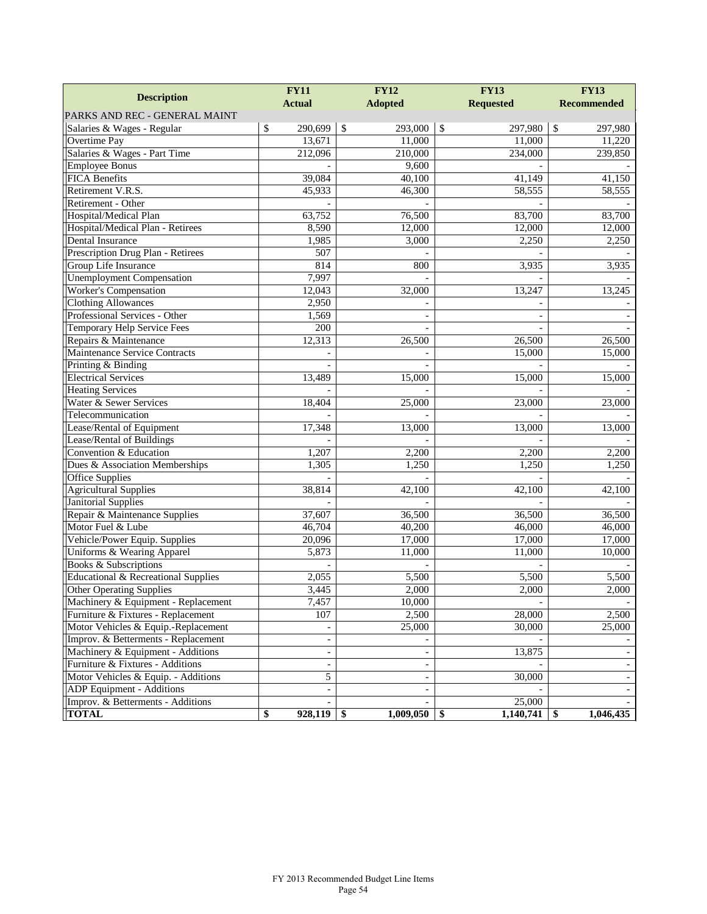| <b>Description</b>                  | <b>FY11</b>              | <b>FY12</b>           | <b>FY13</b>         | <b>FY13</b>        |  |
|-------------------------------------|--------------------------|-----------------------|---------------------|--------------------|--|
|                                     | <b>Actual</b>            | <b>Adopted</b>        | <b>Requested</b>    | <b>Recommended</b> |  |
| PARKS AND REC - GENERAL MAINT       |                          |                       |                     |                    |  |
| Salaries & Wages - Regular          | $\mathbb{S}$<br>290,699  | $\sqrt{S}$<br>293,000 | \$<br>297,980       | $\$$<br>297,980    |  |
| Overtime Pay                        | 13,671                   | 11,000                | 11,000              | 11,220             |  |
| Salaries & Wages - Part Time        | 212,096                  | 210,000               | 234,000             | 239,850            |  |
| <b>Employee Bonus</b>               |                          | 9,600                 |                     |                    |  |
| <b>FICA Benefits</b>                | 39,084                   | 40,100                | 41,149              | 41,150             |  |
| Retirement V.R.S.                   | 45,933                   | 46,300                | 58,555              | 58,555             |  |
| Retirement - Other                  |                          |                       |                     |                    |  |
| Hospital/Medical Plan               | 63,752                   | 76,500                | 83,700              | 83,700             |  |
| Hospital/Medical Plan - Retirees    | 8,590                    | 12,000                | 12,000              | 12,000             |  |
| Dental Insurance                    | 1,985                    | 3,000                 | 2,250               | 2,250              |  |
| Prescription Drug Plan - Retirees   | 507                      |                       |                     |                    |  |
| Group Life Insurance                | 814                      | 800                   | 3,935               | 3,935              |  |
| <b>Unemployment Compensation</b>    | 7,997                    |                       |                     |                    |  |
| <b>Worker's Compensation</b>        | 12,043                   | 32,000                | 13,247              | 13,245             |  |
| <b>Clothing Allowances</b>          | 2,950                    |                       |                     |                    |  |
| Professional Services - Other       | 1,569                    |                       |                     |                    |  |
| Temporary Help Service Fees         | 200                      |                       |                     |                    |  |
| Repairs & Maintenance               | 12,313                   | 26,500                | 26,500              | 26,500             |  |
| Maintenance Service Contracts       |                          |                       | 15,000              | 15,000             |  |
| Printing & Binding                  |                          |                       |                     |                    |  |
| <b>Electrical Services</b>          | 13,489                   | 15,000                | 15,000              | 15,000             |  |
| <b>Heating Services</b>             |                          |                       |                     |                    |  |
| Water & Sewer Services              | 18,404                   | 25,000                | 23,000              | 23,000             |  |
| Telecommunication                   |                          |                       |                     |                    |  |
| Lease/Rental of Equipment           | 17,348                   | 13,000                | 13,000              | 13,000             |  |
| Lease/Rental of Buildings           |                          |                       |                     |                    |  |
| Convention & Education              | 1,207                    | 2,200                 | 2,200               | 2,200              |  |
| Dues & Association Memberships      | 1,305                    | 1,250                 | 1,250               | 1,250              |  |
| <b>Office Supplies</b>              |                          |                       |                     |                    |  |
| <b>Agricultural Supplies</b>        | 38,814                   | 42,100                | 42,100              | 42,100             |  |
| <b>Janitorial Supplies</b>          |                          |                       |                     |                    |  |
| Repair & Maintenance Supplies       | 37,607                   | 36,500                | 36,500              | 36,500             |  |
| Motor Fuel & Lube                   | 46,704                   | 40,200                | 46,000              | 46,000             |  |
| Vehicle/Power Equip. Supplies       | 20,096                   | 17,000                | 17,000              | 17,000             |  |
| Uniforms & Wearing Apparel          | 5,873                    | 11,000                | 11,000              | 10,000             |  |
| <b>Books &amp; Subscriptions</b>    |                          |                       |                     |                    |  |
| Educational & Recreational Supplies | 2,055                    | 5,500                 | 5,500               | 5,500              |  |
| <b>Other Operating Supplies</b>     | 3,445                    | 2,000                 | 2,000               | 2,000              |  |
| Machinery & Equipment - Replacement | 7,457                    | 10,000                |                     |                    |  |
| Furniture & Fixtures - Replacement  | 107                      | 2,500                 | 28,000              | 2,500              |  |
| Motor Vehicles & Equip.-Replacement |                          | 25,000                | 30,000              | 25,000             |  |
| Improv. & Betterments - Replacement | $\overline{\phantom{a}}$ |                       |                     |                    |  |
| Machinery & Equipment - Additions   | $\overline{\phantom{a}}$ | $\blacksquare$        | 13,875              |                    |  |
| Furniture & Fixtures - Additions    | $\overline{\phantom{a}}$ |                       |                     |                    |  |
| Motor Vehicles & Equip. - Additions | 5                        |                       | 30,000              |                    |  |
| ADP Equipment - Additions           |                          |                       |                     |                    |  |
| Improv. & Betterments - Additions   | $\overline{a}$           |                       | $\overline{25,000}$ |                    |  |
| <b>TOTAL</b>                        | \$<br>928,119            | 1,009,050<br>l \$     | 1,140,741<br>-\$    | 1,046,435<br>\$    |  |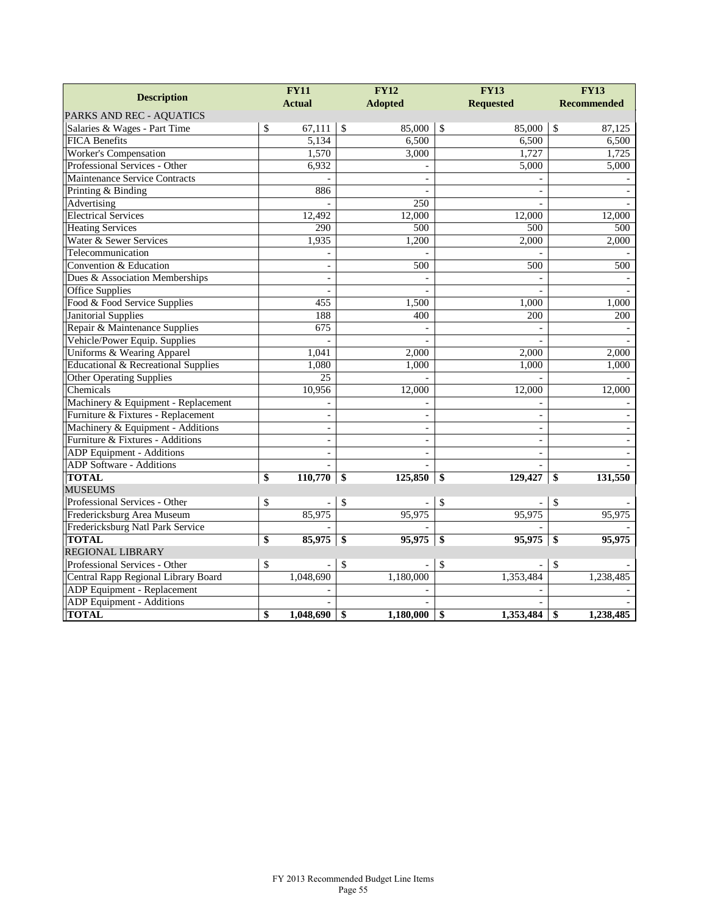|                                     | <b>FY11</b>              |                 | <b>FY12</b>              |              | <b>FY13</b>              | <b>FY13</b>        |
|-------------------------------------|--------------------------|-----------------|--------------------------|--------------|--------------------------|--------------------|
| <b>Description</b>                  | <b>Actual</b>            |                 | <b>Adopted</b>           |              | <b>Requested</b>         | <b>Recommended</b> |
| PARKS AND REC - AQUATICS            |                          |                 |                          |              |                          |                    |
| Salaries & Wages - Part Time        | \$<br>67,111             | $\mathbb{S}$    | 85,000                   | $\mathbb{S}$ | 85,000                   | \$<br>87,125       |
| <b>FICA Benefits</b>                | 5,134                    |                 | 6,500                    |              | 6,500                    | 6,500              |
| <b>Worker's Compensation</b>        | 1,570                    |                 | 3,000                    |              | 1,727                    | 1,725              |
| Professional Services - Other       | 6,932                    |                 |                          |              | 5,000                    | 5,000              |
| Maintenance Service Contracts       |                          |                 | $\bar{\phantom{a}}$      |              |                          |                    |
| Printing & Binding                  | 886                      |                 |                          |              | $\overline{\phantom{a}}$ |                    |
| Advertising                         |                          |                 | 250                      |              |                          |                    |
| <b>Electrical Services</b>          | 12,492                   |                 | 12,000                   |              | 12,000                   | 12,000             |
| <b>Heating Services</b>             | 290                      |                 | 500                      |              | 500                      | 500                |
| Water & Sewer Services              | 1,935                    |                 | 1,200                    |              | 2,000                    | 2,000              |
| Telecommunication                   |                          |                 |                          |              |                          |                    |
| Convention & Education              | $\equiv$                 |                 | 500                      |              | 500                      | 500                |
| Dues & Association Memberships      | $\overline{\phantom{a}}$ |                 |                          |              |                          |                    |
| <b>Office Supplies</b>              | $\overline{a}$           |                 |                          |              |                          |                    |
| Food & Food Service Supplies        | 455                      |                 | 1,500                    |              | 1,000                    | 1,000              |
| <b>Janitorial Supplies</b>          | 188                      |                 | 400                      |              | 200                      | 200                |
| Repair & Maintenance Supplies       | 675                      |                 |                          |              |                          |                    |
| Vehicle/Power Equip. Supplies       |                          |                 |                          |              |                          |                    |
| Uniforms & Wearing Apparel          | 1,041                    |                 | 2,000                    |              | 2,000                    | 2,000              |
| Educational & Recreational Supplies | 1,080                    |                 | 1,000                    |              | 1,000                    | 1,000              |
| Other Operating Supplies            | $\overline{25}$          |                 |                          |              |                          |                    |
| Chemicals                           | 10,956                   |                 | 12,000                   |              | 12,000                   | 12,000             |
| Machinery & Equipment - Replacement |                          |                 |                          |              |                          |                    |
| Furniture & Fixtures - Replacement  |                          |                 |                          |              | $\overline{\phantom{a}}$ |                    |
| Machinery & Equipment - Additions   | $\overline{\phantom{a}}$ |                 | $\overline{\phantom{a}}$ |              | $\overline{\phantom{a}}$ |                    |
| Furniture & Fixtures - Additions    |                          |                 |                          |              | $\sim$                   |                    |
| <b>ADP</b> Equipment - Additions    | $\overline{\phantom{a}}$ |                 | $\blacksquare$           |              | $\overline{\phantom{a}}$ |                    |
| <b>ADP</b> Software - Additions     |                          |                 |                          |              |                          |                    |
| <b>TOTAL</b>                        | \$<br>110,770            | \$              | 125,850                  | \$           | 129,427                  | \$<br>131,550      |
| <b>MUSEUMS</b>                      |                          |                 |                          |              |                          |                    |
| Professional Services - Other       | \$                       | \$              |                          | \$           |                          | \$                 |
| Fredericksburg Area Museum          | 85,975                   |                 | 95,975                   |              | 95,975                   | 95,975             |
| Fredericksburg Natl Park Service    |                          |                 |                          |              |                          |                    |
| <b>TOTAL</b>                        | \$<br>85,975             | $\overline{\$}$ | 95,975                   | \$           | 95,975                   | \$<br>95,975       |
| <b>REGIONAL LIBRARY</b>             |                          |                 |                          |              |                          |                    |
| Professional Services - Other       | \$                       | \$              |                          | \$           |                          | \$                 |
| Central Rapp Regional Library Board | 1,048,690                |                 | 1,180,000                |              | 1,353,484                | 1,238,485          |
| ADP Equipment - Replacement         |                          |                 |                          |              |                          |                    |
| <b>ADP</b> Equipment - Additions    |                          |                 |                          |              |                          |                    |
| <b>TOTAL</b>                        | \$<br>1,048,690          | \$              | 1,180,000                | \$           | 1,353,484                | \$<br>1,238,485    |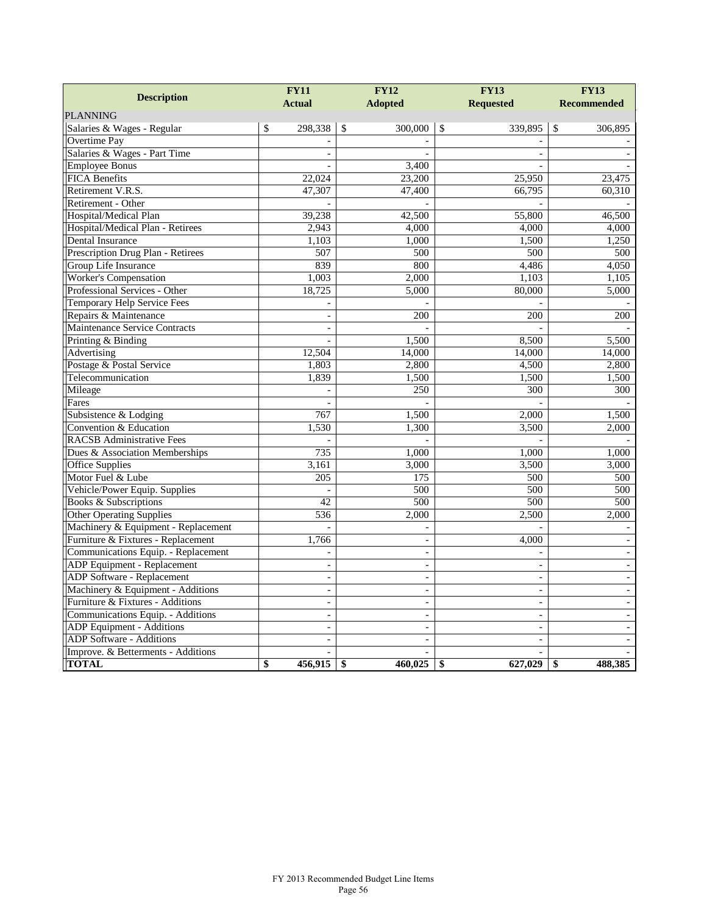| <b>Description</b>                   | <b>FY11</b><br><b>Actual</b> |               | <b>FY12</b><br><b>Adopted</b> |               | <b>FY13</b><br><b>Requested</b> | <b>FY13</b><br><b>Recommended</b> |
|--------------------------------------|------------------------------|---------------|-------------------------------|---------------|---------------------------------|-----------------------------------|
| <b>PLANNING</b>                      |                              |               |                               |               |                                 |                                   |
| Salaries & Wages - Regular           | \$<br>298,338                | $\mathcal{S}$ | 300,000                       | $\mathcal{S}$ | 339,895                         | \$<br>306,895                     |
| <b>Overtime Pay</b>                  |                              |               |                               |               |                                 |                                   |
| Salaries & Wages - Part Time         | $\overline{\phantom{a}}$     |               |                               |               | $\sim$                          |                                   |
| <b>Employee Bonus</b>                |                              |               | 3,400                         |               |                                 |                                   |
| <b>FICA Benefits</b>                 | 22,024                       |               | 23,200                        |               | 25,950                          | 23,475                            |
| Retirement V.R.S.                    | 47,307                       |               | 47,400                        |               | 66.795                          | 60,310                            |
| Retirement - Other                   |                              |               |                               |               |                                 |                                   |
| Hospital/Medical Plan                | 39,238                       |               | 42,500                        |               | 55,800                          | 46,500                            |
| Hospital/Medical Plan - Retirees     | 2,943                        |               | 4,000                         |               | 4,000                           | 4,000                             |
| Dental Insurance                     | 1,103                        |               | 1,000                         |               | 1,500                           | 1,250                             |
| Prescription Drug Plan - Retirees    | 507                          |               | 500                           |               | 500                             | 500                               |
| Group Life Insurance                 | 839                          |               | 800                           |               | 4,486                           | 4,050                             |
| Worker's Compensation                | 1,003                        |               | 2,000                         |               | 1,103                           | 1,105                             |
| Professional Services - Other        | 18,725                       |               | 5,000                         |               | 80,000                          | 5,000                             |
| Temporary Help Service Fees          |                              |               |                               |               |                                 |                                   |
| Repairs & Maintenance                | $\overline{a}$               |               | 200                           |               | 200                             | 200                               |
| <b>Maintenance Service Contracts</b> | $\overline{a}$               |               |                               |               |                                 |                                   |
| Printing & Binding                   |                              |               | 1,500                         |               | 8,500                           | 5,500                             |
| Advertising                          | 12,504                       |               | 14,000                        |               | 14,000                          | 14,000                            |
| Postage & Postal Service             | 1,803                        |               | 2,800                         |               | 4,500                           | 2,800                             |
| Telecommunication                    | 1,839                        |               | 1,500                         |               | 1,500                           | 1,500                             |
| Mileage                              |                              |               | 250                           |               | 300                             | 300                               |
| Fares                                |                              |               |                               |               |                                 |                                   |
| Subsistence & Lodging                | 767                          |               | 1,500                         |               | 2,000                           | 1,500                             |
| Convention & Education               | 1,530                        |               | 1,300                         |               | 3,500                           | 2,000                             |
| <b>RACSB Administrative Fees</b>     |                              |               |                               |               |                                 |                                   |
| Dues & Association Memberships       | 735                          |               | 1,000                         |               | 1,000                           | 1,000                             |
| Office Supplies                      | 3,161                        |               | 3,000                         |               | 3,500                           | 3,000                             |
| Motor Fuel & Lube                    | 205                          |               | 175                           |               | 500                             | 500                               |
| Vehicle/Power Equip. Supplies        |                              |               | 500                           |               | 500                             | 500                               |
| <b>Books &amp; Subscriptions</b>     | 42                           |               | 500                           |               | 500                             | 500                               |
| <b>Other Operating Supplies</b>      | 536                          |               | 2,000                         |               | 2,500                           | 2,000                             |
| Machinery & Equipment - Replacement  |                              |               |                               |               |                                 |                                   |
| Furniture & Fixtures - Replacement   | 1,766                        |               | $\overline{a}$                |               | 4,000                           |                                   |
| Communications Equip. - Replacement  |                              |               |                               |               |                                 |                                   |
| ADP Equipment - Replacement          | $\sim$                       |               | $\overline{a}$                |               | $\sim$                          | $\sim$                            |
| ADP Software - Replacement           | $\sim$                       |               | $\overline{a}$                |               | $\overline{\phantom{a}}$        | $\overline{a}$                    |
| Machinery & Equipment - Additions    | $\bar{\phantom{a}}$          |               |                               |               | $\blacksquare$                  |                                   |
| Furniture & Fixtures - Additions     | $\sim$                       |               | $\overline{a}$                |               | $\overline{\phantom{a}}$        |                                   |
| Communications Equip. - Additions    | $\frac{1}{2}$                |               |                               |               | $\blacksquare$                  |                                   |
| ADP Equipment - Additions            | $\overline{a}$               |               | $\overline{a}$                |               | $\blacksquare$                  |                                   |
| ADP Software - Additions             | $\overline{\phantom{a}}$     |               |                               |               | $\overline{\phantom{a}}$        |                                   |
| Improve. & Betterments - Additions   | $\sim$                       |               |                               |               | $\overline{a}$                  |                                   |
| <b>TOTAL</b>                         | \$<br>456,915                | \$            | 460,025                       | \$            | 627,029                         | \$<br>488,385                     |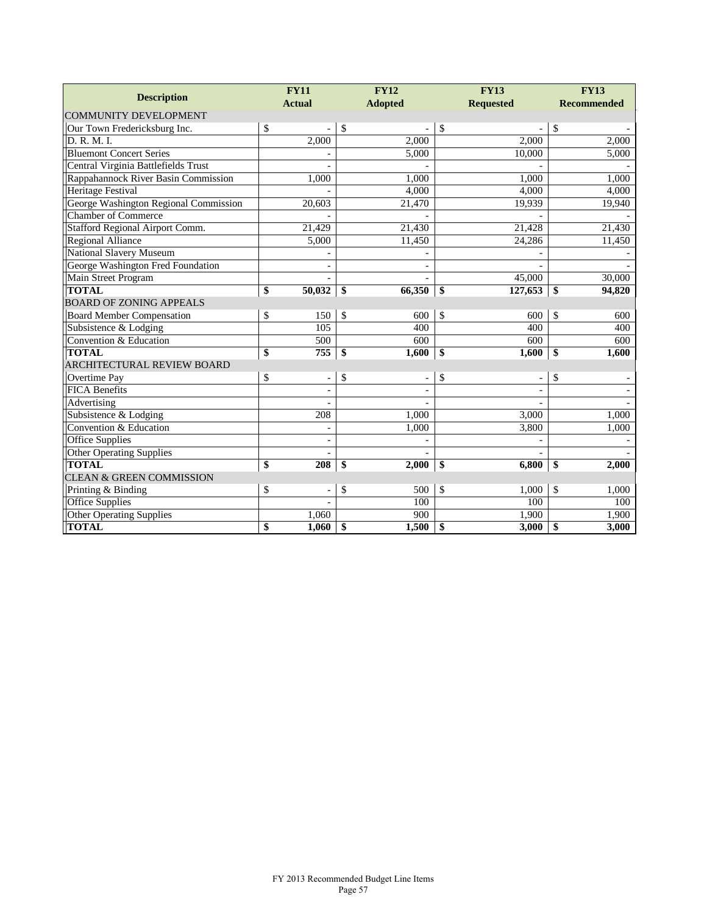|                                       | <b>FY11</b>                    | <b>FY12</b>          | <b>FY13</b>            | <b>FY13</b>        |
|---------------------------------------|--------------------------------|----------------------|------------------------|--------------------|
| <b>Description</b>                    | <b>Actual</b>                  | <b>Adopted</b>       | <b>Requested</b>       | <b>Recommended</b> |
| <b>COMMUNITY DEVELOPMENT</b>          |                                |                      |                        |                    |
| Our Town Fredericksburg Inc.          | \$                             | \$                   | \$                     | \$                 |
| D. R. M. I.                           | 2,000                          | 2.000                | 2,000                  | 2,000              |
| <b>Bluemont Concert Series</b>        |                                | 5,000                | 10,000                 | 5,000              |
| Central Virginia Battlefields Trust   |                                |                      |                        |                    |
| Rappahannock River Basin Commission   | 1,000                          | 1,000                | 1,000                  | 1,000              |
| <b>Heritage Festival</b>              |                                | 4,000                | 4,000                  | 4,000              |
| George Washington Regional Commission | 20,603                         | 21,470               | 19,939                 | 19,940             |
| <b>Chamber of Commerce</b>            |                                |                      |                        |                    |
| Stafford Regional Airport Comm.       | 21,429                         | 21,430               | 21,428                 | 21,430             |
| Regional Alliance                     | 5,000                          | 11,450               | 24,286                 | 11,450             |
| <b>National Slavery Museum</b>        |                                |                      |                        |                    |
| George Washington Fred Foundation     | $\overline{\phantom{a}}$       |                      |                        |                    |
| Main Street Program                   | $\blacksquare$                 |                      | 45,000                 | 30,000             |
| <b>TOTAL</b>                          | \$<br>50,032                   | 66,350<br>-\$        | 127,653<br>-\$         | \$<br>94,820       |
| <b>BOARD OF ZONING APPEALS</b>        |                                |                      |                        |                    |
| <b>Board Member Compensation</b>      | \$<br>150                      | \$<br>600            | \$<br>600              | \$<br>600          |
| Subsistence & Lodging                 | 105                            | 400                  | 400                    | 400                |
| Convention & Education                | 500                            | 600                  | 600                    | 600                |
| <b>TOTAL</b>                          | \$<br>755                      | \$<br>1,600          | 1,600<br>$\mathbf{\$}$ | \$<br>1,600        |
| ARCHITECTURAL REVIEW BOARD            |                                |                      |                        |                    |
| Overtime Pay                          | \$<br>$\overline{\phantom{a}}$ | \$<br>$\overline{a}$ | \$                     | \$                 |
| <b>FICA Benefits</b>                  |                                |                      |                        |                    |
| Advertising                           |                                |                      |                        |                    |
| Subsistence & Lodging                 | 208                            | 1,000                | 3,000                  | 1,000              |
| Convention & Education                |                                | 1,000                | 3,800                  | 1,000              |
| <b>Office Supplies</b>                |                                |                      |                        |                    |
| Other Operating Supplies              |                                |                      |                        |                    |
| <b>TOTAL</b>                          | \$<br>208                      | \$<br>2,000          | 6,800<br>\$            | \$<br>2,000        |
| <b>CLEAN &amp; GREEN COMMISSION</b>   |                                |                      |                        |                    |
| Printing & Binding                    | \$<br>$\overline{\phantom{a}}$ | \$<br>500            | \$<br>1,000            | \$<br>1,000        |
| Office Supplies                       |                                | 100                  | 100                    | 100                |
| Other Operating Supplies              | 1,060                          | 900                  | 1,900                  | 1,900              |
| <b>TOTAL</b>                          | \$<br>1,060                    | \$<br>1,500          | \$<br>3,000            | \$<br>3,000        |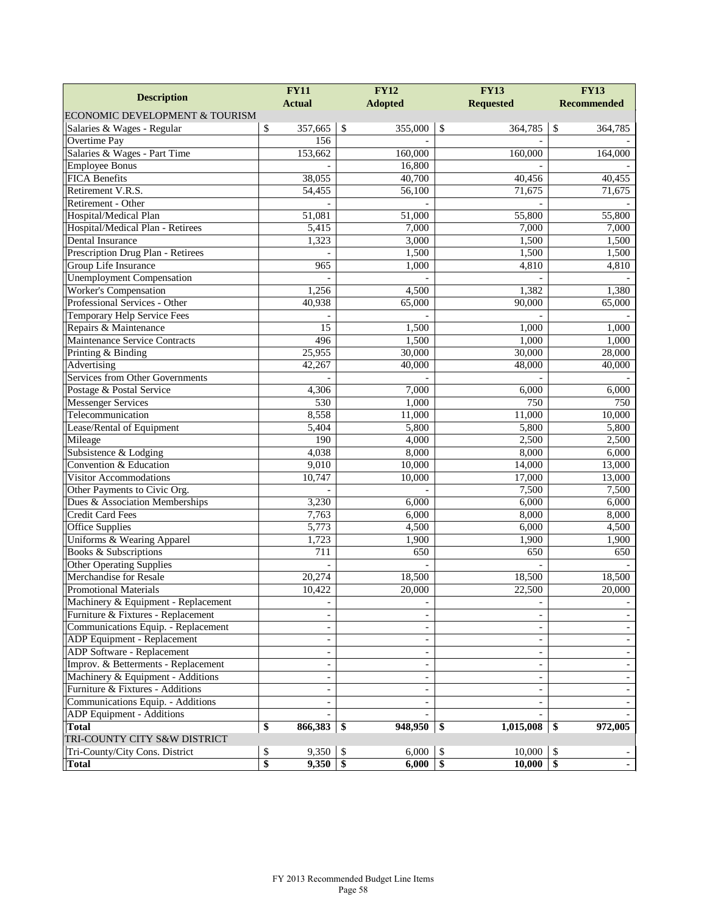|                                      | <b>FY11</b>              | <b>FY12</b>                      | <b>FY13</b>               | <b>FY13</b>        |
|--------------------------------------|--------------------------|----------------------------------|---------------------------|--------------------|
| <b>Description</b>                   | <b>Actual</b>            | <b>Adopted</b>                   | <b>Requested</b>          | <b>Recommended</b> |
| ECONOMIC DEVELOPMENT & TOURISM       |                          |                                  |                           |                    |
| Salaries & Wages - Regular           | \$<br>357,665            | $\sqrt{3}$<br>355,000            | $\mathcal{S}$<br>364,785  | \$<br>364,785      |
| <b>Overtime Pay</b>                  | 156                      |                                  |                           |                    |
| Salaries & Wages - Part Time         | 153,662                  | 160,000                          | 160,000                   | 164,000            |
| <b>Employee Bonus</b>                |                          | 16,800                           |                           |                    |
| <b>FICA Benefits</b>                 | 38,055                   | 40,700                           | 40,456                    | 40,455             |
| Retirement V.R.S.                    | 54,455                   | 56,100                           | 71,675                    | 71,675             |
| Retirement - Other                   |                          |                                  |                           |                    |
| Hospital/Medical Plan                | 51,081                   | 51,000                           | 55,800                    | 55,800             |
| Hospital/Medical Plan - Retirees     | 5,415                    | 7,000                            | 7,000                     | 7,000              |
| Dental Insurance                     | 1,323                    | 3,000                            | 1,500                     | 1,500              |
| Prescription Drug Plan - Retirees    |                          | 1,500                            | 1,500                     | 1,500              |
| Group Life Insurance                 | 965                      | 1,000                            | 4,810                     | 4,810              |
| <b>Unemployment Compensation</b>     |                          |                                  |                           |                    |
| <b>Worker's Compensation</b>         | 1,256                    | 4,500                            | 1,382                     | 1,380              |
| Professional Services - Other        | 40,938                   | 65,000                           | 90,000                    | 65,000             |
| Temporary Help Service Fees          |                          |                                  |                           |                    |
| Repairs & Maintenance                | 15                       | 1,500                            | 1,000                     | 1,000              |
| <b>Maintenance Service Contracts</b> | 496                      | 1,500                            | 1,000                     | 1.000              |
| Printing & Binding                   | 25,955                   | 30,000                           | 30,000                    | 28,000             |
| Advertising                          | 42,267                   | 40,000                           | 48,000                    | 40,000             |
| Services from Other Governments      |                          |                                  |                           |                    |
| Postage & Postal Service             | 4,306                    | 7,000                            | 6,000                     | 6,000              |
| Messenger Services                   | 530                      | 1,000                            | 750                       | 750                |
| Telecommunication                    | 8,558                    | 11,000                           | 11,000                    | 10,000             |
| Lease/Rental of Equipment            | 5,404                    | 5,800                            | 5,800                     | 5,800              |
| Mileage                              | 190                      | 4,000                            | 2,500                     | 2,500              |
| Subsistence & Lodging                | 4,038                    | 8,000                            | 8,000                     | 6,000              |
| Convention & Education               | 9,010                    | 10,000                           | 14,000                    | 13,000             |
| Visitor Accommodations               | 10,747                   | 10,000                           | 17,000                    | 13,000             |
| Other Payments to Civic Org.         |                          |                                  | 7,500                     | 7,500              |
| Dues & Association Memberships       | 3,230                    | 6,000                            | 6,000                     | 6,000              |
| Credit Card Fees                     | 7,763                    | 6,000                            | 8,000                     | 8,000              |
| <b>Office Supplies</b>               | 5,773                    | 4,500                            | 6,000                     | 4,500              |
| Uniforms & Wearing Apparel           | 1,723                    | 1,900                            | 1,900                     | 1,900              |
| <b>Books &amp; Subscriptions</b>     | 711                      | 650                              | 650                       | 650                |
| <b>Other Operating Supplies</b>      |                          |                                  |                           |                    |
| <b>Merchandise for Resale</b>        | 20,274                   | 18,500                           | 18,500                    | 18,500             |
| <b>Promotional Materials</b>         | 10,422                   | 20,000                           | 22,500                    | 20,000             |
| Machinery & Equipment - Replacement  | $\overline{\phantom{a}}$ |                                  | $\overline{\phantom{a}}$  |                    |
| Furniture & Fixtures - Replacement   | $\overline{\phantom{a}}$ |                                  | $\blacksquare$            |                    |
| Communications Equip. - Replacement  | $\sim$                   |                                  | $\blacksquare$            |                    |
| ADP Equipment - Replacement          | $\blacksquare$           |                                  |                           |                    |
| ADP Software - Replacement           | $\overline{\phantom{a}}$ | $\blacksquare$                   | $\overline{\phantom{a}}$  |                    |
| Improv. & Betterments - Replacement  | $\overline{\phantom{a}}$ |                                  | $\overline{\phantom{a}}$  |                    |
| Machinery & Equipment - Additions    | $\overline{\phantom{a}}$ |                                  | $\blacksquare$            |                    |
| Furniture & Fixtures - Additions     |                          |                                  | $\blacksquare$            |                    |
| Communications Equip. - Additions    |                          |                                  |                           |                    |
| <b>ADP</b> Equipment - Additions     |                          |                                  |                           |                    |
| <b>Total</b>                         | \$<br>866,383            | $948,950$ \ \\$<br>  SS          | 1,015,008                 | 972,005<br>S,      |
| TRI-COUNTY CITY S&W DISTRICT         |                          |                                  |                           |                    |
| Tri-County/City Cons. District       | 9,350<br>\$              | 6,000<br>-S                      | 10,000<br>-S              | \$                 |
| <b>Total</b>                         | \$<br>9,350              | $\overline{\mathbf{S}}$<br>6,000 | $\overline{\$}$<br>10,000 | $\mathbf{\$}$      |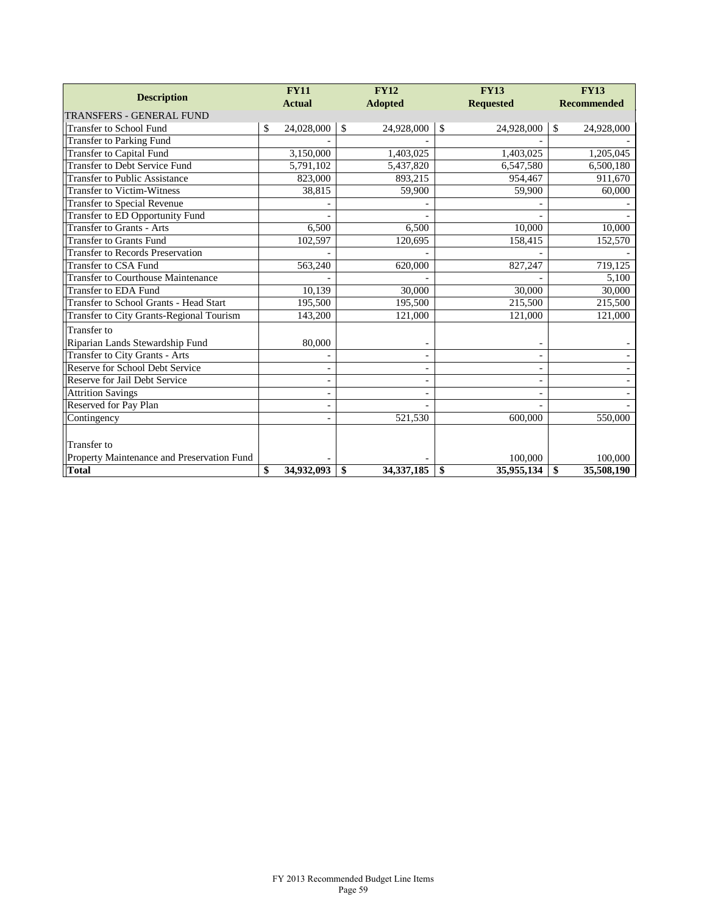| <b>Description</b>                         | <b>FY11</b><br><b>Actual</b> |               | <b>FY12</b>              | <b>FY13</b>              | <b>FY13</b>        |
|--------------------------------------------|------------------------------|---------------|--------------------------|--------------------------|--------------------|
| <b>TRANSFERS - GENERAL FUND</b>            |                              |               | <b>Adopted</b>           | <b>Requested</b>         | <b>Recommended</b> |
| <b>Transfer to School Fund</b>             | \$<br>24,028,000             | $\mathcal{S}$ | 24,928,000               | \$<br>24,928,000         | \$<br>24,928,000   |
| <b>Transfer to Parking Fund</b>            |                              |               |                          |                          |                    |
| <b>Transfer to Capital Fund</b>            | 3,150,000                    |               | 1,403,025                | 1,403,025                | 1,205,045          |
| <b>Transfer to Debt Service Fund</b>       | 5,791,102                    |               | 5,437,820                | 6,547,580                | 6,500,180          |
| <b>Transfer to Public Assistance</b>       | 823,000                      |               | 893,215                  | 954,467                  | 911,670            |
| <b>Transfer to Victim-Witness</b>          | 38,815                       |               | 59,900                   | 59,900                   | 60,000             |
| <b>Transfer to Special Revenue</b>         |                              |               |                          |                          |                    |
| Transfer to ED Opportunity Fund            |                              |               |                          |                          |                    |
| Transfer to Grants - Arts                  | 6,500                        |               | 6,500                    | 10,000                   | 10,000             |
| <b>Transfer to Grants Fund</b>             | 102,597                      |               | 120,695                  | 158,415                  | 152,570            |
| <b>Transfer to Records Preservation</b>    |                              |               |                          |                          |                    |
| <b>Transfer to CSA Fund</b>                | 563,240                      |               | 620,000                  | 827,247                  | 719,125            |
| <b>Transfer to Courthouse Maintenance</b>  |                              |               |                          |                          | 5,100              |
| <b>Transfer to EDA Fund</b>                | 10,139                       |               | 30,000                   | 30,000                   | 30,000             |
| Transfer to School Grants - Head Start     | 195,500                      |               | 195,500                  | 215,500                  | 215,500            |
| Transfer to City Grants-Regional Tourism   | 143,200                      |               | 121,000                  | 121,000                  | 121,000            |
| Transfer to                                |                              |               |                          |                          |                    |
| Riparian Lands Stewardship Fund            | 80,000                       |               |                          |                          |                    |
| Transfer to City Grants - Arts             |                              |               | $\overline{\phantom{a}}$ | $\overline{\phantom{a}}$ |                    |
| Reserve for School Debt Service            | $\overline{\phantom{0}}$     |               |                          | $\overline{a}$           |                    |
| Reserve for Jail Debt Service              | $\overline{\phantom{0}}$     |               |                          | $\overline{\phantom{a}}$ |                    |
| <b>Attrition Savings</b>                   | $\overline{\phantom{a}}$     |               | $\overline{\phantom{a}}$ | $\overline{\phantom{a}}$ |                    |
| Reserved for Pay Plan                      |                              |               |                          |                          |                    |
| Contingency                                |                              |               | 521,530                  | 600,000                  | 550,000            |
|                                            |                              |               |                          |                          |                    |
| Transfer to                                |                              |               |                          |                          |                    |
| Property Maintenance and Preservation Fund |                              |               |                          | 100,000                  | 100,000            |
| <b>Total</b>                               | \$<br>34.932.093             | \$            | 34.337.185               | \$<br>35,955,134         | \$<br>35,508,190   |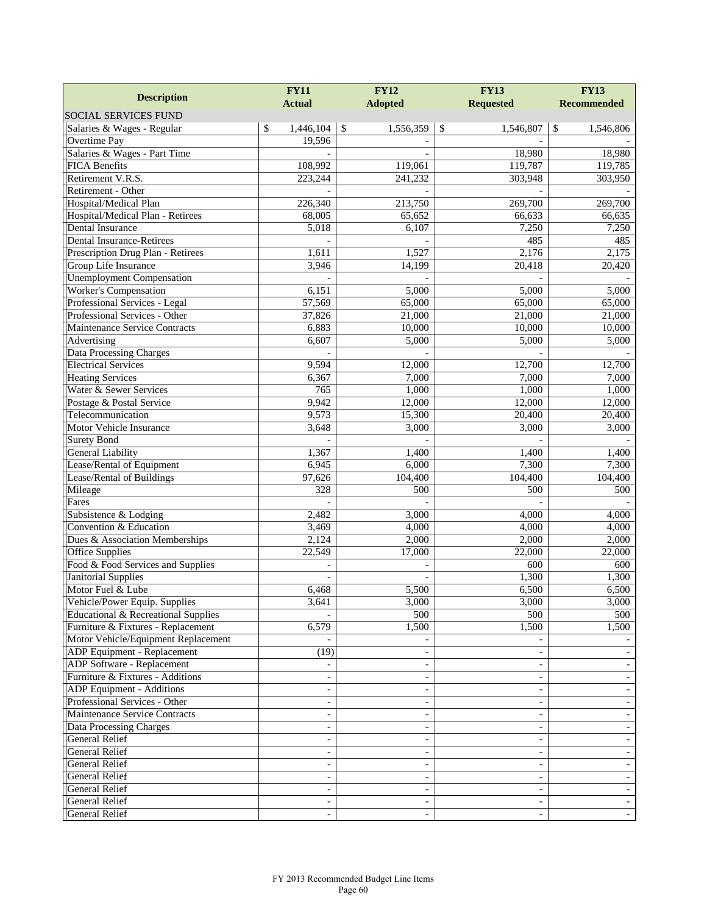|                                     | <b>FY11</b>              | <b>FY12</b>                | <b>FY13</b>              | <b>FY13</b>        |
|-------------------------------------|--------------------------|----------------------------|--------------------------|--------------------|
| <b>Description</b>                  | <b>Actual</b>            | <b>Adopted</b>             | <b>Requested</b>         | <b>Recommended</b> |
| SOCIAL SERVICES FUND                |                          |                            |                          |                    |
| Salaries & Wages - Regular          | \$<br>1,446,104          | $\mathcal{S}$<br>1,556,359 | \$<br>1,546,807          | \$<br>1,546,806    |
| Overtime Pay                        | 19,596                   |                            |                          |                    |
| Salaries & Wages - Part Time        |                          |                            | 18,980                   | 18,980             |
| <b>FICA Benefits</b>                | 108,992                  | 119,061                    | 119,787                  | 119,785            |
| Retirement V.R.S.                   | 223,244                  | 241,232                    | 303,948                  | 303,950            |
| Retirement - Other                  |                          |                            |                          |                    |
| Hospital/Medical Plan               | 226,340                  | 213,750                    | 269,700                  | 269,700            |
| Hospital/Medical Plan - Retirees    | 68,005                   | 65,652                     | 66,633                   | 66,635             |
| Dental Insurance                    | 5,018                    | 6,107                      | 7,250                    | 7,250              |
| <b>Dental Insurance-Retirees</b>    |                          |                            | 485                      | 485                |
| Prescription Drug Plan - Retirees   | 1,611                    | 1,527                      | 2,176                    | 2,175              |
| Group Life Insurance                | 3,946                    | 14,199                     | 20,418                   | 20,420             |
| <b>Unemployment Compensation</b>    |                          |                            |                          |                    |
| <b>Worker's Compensation</b>        | 6,151                    | 5,000                      | 5,000                    | 5,000              |
| Professional Services - Legal       | 57,569                   | 65,000                     | 65,000                   | 65,000             |
| Professional Services - Other       | 37,826                   | 21,000                     | 21,000                   | 21,000             |
| Maintenance Service Contracts       | 6,883                    | 10,000                     | 10,000                   | 10,000             |
| Advertising                         | 6,607                    | 5,000                      | 5,000                    | 5,000              |
| <b>Data Processing Charges</b>      |                          |                            |                          |                    |
| <b>Electrical Services</b>          | 9,594                    | 12,000                     | 12,700                   | 12,700             |
| <b>Heating Services</b>             | 6,367                    | 7,000                      | 7,000                    | 7,000              |
| Water & Sewer Services              | 765                      | 1,000                      | 1,000                    | 1,000              |
| Postage & Postal Service            | 9,942                    | 12,000                     | 12,000                   | 12,000             |
| Telecommunication                   | 9,573                    | 15,300                     | 20,400                   | 20,400             |
| Motor Vehicle Insurance             | 3,648                    | 3,000                      | 3,000                    | 3,000              |
| <b>Surety Bond</b>                  |                          |                            |                          |                    |
| <b>General Liability</b>            | 1,367                    | 1,400                      | 1,400                    | 1,400              |
| Lease/Rental of Equipment           | 6,945                    | 6,000                      | 7,300                    | 7,300              |
| Lease/Rental of Buildings           | 97,626                   | 104,400                    | 104,400                  | 104,400            |
| Mileage                             | 328                      | 500                        | 500                      | 500                |
| Fares                               |                          |                            |                          |                    |
| Subsistence & Lodging               | 2,482                    | 3,000                      | 4,000                    | 4,000              |
| Convention & Education              | 3,469                    | 4,000                      | 4,000                    | 4,000              |
| Dues & Association Memberships      | 2,124                    | 2,000                      | 2,000                    | 2,000              |
| <b>Office Supplies</b>              | 22,549                   | 17,000                     | 22,000                   | 22,000             |
| Food & Food Services and Supplies   |                          |                            | 600                      | 600                |
| <b>Janitorial Supplies</b>          | $\overline{a}$           |                            | 1,300                    | 1,300              |
| Motor Fuel & Lube                   | 6,468                    | 5,500                      | 6,500                    | 6,500              |
| Vehicle/Power Equip. Supplies       | 3,641                    | 3,000                      | 3,000                    | 3,000              |
| Educational & Recreational Supplies |                          | 500                        | 500                      | 500                |
| Furniture & Fixtures - Replacement  | 6,579                    | 1,500                      | 1,500                    | 1,500              |
| Motor Vehicle/Equipment Replacement |                          |                            |                          |                    |
| ADP Equipment - Replacement         | (19)                     |                            |                          |                    |
| ADP Software - Replacement          |                          |                            |                          |                    |
| Furniture & Fixtures - Additions    |                          |                            | $\overline{\phantom{a}}$ |                    |
| ADP Equipment - Additions           |                          |                            |                          |                    |
| Professional Services - Other       | $\overline{\phantom{a}}$ |                            | $\overline{\phantom{a}}$ |                    |
| Maintenance Service Contracts       |                          |                            | $\overline{\phantom{a}}$ |                    |
| Data Processing Charges             |                          |                            | $\overline{\phantom{a}}$ |                    |
| General Relief                      | $\blacksquare$           |                            | $\overline{\phantom{a}}$ |                    |
| General Relief                      |                          |                            |                          |                    |
| General Relief                      | $\blacksquare$           |                            | $\overline{\phantom{a}}$ |                    |
| General Relief                      | $\overline{\phantom{a}}$ |                            | $\overline{\phantom{a}}$ |                    |
| General Relief                      |                          |                            | $\overline{\phantom{a}}$ |                    |
| General Relief                      | $\overline{\phantom{a}}$ |                            | $\overline{\phantom{a}}$ |                    |
| <b>General Relief</b>               |                          |                            |                          |                    |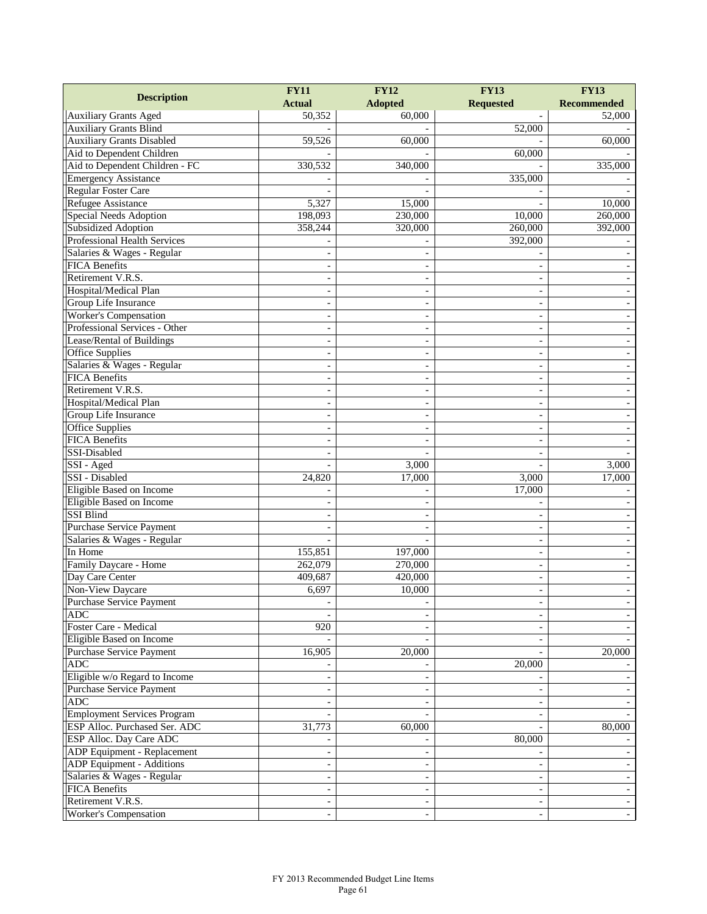| <b>Description</b>                 | <b>FY11</b>              | <b>FY12</b>              | <b>FY13</b>              | <b>FY13</b>              |
|------------------------------------|--------------------------|--------------------------|--------------------------|--------------------------|
|                                    | <b>Actual</b>            | <b>Adopted</b>           | <b>Requested</b>         | <b>Recommended</b>       |
| <b>Auxiliary Grants Aged</b>       | 50,352                   | 60,000                   |                          | 52,000                   |
| <b>Auxiliary Grants Blind</b>      |                          |                          | 52,000                   |                          |
| <b>Auxiliary Grants Disabled</b>   | 59,526                   | 60,000                   |                          | 60,000                   |
| Aid to Dependent Children          |                          |                          | 60,000                   |                          |
| Aid to Dependent Children - FC     | 330,532                  | 340,000                  |                          | 335,000                  |
| <b>Emergency Assistance</b>        |                          |                          | 335,000                  |                          |
| <b>Regular Foster Care</b>         |                          |                          |                          |                          |
| Refugee Assistance                 | 5,327                    | 15,000                   |                          | 10,000                   |
| Special Needs Adoption             | 198,093                  | 230,000                  | 10,000                   | 260,000                  |
| Subsidized Adoption                | 358,244                  | 320,000                  | 260,000                  | 392,000                  |
| Professional Health Services       |                          |                          | 392,000                  |                          |
| Salaries & Wages - Regular         |                          |                          |                          |                          |
| <b>FICA Benefits</b>               |                          |                          |                          |                          |
| Retirement V.R.S.                  | $\overline{a}$           |                          |                          |                          |
| Hospital/Medical Plan              | $\overline{\phantom{a}}$ | $\overline{\phantom{a}}$ | $\sim$                   |                          |
| Group Life Insurance               |                          |                          |                          |                          |
| Worker's Compensation              | $\blacksquare$           |                          |                          |                          |
| Professional Services - Other      | $\overline{\phantom{a}}$ | $\overline{\phantom{0}}$ | $\overline{\phantom{a}}$ |                          |
| Lease/Rental of Buildings          |                          |                          |                          |                          |
| Office Supplies                    | $\blacksquare$           |                          | $\sim$                   |                          |
| Salaries & Wages - Regular         |                          |                          |                          |                          |
| <b>FICA Benefits</b>               | $\blacksquare$           |                          |                          |                          |
| Retirement V.R.S.                  | $\overline{\phantom{a}}$ | $\overline{\phantom{0}}$ | $\overline{\phantom{a}}$ |                          |
| Hospital/Medical Plan              |                          |                          |                          |                          |
| Group Life Insurance               | $\blacksquare$           |                          | $\overline{\phantom{a}}$ |                          |
| Office Supplies                    |                          |                          |                          |                          |
| <b>FICA Benefits</b>               | $\blacksquare$           |                          |                          |                          |
| SSI-Disabled                       | $\overline{\phantom{a}}$ |                          |                          |                          |
| SSI - Aged                         |                          | 3,000                    |                          | 3,000                    |
| SSI - Disabled                     | 24,820                   | 17,000                   | 3,000                    | 17,000                   |
| Eligible Based on Income           |                          |                          | 17,000                   |                          |
| Eligible Based on Income           |                          |                          |                          |                          |
| <b>SSI Blind</b>                   |                          |                          |                          |                          |
| <b>Purchase Service Payment</b>    |                          |                          | $\overline{a}$           |                          |
| Salaries & Wages - Regular         |                          |                          | $\overline{\phantom{a}}$ |                          |
| In Home                            | 155,851                  | 197,000                  |                          |                          |
| Family Daycare - Home              | 262,079                  | 270,000                  |                          |                          |
| Day Care Center                    | 409,687                  | 420,000                  | $\overline{\phantom{a}}$ |                          |
| Non-View Daycare                   | 6,697                    | 10,000                   | $\overline{\phantom{a}}$ |                          |
| Purchase Service Payment           | $\overline{\phantom{0}}$ |                          | $\overline{\phantom{a}}$ |                          |
| ADC                                |                          |                          |                          |                          |
| Foster Care - Medical              | 920                      |                          |                          |                          |
| Eligible Based on Income           |                          |                          |                          |                          |
| <b>Purchase Service Payment</b>    | 16,905                   | 20,000                   |                          | 20,000                   |
| <b>ADC</b>                         |                          |                          | 20,000                   |                          |
| Eligible w/o Regard to Income      |                          |                          |                          |                          |
| <b>Purchase Service Payment</b>    | $\overline{\phantom{a}}$ |                          |                          |                          |
| $\rm ADC$                          | $\overline{\phantom{a}}$ |                          | $\overline{\phantom{a}}$ |                          |
| <b>Employment Services Program</b> |                          |                          | $\sim$                   |                          |
| ESP Alloc. Purchased Ser. ADC      | 31,773                   | 60,000                   | $\overline{\phantom{a}}$ | 80,000                   |
| <b>ESP Alloc. Day Care ADC</b>     |                          |                          | 80,000                   |                          |
| ADP Equipment - Replacement        | $\overline{\phantom{a}}$ |                          |                          |                          |
| ADP Equipment - Additions          | $\overline{\phantom{a}}$ |                          | $\overline{\phantom{a}}$ |                          |
| Salaries & Wages - Regular         | $\overline{\phantom{a}}$ |                          | $\overline{\phantom{a}}$ |                          |
| <b>FICA Benefits</b>               | $\overline{\phantom{a}}$ |                          | $\overline{\phantom{a}}$ |                          |
| Retirement V.R.S.                  |                          |                          |                          |                          |
| Worker's Compensation              | $\blacksquare$           |                          | $\overline{\phantom{a}}$ | $\overline{\phantom{a}}$ |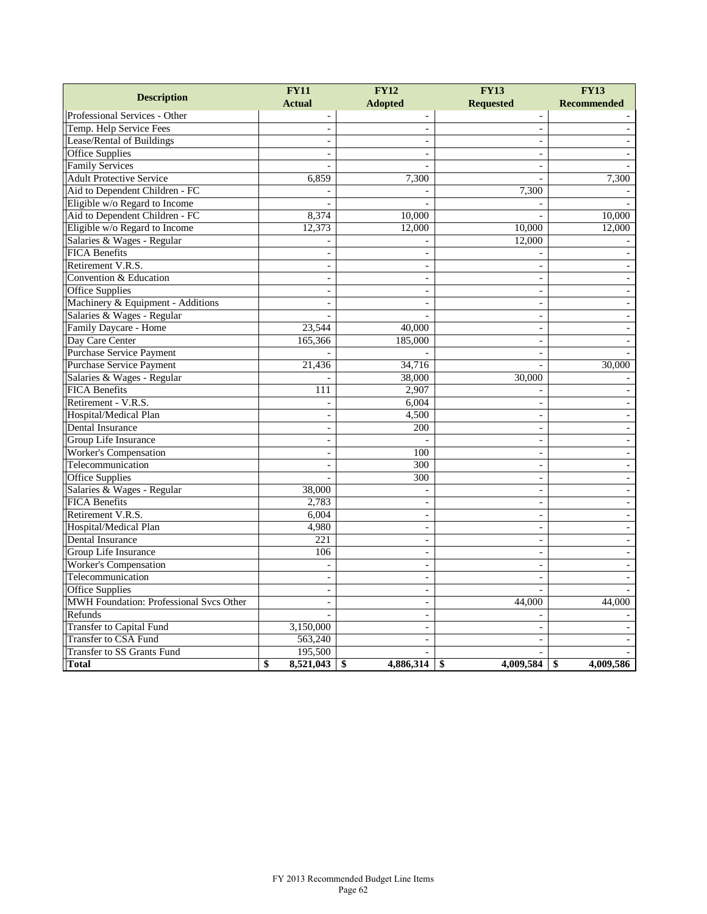| <b>Description</b>                      | <b>FY11</b>              | <b>FY12</b>              | <b>FY13</b>              | <b>FY13</b>        |
|-----------------------------------------|--------------------------|--------------------------|--------------------------|--------------------|
|                                         | <b>Actual</b>            | <b>Adopted</b>           | <b>Requested</b>         | <b>Recommended</b> |
| Professional Services - Other           |                          | $\overline{a}$           | $\overline{a}$           |                    |
| Temp. Help Service Fees                 |                          |                          | $\overline{\phantom{a}}$ |                    |
| Lease/Rental of Buildings               |                          |                          | $\overline{\phantom{a}}$ |                    |
| <b>Office Supplies</b>                  | $\overline{a}$           |                          | $\overline{\phantom{a}}$ |                    |
| <b>Family Services</b>                  | $\overline{a}$           | $\sim$                   | $\overline{\phantom{a}}$ |                    |
| <b>Adult Protective Service</b>         | 6,859                    | 7,300                    | $\overline{a}$           | 7,300              |
| Aid to Dependent Children - FC          |                          |                          | 7,300                    |                    |
| Eligible w/o Regard to Income           |                          |                          |                          |                    |
| Aid to Dependent Children - FC          | 8,374                    | 10,000                   |                          | 10,000             |
| Eligible w/o Regard to Income           | 12,373                   | 12,000                   | 10,000                   | 12,000             |
| Salaries & Wages - Regular              |                          |                          | 12,000                   |                    |
| <b>FICA Benefits</b>                    | $\overline{a}$           |                          |                          |                    |
| Retirement V.R.S.                       | $\blacksquare$           |                          | $\overline{a}$           |                    |
| Convention & Education                  |                          |                          | $\overline{\phantom{a}}$ |                    |
| <b>Office Supplies</b>                  | $\overline{\phantom{a}}$ |                          | $\overline{\phantom{a}}$ |                    |
| Machinery & Equipment - Additions       | $\overline{a}$           |                          | $\overline{a}$           |                    |
| Salaries & Wages - Regular              |                          |                          | $\sim$                   |                    |
| Family Daycare - Home                   | 23,544                   | 40,000                   | $\sim$                   |                    |
| Day Care Center                         | 165,366                  | 185,000                  | $\overline{\phantom{a}}$ |                    |
| <b>Purchase Service Payment</b>         |                          |                          | $\overline{\phantom{a}}$ |                    |
| <b>Purchase Service Payment</b>         | 21,436                   | 34,716                   | $\sim$                   | 30,000             |
| Salaries & Wages - Regular              |                          | 38,000                   | 30,000                   |                    |
| <b>FICA Benefits</b>                    | 111                      | 2,907                    | $\overline{\phantom{a}}$ |                    |
| Retirement - V.R.S.                     |                          | 6,004                    | $\sim$                   |                    |
| Hospital/Medical Plan                   | $\overline{\phantom{a}}$ | 4,500                    | $\overline{\phantom{a}}$ |                    |
| Dental Insurance                        | $\sim$                   | 200                      | $\blacksquare$           |                    |
| Group Life Insurance                    | $\overline{\phantom{a}}$ |                          | $\overline{a}$           |                    |
| <b>Worker's Compensation</b>            | $\overline{\phantom{a}}$ | 100                      | $\bar{\phantom{a}}$      |                    |
| Telecommunication                       |                          | 300                      | $\overline{a}$           |                    |
| Office Supplies                         |                          | 300                      | $\overline{a}$           |                    |
| Salaries & Wages - Regular              | 38,000                   |                          | $\sim$                   |                    |
| <b>FICA Benefits</b>                    | 2,783                    | $\sim$                   | $\sim$                   |                    |
| Retirement V.R.S.                       | 6,004                    | $\overline{\phantom{a}}$ | $\overline{\phantom{a}}$ |                    |
| Hospital/Medical Plan                   | 4,980                    | $\sim$                   | $\blacksquare$           |                    |
| Dental Insurance                        | 221                      | $\sim$                   | $\sim$                   |                    |
| Group Life Insurance                    | 106                      |                          | $\blacksquare$           |                    |
| <b>Worker's Compensation</b>            |                          | $\sim$                   | $\overline{\phantom{a}}$ |                    |
| Telecommunication                       | $\overline{\phantom{a}}$ | $\overline{\phantom{a}}$ | $\overline{\phantom{a}}$ |                    |
| <b>Office Supplies</b>                  | $\sim$                   | $\sim$                   | $\overline{a}$           |                    |
| MWH Foundation: Professional Svcs Other |                          | $\sim$                   | 44,000                   | 44,000             |
| Refunds                                 |                          |                          |                          |                    |
| <b>Transfer to Capital Fund</b>         | 3,150,000                | $\sim$                   | $\overline{\phantom{a}}$ |                    |
| <b>Transfer to CSA Fund</b>             | 563,240                  |                          | $\overline{a}$           |                    |
| <b>Transfer to SS Grants Fund</b>       | 195,500                  |                          |                          |                    |
| Total                                   | \$<br>8,521,043          | \$<br>4,886,314          | \$<br>4,009,584          | 4,009,586<br>\$    |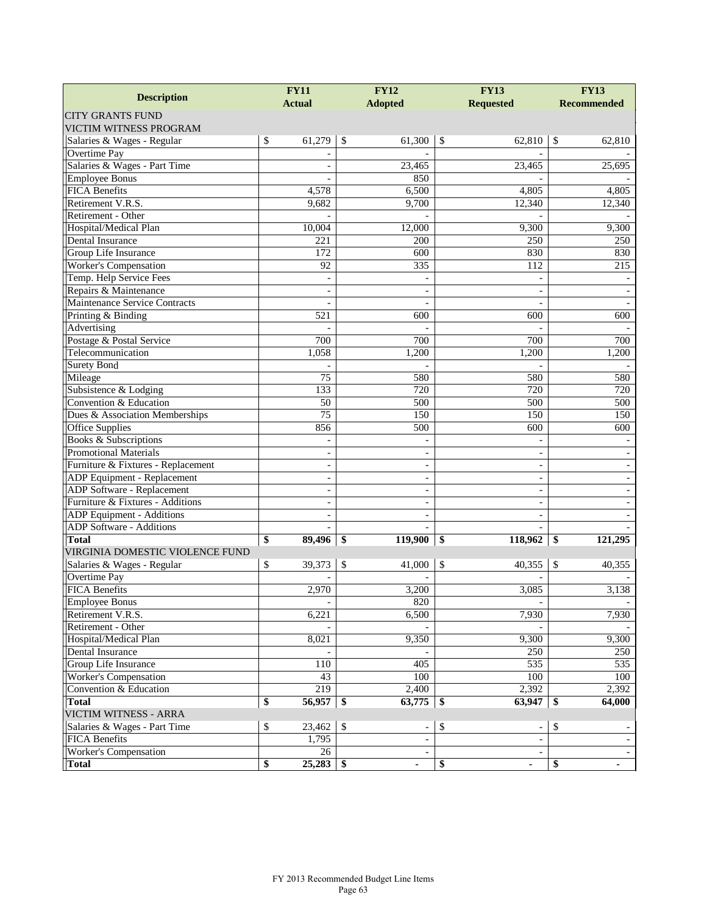| <b>Description</b>                 |               | <b>FY11</b>              |               | <b>FY12</b><br><b>Adopted</b> |               | <b>FY13</b><br><b>Requested</b> |    | <b>FY13</b><br><b>Recommended</b> |  |
|------------------------------------|---------------|--------------------------|---------------|-------------------------------|---------------|---------------------------------|----|-----------------------------------|--|
|                                    | <b>Actual</b> |                          |               |                               |               |                                 |    |                                   |  |
| <b>CITY GRANTS FUND</b>            |               |                          |               |                               |               |                                 |    |                                   |  |
| VICTIM WITNESS PROGRAM             |               |                          |               |                               |               |                                 |    |                                   |  |
| Salaries & Wages - Regular         | \$            | 61,279                   | \$            | 61,300                        | \$            | 62.810                          | S  | 62,810                            |  |
| <b>Overtime Pay</b>                |               |                          |               |                               |               |                                 |    |                                   |  |
| Salaries & Wages - Part Time       |               |                          |               | 23,465                        |               | 23,465                          |    | 25,695                            |  |
| <b>Employee Bonus</b>              |               |                          |               | 850                           |               |                                 |    |                                   |  |
| <b>FICA Benefits</b>               |               | 4,578                    |               | 6,500                         |               | 4,805                           |    | 4,805                             |  |
| Retirement V.R.S.                  |               | 9,682                    |               | 9,700                         |               | 12,340                          |    | 12,340                            |  |
| Retirement - Other                 |               |                          |               |                               |               |                                 |    |                                   |  |
| Hospital/Medical Plan              |               | 10,004                   |               | 12,000                        |               | 9,300                           |    | 9,300                             |  |
| Dental Insurance                   |               | 221                      |               | 200                           |               | 250                             |    | 250                               |  |
| Group Life Insurance               |               | 172                      |               | 600                           |               | 830                             |    | 830                               |  |
| Worker's Compensation              |               | 92                       |               | 335                           |               | 112                             |    | 215                               |  |
| Temp. Help Service Fees            |               | $\overline{\phantom{a}}$ |               |                               |               |                                 |    |                                   |  |
| Repairs & Maintenance              |               | $\blacksquare$           |               |                               |               |                                 |    |                                   |  |
| Maintenance Service Contracts      |               |                          |               |                               |               |                                 |    |                                   |  |
| Printing & Binding                 |               | 521                      |               | 600                           |               | 600                             |    | 600                               |  |
| Advertising                        |               |                          |               |                               |               |                                 |    |                                   |  |
| Postage & Postal Service           |               | 700                      |               | 700                           |               | 700                             |    | 700                               |  |
| Telecommunication                  |               | 1,058                    |               | 1,200                         |               | 1,200                           |    | 1,200                             |  |
| <b>Surety Bond</b>                 |               |                          |               |                               |               |                                 |    |                                   |  |
| Mileage                            |               | 75                       |               | 580                           |               | 580                             |    | 580                               |  |
| Subsistence & Lodging              |               | 133                      |               | 720                           |               | 720                             |    | 720                               |  |
| Convention & Education             |               | 50                       |               | 500                           |               | 500                             |    | 500                               |  |
| Dues & Association Memberships     |               | $\overline{75}$          |               | 150                           |               | 150                             |    | 150                               |  |
| Office Supplies                    |               | 856                      |               | 500                           |               | 600                             |    | 600                               |  |
| Books & Subscriptions              |               |                          |               |                               |               |                                 |    |                                   |  |
| <b>Promotional Materials</b>       |               | $\overline{\phantom{a}}$ |               | $\blacksquare$                |               | $\overline{\phantom{a}}$        |    |                                   |  |
| Furniture & Fixtures - Replacement |               | $\overline{\phantom{a}}$ |               |                               |               | $\overline{\phantom{a}}$        |    |                                   |  |
| ADP Equipment - Replacement        |               | $\overline{\phantom{a}}$ |               | L,                            |               | $\overline{\phantom{a}}$        |    |                                   |  |
| ADP Software - Replacement         |               | $\blacksquare$           |               | L,                            |               | $\overline{\phantom{a}}$        |    |                                   |  |
| Furniture & Fixtures - Additions   |               |                          |               |                               |               |                                 |    |                                   |  |
| ADP Equipment - Additions          |               | $\blacksquare$           |               | $\overline{\phantom{0}}$      |               | $\overline{\phantom{a}}$        |    |                                   |  |
| ADP Software - Additions           |               |                          |               |                               |               |                                 |    |                                   |  |
| <b>Total</b>                       | \$            | 89,496                   | \$            | 119,900                       | \$            | 118,962                         | \$ | 121,295                           |  |
| VIRGINIA DOMESTIC VIOLENCE FUND    |               |                          |               |                               |               |                                 |    |                                   |  |
| Salaries & Wages - Regular         | \$            | 39,373                   | \$            | 41,000                        | $\mathcal{S}$ | 40,355                          | \$ | 40,355                            |  |
| Overtime Pay                       |               |                          |               |                               |               |                                 |    |                                   |  |
| <b>FICA Benefits</b>               |               | 2,970                    |               | 3,200                         |               | 3,085                           |    | 3,138                             |  |
| <b>Employee Bonus</b>              |               |                          |               | 820                           |               |                                 |    |                                   |  |
| Retirement V.R.S.                  |               | 6,221                    |               | 6,500                         |               | 7,930                           |    | 7,930                             |  |
| Retirement - Other                 |               |                          |               |                               |               |                                 |    |                                   |  |
| Hospital/Medical Plan              |               | 8,021                    |               | 9,350                         |               | 9,300                           |    | 9,300                             |  |
| <b>Dental Insurance</b>            |               |                          |               |                               |               | 250                             |    | 250                               |  |
| Group Life Insurance               |               | 110                      |               | 405                           |               | 535                             |    | 535                               |  |
| <b>Worker's Compensation</b>       |               | 43                       |               | 100                           |               | 100                             |    | 100                               |  |
| Convention & Education             |               | 219                      |               | 2,400                         |               | 2,392                           |    | 2,392                             |  |
| <b>Total</b>                       | \$            | 56,957                   | -\$           | 63,775                        | -\$           | 63,947                          | \$ | 64,000                            |  |
| VICTIM WITNESS - ARRA              |               |                          |               |                               |               |                                 |    |                                   |  |
| Salaries & Wages - Part Time       |               | 23,462                   | $\mathcal{S}$ |                               |               |                                 |    |                                   |  |
| <b>FICA Benefits</b>               | \$            |                          |               | $\qquad \qquad \blacksquare$  | \$            |                                 | \$ |                                   |  |
|                                    |               | 1,795                    |               |                               |               |                                 |    |                                   |  |
| Worker's Compensation              |               | 26                       |               |                               |               |                                 |    |                                   |  |
| <b>Total</b>                       | \$            | 25,283                   | -\$           |                               | \$            |                                 | \$ | ٠                                 |  |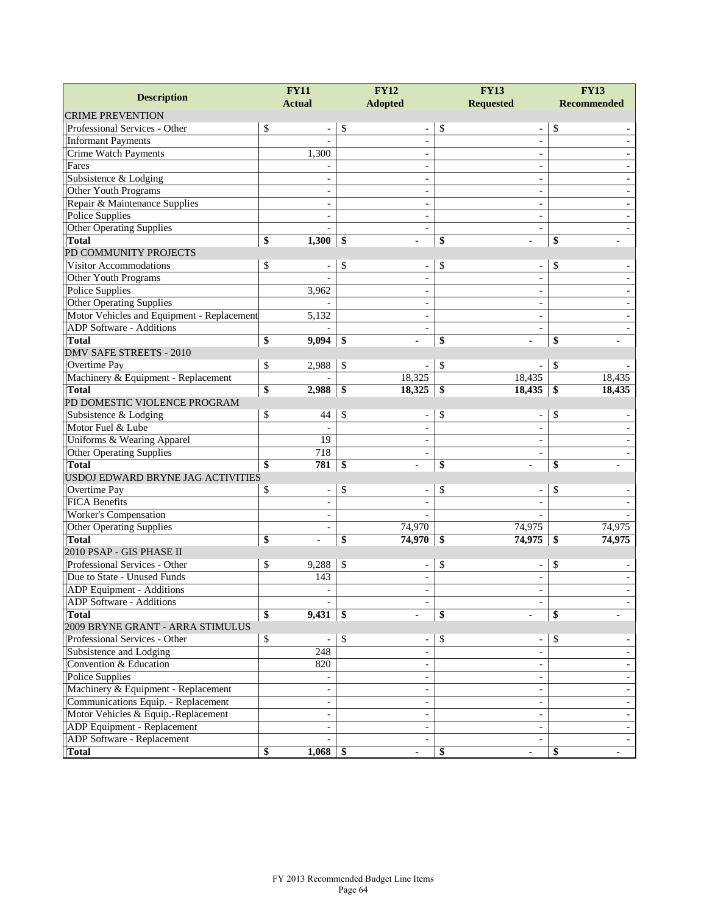|                                            |    | <b>FY11</b>              |    | <b>FY12</b>              | <b>FY13</b> |                          | <b>FY13</b>        |        |
|--------------------------------------------|----|--------------------------|----|--------------------------|-------------|--------------------------|--------------------|--------|
| <b>Description</b>                         |    | <b>Actual</b>            |    | <b>Adopted</b>           |             | <b>Requested</b>         | <b>Recommended</b> |        |
| <b>CRIME PREVENTION</b>                    |    |                          |    |                          |             |                          |                    |        |
| Professional Services - Other              | \$ |                          | \$ |                          | \$          | $\overline{\phantom{a}}$ | \$                 |        |
| <b>Informant Payments</b>                  |    |                          |    | $\overline{\phantom{a}}$ |             | $\overline{\phantom{a}}$ |                    |        |
| Crime Watch Payments                       |    | 1,300                    |    |                          |             | $\overline{\phantom{a}}$ |                    |        |
| Fares                                      |    |                          |    |                          |             | $\sim$                   |                    |        |
| Subsistence & Lodging                      |    |                          |    |                          |             | $\overline{\phantom{a}}$ |                    |        |
| Other Youth Programs                       |    |                          |    |                          |             | $\blacksquare$           |                    |        |
| Repair & Maintenance Supplies              |    |                          |    | $\blacksquare$           |             | $\blacksquare$           |                    |        |
| <b>Police Supplies</b>                     |    |                          |    |                          |             | $\overline{\phantom{a}}$ |                    |        |
| <b>Other Operating Supplies</b>            |    |                          |    |                          |             | $\sim$                   |                    |        |
| <b>Total</b>                               | \$ | 1,300                    | \$ |                          | \$          |                          | \$                 |        |
| PD COMMUNITY PROJECTS                      |    |                          |    |                          |             |                          |                    |        |
| Visitor Accommodations                     | \$ |                          | \$ | $\overline{\phantom{a}}$ | \$          | $\overline{\phantom{a}}$ | \$                 |        |
| Other Youth Programs                       |    |                          |    |                          |             |                          |                    |        |
| <b>Police Supplies</b>                     |    | 3,962                    |    |                          |             | $\sim$                   |                    |        |
| <b>Other Operating Supplies</b>            |    |                          |    |                          |             | $\overline{\phantom{a}}$ |                    |        |
| Motor Vehicles and Equipment - Replacement |    | 5,132                    |    |                          |             | $\blacksquare$           |                    |        |
| <b>ADP Software - Additions</b>            |    |                          |    | $\blacksquare$           |             | $\blacksquare$           |                    |        |
| <b>Total</b>                               | \$ | 9,094                    | \$ | ä,                       | \$          |                          | \$                 |        |
| <b>DMV SAFE STREETS - 2010</b>             |    |                          |    |                          |             |                          |                    |        |
| Overtime Pay                               | \$ | 2,988                    | \$ |                          | \$          |                          | \$                 |        |
| Machinery & Equipment - Replacement        |    |                          |    | 18,325                   |             | 18,435                   |                    | 18,435 |
| <b>Total</b>                               | \$ | 2,988                    | \$ | 18,325                   | \$          | 18,435                   | \$                 | 18,435 |
| PD DOMESTIC VIOLENCE PROGRAM               |    |                          |    |                          |             |                          |                    |        |
| Subsistence & Lodging                      | \$ | 44                       | \$ |                          | \$          | $\overline{\phantom{a}}$ | \$                 |        |
| Motor Fuel & Lube                          |    |                          |    |                          |             |                          |                    |        |
| Uniforms & Wearing Apparel                 |    | $\overline{19}$          |    |                          |             | $\overline{a}$           |                    |        |
| Other Operating Supplies                   |    | 718                      |    | $\blacksquare$           |             | $\blacksquare$           |                    |        |
| <b>Total</b>                               | \$ | 781                      | \$ |                          | \$          |                          | \$                 |        |
| USDOJ EDWARD BRYNE JAG ACTIVITIES          |    |                          |    |                          |             |                          |                    |        |
| Overtime Pay                               | \$ |                          | \$ |                          | \$          | $\overline{\phantom{a}}$ | \$                 |        |
| <b>FICA Benefits</b>                       |    | $\blacksquare$           |    |                          |             |                          |                    |        |
| Worker's Compensation                      |    | $\blacksquare$           |    |                          |             |                          |                    |        |
| Other Operating Supplies                   |    | $\overline{\phantom{a}}$ |    | 74,970                   |             | 74,975                   |                    | 74,975 |
| <b>Total</b>                               | \$ | ٠                        | \$ | 74,970                   | \$          | 74,975                   | \$                 | 74,975 |
| 2010 PSAP - GIS PHASE II                   |    |                          |    |                          |             |                          |                    |        |
| Professional Services - Other              | \$ | 9,288                    | \$ |                          | \$          |                          | \$                 |        |
| Due to State - Unused Funds                |    | 143                      |    |                          |             | $\sim$                   |                    |        |
| ADP Equipment - Additions                  |    |                          |    |                          |             | $\overline{\phantom{a}}$ |                    |        |
| ADP Software - Additions                   |    |                          |    |                          |             |                          |                    |        |
| <b>Total</b>                               | \$ | 9,431                    | \$ |                          | \$          |                          | \$                 |        |
| 2009 BRYNE GRANT - ARRA STIMULUS           |    |                          |    |                          |             |                          |                    |        |
| Professional Services - Other              | \$ |                          | \$ |                          | \$          |                          | \$                 |        |
| Subsistence and Lodging                    |    | 248                      |    |                          |             |                          |                    |        |
| Convention & Education                     |    | 820                      |    |                          |             | $\overline{\phantom{a}}$ |                    |        |
| <b>Police Supplies</b>                     |    |                          |    |                          |             | $\overline{\phantom{a}}$ |                    |        |
| Machinery & Equipment - Replacement        |    |                          |    |                          |             | $\overline{\phantom{a}}$ |                    |        |
| Communications Equip. - Replacement        |    | $\blacksquare$           |    |                          |             | $\overline{\phantom{a}}$ |                    |        |
| Motor Vehicles & Equip.-Replacement        |    | $\overline{\phantom{a}}$ |    |                          |             | $\overline{\phantom{a}}$ |                    |        |
| ADP Equipment - Replacement                |    | $\blacksquare$           |    | $\blacksquare$           |             | $\overline{\phantom{a}}$ |                    |        |
| ADP Software - Replacement                 |    |                          |    |                          |             | $\overline{\phantom{a}}$ |                    |        |
| <b>Total</b>                               | \$ | $1,068$ \$               |    | ٠                        | \$          |                          | \$                 |        |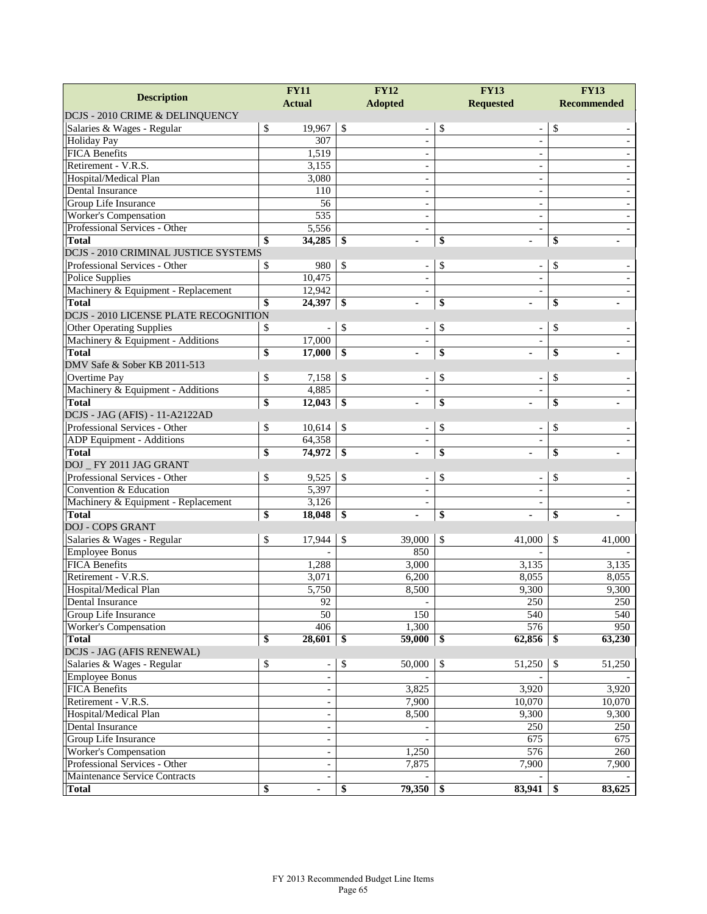| <b>Description</b>                                     | <b>FY11</b>   |                                | <b>FY12</b>              | <b>FY13</b>                        | <b>FY13</b>        |  |
|--------------------------------------------------------|---------------|--------------------------------|--------------------------|------------------------------------|--------------------|--|
|                                                        | <b>Actual</b> |                                | <b>Adopted</b>           | <b>Requested</b>                   | <b>Recommended</b> |  |
| DCJS - 2010 CRIME & DELINQUENCY                        |               |                                |                          |                                    |                    |  |
| Salaries & Wages - Regular                             | \$<br>19,967  | $\sqrt{S}$                     |                          | \$<br>$\qquad \qquad \blacksquare$ | \$                 |  |
| <b>Holiday Pay</b>                                     | 307           |                                | ÷,                       | $\sim$                             |                    |  |
| <b>FICA Benefits</b>                                   | 1,519         |                                | ÷,                       | $\overline{\phantom{a}}$           |                    |  |
| Retirement - V.R.S.                                    | 3,155         |                                |                          |                                    |                    |  |
| Hospital/Medical Plan                                  | 3,080         |                                | $\overline{\phantom{0}}$ | $\sim$                             |                    |  |
| Dental Insurance                                       | 110           |                                |                          |                                    |                    |  |
| Group Life Insurance                                   |               | 56                             | ÷,                       | $\sim$                             |                    |  |
| <b>Worker's Compensation</b>                           | 535           |                                | ÷,                       | $\overline{\phantom{a}}$           |                    |  |
| Professional Services - Other                          | 5,556         |                                | $\overline{\phantom{a}}$ | $\overline{a}$                     |                    |  |
| <b>Total</b>                                           | \$<br>34,285  | -\$                            |                          | \$                                 | \$                 |  |
| DCJS - 2010 CRIMINAL JUSTICE SYSTEMS                   |               |                                |                          |                                    |                    |  |
| Professional Services - Other                          | 980<br>\$     | $\mathcal{S}$                  |                          | \$                                 | \$                 |  |
| Police Supplies                                        | 10,475        |                                | ÷,                       |                                    |                    |  |
| Machinery & Equipment - Replacement                    | 12,942        |                                | $\overline{\phantom{a}}$ |                                    |                    |  |
| <b>Total</b>                                           | \$<br>24,397  | \$                             |                          | \$                                 | \$                 |  |
| <b>DCJS - 2010 LICENSE PLATE RECOGNITION</b>           |               |                                |                          |                                    |                    |  |
| <b>Other Operating Supplies</b>                        | \$            | \$                             |                          | \$                                 | \$                 |  |
| Machinery & Equipment - Additions                      | 17,000        |                                |                          |                                    |                    |  |
| <b>Total</b>                                           | \$<br>17,000  | $\frac{1}{2}$                  |                          | \$                                 | \$                 |  |
| DMV Safe & Sober KB 2011-513                           |               |                                |                          |                                    |                    |  |
| Overtime Pay                                           | \$<br>7,158   | \$                             |                          | \$                                 | \$                 |  |
| Machinery & Equipment - Additions                      | 4,885         |                                | ÷,                       |                                    |                    |  |
| <b>Total</b>                                           | \$<br>12,043  | \$                             |                          | \$                                 | \$                 |  |
| DCJS - JAG (AFIS) - 11-A2122AD                         |               |                                |                          |                                    |                    |  |
| Professional Services - Other                          | \$<br>10,614  | $\sqrt{3}$                     | $\blacksquare$           | \$                                 | \$                 |  |
| ADP Equipment - Additions                              | 64,358        |                                |                          |                                    |                    |  |
| <b>Total</b>                                           | \$<br>74,972  | $\overline{\$}$                |                          | \$                                 | \$                 |  |
| DOJ_FY 2011 JAG GRANT<br>Professional Services - Other | 9,525         |                                |                          |                                    |                    |  |
| Convention & Education                                 | \$<br>5,397   | $\sqrt{3}$                     | $\frac{1}{2}$            | \$                                 | \$                 |  |
|                                                        | 3,126         |                                | $\overline{\phantom{a}}$ |                                    |                    |  |
| Machinery & Equipment - Replacement<br><b>Total</b>    | \$<br>18,048  | $\overline{\$}$                |                          | \$                                 | \$                 |  |
| <b>DOJ - COPS GRANT</b>                                |               |                                |                          |                                    |                    |  |
| Salaries & Wages - Regular                             | \$<br>17,944  | \$                             | 39,000                   | \$<br>41,000                       | \$<br>41,000       |  |
| <b>Employee Bonus</b>                                  |               |                                | 850                      |                                    |                    |  |
| <b>FICA Benefits</b>                                   | 1,288         |                                | 3,000                    | 3,135                              | 3,135              |  |
| Retirement - V.R.S.                                    | 3,071         |                                | 6,200                    | 8,055                              | 8,055              |  |
| Hospital/Medical Plan                                  | 5,750         |                                | 8,500                    | 9,300                              | 9,300              |  |
| Dental Insurance                                       |               |                                |                          |                                    |                    |  |
| Group Life Insurance                                   |               | 92<br>$\overline{50}$          | 150                      | 250<br>540                         | 250<br>540         |  |
| <b>Worker's Compensation</b>                           | 406           |                                | 1,300                    | 576                                | 950                |  |
| <b>Total</b>                                           | \$<br>28,601  | -\$                            | 59,000                   | 62,856<br>$\frac{1}{2}$            | \$<br>63,230       |  |
| DCJS - JAG (AFIS RENEWAL)                              |               |                                |                          |                                    |                    |  |
| Salaries & Wages - Regular                             | \$            | \$<br>$\overline{\phantom{a}}$ | 50,000                   | \$<br>51,250                       | \$<br>51,250       |  |
| <b>Employee Bonus</b>                                  |               | $\overline{\phantom{a}}$       |                          |                                    |                    |  |
| FICA Benefits                                          |               |                                | 3,825                    | 3,920                              | 3,920              |  |
| Retirement - V.R.S.                                    |               | $\overline{\phantom{a}}$       | 7,900                    | 10,070                             | 10,070             |  |
| Hospital/Medical Plan                                  |               | $\overline{\phantom{a}}$       | 8,500                    | 9,300                              | 9,300              |  |
| Dental Insurance                                       |               | $\blacksquare$                 |                          | 250                                | 250                |  |
| Group Life Insurance                                   |               | $\overline{\phantom{a}}$       |                          | 675                                | 675                |  |
| Worker's Compensation                                  |               | $\overline{\phantom{a}}$       | 1,250                    | 576                                | 260                |  |
| Professional Services - Other                          |               | $\overline{\phantom{a}}$       | 7,875                    | 7,900                              | 7,900              |  |
| Maintenance Service Contracts                          |               | $\overline{\phantom{a}}$       |                          |                                    |                    |  |
| <b>Total</b>                                           | \$<br>ä,      | \$                             | $79,350$ \$              | 83,941                             | 83,625<br>\$       |  |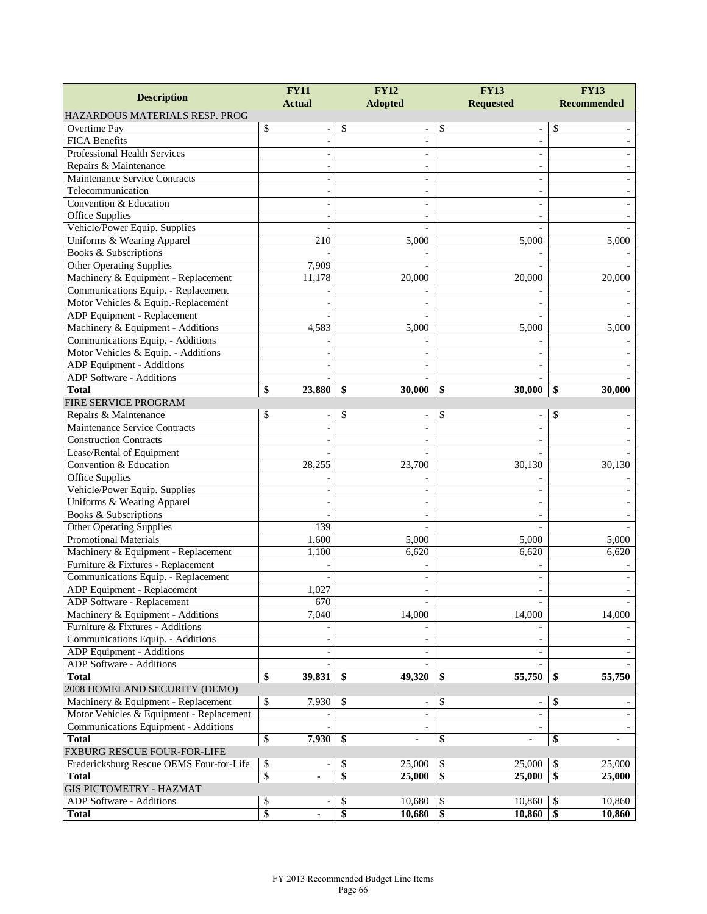| <b>Description</b>                                                        | <b>FY11</b>                    | <b>FY12</b>                              | <b>FY13</b>                    | <b>FY13</b>        |  |  |
|---------------------------------------------------------------------------|--------------------------------|------------------------------------------|--------------------------------|--------------------|--|--|
|                                                                           | <b>Actual</b>                  | <b>Adopted</b>                           | <b>Requested</b>               | <b>Recommended</b> |  |  |
| HAZARDOUS MATERIALS RESP. PROG                                            |                                |                                          |                                |                    |  |  |
| Overtime Pay                                                              | \$                             | \$                                       | \$<br>$\overline{\phantom{0}}$ | \$                 |  |  |
| <b>FICA Benefits</b>                                                      | $\blacksquare$                 | $\overline{a}$                           | $\overline{a}$                 |                    |  |  |
| <b>Professional Health Services</b>                                       |                                |                                          |                                |                    |  |  |
| Repairs & Maintenance                                                     | $\blacksquare$                 |                                          | $\overline{a}$                 |                    |  |  |
| Maintenance Service Contracts                                             | $\sim$                         |                                          | $\overline{\phantom{a}}$       |                    |  |  |
| Telecommunication                                                         |                                |                                          |                                |                    |  |  |
| Convention & Education                                                    | $\blacksquare$                 |                                          | $\overline{\phantom{a}}$       |                    |  |  |
| <b>Office Supplies</b>                                                    |                                |                                          |                                |                    |  |  |
| Vehicle/Power Equip. Supplies                                             |                                |                                          |                                |                    |  |  |
| Uniforms & Wearing Apparel                                                | 210                            | 5,000                                    | 5,000                          | 5,000              |  |  |
| Books & Subscriptions                                                     |                                |                                          |                                |                    |  |  |
| <b>Other Operating Supplies</b>                                           | 7,909                          |                                          |                                |                    |  |  |
| Machinery & Equipment - Replacement                                       | 11,178                         | 20,000                                   | 20,000                         | 20,000             |  |  |
| Communications Equip. - Replacement                                       |                                |                                          |                                |                    |  |  |
| Motor Vehicles & Equip.-Replacement                                       |                                |                                          |                                |                    |  |  |
| <b>ADP</b> Equipment - Replacement                                        |                                |                                          |                                |                    |  |  |
| Machinery & Equipment - Additions                                         | 4,583                          | 5,000                                    | 5,000                          | 5,000              |  |  |
| Communications Equip. - Additions                                         |                                |                                          |                                |                    |  |  |
| Motor Vehicles & Equip. - Additions                                       |                                |                                          |                                |                    |  |  |
| <b>ADP</b> Equipment - Additions                                          |                                |                                          |                                |                    |  |  |
| ADP Software - Additions                                                  |                                |                                          |                                |                    |  |  |
| <b>Total</b>                                                              | \$<br>23,880                   | \$<br>30,000                             | \$<br>30,000                   | \$<br>30,000       |  |  |
| FIRE SERVICE PROGRAM                                                      |                                |                                          |                                |                    |  |  |
| Repairs & Maintenance                                                     | \$<br>$\overline{\phantom{a}}$ | \$                                       | \$                             | \$                 |  |  |
| Maintenance Service Contracts                                             |                                |                                          |                                |                    |  |  |
| <b>Construction Contracts</b>                                             |                                |                                          |                                |                    |  |  |
| Lease/Rental of Equipment                                                 |                                |                                          | $\overline{a}$                 |                    |  |  |
| Convention & Education                                                    | 28,255                         | 23,700                                   | 30,130                         | 30,130             |  |  |
| Office Supplies                                                           |                                |                                          |                                |                    |  |  |
| Vehicle/Power Equip. Supplies                                             |                                |                                          |                                |                    |  |  |
| Uniforms & Wearing Apparel                                                |                                |                                          |                                |                    |  |  |
| Books & Subscriptions                                                     |                                |                                          | $\overline{\phantom{a}}$       |                    |  |  |
| <b>Other Operating Supplies</b><br><b>Promotional Materials</b>           | 139                            |                                          |                                |                    |  |  |
|                                                                           | 1,600                          | 5,000                                    | 5,000                          | 5,000              |  |  |
| Machinery & Equipment - Replacement                                       | 1,100                          | 6,620                                    | 6,620                          | 6,620              |  |  |
| Furniture & Fixtures - Replacement<br>Communications Equip. - Replacement |                                |                                          | $\overline{\phantom{a}}$       |                    |  |  |
| ADP Equipment - Replacement                                               | 1,027                          |                                          |                                |                    |  |  |
| ADP Software - Replacement                                                | 670                            |                                          |                                |                    |  |  |
| Machinery & Equipment - Additions                                         | 7,040                          | 14,000                                   | 14,000                         | 14,000             |  |  |
| Furniture & Fixtures - Additions                                          |                                |                                          |                                |                    |  |  |
| Communications Equip. - Additions                                         | $\overline{\phantom{a}}$       | $\overline{\phantom{a}}$                 | $\overline{\phantom{a}}$       |                    |  |  |
| ADP Equipment - Additions                                                 | $\overline{\phantom{a}}$       |                                          |                                |                    |  |  |
| ADP Software - Additions                                                  | $\overline{a}$                 |                                          |                                |                    |  |  |
| <b>Total</b>                                                              | 39,831<br>\$                   | 49,320<br>-\$                            | 55,750<br>-\$                  | 55,750<br>\$       |  |  |
| 2008 HOMELAND SECURITY (DEMO)                                             |                                |                                          |                                |                    |  |  |
| Machinery & Equipment - Replacement                                       | \$<br>7,930                    | $\mathbb{S}$<br>$\overline{\phantom{a}}$ | \$<br>$\overline{\phantom{0}}$ | \$                 |  |  |
| Motor Vehicles & Equipment - Replacement                                  |                                |                                          |                                |                    |  |  |
| Communications Equipment - Additions                                      |                                |                                          |                                |                    |  |  |
| <b>Total</b>                                                              | \$<br>7,930                    | -\$                                      | \$                             | \$                 |  |  |
| FXBURG RESCUE FOUR-FOR-LIFE                                               |                                |                                          |                                |                    |  |  |
| Fredericksburg Rescue OEMS Four-for-Life                                  | \$                             | \$<br>25,000                             | \$<br>25,000                   | 25,000<br>\$       |  |  |
| <b>Total</b>                                                              | \$                             | 25,000<br>\$                             | 25,000<br>\$                   | 25,000<br>\$       |  |  |
| <b>GIS PICTOMETRY - HAZMAT</b>                                            |                                |                                          |                                |                    |  |  |
| ADP Software - Additions                                                  | \$                             | 10,680<br>\$                             | \$<br>10,860                   | 10,860<br>\$       |  |  |
| <b>Total</b>                                                              | \$                             | $\overline{\$}$<br>10,680                | \$<br>10,860                   | \$<br>10,860       |  |  |
|                                                                           |                                |                                          |                                |                    |  |  |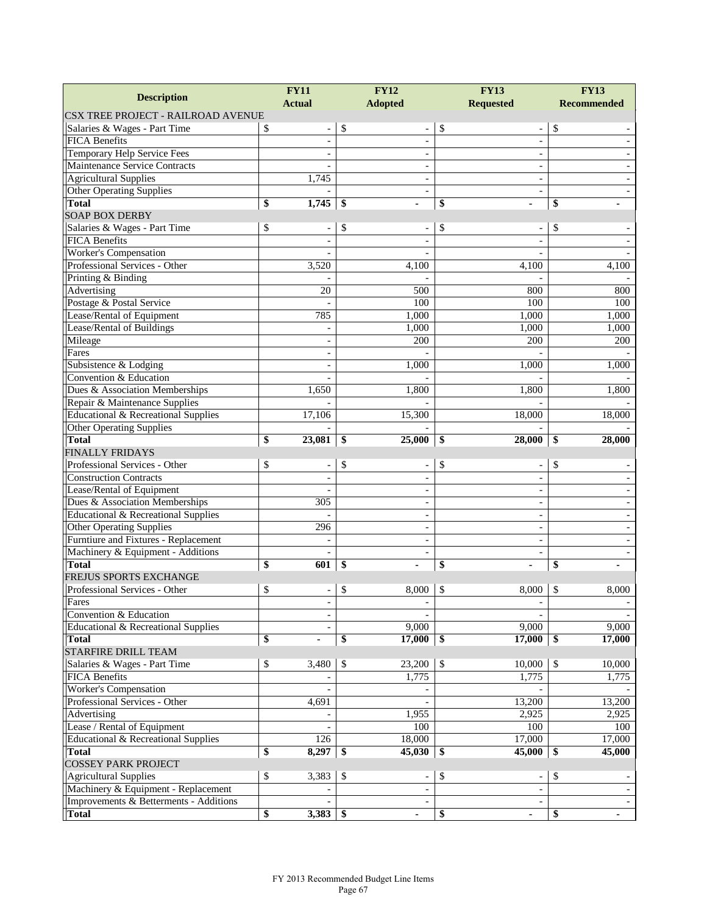| <b>Description</b>                                              | <b>FY11</b>   |                                | <b>FY12</b>              | <b>FY13</b>              | <b>FY13</b>        |  |  |
|-----------------------------------------------------------------|---------------|--------------------------------|--------------------------|--------------------------|--------------------|--|--|
|                                                                 | <b>Actual</b> |                                | <b>Adopted</b>           | <b>Requested</b>         | <b>Recommended</b> |  |  |
| <b>CSX TREE PROJECT - RAILROAD AVENUE</b>                       |               |                                |                          |                          |                    |  |  |
| Salaries & Wages - Part Time                                    | \$            | \$<br>$\overline{\phantom{a}}$ |                          | \$                       | \$                 |  |  |
| <b>FICA Benefits</b>                                            |               |                                | ÷,                       | $\overline{a}$           |                    |  |  |
| Temporary Help Service Fees                                     |               |                                |                          | ÷,                       |                    |  |  |
| Maintenance Service Contracts                                   |               |                                | $\overline{\phantom{a}}$ | $\overline{\phantom{a}}$ |                    |  |  |
| <b>Agricultural Supplies</b>                                    | 1,745         |                                |                          |                          |                    |  |  |
| <b>Other Operating Supplies</b>                                 |               |                                | $\overline{a}$           | $\overline{a}$           |                    |  |  |
| <b>Total</b>                                                    | 1,745<br>\$   | -\$                            |                          | \$                       | \$                 |  |  |
| <b>SOAP BOX DERBY</b>                                           |               |                                |                          |                          |                    |  |  |
| Salaries & Wages - Part Time                                    | \$            | \$                             |                          | \$                       | \$                 |  |  |
| <b>FICA Benefits</b>                                            |               |                                |                          |                          |                    |  |  |
| <b>Worker's Compensation</b>                                    |               |                                |                          |                          |                    |  |  |
| Professional Services - Other                                   | 3,520         |                                | 4,100                    | 4,100                    | 4,100              |  |  |
| Printing & Binding                                              |               |                                |                          |                          |                    |  |  |
| Advertising                                                     |               | 20                             | 500                      | 800                      | 800                |  |  |
| Postage & Postal Service                                        |               |                                | 100                      | 100                      | 100                |  |  |
| Lease/Rental of Equipment                                       | 785           |                                | 1,000                    | 1,000                    | 1,000              |  |  |
| Lease/Rental of Buildings                                       |               |                                | 1,000                    | 1,000                    | 1,000              |  |  |
| Mileage                                                         |               | $\overline{\phantom{a}}$       | 200                      | 200                      | 200                |  |  |
| Fares                                                           |               | $\overline{\phantom{a}}$       |                          |                          |                    |  |  |
| Subsistence & Lodging<br>Convention & Education                 |               |                                | 1,000                    | 1,000                    | 1,000              |  |  |
|                                                                 | 1,650         |                                | 1,800                    |                          |                    |  |  |
| Dues & Association Memberships<br>Repair & Maintenance Supplies |               |                                |                          | 1,800                    | 1,800              |  |  |
| Educational & Recreational Supplies                             | 17,106        |                                | 15,300                   | 18,000                   | 18,000             |  |  |
| Other Operating Supplies                                        |               |                                |                          |                          |                    |  |  |
| <b>Total</b>                                                    | \$<br>23,081  | \$                             | 25,000                   | 28,000                   | \$<br>28,000       |  |  |
| <b>FINALLY FRIDAYS</b>                                          |               |                                |                          | \$                       |                    |  |  |
| Professional Services - Other                                   | \$            | \$<br>$\overline{\phantom{a}}$ |                          | \$                       | \$                 |  |  |
| <b>Construction Contracts</b>                                   |               |                                |                          |                          |                    |  |  |
| Lease/Rental of Equipment                                       |               |                                |                          |                          |                    |  |  |
| Dues & Association Memberships                                  | 305           |                                |                          |                          |                    |  |  |
| Educational & Recreational Supplies                             |               |                                | $\overline{\phantom{0}}$ | $\overline{a}$           |                    |  |  |
| <b>Other Operating Supplies</b>                                 | 296           |                                |                          | $\overline{a}$           |                    |  |  |
| Furntiure and Fixtures - Replacement                            |               |                                | $\overline{\phantom{0}}$ | ٠                        |                    |  |  |
| Machinery & Equipment - Additions                               |               |                                |                          |                          |                    |  |  |
| <b>Total</b>                                                    | \$<br>601     | \$                             |                          | \$                       | \$                 |  |  |
| FREJUS SPORTS EXCHANGE                                          |               |                                |                          |                          |                    |  |  |
| Professional Services - Other                                   | \$            | \$<br>$\overline{\phantom{a}}$ | 8,000                    | \$<br>8,000              | \$<br>8,000        |  |  |
| Fares                                                           |               | $\overline{\phantom{a}}$       |                          |                          |                    |  |  |
| Convention & Education                                          |               |                                |                          |                          |                    |  |  |
| Educational & Recreational Supplies                             |               |                                | 9,000                    | 9,000                    | 9,000              |  |  |
| <b>Total</b>                                                    | \$            | \$                             | 17,000                   | 17,000<br>\$             | 17,000<br>\$       |  |  |
| <b>STARFIRE DRILL TEAM</b>                                      |               |                                |                          |                          |                    |  |  |
| Salaries & Wages - Part Time                                    |               |                                |                          |                          |                    |  |  |
|                                                                 | \$<br>3,480   | $\mathcal{S}$                  | 23,200                   | $\mathbb{S}$<br>10,000   | \$<br>10,000       |  |  |
| <b>FICA Benefits</b>                                            |               |                                | 1,775                    | 1,775                    | 1,775              |  |  |
| Worker's Compensation                                           |               |                                |                          |                          |                    |  |  |
| Professional Services - Other                                   | 4,691         |                                |                          | 13,200                   | 13,200             |  |  |
| Advertising                                                     |               |                                | 1,955                    | 2,925                    | 2,925              |  |  |
| Lease / Rental of Equipment                                     |               |                                | 100                      | 100                      | 100                |  |  |
| Educational & Recreational Supplies                             | 126           |                                | 18,000                   | 17,000                   | 17,000             |  |  |
| <b>Total</b>                                                    | \$<br>8,297   | -\$                            | 45,030                   | 45,000<br>\$             | \$<br>45,000       |  |  |
| <b>COSSEY PARK PROJECT</b>                                      |               |                                |                          |                          |                    |  |  |
| <b>Agricultural Supplies</b>                                    | \$<br>3,383   | \$                             | $\overline{\phantom{m}}$ | \$                       | \$                 |  |  |
| Machinery & Equipment - Replacement                             |               |                                |                          |                          |                    |  |  |
| Improvements & Betterments - Additions<br><b>Total</b>          | \$<br>3,383   | \$                             |                          |                          |                    |  |  |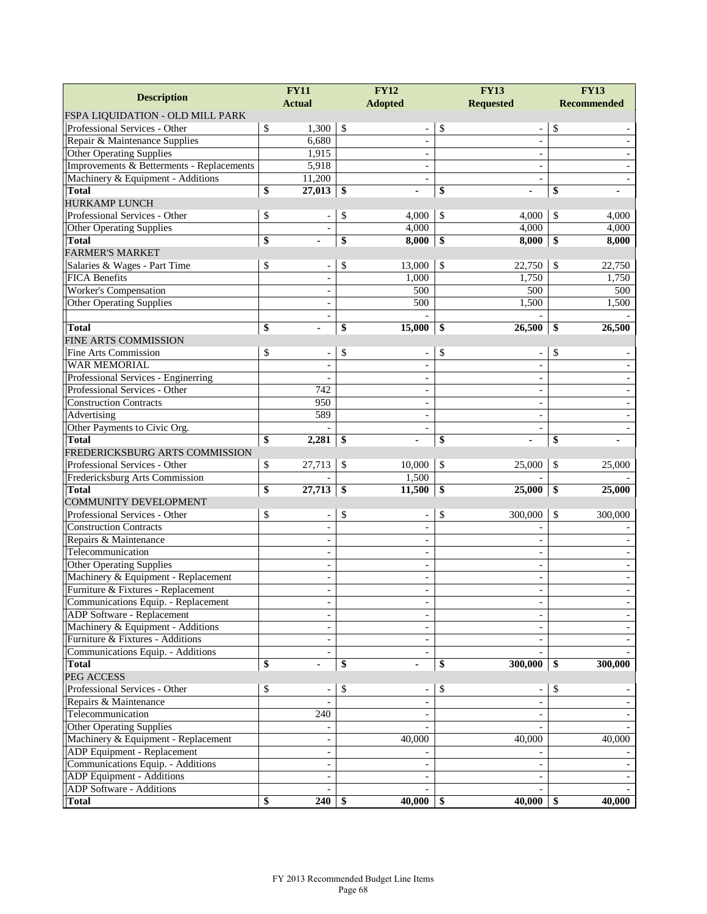|                                           | <b>FY12</b><br><b>FY11</b> |                          |                | <b>FY13</b>              |                  | <b>FY13</b>                  |    |                    |  |
|-------------------------------------------|----------------------------|--------------------------|----------------|--------------------------|------------------|------------------------------|----|--------------------|--|
| <b>Description</b>                        |                            | <b>Actual</b>            | <b>Adopted</b> |                          | <b>Requested</b> |                              |    | <b>Recommended</b> |  |
| FSPA LIQUIDATION - OLD MILL PARK          |                            |                          |                |                          |                  |                              |    |                    |  |
| Professional Services - Other             | \$                         | 1,300                    | $\mathbb{S}$   | $\overline{\phantom{a}}$ | \$               | $\overline{\phantom{a}}$     | \$ |                    |  |
| Repair & Maintenance Supplies             |                            | 6,680                    |                | $\overline{\phantom{a}}$ |                  | $\overline{\phantom{a}}$     |    |                    |  |
| <b>Other Operating Supplies</b>           |                            | 1,915                    |                | $\overline{\phantom{a}}$ |                  | $\overline{a}$               |    |                    |  |
| Improvements & Betterments - Replacements |                            | 5,918                    |                | $\overline{\phantom{a}}$ |                  | $\overline{\phantom{a}}$     |    |                    |  |
| Machinery & Equipment - Additions         |                            | 11,200                   |                |                          |                  | $\overline{\phantom{a}}$     |    |                    |  |
| <b>Total</b>                              | \$                         | 27,013                   | \$             |                          | \$               |                              | \$ |                    |  |
| <b>HURKAMP LUNCH</b>                      |                            |                          |                |                          |                  |                              |    |                    |  |
| Professional Services - Other             | \$                         |                          | \$             | 4,000                    | \$               | 4,000                        | \$ | 4,000              |  |
| <b>Other Operating Supplies</b>           |                            |                          |                | 4,000                    |                  | 4,000                        |    | 4,000              |  |
| <b>Total</b>                              | \$                         |                          | \$             | 8,000                    | \$               | 8,000                        | \$ | 8,000              |  |
| <b>FARMER'S MARKET</b>                    |                            |                          |                |                          |                  |                              |    |                    |  |
| Salaries & Wages - Part Time              | \$                         | $\overline{\phantom{a}}$ | \$             | 13,000                   | \$               | 22,750                       | \$ | 22,750             |  |
| <b>FICA Benefits</b>                      |                            |                          |                | 1,000                    |                  | 1,750                        |    | 1,750              |  |
| Worker's Compensation                     |                            | $\overline{\phantom{a}}$ |                | 500                      |                  | 500                          |    | 500                |  |
| <b>Other Operating Supplies</b>           |                            |                          |                | 500                      |                  | 1,500                        |    | 1,500              |  |
|                                           |                            | $\overline{a}$           |                |                          |                  |                              |    |                    |  |
| <b>Total</b>                              | \$                         |                          | \$             | 15,000                   | \$               | 26,500                       | \$ | 26,500             |  |
| <b>FINE ARTS COMMISSION</b>               |                            |                          |                |                          |                  |                              |    |                    |  |
| Fine Arts Commission                      | \$                         | $\overline{\phantom{a}}$ | \$             | $\overline{\phantom{a}}$ | \$               | $\overline{\phantom{a}}$     | \$ |                    |  |
| WAR MEMORIAL                              |                            |                          |                |                          |                  |                              |    |                    |  |
| Professional Services - Enginerring       |                            |                          |                |                          |                  |                              |    |                    |  |
| Professional Services - Other             |                            | 742                      |                | $\blacksquare$           |                  | $\overline{\phantom{a}}$     |    |                    |  |
| <b>Construction Contracts</b>             |                            | 950                      |                | $\overline{\phantom{a}}$ |                  | $\overline{\phantom{a}}$     |    |                    |  |
| Advertising                               |                            | 589                      |                | $\overline{\phantom{a}}$ |                  | $\overline{\phantom{a}}$     |    |                    |  |
| Other Payments to Civic Org.              |                            |                          |                |                          |                  |                              |    |                    |  |
| <b>Total</b>                              | \$                         | 2,281                    | \$             |                          | \$               |                              | \$ |                    |  |
| FREDERICKSBURG ARTS COMMISSION            |                            |                          |                |                          |                  |                              |    |                    |  |
| Professional Services - Other             | \$                         | 27,713                   | \$             | 10,000                   | \$               | 25,000                       | \$ | 25,000             |  |
| Fredericksburg Arts Commission            |                            |                          |                | 1,500                    |                  |                              |    |                    |  |
| <b>Total</b>                              | \$                         | 27,713                   | \$             | 11,500                   | \$               | 25,000                       | \$ | 25,000             |  |
| COMMUNITY DEVELOPMENT                     |                            |                          |                |                          |                  |                              |    |                    |  |
| Professional Services - Other             | \$                         | $\overline{\phantom{a}}$ | \$             | $\blacksquare$           | \$               | 300,000                      | \$ | 300,000            |  |
| <b>Construction Contracts</b>             |                            |                          |                | $\blacksquare$           |                  |                              |    |                    |  |
| Repairs & Maintenance                     |                            | $\overline{\phantom{a}}$ |                | $\overline{\phantom{a}}$ |                  | $\qquad \qquad \blacksquare$ |    |                    |  |
| Telecommunication                         |                            | $\overline{a}$           |                | $\overline{\phantom{a}}$ |                  | $\overline{\phantom{a}}$     |    |                    |  |
| <b>Other Operating Supplies</b>           |                            |                          |                |                          |                  | $\overline{\phantom{a}}$     |    |                    |  |
| Machinery & Equipment - Replacement       |                            | $\overline{\phantom{a}}$ |                | $\blacksquare$           |                  | $\overline{\phantom{a}}$     |    |                    |  |
| Furniture & Fixtures - Replacement        |                            | $\overline{a}$           |                | $\overline{\phantom{a}}$ |                  | $\overline{\phantom{a}}$     |    |                    |  |
| Communications Equip. - Replacement       |                            | $\overline{\phantom{a}}$ |                |                          |                  |                              |    |                    |  |
| ADP Software - Replacement                |                            |                          |                |                          |                  |                              |    |                    |  |
| Machinery & Equipment - Additions         |                            | $\blacksquare$           |                |                          |                  |                              |    |                    |  |
| Furniture & Fixtures - Additions          |                            | $\overline{\phantom{a}}$ |                | $\blacksquare$           |                  | $\blacksquare$               |    |                    |  |
| Communications Equip. - Additions         |                            | $\blacksquare$           |                | $\overline{\phantom{a}}$ |                  |                              |    |                    |  |
| <b>Total</b>                              | \$                         | ٠                        | \$             |                          | \$               | 300,000                      | \$ | 300,000            |  |
| PEG ACCESS                                |                            |                          |                |                          |                  |                              |    |                    |  |
| Professional Services - Other             | \$                         | $\overline{a}$           | \$             |                          | \$               | $\overline{\phantom{0}}$     | \$ |                    |  |
| Repairs & Maintenance                     |                            |                          |                | $\blacksquare$           |                  | $\overline{\phantom{a}}$     |    |                    |  |
| Telecommunication                         |                            | 240                      |                | $\overline{\phantom{a}}$ |                  | $\overline{\phantom{a}}$     |    |                    |  |
| <b>Other Operating Supplies</b>           |                            |                          |                |                          |                  |                              |    |                    |  |
| Machinery & Equipment - Replacement       |                            |                          |                | 40,000                   |                  | 40,000                       |    | 40,000             |  |
| ADP Equipment - Replacement               |                            | $\overline{\phantom{a}}$ |                |                          |                  |                              |    |                    |  |
| Communications Equip. - Additions         |                            | $\overline{\phantom{a}}$ |                | $\blacksquare$           |                  | $\blacksquare$               |    |                    |  |
| ADP Equipment - Additions                 |                            | $\overline{\phantom{a}}$ |                |                          |                  | $\overline{\phantom{a}}$     |    |                    |  |
| ADP Software - Additions                  |                            |                          |                |                          |                  |                              |    |                    |  |
| <b>Total</b>                              | \$                         | 240                      | \$             | 40,000                   | \$               | 40,000                       | \$ | 40,000             |  |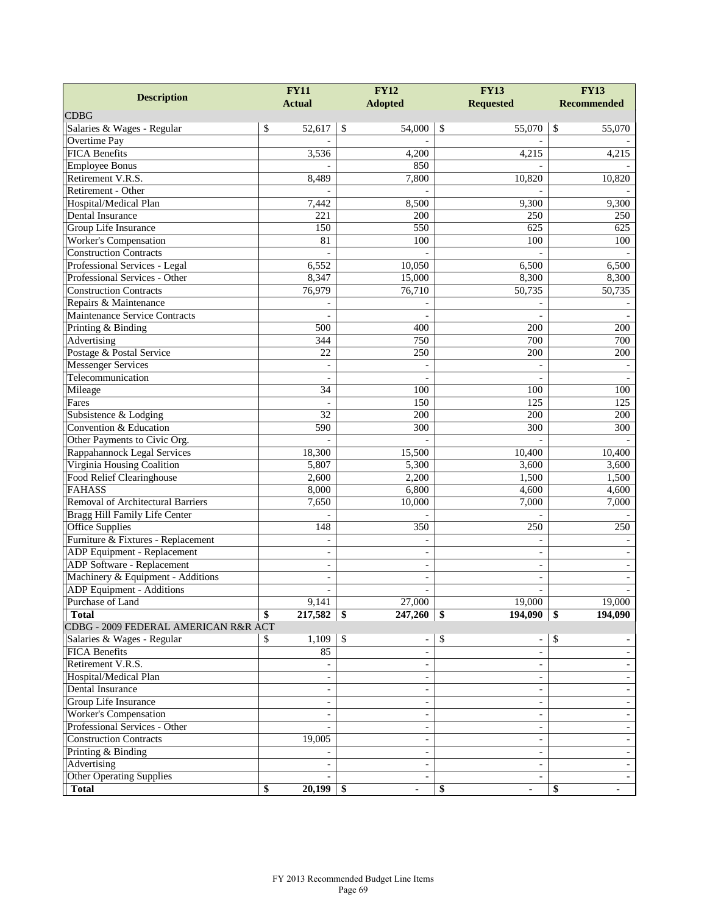| <b>Description</b>                   | <b>FY11</b>              | <b>FY12</b>              | <b>FY13</b>              | <b>FY13</b>        |  |
|--------------------------------------|--------------------------|--------------------------|--------------------------|--------------------|--|
|                                      | <b>Actual</b>            | <b>Adopted</b>           | <b>Requested</b>         | <b>Recommended</b> |  |
| <b>CDBG</b>                          |                          |                          |                          |                    |  |
| Salaries & Wages - Regular           | \$<br>52,617             | \$<br>54,000             | \$<br>55,070             | \$<br>55,070       |  |
| Overtime Pay<br><b>FICA Benefits</b> |                          |                          |                          |                    |  |
| <b>Employee Bonus</b>                | 3,536                    | 4,200<br>850             | 4,215                    | 4,215              |  |
| Retirement V.R.S.                    | 8,489                    | 7,800                    | 10,820                   | 10,820             |  |
| Retirement - Other                   |                          |                          |                          |                    |  |
| Hospital/Medical Plan                | 7,442                    | 8,500                    | 9,300                    | 9,300              |  |
| Dental Insurance                     | 221                      | 200                      | 250                      | 250                |  |
| Group Life Insurance                 | 150                      | 550                      | 625                      | 625                |  |
| Worker's Compensation                | 81                       | 100                      | 100                      | 100                |  |
| <b>Construction Contracts</b>        |                          |                          |                          |                    |  |
| Professional Services - Legal        | 6,552                    | 10,050                   | 6,500                    | 6,500              |  |
| Professional Services - Other        | 8,347                    | 15,000                   | 8,300                    | 8,300              |  |
| <b>Construction Contracts</b>        | 76,979                   | 76,710                   | 50,735                   | 50,735             |  |
| Repairs & Maintenance                |                          |                          |                          |                    |  |
| Maintenance Service Contracts        |                          |                          |                          |                    |  |
| Printing & Binding                   | 500                      | 400                      | 200                      | 200                |  |
| Advertising                          | 344                      | 750                      | 700                      | 700                |  |
| Postage & Postal Service             | 22                       | 250                      | 200                      | 200                |  |
| <b>Messenger Services</b>            | $\overline{\phantom{m}}$ |                          |                          |                    |  |
| Telecommunication                    |                          |                          |                          |                    |  |
| Mileage                              | 34                       | 100                      | 10 <sub>0</sub>          | 100                |  |
| Fares                                |                          | 150                      | 125                      | 125                |  |
| Subsistence & Lodging                | 32                       | 200                      | 200                      | 200                |  |
| Convention & Education               | 590                      | 300                      | 300                      | 300                |  |
| Other Payments to Civic Org.         |                          |                          |                          |                    |  |
| Rappahannock Legal Services          | 18,300                   | 15,500                   | 10,400                   | 10,400             |  |
| Virginia Housing Coalition           | 5,807                    | 5,300                    | 3,600                    | 3,600              |  |
| Food Relief Clearinghouse            | 2,600                    | 2,200                    | 1,500                    | 1,500              |  |
| <b>FAHASS</b>                        | 8,000                    | 6,800                    | 4,600                    | 4,600              |  |
| Removal of Architectural Barriers    | 7,650                    | 10,000                   | 7,000                    | 7,000              |  |
| Bragg Hill Family Life Center        |                          |                          |                          |                    |  |
| Office Supplies                      | 148                      | 350                      | 250                      | 250                |  |
| Furniture & Fixtures - Replacement   | $\overline{\phantom{a}}$ |                          |                          |                    |  |
| <b>ADP</b> Equipment - Replacement   | $\overline{\phantom{a}}$ | $\overline{\phantom{0}}$ | $\sim$                   |                    |  |
| <b>ADP</b> Software - Replacement    | $\overline{\phantom{a}}$ |                          | $\overline{a}$           |                    |  |
| Machinery & Equipment - Additions    | $\overline{\phantom{a}}$ |                          |                          |                    |  |
| <b>ADP</b> Equipment - Additions     | $\overline{\phantom{a}}$ | ÷,                       | $\qquad \qquad -$        |                    |  |
| Purchase of Land                     | 9,141                    | 27,000                   | 19,000                   | 19,000             |  |
| <b>Total</b>                         | 217,582                  | \$<br>247,260            | 194,090<br>-\$           | 194,090<br>\$      |  |
| CDBG - 2009 FEDERAL AMERICAN R&R ACT |                          |                          |                          |                    |  |
| Salaries & Wages - Regular           | 1,109<br>\$              | $\mathbb{S}$<br>÷,       | \$                       | \$                 |  |
| FICA Benefits                        | 85                       | $\overline{\phantom{0}}$ |                          |                    |  |
| Retirement V.R.S.                    |                          |                          | $\blacksquare$           |                    |  |
| Hospital/Medical Plan                |                          |                          | $\overline{\phantom{a}}$ |                    |  |
| Dental Insurance                     |                          |                          |                          |                    |  |
| Group Life Insurance                 | $\overline{\phantom{a}}$ |                          | $\overline{\phantom{a}}$ |                    |  |
| <b>Worker's Compensation</b>         |                          |                          | $\overline{\phantom{a}}$ |                    |  |
| Professional Services - Other        |                          |                          | $\blacksquare$           |                    |  |
| <b>Construction Contracts</b>        | 19,005                   | $\overline{\phantom{0}}$ | $\overline{\phantom{a}}$ |                    |  |
| Printing & Binding                   |                          |                          | $\qquad \qquad -$        |                    |  |
| Advertising                          | $\sim$                   | $\overline{\phantom{0}}$ | $\overline{\phantom{a}}$ |                    |  |
| <b>Other Operating Supplies</b>      |                          | ÷,                       | $\overline{\phantom{a}}$ |                    |  |
| <b>Total</b>                         | \$<br>20,199             | - \$                     | \$<br>ä,                 | \$                 |  |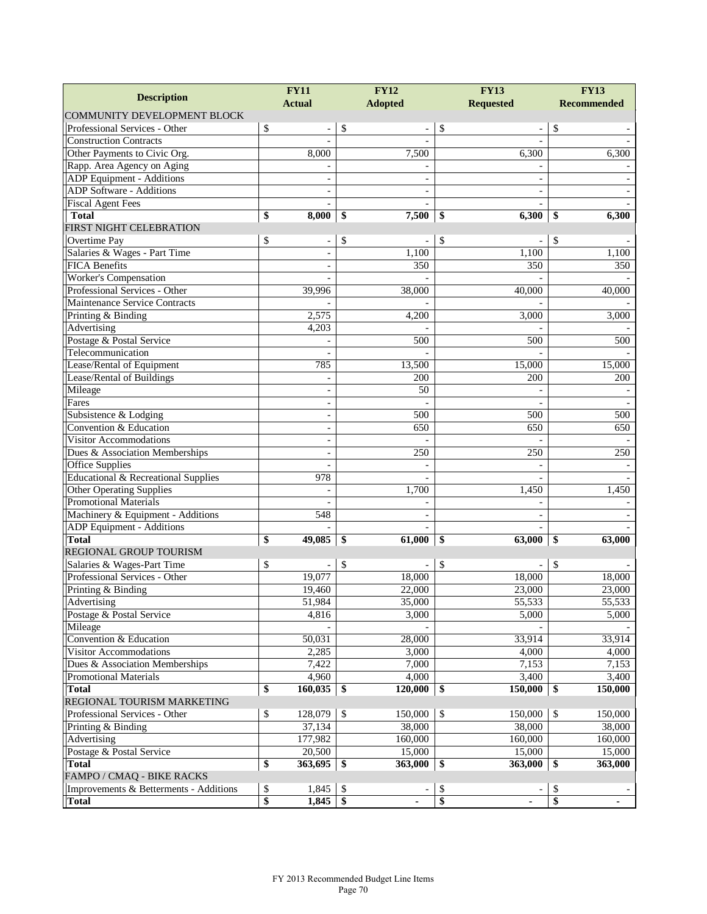| <b>FY11</b>                            |    |                          | <b>FY12</b>    | <b>FY13</b> | <b>FY13</b>                    |                    |  |
|----------------------------------------|----|--------------------------|----------------|-------------|--------------------------------|--------------------|--|
| <b>Description</b>                     |    | <b>Actual</b>            | <b>Adopted</b> |             | <b>Requested</b>               | <b>Recommended</b> |  |
| <b>COMMUNITY DEVELOPMENT BLOCK</b>     |    |                          |                |             |                                |                    |  |
| Professional Services - Other          | \$ |                          | \$             |             | \$<br>$\overline{\phantom{a}}$ | \$                 |  |
| <b>Construction Contracts</b>          |    |                          |                |             |                                |                    |  |
| Other Payments to Civic Org.           |    | 8,000                    |                | 7,500       | 6,300                          | 6,300              |  |
| Rapp. Area Agency on Aging             |    |                          |                |             |                                |                    |  |
| ADP Equipment - Additions              |    |                          |                |             |                                |                    |  |
| <b>ADP Software - Additions</b>        |    |                          |                |             |                                |                    |  |
| <b>Fiscal Agent Fees</b>               |    | $\blacksquare$           |                |             | $\overline{a}$                 |                    |  |
| <b>Total</b>                           | \$ | 8,000                    | \$             | 7,500       | 6,300<br>\$                    | \$<br>6,300        |  |
| FIRST NIGHT CELEBRATION                |    |                          |                |             |                                |                    |  |
| Overtime Pay                           | \$ |                          | \$             |             | \$                             | \$                 |  |
| Salaries & Wages - Part Time           |    |                          |                | 1,100       | 1,100                          | 1,100              |  |
| <b>FICA</b> Benefits                   |    | $\blacksquare$           |                | 350         | 350                            | 350                |  |
| Worker's Compensation                  |    |                          |                |             |                                |                    |  |
| Professional Services - Other          |    | 39,996                   |                | 38,000      | 40,000                         | 40,000             |  |
| Maintenance Service Contracts          |    |                          |                |             |                                |                    |  |
| Printing & Binding                     |    | 2,575                    |                | 4,200       | 3,000                          | 3,000              |  |
| Advertising                            |    | 4,203                    |                |             |                                |                    |  |
| Postage & Postal Service               |    |                          |                | 500         | 500                            | 500                |  |
| Telecommunication                      |    |                          |                |             |                                |                    |  |
| Lease/Rental of Equipment              |    | 785                      |                | 13,500      | 15,000                         | 15,000             |  |
| Lease/Rental of Buildings              |    |                          |                | 200         | 200                            | 200                |  |
| Mileage                                |    | $\overline{\phantom{a}}$ |                | 50          |                                |                    |  |
| Fares                                  |    | $\overline{\phantom{a}}$ |                |             |                                |                    |  |
| Subsistence & Lodging                  |    | $\overline{\phantom{a}}$ |                | 500         | 500                            | 500                |  |
| Convention & Education                 |    | $\overline{\phantom{a}}$ |                | 650         | 650                            | 650                |  |
| <b>Visitor Accommodations</b>          |    | $\blacksquare$           |                |             |                                |                    |  |
| Dues & Association Memberships         |    | $\sim$                   |                | 250         | 250                            | 250                |  |
| <b>Office Supplies</b>                 |    |                          |                |             |                                |                    |  |
| Educational & Recreational Supplies    |    | 978                      |                |             |                                |                    |  |
| <b>Other Operating Supplies</b>        |    |                          |                | 1,700       | 1,450                          | 1,450              |  |
| <b>Promotional Materials</b>           |    |                          |                |             |                                |                    |  |
| Machinery & Equipment - Additions      |    | 548                      |                |             |                                |                    |  |
| ADP Equipment - Additions              |    |                          |                |             |                                |                    |  |
| <b>Total</b>                           | \$ | 49,085                   | \$             | 61,000      | 63,000<br>\$                   | \$<br>63,000       |  |
| REGIONAL GROUP TOURISM                 |    |                          |                |             |                                |                    |  |
| Salaries & Wages-Part Time             | \$ |                          | \$             |             | \$                             | \$                 |  |
| Professional Services - Other          |    | 19,077                   |                | 18,000      | 18,000                         | 18,000             |  |
| Printing & Binding                     |    | 19,460                   |                | 22,000      | 23,000                         | 23,000             |  |
| Advertising                            |    | 51,984                   |                | 35,000      | 55,533                         | 55,533             |  |
| Postage & Postal Service               |    | 4.816                    |                | 3,000       | 5.000                          | 5,000              |  |
| Mileage                                |    |                          |                |             |                                |                    |  |
| Convention & Education                 |    | 50,031                   |                | 28,000      | 33,914                         | 33,914             |  |
| Visitor Accommodations                 |    | 2,285                    |                | 3,000       | 4.000                          | 4,000              |  |
| Dues & Association Memberships         |    | 7,422                    |                | 7,000       | 7,153                          | 7,153              |  |
| <b>Promotional Materials</b>           |    | 4,960                    |                | 4,000       | 3,400                          | 3,400              |  |
| <b>Total</b>                           | \$ | 160,035                  | $\sqrt{3}$     | 120,000     | \$<br>150,000                  | \$<br>150,000      |  |
| REGIONAL TOURISM MARKETING             |    |                          |                |             |                                |                    |  |
| Professional Services - Other          | \$ | 128,079                  | $\mathbb{S}$   | 150,000     | \$<br>150,000                  | \$<br>150,000      |  |
| Printing & Binding                     |    | 37,134                   |                | 38,000      | 38,000                         | 38,000             |  |
| Advertising                            |    | 177,982                  |                | 160,000     | 160,000                        | 160,000            |  |
| Postage & Postal Service               |    | 20,500                   |                | 15,000      | 15,000                         | 15,000             |  |
| <b>Total</b>                           | \$ | 363,695                  | -\$            | 363,000     | \$<br>363,000                  | \$<br>363,000      |  |
| FAMPO / CMAQ - BIKE RACKS              |    |                          |                |             |                                |                    |  |
| Improvements & Betterments - Additions | \$ | 1,845                    | -\$            |             | \$                             | \$                 |  |
| <b>Total</b>                           | \$ | 1,845                    | $\mathbf{\$}$  |             | \$                             | \$                 |  |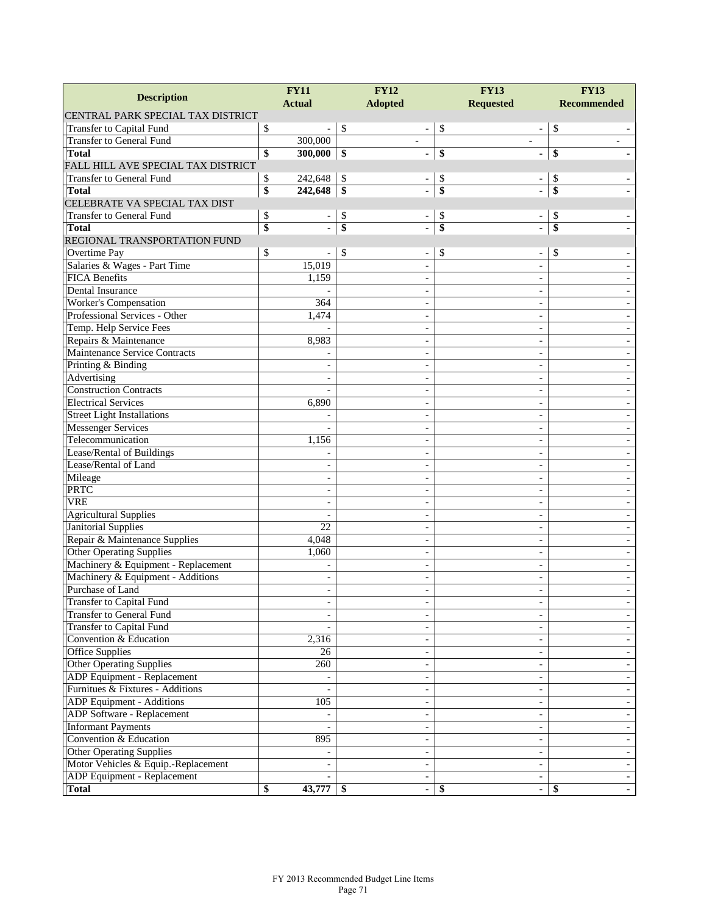| <b>Description</b>                       | <b>FY11</b>              | <b>FY12</b>                          | <b>FY13</b>              | <b>FY13</b>        |  |  |
|------------------------------------------|--------------------------|--------------------------------------|--------------------------|--------------------|--|--|
|                                          | <b>Actual</b>            | <b>Adopted</b>                       | <b>Requested</b>         | <b>Recommended</b> |  |  |
| CENTRAL PARK SPECIAL TAX DISTRICT        |                          |                                      |                          |                    |  |  |
| Transfer to Capital Fund                 | \$                       | \$                                   | \$                       | \$                 |  |  |
| <b>Transfer to General Fund</b><br>Total | 300,000                  |                                      |                          |                    |  |  |
| FALL HILL AVE SPECIAL TAX DISTRICT       | 300,000<br>\$            | -\$<br>۰                             | \$                       | \$                 |  |  |
| Transfer to General Fund                 | 242,648                  | $\mathcal{S}$                        |                          |                    |  |  |
| <b>Total</b>                             | \$<br>\$<br>242,648      | $\overline{\boldsymbol{\mathsf{s}}}$ | \$                       | \$                 |  |  |
| CELEBRATE VA SPECIAL TAX DIST            |                          |                                      |                          |                    |  |  |
| Transfer to General Fund                 | \$                       | \$                                   | \$                       | \$                 |  |  |
| <b>Total</b>                             | \$                       | \$                                   | \$                       | \$                 |  |  |
| REGIONAL TRANSPORTATION FUND             |                          |                                      |                          |                    |  |  |
| Overtime Pay                             | \$                       | \$                                   | \$                       | \$                 |  |  |
| Salaries & Wages - Part Time             | 15,019                   | ÷,                                   | $\sim$                   |                    |  |  |
| <b>FICA Benefits</b>                     | 1,159                    |                                      |                          |                    |  |  |
| Dental Insurance                         |                          | L,                                   |                          |                    |  |  |
| <b>Worker's Compensation</b>             | $\overline{364}$         |                                      | $\sim$                   |                    |  |  |
| Professional Services - Other            | 1,474                    |                                      |                          |                    |  |  |
| Temp. Help Service Fees                  |                          | $\overline{\phantom{0}}$             | $\overline{\phantom{a}}$ |                    |  |  |
| Repairs & Maintenance                    | 8,983                    |                                      |                          |                    |  |  |
| Maintenance Service Contracts            |                          |                                      |                          |                    |  |  |
| Printing & Binding                       |                          |                                      | $\overline{\phantom{a}}$ |                    |  |  |
| Advertising                              |                          |                                      |                          |                    |  |  |
| <b>Construction Contracts</b>            |                          | $\overline{\phantom{0}}$             | $\overline{\phantom{a}}$ |                    |  |  |
| <b>Electrical Services</b>               | 6,890                    |                                      |                          |                    |  |  |
| <b>Street Light Installations</b>        |                          |                                      | $\overline{a}$           |                    |  |  |
| <b>Messenger Services</b>                |                          |                                      | $\sim$                   |                    |  |  |
| Telecommunication                        | 1,156                    |                                      |                          |                    |  |  |
| Lease/Rental of Buildings                |                          | $\overline{\phantom{0}}$             | $\overline{\phantom{a}}$ |                    |  |  |
| Lease/Rental of Land                     |                          |                                      |                          |                    |  |  |
| Mileage                                  | $\overline{\phantom{a}}$ |                                      |                          |                    |  |  |
| <b>PRTC</b>                              |                          |                                      | $\overline{\phantom{a}}$ |                    |  |  |
| <b>VRE</b>                               |                          |                                      |                          |                    |  |  |
| <b>Agricultural Supplies</b>             |                          | $\overline{\phantom{0}}$             | $\overline{\phantom{a}}$ |                    |  |  |
| <b>Janitorial Supplies</b>               | 22                       |                                      |                          |                    |  |  |
| Repair & Maintenance Supplies            | 4,048                    | L,                                   | $\sim$                   |                    |  |  |
| <b>Other Operating Supplies</b>          | 1,060                    | L,                                   | $\overline{\phantom{a}}$ |                    |  |  |
| Machinery & Equipment - Replacement      |                          |                                      |                          |                    |  |  |
| Machinery & Equipment - Additions        |                          |                                      | $\overline{\phantom{0}}$ |                    |  |  |
| Purchase of Land                         |                          |                                      |                          |                    |  |  |
| <b>Transfer to Capital Fund</b>          | $\overline{\phantom{a}}$ |                                      |                          |                    |  |  |
| Transfer to General Fund                 |                          |                                      | $\overline{\phantom{a}}$ |                    |  |  |
| Transfer to Capital Fund                 |                          |                                      |                          |                    |  |  |
| Convention & Education                   | 2,316                    | $\overline{\phantom{0}}$             | $\overline{\phantom{a}}$ |                    |  |  |
| <b>Office Supplies</b>                   | 26                       |                                      | $\overline{\phantom{a}}$ |                    |  |  |
| <b>Other Operating Supplies</b>          | 260                      |                                      | $\overline{\phantom{a}}$ |                    |  |  |
| ADP Equipment - Replacement              |                          |                                      | $\blacksquare$           |                    |  |  |
| Furnitues & Fixtures - Additions         |                          |                                      | $\overline{\phantom{a}}$ |                    |  |  |
| <b>ADP</b> Equipment - Additions         | 105                      | $\overline{\phantom{0}}$             | $\overline{\phantom{a}}$ |                    |  |  |
| ADP Software - Replacement               |                          |                                      | $\overline{\phantom{a}}$ |                    |  |  |
| <b>Informant Payments</b>                |                          |                                      | $\frac{1}{2}$            |                    |  |  |
| Convention & Education                   | 895                      |                                      | $\blacksquare$           |                    |  |  |
| <b>Other Operating Supplies</b>          |                          |                                      | $\sim$                   |                    |  |  |
| Motor Vehicles & Equip.-Replacement      | $\overline{\phantom{a}}$ | $\overline{\phantom{a}}$             | $\overline{\phantom{a}}$ |                    |  |  |
| ADP Equipment - Replacement              |                          |                                      |                          |                    |  |  |
| <b>Total</b>                             | \$<br>43,777             | - \$<br>٠                            | \$<br>$\blacksquare$     | \$                 |  |  |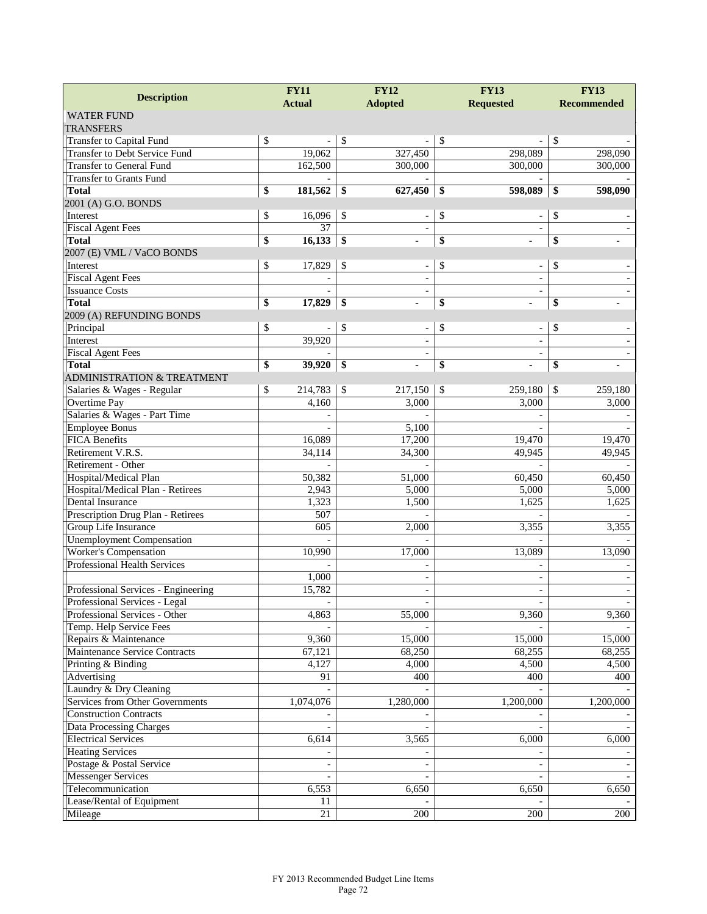| <b>Description</b>                    | <b>FY12</b><br><b>FY11</b> |                                | <b>FY13</b>              | <b>FY13</b>        |  |
|---------------------------------------|----------------------------|--------------------------------|--------------------------|--------------------|--|
|                                       | <b>Actual</b>              | <b>Adopted</b>                 | <b>Requested</b>         | <b>Recommended</b> |  |
| <b>WATER FUND</b>                     |                            |                                |                          |                    |  |
| <b>TRANSFERS</b>                      |                            |                                |                          |                    |  |
| Transfer to Capital Fund              | \$                         | \$<br>$\overline{a}$           | \$                       | \$                 |  |
| <b>Transfer to Debt Service Fund</b>  | 19,062                     | 327,450                        | 298,089                  | 298,090            |  |
| Transfer to General Fund              | 162,500                    | 300,000                        | 300,000                  | 300,000            |  |
| <b>Transfer to Grants Fund</b>        |                            |                                |                          |                    |  |
| <b>Total</b>                          | \$<br>181,562              | 627,450<br>\$                  | 598,089<br>\$            | \$<br>598,090      |  |
| 2001 (A) G.O. BONDS                   |                            |                                |                          |                    |  |
| Interest                              | \$<br>16,096               | \$                             | \$                       | \$                 |  |
| <b>Fiscal Agent Fees</b>              | 37                         |                                |                          |                    |  |
| <b>Total</b>                          | \$<br>16,133               | \$                             | \$                       | \$                 |  |
| 2007 (E) VML / VaCO BONDS             |                            |                                |                          |                    |  |
| Interest                              | \$<br>17,829               | \$<br>$\overline{\phantom{a}}$ | \$                       | \$                 |  |
| <b>Fiscal Agent Fees</b>              |                            |                                |                          |                    |  |
| <b>Issuance Costs</b>                 |                            |                                |                          |                    |  |
| <b>Total</b>                          | \$<br>17,829               | \$                             | \$                       | \$                 |  |
| 2009 (A) REFUNDING BONDS              |                            |                                |                          |                    |  |
| Principal                             | \$                         | \$<br>$\overline{\phantom{a}}$ | \$                       | \$                 |  |
| Interest                              | 39,920                     |                                |                          |                    |  |
| <b>Fiscal Agent Fees</b>              |                            |                                |                          |                    |  |
| <b>Total</b>                          | \$<br>39,920               | \$                             | \$                       | \$                 |  |
| <b>ADMINISTRATION &amp; TREATMENT</b> |                            |                                |                          |                    |  |
| Salaries & Wages - Regular            | \$<br>214,783              | \$<br>217,150                  | \$<br>259,180            | \$<br>259,180      |  |
| Overtime Pay                          | 4,160                      | 3,000                          | 3,000                    | 3,000              |  |
| Salaries & Wages - Part Time          |                            |                                |                          |                    |  |
| <b>Employee Bonus</b>                 |                            | 5,100                          |                          |                    |  |
| <b>FICA Benefits</b>                  | 16,089                     | 17,200                         | 19,470                   | 19,470             |  |
| Retirement V.R.S.                     | 34,114                     | 34,300                         | 49,945                   | 49,945             |  |
| Retirement - Other                    |                            |                                |                          |                    |  |
| Hospital/Medical Plan                 | 50,382                     | 51,000                         | 60,450                   | 60,450             |  |
| Hospital/Medical Plan - Retirees      | 2,943                      | 5,000                          | 5,000                    | 5,000              |  |
| Dental Insurance                      | 1,323                      | 1,500                          | 1,625                    | 1,625              |  |
| Prescription Drug Plan - Retirees     | 507                        |                                |                          |                    |  |
| Group Life Insurance                  | 605                        | 2,000                          | 3,355                    | 3,355              |  |
| <b>Unemployment Compensation</b>      |                            |                                |                          |                    |  |
| Worker's Compensation                 | 10,990                     | 17,000                         | 13,089                   | 13,090             |  |
| <b>Professional Health Services</b>   |                            |                                |                          |                    |  |
|                                       | 1,000                      |                                | $\qquad \qquad -$        |                    |  |
| Professional Services - Engineering   | 15,782                     |                                |                          |                    |  |
| Professional Services - Legal         | $\overline{\phantom{a}}$   |                                |                          |                    |  |
| Professional Services - Other         | 4,863                      | 55,000                         | 9,360                    | 9,360              |  |
| Temp. Help Service Fees               |                            |                                |                          |                    |  |
| Repairs & Maintenance                 | 9,360                      | 15,000                         | 15,000                   | 15,000             |  |
| Maintenance Service Contracts         | 67,121                     | 68,250                         | 68,255                   | 68,255             |  |
| Printing & Binding                    | 4,127                      | 4,000                          | 4,500                    | 4,500              |  |
| Advertising                           | 91                         | 400                            | 400                      | 400                |  |
| Laundry & Dry Cleaning                |                            |                                |                          |                    |  |
| Services from Other Governments       | 1,074,076                  | 1,280,000                      | 1,200,000                | 1,200,000          |  |
| <b>Construction Contracts</b>         |                            |                                |                          |                    |  |
| <b>Data Processing Charges</b>        |                            |                                |                          |                    |  |
| <b>Electrical Services</b>            | 6,614                      | 3,565                          | 6,000                    | 6,000              |  |
| <b>Heating Services</b>               |                            |                                |                          |                    |  |
| Postage & Postal Service              |                            |                                | $\overline{\phantom{a}}$ |                    |  |
| <b>Messenger Services</b>             |                            |                                |                          |                    |  |
| Telecommunication                     | 6,553                      | 6,650                          | 6,650                    | 6,650              |  |
| Lease/Rental of Equipment             | 11                         |                                |                          |                    |  |
|                                       | $21\,$                     | 200                            | 200                      | 200                |  |
| Mileage                               |                            |                                |                          |                    |  |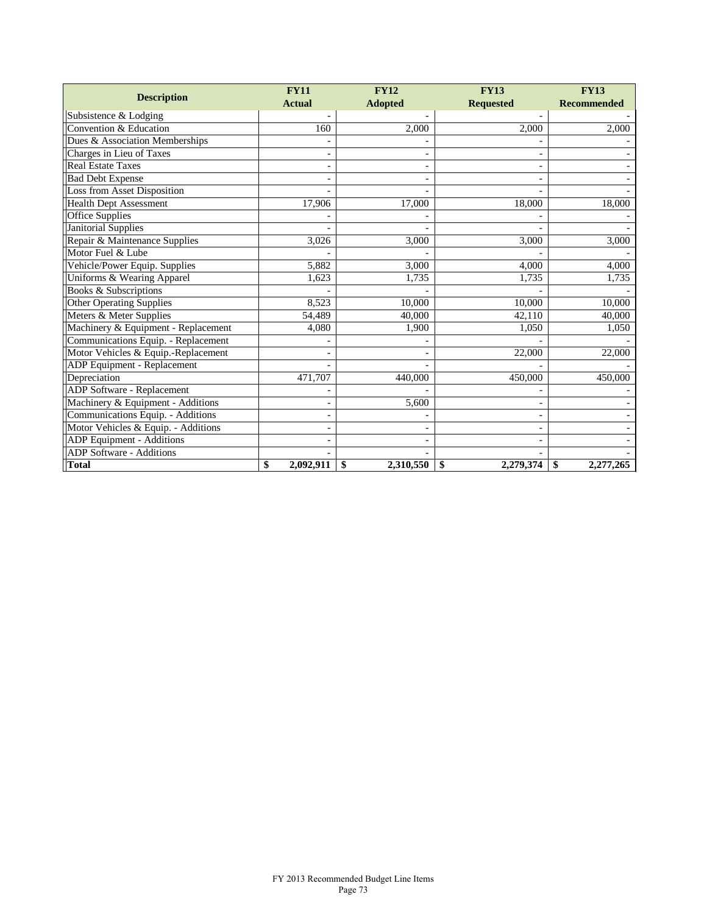| <b>Description</b>                  | <b>FY11</b>     | <b>FY12</b>     | <b>FY13</b>      | <b>FY13</b>        |  |
|-------------------------------------|-----------------|-----------------|------------------|--------------------|--|
|                                     | <b>Actual</b>   | <b>Adopted</b>  | <b>Requested</b> | <b>Recommended</b> |  |
| Subsistence & Lodging               |                 |                 |                  |                    |  |
| Convention & Education              | 160             | 2,000           | 2,000            | 2,000              |  |
| Dues & Association Memberships      |                 |                 |                  |                    |  |
| Charges in Lieu of Taxes            |                 |                 |                  |                    |  |
| <b>Real Estate Taxes</b>            |                 |                 |                  |                    |  |
| <b>Bad Debt Expense</b>             |                 |                 |                  |                    |  |
| Loss from Asset Disposition         |                 |                 |                  |                    |  |
| <b>Health Dept Assessment</b>       | 17,906          | 17,000          | 18,000           | 18,000             |  |
| Office Supplies                     |                 |                 |                  |                    |  |
| Janitorial Supplies                 |                 |                 |                  |                    |  |
| Repair & Maintenance Supplies       | 3,026           | 3,000           | 3,000            | 3,000              |  |
| Motor Fuel & Lube                   |                 |                 |                  |                    |  |
| Vehicle/Power Equip. Supplies       | 5,882           | 3,000           | 4,000            | 4,000              |  |
| Uniforms & Wearing Apparel          | 1.623           | 1,735           | 1,735            | 1,735              |  |
| Books & Subscriptions               |                 |                 |                  |                    |  |
| <b>Other Operating Supplies</b>     | 8,523           | 10,000          | 10,000           | 10,000             |  |
| Meters & Meter Supplies             | 54,489          | 40,000          | 42,110           | 40,000             |  |
| Machinery & Equipment - Replacement | 4,080           | 1,900           | 1,050            | 1,050              |  |
| Communications Equip. - Replacement |                 |                 |                  |                    |  |
| Motor Vehicles & Equip.-Replacement |                 |                 | 22,000           | 22,000             |  |
| <b>ADP</b> Equipment - Replacement  |                 |                 |                  |                    |  |
| Depreciation                        | 471,707         | 440,000         | 450,000          | 450,000            |  |
| <b>ADP</b> Software - Replacement   |                 |                 |                  |                    |  |
| Machinery & Equipment - Additions   |                 | 5,600           |                  |                    |  |
| Communications Equip. - Additions   |                 |                 |                  |                    |  |
| Motor Vehicles & Equip. - Additions |                 |                 |                  |                    |  |
| ADP Equipment - Additions           |                 |                 |                  |                    |  |
| <b>ADP</b> Software - Additions     |                 |                 |                  |                    |  |
| <b>Total</b>                        | \$<br>2,092,911 | 2,310,550<br>\$ | \$<br>2,279,374  | \$<br>2,277,265    |  |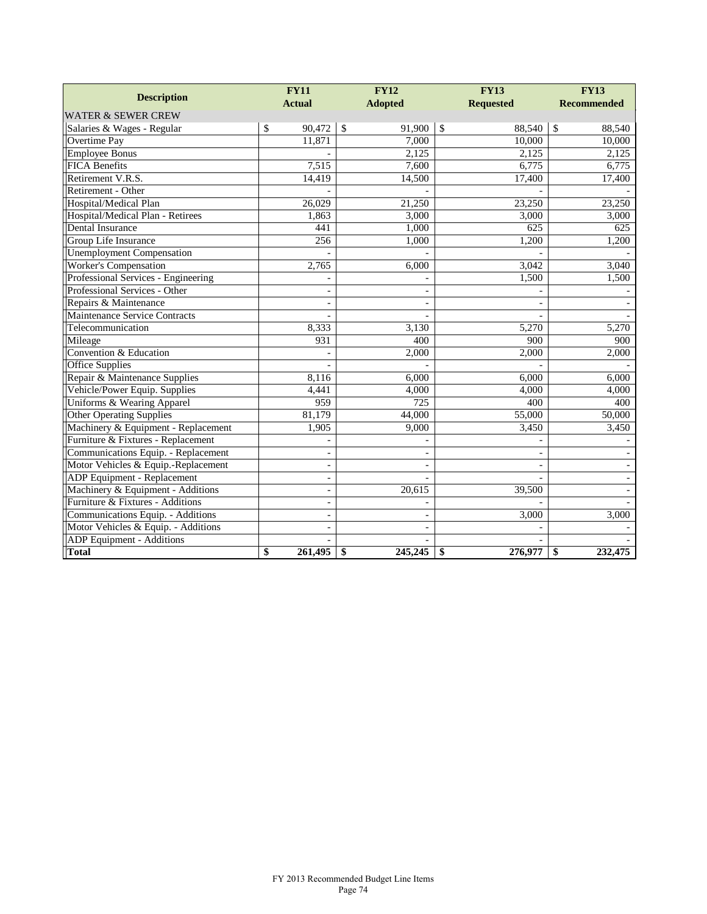|                                     | <b>FY11</b>   |                          | <b>FY12</b>             |                          | <b>FY13</b>             | <b>FY13</b>        |  |
|-------------------------------------|---------------|--------------------------|-------------------------|--------------------------|-------------------------|--------------------|--|
| <b>Description</b>                  | <b>Actual</b> | <b>Adopted</b>           |                         |                          | <b>Requested</b>        | <b>Recommended</b> |  |
| <b>WATER &amp; SEWER CREW</b>       |               |                          |                         |                          |                         |                    |  |
| Salaries & Wages - Regular          | \$<br>90,472  |                          | $\mathcal{S}$<br>91.900 |                          | $\mathcal{S}$<br>88.540 | \$<br>88.540       |  |
| Overtime Pay                        | 11,871        |                          |                         | 7,000                    | 10,000                  | 10,000             |  |
| <b>Employee Bonus</b>               |               |                          |                         | 2.125                    | 2,125                   | 2,125              |  |
| <b>FICA Benefits</b>                |               | 7,515                    |                         | 7,600                    | 6,775                   | 6,775              |  |
| Retirement V.R.S.                   |               | 14,419                   | 14,500                  |                          | 17,400                  | 17,400             |  |
| Retirement - Other                  |               |                          |                         |                          |                         |                    |  |
| Hospital/Medical Plan               | 26,029        |                          | 21,250                  |                          | 23,250                  | 23,250             |  |
| Hospital/Medical Plan - Retirees    |               | 1,863                    |                         | 3,000                    | 3,000                   | 3,000              |  |
| Dental Insurance                    |               | 441                      |                         | 1,000                    | 625                     | 625                |  |
| Group Life Insurance                |               | 256                      |                         | 1,000                    | 1,200                   | 1,200              |  |
| <b>Unemployment Compensation</b>    |               |                          |                         |                          |                         |                    |  |
| Worker's Compensation               |               | 2,765                    |                         | 6,000                    | 3,042                   | 3,040              |  |
| Professional Services - Engineering |               |                          |                         |                          | 1,500                   | 1,500              |  |
| Professional Services - Other       |               |                          |                         |                          |                         |                    |  |
| Repairs & Maintenance               |               |                          |                         |                          |                         |                    |  |
| Maintenance Service Contracts       |               |                          |                         |                          |                         |                    |  |
| Telecommunication                   |               | 8,333                    |                         | 3,130                    | 5,270                   | 5,270              |  |
| Mileage                             |               | 931                      |                         | 400                      | 900                     | 900                |  |
| Convention & Education              |               |                          |                         | 2,000                    | 2,000                   | 2,000              |  |
| <b>Office Supplies</b>              |               |                          |                         |                          |                         |                    |  |
| Repair & Maintenance Supplies       |               | 8,116                    |                         | 6,000                    | 6,000                   | 6,000              |  |
| Vehicle/Power Equip. Supplies       |               | 4,441                    |                         | 4,000                    | 4,000                   | 4,000              |  |
| Uniforms & Wearing Apparel          |               | 959                      |                         | 725                      | 400                     | 400                |  |
| <b>Other Operating Supplies</b>     | 81.179        |                          | 44,000                  |                          | 55,000                  | 50,000             |  |
| Machinery & Equipment - Replacement |               | 1,905                    |                         | 9,000                    | 3,450                   | 3,450              |  |
| Furniture & Fixtures - Replacement  |               |                          |                         |                          |                         |                    |  |
| Communications Equip. - Replacement |               | $\overline{\phantom{a}}$ |                         |                          |                         |                    |  |
| Motor Vehicles & Equip.-Replacement |               | $\overline{\phantom{a}}$ |                         | $\overline{\phantom{0}}$ |                         |                    |  |
| ADP Equipment - Replacement         |               | $\overline{\phantom{a}}$ |                         |                          |                         |                    |  |
| Machinery & Equipment - Additions   |               | $\overline{\phantom{a}}$ | 20,615                  |                          | 39,500                  |                    |  |
| Furniture & Fixtures - Additions    |               | $\overline{\phantom{a}}$ |                         |                          |                         |                    |  |
| Communications Equip. - Additions   |               | ۰                        |                         |                          | 3,000                   | 3,000              |  |
| Motor Vehicles & Equip. - Additions |               |                          |                         |                          |                         |                    |  |
| <b>ADP</b> Equipment - Additions    |               |                          |                         |                          |                         |                    |  |
| <b>Total</b>                        | 261,495<br>\$ |                          | \$<br>245,245           |                          | \$<br>276,977           | \$<br>232,475      |  |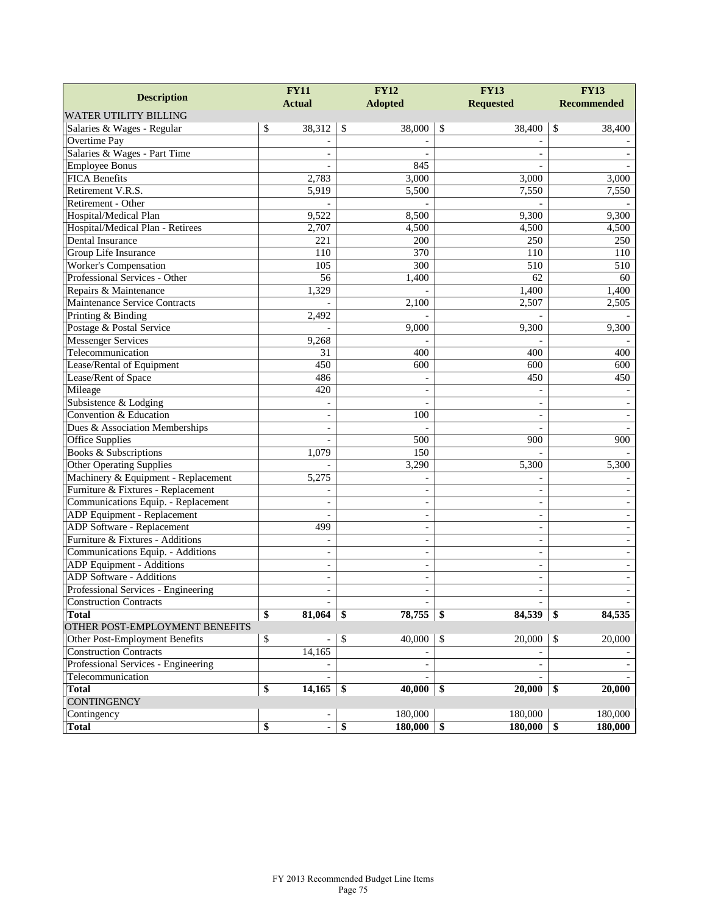|                                     | <b>FY11</b>              | <b>FY12</b>              | <b>FY13</b>              | <b>FY13</b>        |  |
|-------------------------------------|--------------------------|--------------------------|--------------------------|--------------------|--|
| <b>Description</b>                  | <b>Actual</b>            | <b>Adopted</b>           | <b>Requested</b>         | <b>Recommended</b> |  |
| <b>WATER UTILITY BILLING</b>        |                          |                          |                          |                    |  |
| Salaries & Wages - Regular          | \$<br>38,312             | \$<br>38,000             | $\mathcal{S}$<br>38,400  | \$<br>38,400       |  |
| Overtime Pay                        |                          |                          |                          |                    |  |
| Salaries & Wages - Part Time        |                          |                          |                          |                    |  |
| <b>Employee Bonus</b>               |                          | 845                      |                          |                    |  |
| <b>FICA Benefits</b>                | 2,783                    | 3,000                    | 3,000                    | 3,000              |  |
| Retirement V.R.S.                   | 5,919                    | 5,500                    | 7,550                    | 7,550              |  |
| Retirement - Other                  |                          |                          |                          |                    |  |
| Hospital/Medical Plan               | 9,522                    | 8,500                    | 9,300                    | 9,300              |  |
| Hospital/Medical Plan - Retirees    | 2,707                    | 4,500                    | 4,500                    | 4,500              |  |
| Dental Insurance                    | 221                      | 200                      | 250                      | 250                |  |
| Group Life Insurance                | 110                      | 370                      | 110                      | 110                |  |
| Worker's Compensation               | 105                      | 300                      | $\overline{510}$         | $\overline{510}$   |  |
| Professional Services - Other       | 56                       | 1,400                    | 62                       | 60                 |  |
| Repairs & Maintenance               | 1,329                    |                          | 1,400                    | 1,400              |  |
| Maintenance Service Contracts       |                          | 2,100                    | 2,507                    | 2,505              |  |
| Printing & Binding                  | 2,492                    |                          |                          |                    |  |
| Postage & Postal Service            |                          | 9,000                    | 9,300                    | 9,300              |  |
| <b>Messenger Services</b>           | 9,268                    |                          |                          |                    |  |
| Telecommunication                   | 31                       | 400                      | 400                      | 400                |  |
| Lease/Rental of Equipment           | 450                      | 600                      | 600                      | 600                |  |
| Lease/Rent of Space                 | 486                      |                          | 450                      | 450                |  |
| Mileage                             | 420                      |                          |                          |                    |  |
| Subsistence & Lodging               |                          |                          |                          |                    |  |
| Convention & Education              | $\blacksquare$           | 100                      | ÷,                       |                    |  |
| Dues & Association Memberships      | $\blacksquare$           |                          |                          |                    |  |
| Office Supplies                     |                          | 500                      | 900                      | 900                |  |
| Books & Subscriptions               | 1,079                    | 150                      |                          |                    |  |
| <b>Other Operating Supplies</b>     |                          | 3,290                    | 5,300                    | 5,300              |  |
| Machinery & Equipment - Replacement | 5,275                    |                          |                          |                    |  |
| Furniture & Fixtures - Replacement  |                          | L,                       | $\sim$                   |                    |  |
| Communications Equip. - Replacement |                          |                          |                          |                    |  |
| ADP Equipment - Replacement         | $\sim$                   | ÷,                       | $\qquad \qquad -$        |                    |  |
| ADP Software - Replacement          | 499                      | ÷,                       | $\qquad \qquad -$        |                    |  |
| Furniture & Fixtures - Additions    | ÷,                       | ÷,                       | $\overline{\phantom{a}}$ |                    |  |
| Communications Equip. - Additions   | $\overline{\phantom{a}}$ | $\blacksquare$           | $\sim$                   |                    |  |
| ADP Equipment - Additions           |                          |                          | $\overline{a}$           |                    |  |
| <b>ADP</b> Software - Additions     | $\blacksquare$           | $\overline{\phantom{0}}$ | $\overline{\phantom{a}}$ |                    |  |
| Professional Services - Engineering |                          | $\overline{\phantom{0}}$ | $\overline{\phantom{a}}$ |                    |  |
| <b>Construction Contracts</b>       |                          |                          |                          |                    |  |
| <b>Total</b>                        | \$<br>81,064             | \$<br>78,755             | \$<br>84,539             | 84,535<br>\$       |  |
| OTHER POST-EMPLOYMENT BENEFITS      |                          |                          |                          |                    |  |
| Other Post-Employment Benefits      | \$                       | \$<br>40,000             | $\sqrt{3}$<br>20,000     | 20,000<br>\$       |  |
| <b>Construction Contracts</b>       | 14,165                   |                          |                          |                    |  |
| Professional Services - Engineering |                          | $\overline{\phantom{a}}$ | $\blacksquare$           |                    |  |
| Telecommunication                   |                          |                          |                          |                    |  |
| <b>Total</b>                        | 14,165<br>\$             | 40,000<br>-\$            | \$<br>20,000             | 20,000<br>\$       |  |
| <b>CONTINGENCY</b>                  |                          |                          |                          |                    |  |
| Contingency                         |                          | 180,000                  | 180,000                  | 180,000            |  |
| <b>Total</b>                        | \$<br>$\blacksquare$     | \$<br>$180,000$ \$       | 180,000                  | 180,000<br>\$      |  |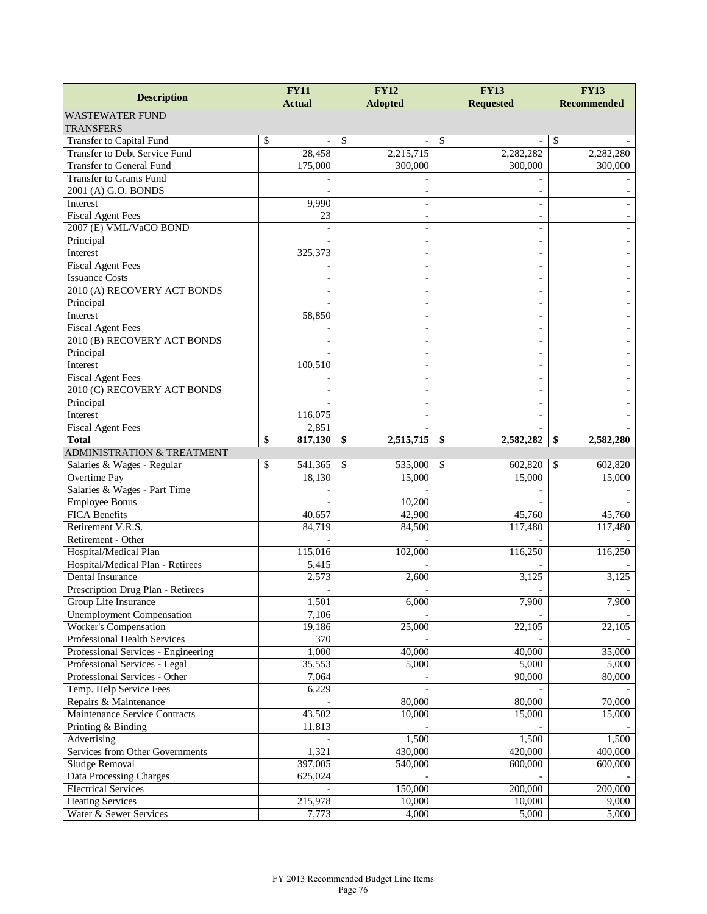| <b>Description</b>                                               | <b>FY11</b>     | <b>FY12</b>              | <b>FY13</b>                    | <b>FY13</b>              |
|------------------------------------------------------------------|-----------------|--------------------------|--------------------------------|--------------------------|
|                                                                  | <b>Actual</b>   | <b>Adopted</b>           | <b>Requested</b>               | <b>Recommended</b>       |
| <b>WASTEWATER FUND</b>                                           |                 |                          |                                |                          |
| <b>TRANSFERS</b>                                                 |                 |                          |                                |                          |
| Transfer to Capital Fund                                         | \$              | \$                       | \$<br>$\overline{\phantom{a}}$ | \$                       |
| <b>Transfer to Debt Service Fund</b>                             | 28,458          | 2,215,715                | 2,282,282                      | 2,282,280                |
| <b>Transfer to General Fund</b>                                  | 175,000         | 300,000                  | 300,000                        | 300,000                  |
| <b>Transfer to Grants Fund</b>                                   |                 |                          |                                |                          |
| 2001 (A) G.O. BONDS                                              |                 |                          |                                |                          |
| Interest                                                         | 9,990           | $\overline{\phantom{a}}$ | $\sim$                         |                          |
| <b>Fiscal Agent Fees</b>                                         | 23              |                          | $\overline{\phantom{0}}$       |                          |
| 2007 (E) VML/VaCO BOND                                           |                 |                          |                                |                          |
| Principal                                                        |                 |                          | $\blacksquare$                 |                          |
| Interest                                                         | 325,373         |                          | $\sim$                         |                          |
| <b>Fiscal Agent Fees</b>                                         |                 | $\overline{\phantom{a}}$ | $\sim$                         |                          |
| <b>Issuance Costs</b>                                            |                 |                          | $\overline{\phantom{a}}$       |                          |
| 2010 (A) RECOVERY ACT BONDS                                      |                 |                          | $\overline{\phantom{a}}$       |                          |
| Principal                                                        |                 |                          | $\blacksquare$                 |                          |
| Interest                                                         | 58,850          |                          | $\blacksquare$                 |                          |
| <b>Fiscal Agent Fees</b>                                         |                 | $\overline{\phantom{a}}$ | $\overline{\phantom{a}}$       | $\overline{\phantom{m}}$ |
| 2010 (B) RECOVERY ACT BONDS                                      |                 |                          | $\overline{\phantom{a}}$       |                          |
| Principal                                                        |                 |                          | $\overline{\phantom{a}}$       |                          |
| Interest                                                         | 100,510         |                          | $\blacksquare$                 |                          |
| <b>Fiscal Agent Fees</b>                                         |                 |                          | $\blacksquare$                 |                          |
| 2010 (C) RECOVERY ACT BONDS                                      |                 | $\overline{\phantom{a}}$ | $\overline{\phantom{a}}$       |                          |
| Principal                                                        |                 |                          |                                |                          |
| Interest                                                         | 116,075         |                          |                                |                          |
| <b>Fiscal Agent Fees</b>                                         | 2,851           |                          |                                |                          |
| <b>Total</b>                                                     | \$<br>817,130   | \$<br>2,515,715          | \$<br>2,582,282                | 2,582,280<br>\$          |
| <b>ADMINISTRATION &amp; TREATMENT</b>                            |                 |                          |                                |                          |
| Salaries & Wages - Regular                                       | \$<br>541,365   | $\mathcal{S}$<br>535,000 | \$<br>602,820                  | 602,820<br>-S            |
| Overtime Pay                                                     | 18,130          | 15,000                   | 15,000                         | 15,000                   |
| Salaries & Wages - Part Time                                     |                 |                          |                                |                          |
| <b>Employee Bonus</b>                                            |                 | 10,200                   |                                |                          |
| <b>FICA Benefits</b>                                             | 40,657          | 42,900                   | 45,760                         | 45,760                   |
| Retirement V.R.S.                                                | 84,719          | 84,500                   | 117,480                        | 117,480                  |
| Retirement - Other                                               |                 |                          |                                |                          |
| Hospital/Medical Plan                                            | 115,016         | 102,000                  | 116,250                        | 116,250                  |
| Hospital/Medical Plan - Retirees                                 | 5,415           | 2.600                    |                                |                          |
| Dental Insurance                                                 | 2,573           |                          | 3,125                          | 3,125                    |
| Prescription Drug Plan - Retirees                                |                 |                          |                                |                          |
| Group Life Insurance                                             | 1,501           | 6,000                    | 7,900                          | 7,900                    |
| <b>Unemployment Compensation</b><br><b>Worker's Compensation</b> | 7,106<br>19,186 |                          |                                |                          |
| Professional Health Services                                     | 370             | 25,000                   | 22,105                         | 22,105                   |
| Professional Services - Engineering                              | 1,000           |                          |                                | 35,000                   |
| Professional Services - Legal                                    | 35,553          | 40,000<br>5,000          | 40,000<br>5,000                | 5,000                    |
| Professional Services - Other                                    | 7,064           |                          | 90,000                         | 80,000                   |
| Temp. Help Service Fees                                          | 6,229           |                          |                                |                          |
| Repairs & Maintenance                                            |                 | 80,000                   | 80,000                         | 70,000                   |
| Maintenance Service Contracts                                    | 43,502          | 10,000                   | 15,000                         | 15,000                   |
| Printing & Binding                                               |                 |                          |                                |                          |
|                                                                  | 11,813          | 1,500                    | 1,500                          | 1,500                    |
| Advertising<br>Services from Other Governments                   | 1,321           | 430,000                  | 420,000                        | 400,000                  |
| Sludge Removal                                                   | 397,005         | 540,000                  | 600,000                        | 600,000                  |
|                                                                  |                 |                          |                                |                          |
| Data Processing Charges                                          | 625,024         |                          |                                |                          |
| <b>Electrical Services</b>                                       |                 | 150,000                  | 200,000                        | 200,000                  |
| <b>Heating Services</b>                                          | 215,978         | 10,000                   | 10,000                         | 9,000                    |
| Water & Sewer Services                                           | 7,773           | 4,000                    | 5,000                          | 5,000                    |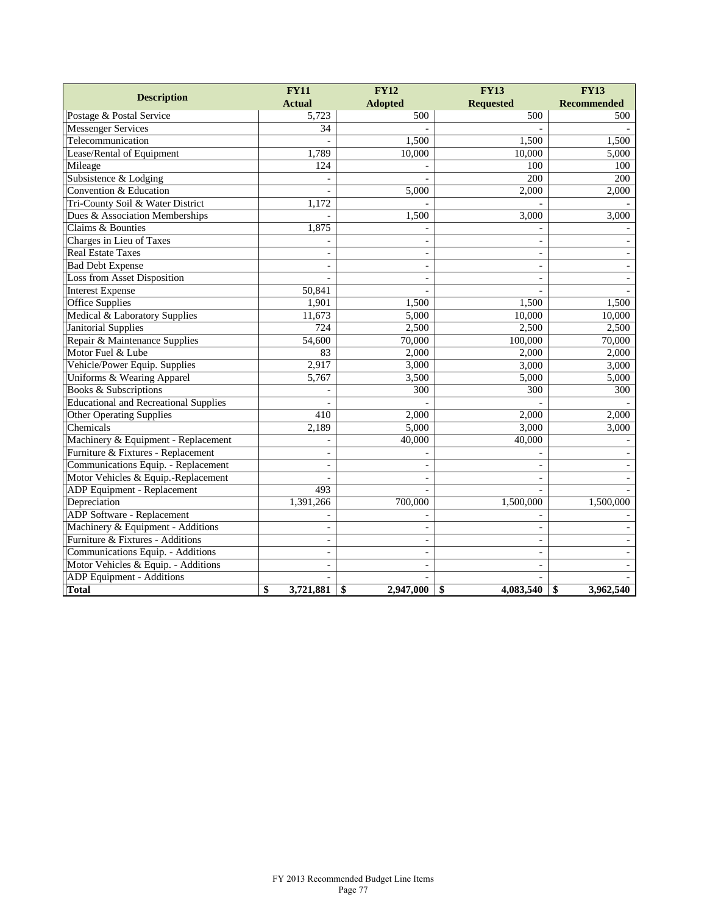|                                              |    | <b>FY11</b>              | <b>FY12</b>    |                | <b>FY13</b>              | <b>FY13</b>        |
|----------------------------------------------|----|--------------------------|----------------|----------------|--------------------------|--------------------|
| <b>Description</b>                           |    | <b>Actual</b>            | <b>Adopted</b> |                | <b>Requested</b>         | <b>Recommended</b> |
| Postage & Postal Service                     |    | 5,723                    |                | 500            | 500                      | 500                |
| <b>Messenger Services</b>                    |    | 34                       |                |                |                          |                    |
| Telecommunication                            |    |                          |                | 1,500          | 1,500                    | 1,500              |
| Lease/Rental of Equipment                    |    | 1,789                    |                | 10,000         | 10,000                   | 5,000              |
| Mileage                                      |    | 124                      |                |                | 100                      | 100                |
| Subsistence & Lodging                        |    |                          |                |                | 200                      | 200                |
| Convention & Education                       |    |                          |                | 5,000          | 2,000                    | 2,000              |
| Tri-County Soil & Water District             |    | 1,172                    |                |                |                          |                    |
| Dues & Association Memberships               |    |                          |                | 1,500          | 3,000                    | 3,000              |
| Claims & Bounties                            |    | 1,875                    |                |                |                          |                    |
| Charges in Lieu of Taxes                     |    |                          |                |                | $\overline{\phantom{a}}$ |                    |
| <b>Real Estate Taxes</b>                     |    | $\overline{\phantom{a}}$ |                | $\overline{a}$ | $\overline{\phantom{a}}$ |                    |
| <b>Bad Debt Expense</b>                      |    |                          |                |                | $\bar{\phantom{a}}$      |                    |
| <b>Loss from Asset Disposition</b>           |    | $\overline{a}$           |                | $\overline{a}$ | $\overline{a}$           |                    |
| <b>Interest Expense</b>                      |    | 50,841                   |                |                |                          |                    |
| <b>Office Supplies</b>                       |    | 1,901                    |                | 1,500          | 1,500                    | 1,500              |
| Medical & Laboratory Supplies                |    | 11,673                   |                | 5,000          | 10,000                   | 10,000             |
| <b>Janitorial Supplies</b>                   |    | 724                      |                | 2,500          | 2,500                    | 2,500              |
| Repair & Maintenance Supplies                |    | 54,600                   |                | 70,000         | 100,000                  | 70,000             |
| Motor Fuel & Lube                            |    | 83                       |                | 2,000          | 2,000                    | 2,000              |
| Vehicle/Power Equip. Supplies                |    | 2,917                    |                | 3,000          | 3,000                    | 3,000              |
| Uniforms & Wearing Apparel                   |    | 5,767                    |                | 3,500          | 5,000                    | 5,000              |
| Books & Subscriptions                        |    |                          |                | 300            | 300                      | 300                |
| <b>Educational and Recreational Supplies</b> |    |                          |                |                |                          |                    |
| Other Operating Supplies                     |    | 410                      |                | 2,000          | 2,000                    | 2,000              |
| Chemicals                                    |    | 2,189                    |                | 5,000          | 3,000                    | 3,000              |
| Machinery & Equipment - Replacement          |    | $\overline{\phantom{a}}$ |                | 40,000         | 40,000                   |                    |
| Furniture & Fixtures - Replacement           |    | $\blacksquare$           |                |                |                          |                    |
| Communications Equip. - Replacement          |    | $\overline{\phantom{a}}$ |                |                | $\overline{\phantom{a}}$ |                    |
| Motor Vehicles & Equip.-Replacement          |    | $\overline{a}$           |                |                |                          |                    |
| ADP Equipment - Replacement                  |    | 493                      |                |                |                          |                    |
| Depreciation                                 |    | 1,391,266                |                | 700,000        | 1,500,000                | 1,500,000          |
| ADP Software - Replacement                   |    | $\overline{\phantom{a}}$ |                |                | $\overline{a}$           |                    |
| Machinery & Equipment - Additions            |    | $\blacksquare$           |                | $\overline{a}$ | $\blacksquare$           |                    |
| Furniture & Fixtures - Additions             |    | $\overline{a}$           |                |                | $\overline{\phantom{a}}$ |                    |
| Communications Equip. - Additions            |    | $\overline{\phantom{a}}$ |                |                | $\overline{\phantom{a}}$ |                    |
| Motor Vehicles & Equip. - Additions          |    | $\overline{\phantom{a}}$ |                | $\overline{a}$ | $\sim$                   |                    |
| <b>ADP</b> Equipment - Additions             |    |                          |                |                |                          |                    |
| <b>Total</b>                                 | \$ | 3,721,881                | \$             | 2,947,000      | \$<br>4,083,540          | 3,962,540<br>\$    |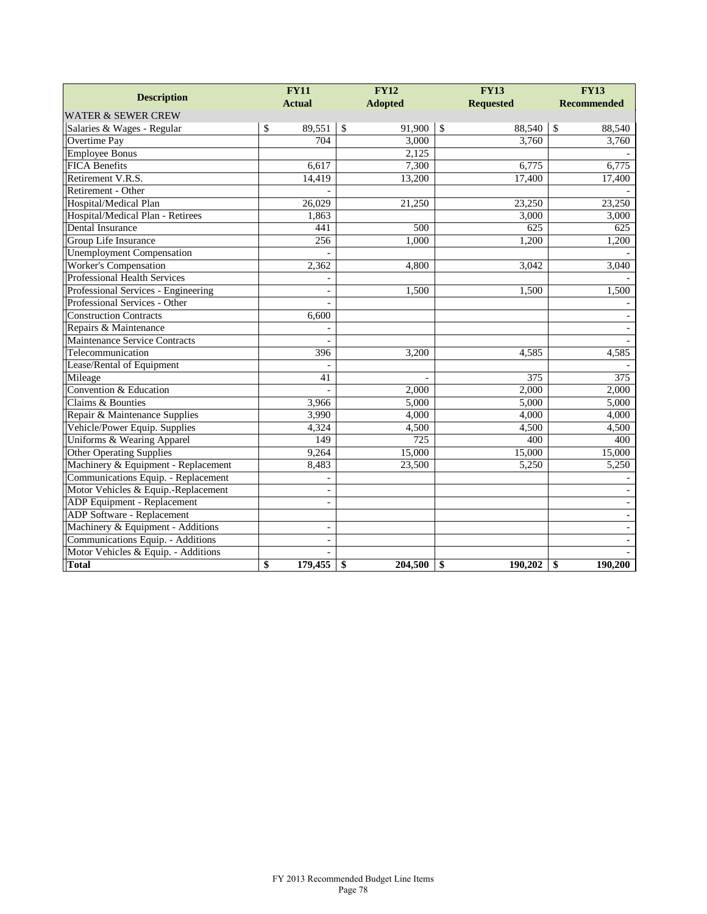|                                     |               | <b>FY11</b>              |               | <b>FY12</b>    | <b>FY13</b>  |                  | <b>FY13</b>        |                          |
|-------------------------------------|---------------|--------------------------|---------------|----------------|--------------|------------------|--------------------|--------------------------|
| <b>Description</b>                  | <b>Actual</b> |                          |               | <b>Adopted</b> |              | <b>Requested</b> | <b>Recommended</b> |                          |
| <b>WATER &amp; SEWER CREW</b>       |               |                          |               |                |              |                  |                    |                          |
| Salaries & Wages - Regular          | \$            | 89,551                   | $\mathcal{S}$ | 91,900         | $\mathbb{S}$ | 88,540           | \$                 | 88,540                   |
| Overtime Pay                        |               | 704                      |               | 3,000          |              | 3,760            |                    | 3,760                    |
| <b>Employee Bonus</b>               |               |                          |               | 2,125          |              |                  |                    |                          |
| <b>FICA Benefits</b>                |               | 6,617                    |               | 7,300          |              | 6,775            |                    | 6,775                    |
| Retirement V.R.S.                   |               | 14,419                   |               | 13,200         |              | 17,400           |                    | 17,400                   |
| Retirement - Other                  |               |                          |               |                |              |                  |                    |                          |
| Hospital/Medical Plan               |               | 26,029                   |               | 21,250         |              | 23,250           |                    | 23,250                   |
| Hospital/Medical Plan - Retirees    |               | 1,863                    |               |                |              | 3,000            |                    | 3,000                    |
| Dental Insurance                    |               | 441                      |               | 500            |              | 625              |                    | 625                      |
| Group Life Insurance                |               | 256                      |               | 1,000          |              | 1,200            |                    | 1,200                    |
| <b>Unemployment Compensation</b>    |               |                          |               |                |              |                  |                    |                          |
| Worker's Compensation               |               | 2,362                    |               | 4,800          |              | 3,042            |                    | 3,040                    |
| Professional Health Services        |               |                          |               |                |              |                  |                    |                          |
| Professional Services - Engineering |               | $\blacksquare$           |               | 1,500          |              | 1,500            |                    | 1,500                    |
| Professional Services - Other       |               |                          |               |                |              |                  |                    |                          |
| <b>Construction Contracts</b>       |               | 6,600                    |               |                |              |                  |                    |                          |
| Repairs & Maintenance               |               |                          |               |                |              |                  |                    |                          |
| Maintenance Service Contracts       |               |                          |               |                |              |                  |                    |                          |
| Telecommunication                   |               | 396                      |               | 3,200          |              | 4,585            |                    | 4,585                    |
| Lease/Rental of Equipment           |               |                          |               |                |              |                  |                    |                          |
| Mileage                             |               | 41                       |               |                |              | 375              |                    | 375                      |
| Convention & Education              |               |                          |               | 2,000          |              | 2,000            |                    | 2,000                    |
| Claims & Bounties                   |               | 3,966                    |               | 5,000          |              | 5,000            |                    | 5,000                    |
| Repair & Maintenance Supplies       |               | 3,990                    |               | 4,000          |              | 4,000            |                    | 4,000                    |
| Vehicle/Power Equip. Supplies       |               | 4,324                    |               | 4,500          |              | 4,500            |                    | 4,500                    |
| Uniforms & Wearing Apparel          |               | 149                      |               | 725            |              | 400              |                    | 400                      |
| <b>Other Operating Supplies</b>     |               | 9,264                    |               | 15,000         |              | 15,000           |                    | 15,000                   |
| Machinery & Equipment - Replacement |               | 8,483                    |               | 23,500         |              | 5,250            |                    | 5,250                    |
| Communications Equip. - Replacement |               |                          |               |                |              |                  |                    |                          |
| Motor Vehicles & Equip.-Replacement |               |                          |               |                |              |                  |                    |                          |
| ADP Equipment - Replacement         |               |                          |               |                |              |                  |                    |                          |
| ADP Software - Replacement          |               |                          |               |                |              |                  |                    | $\overline{\phantom{a}}$ |
| Machinery & Equipment - Additions   |               | $\overline{\phantom{a}}$ |               |                |              |                  |                    |                          |
| Communications Equip. - Additions   |               | $\overline{\phantom{a}}$ |               |                |              |                  |                    |                          |
| Motor Vehicles & Equip. - Additions |               |                          |               |                |              |                  |                    |                          |
| <b>Total</b>                        | \$            | 179,455                  | \$            | 204,500        | \$           | 190,202          | \$                 | 190,200                  |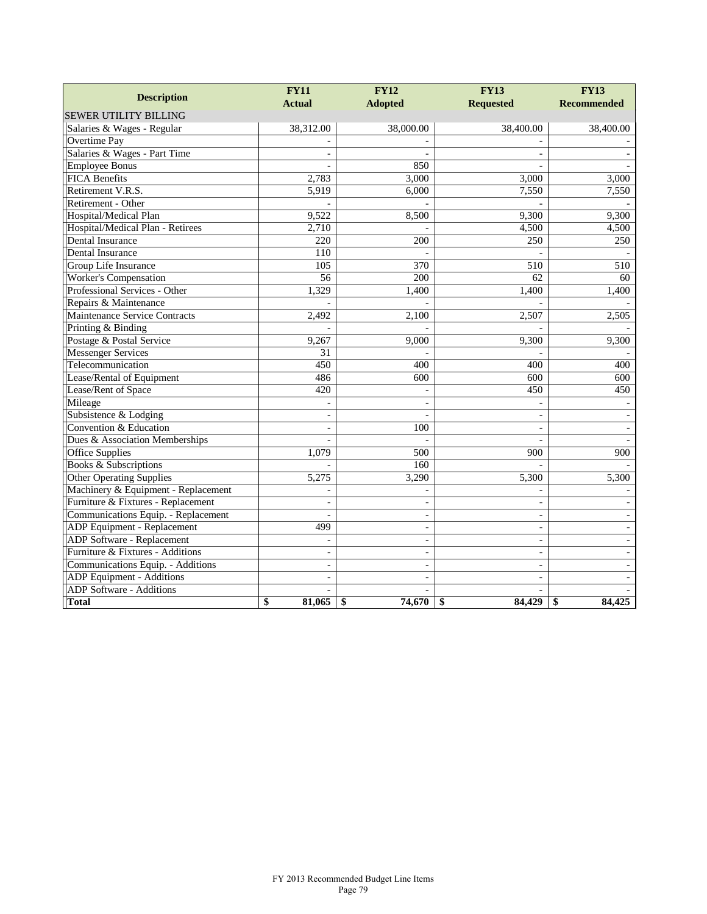|                                     | <b>FY11</b>              | <b>FY12</b>              |                          | <b>FY13</b>        |  |
|-------------------------------------|--------------------------|--------------------------|--------------------------|--------------------|--|
| <b>Description</b>                  | <b>Actual</b>            | <b>Adopted</b>           | <b>Requested</b>         | <b>Recommended</b> |  |
| <b>SEWER UTILITY BILLING</b>        |                          |                          |                          |                    |  |
| Salaries & Wages - Regular          | 38,312.00                | 38,000.00                | 38,400.00                | 38,400.00          |  |
| Overtime Pay                        |                          |                          |                          |                    |  |
| Salaries & Wages - Part Time        |                          |                          |                          |                    |  |
| <b>Employee Bonus</b>               |                          | 850                      |                          |                    |  |
| <b>FICA Benefits</b>                | 2,783                    | 3,000                    | 3,000                    | 3,000              |  |
| Retirement V.R.S.                   | 5,919                    | 6,000                    | 7,550                    | 7,550              |  |
| Retirement - Other                  |                          |                          |                          |                    |  |
| Hospital/Medical Plan               | 9,522                    | 8,500                    | 9,300                    | 9,300              |  |
| Hospital/Medical Plan - Retirees    | 2,710                    |                          | 4,500                    | 4,500              |  |
| Dental Insurance                    | 220                      | 200                      | 250                      | 250                |  |
| Dental Insurance                    | 110                      |                          |                          |                    |  |
| Group Life Insurance                | 105                      | 370                      | 510                      | 510                |  |
| Worker's Compensation               | 56                       | 200                      | 62                       | 60                 |  |
| Professional Services - Other       | 1,329                    | 1,400                    | 1,400                    | 1,400              |  |
| Repairs & Maintenance               |                          |                          |                          |                    |  |
| Maintenance Service Contracts       | 2,492                    | 2,100                    | 2,507                    | 2,505              |  |
| Printing & Binding                  |                          |                          |                          |                    |  |
| Postage & Postal Service            | 9,267                    | 9,000                    | 9,300                    | 9,300              |  |
| <b>Messenger Services</b>           | 31                       |                          |                          |                    |  |
| Telecommunication                   | 450                      | 400                      | 400                      | 400                |  |
| Lease/Rental of Equipment           | 486                      | 600                      | 600                      | 600                |  |
| Lease/Rent of Space                 | 420                      |                          | 450                      | 450                |  |
| Mileage                             |                          |                          |                          |                    |  |
| Subsistence & Lodging               | $\blacksquare$           |                          | $\overline{\phantom{a}}$ |                    |  |
| Convention & Education              | $\overline{a}$           | 100                      | $\sim$                   |                    |  |
| Dues & Association Memberships      |                          |                          |                          |                    |  |
| Office Supplies                     | 1,079                    | 500                      | 900                      | 900                |  |
| <b>Books &amp; Subscriptions</b>    |                          | 160                      |                          |                    |  |
| Other Operating Supplies            | 5,275                    | 3,290                    | 5,300                    | 5,300              |  |
| Machinery & Equipment - Replacement |                          |                          |                          |                    |  |
| Furniture & Fixtures - Replacement  |                          |                          |                          |                    |  |
| Communications Equip. - Replacement |                          |                          |                          |                    |  |
| ADP Equipment - Replacement         | 499                      | $\blacksquare$           | $\overline{\phantom{a}}$ |                    |  |
| <b>ADP Software - Replacement</b>   |                          | $\overline{\phantom{0}}$ | $\sim$                   |                    |  |
| Furniture & Fixtures - Additions    | $\overline{\phantom{a}}$ | $\overline{\phantom{a}}$ | $\overline{\phantom{a}}$ |                    |  |
| Communications Equip. - Additions   | $\overline{\phantom{a}}$ |                          | $\overline{a}$           |                    |  |
| <b>ADP</b> Equipment - Additions    | $\sim$                   | $\overline{\phantom{a}}$ | $\sim$                   |                    |  |
| <b>ADP</b> Software - Additions     |                          |                          |                          |                    |  |
| <b>Total</b>                        | \$<br>81,065             | 74,670<br>\$             | \$<br>84.429             | \$<br>84,425       |  |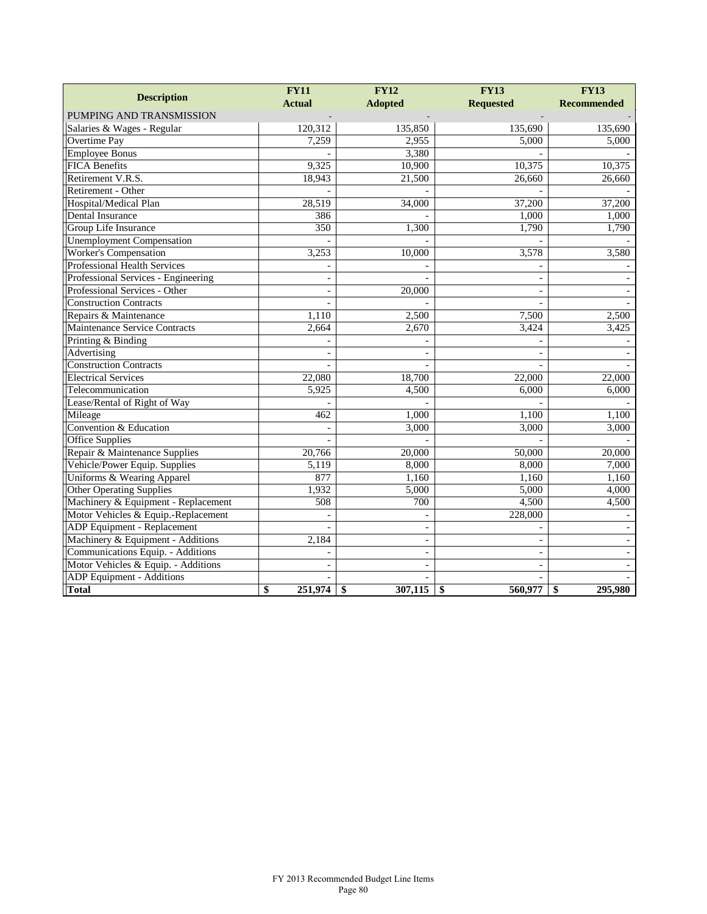| <b>Description</b>                    | <b>FY11</b>    | <b>FY12</b>              | <b>FY13</b>              | <b>FY13</b>        |  |
|---------------------------------------|----------------|--------------------------|--------------------------|--------------------|--|
|                                       | <b>Actual</b>  | <b>Adopted</b>           | <b>Requested</b>         | <b>Recommended</b> |  |
| PUMPING AND TRANSMISSION              |                |                          |                          |                    |  |
| Salaries & Wages - Regular            | 120,312        | 135,850                  | 135,690                  | 135,690            |  |
| <b>Overtime Pay</b>                   | 7,259          | 2,955                    | 5,000                    | 5,000              |  |
| <b>Employee Bonus</b>                 |                | 3,380                    |                          |                    |  |
| <b>FICA Benefits</b>                  | 9,325          | 10,900                   | 10,375                   | 10,375             |  |
| Retirement V.R.S.                     | 18,943         | 21,500                   | 26,660                   | 26,660             |  |
| Retirement - Other                    |                |                          |                          |                    |  |
| Hospital/Medical Plan                 | 28,519         | 34,000                   | 37,200                   | 37,200             |  |
| Dental Insurance                      | 386            |                          | 1,000                    | 1,000              |  |
| Group Life Insurance                  | 350            | 1,300                    | 1,790                    | 1,790              |  |
| <b>Unemployment Compensation</b>      |                |                          |                          |                    |  |
| Worker's Compensation                 | 3,253          | 10,000                   | 3,578                    | 3,580              |  |
| Professional Health Services          |                |                          |                          |                    |  |
| Professional Services - Engineering   | $\sim$         |                          | $\overline{\phantom{a}}$ |                    |  |
| Professional Services - Other         | $\sim$         | 20,000                   | $\overline{a}$           |                    |  |
| <b>Construction Contracts</b>         |                |                          |                          |                    |  |
| Repairs & Maintenance                 | 1,110          | 2,500                    | 7,500                    | 2,500              |  |
| <b>Maintenance Service Contracts</b>  | 2,664          | 2,670                    | 3,424                    | 3,425              |  |
| Printing & Binding                    |                |                          |                          |                    |  |
| Advertising                           | $\overline{a}$ |                          | $\overline{a}$           |                    |  |
| <b>Construction Contracts</b>         |                |                          |                          |                    |  |
| <b>Electrical Services</b>            | 22,080         | 18,700                   | 22,000                   | 22,000             |  |
| Telecommunication                     | 5,925          | 4,500                    | 6,000                    | 6,000              |  |
| Lease/Rental of Right of Way          |                |                          |                          |                    |  |
| Mileage                               | 462            | 1,000                    | 1.100                    | 1,100              |  |
| Convention & Education                |                | 3,000                    | 3,000                    | 3,000              |  |
| <b>Office Supplies</b>                |                |                          |                          |                    |  |
| Repair & Maintenance Supplies         | 20,766         | 20,000                   | 50,000                   | 20,000             |  |
| Vehicle/Power Equip. Supplies         | 5,119          | 8,000                    | 8,000                    | 7.000              |  |
| <b>Uniforms &amp; Wearing Apparel</b> | 877            | 1,160                    | 1,160                    | 1,160              |  |
| <b>Other Operating Supplies</b>       | 1,932          | 5,000                    | 5,000                    | 4,000              |  |
| Machinery & Equipment - Replacement   | 508            | 700                      | 4,500                    | 4,500              |  |
| Motor Vehicles & Equip.-Replacement   |                |                          | 228,000                  |                    |  |
| ADP Equipment - Replacement           |                |                          |                          |                    |  |
| Machinery & Equipment - Additions     | 2,184          |                          | $\overline{\phantom{a}}$ |                    |  |
| Communications Equip. - Additions     |                | $\overline{a}$           | $\overline{a}$           |                    |  |
| Motor Vehicles & Equip. - Additions   |                | $\overline{\phantom{a}}$ | $\overline{\phantom{a}}$ |                    |  |
| <b>ADP</b> Equipment - Additions      |                |                          |                          |                    |  |
| <b>Total</b>                          | 251,974<br>\$  | \$<br>307,115            | 560,977<br>\$            | 295,980<br>\$      |  |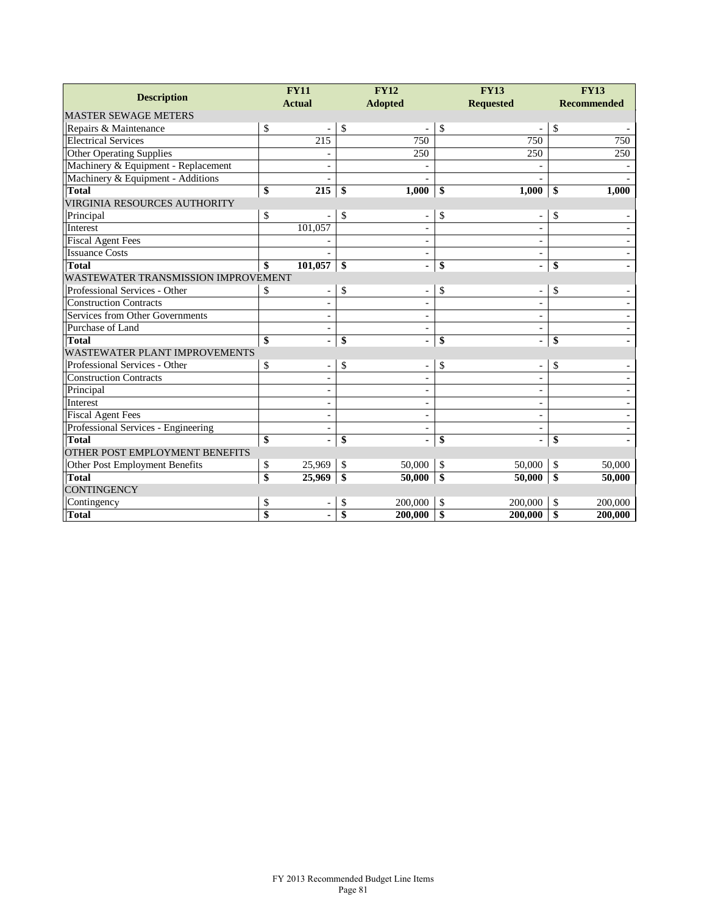| <b>Description</b>                   |                 | <b>FY11</b>              |               | <b>FY12</b>                  |    | <b>FY13</b>              |    | <b>FY13</b>        |  |
|--------------------------------------|-----------------|--------------------------|---------------|------------------------------|----|--------------------------|----|--------------------|--|
|                                      |                 | <b>Actual</b>            |               | <b>Adopted</b>               |    | <b>Requested</b>         |    | <b>Recommended</b> |  |
| <b>MASTER SEWAGE METERS</b>          |                 |                          |               |                              |    |                          |    |                    |  |
| Repairs & Maintenance                | \$              |                          | $\mathcal{S}$ |                              | \$ |                          | \$ |                    |  |
| <b>Electrical Services</b>           |                 | 215                      |               | 750                          |    | 750                      |    | 750                |  |
| <b>Other Operating Supplies</b>      |                 |                          |               | 250                          |    | 250                      |    | 250                |  |
| Machinery & Equipment - Replacement  |                 | $\overline{\phantom{a}}$ |               | $\qquad \qquad \blacksquare$ |    |                          |    |                    |  |
| Machinery & Equipment - Additions    |                 | $\overline{\phantom{a}}$ |               |                              |    |                          |    |                    |  |
| <b>Total</b>                         | \$              | 215                      | \$            | 1,000                        | \$ | 1,000                    | \$ | 1,000              |  |
| <b>VIRGINIA RESOURCES AUTHORITY</b>  |                 |                          |               |                              |    |                          |    |                    |  |
| Principal                            | \$              |                          | \$            | $\overline{a}$               | \$ |                          | \$ |                    |  |
| Interest                             |                 | 101,057                  |               |                              |    |                          |    |                    |  |
| <b>Fiscal Agent Fees</b>             |                 |                          |               | $\overline{\phantom{a}}$     |    | $\overline{\phantom{a}}$ |    |                    |  |
| <b>Issuance Costs</b>                |                 |                          |               | $\frac{1}{2}$                |    | $\overline{\phantom{a}}$ |    |                    |  |
| <b>Total</b>                         | \$              | 101,057                  | -\$           |                              | \$ |                          | \$ |                    |  |
| WASTEWATER TRANSMISSION IMPROVEMENT  |                 |                          |               |                              |    |                          |    |                    |  |
| Professional Services - Other        | \$              | $\overline{\phantom{a}}$ | \$            | $\overline{\phantom{a}}$     | \$ | $\overline{\phantom{0}}$ | \$ |                    |  |
| <b>Construction Contracts</b>        |                 | $\overline{\phantom{a}}$ |               | $\overline{\phantom{a}}$     |    | $\overline{\phantom{a}}$ |    |                    |  |
| Services from Other Governments      |                 |                          |               | $\overline{\phantom{a}}$     |    | $\overline{\phantom{a}}$ |    |                    |  |
| Purchase of Land                     |                 | $\blacksquare$           |               | $\overline{\phantom{a}}$     |    | $\overline{\phantom{a}}$ |    |                    |  |
| <b>Total</b>                         | \$              | $\blacksquare$           | \$            | $\overline{\phantom{a}}$     | \$ | $\blacksquare$           | \$ |                    |  |
| <b>WASTEWATER PLANT IMPROVEMENTS</b> |                 |                          |               |                              |    |                          |    |                    |  |
| Professional Services - Other        | \$              |                          | \$            | $\overline{a}$               | \$ |                          | \$ |                    |  |
| <b>Construction Contracts</b>        |                 |                          |               |                              |    |                          |    |                    |  |
| Principal                            |                 | $\overline{a}$           |               | $\overline{\phantom{0}}$     |    | $\overline{\phantom{0}}$ |    |                    |  |
| Interest                             |                 | $\overline{\phantom{a}}$ |               | $\overline{\phantom{a}}$     |    | $\overline{\phantom{a}}$ |    |                    |  |
| <b>Fiscal Agent Fees</b>             |                 | $\sim$                   |               | $\overline{\phantom{a}}$     |    | $\overline{\phantom{a}}$ |    |                    |  |
| Professional Services - Engineering  |                 |                          |               | $\overline{\phantom{a}}$     |    | $\overline{\phantom{a}}$ |    |                    |  |
| <b>Total</b>                         | \$              | $\blacksquare$           | \$            | L,                           | \$ | ä,                       | \$ |                    |  |
| OTHER POST EMPLOYMENT BENEFITS       |                 |                          |               |                              |    |                          |    |                    |  |
| Other Post Employment Benefits       | \$              | 25,969                   | \$            | 50,000                       | \$ | 50,000                   | \$ | 50,000             |  |
| <b>Total</b>                         | \$              | 25,969                   | \$            | 50,000                       | \$ | 50,000                   | \$ | 50,000             |  |
| <b>CONTINGENCY</b>                   |                 |                          |               |                              |    |                          |    |                    |  |
| Contingency                          | \$              |                          | \$            | 200,000                      | \$ | 200,000                  | \$ | 200,000            |  |
| <b>Total</b>                         | $\overline{\$}$ |                          | \$            | 200,000                      | \$ | 200,000                  | \$ | 200,000            |  |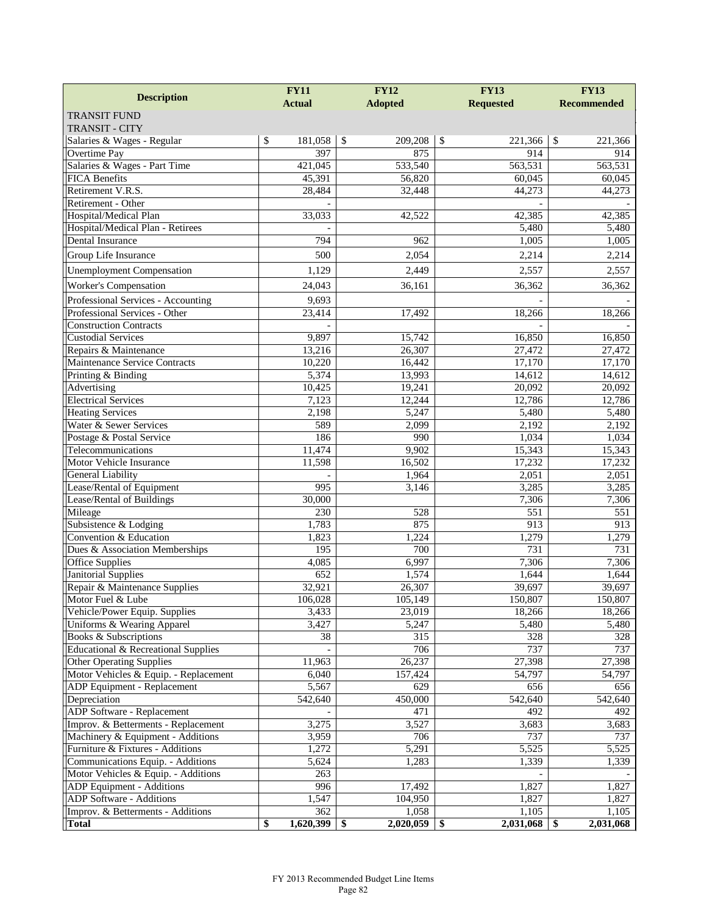| <b>Description</b>                    | <b>FY12</b><br><b>FY11</b> |                         | <b>FY13</b>      | <b>FY13</b>             |  |
|---------------------------------------|----------------------------|-------------------------|------------------|-------------------------|--|
|                                       | <b>Actual</b>              | <b>Adopted</b>          | <b>Requested</b> | <b>Recommended</b>      |  |
| <b>TRANSIT FUND</b>                   |                            |                         |                  |                         |  |
| <b>TRANSIT - CITY</b>                 |                            |                         |                  |                         |  |
| Salaries & Wages - Regular            | \$<br>181,058              | $\mathbb{S}$<br>209,208 | \$<br>221,366    | $\mathbb{S}$<br>221,366 |  |
| Overtime Pay                          | 397                        | 875                     | 914              | 914                     |  |
| Salaries & Wages - Part Time          | 421,045                    | 533,540                 | 563,531          | 563,531                 |  |
| <b>FICA Benefits</b>                  | 45,391                     | 56,820                  | 60,045           | 60,045                  |  |
| Retirement V.R.S.                     | 28,484                     | 32,448                  | 44,273           | 44,273                  |  |
| Retirement - Other                    |                            |                         |                  |                         |  |
| Hospital/Medical Plan                 | 33.033                     | 42,522                  | 42,385           | 42,385                  |  |
| Hospital/Medical Plan - Retirees      |                            |                         | 5,480            | 5,480                   |  |
| Dental Insurance                      | 794                        | 962                     | 1,005            | 1,005                   |  |
| Group Life Insurance                  | 500                        | 2,054                   | 2,214            | 2,214                   |  |
| <b>Unemployment Compensation</b>      | 1,129                      | 2,449                   | 2,557            | 2,557                   |  |
| Worker's Compensation                 | 24,043                     | 36,161                  | 36,362           | 36,362                  |  |
| Professional Services - Accounting    | 9,693                      |                         |                  |                         |  |
| Professional Services - Other         | 23,414                     | 17,492                  | 18,266           | 18,266                  |  |
| <b>Construction Contracts</b>         |                            |                         |                  |                         |  |
| <b>Custodial Services</b>             | 9,897                      | 15,742                  | 16,850           | 16,850                  |  |
| Repairs & Maintenance                 | 13,216                     | 26,307                  | 27,472           | 27,472                  |  |
| Maintenance Service Contracts         | 10,220                     | 16,442                  | 17,170           | 17,170                  |  |
| Printing & Binding                    | 5,374                      | 13,993                  | 14,612           | 14,612                  |  |
| Advertising                           | 10,425                     | 19,241                  | 20,092           | 20,092                  |  |
| <b>Electrical Services</b>            | 7,123                      | 12,244                  | 12,786           | 12,786                  |  |
| <b>Heating Services</b>               | 2,198                      | 5,247                   | 5,480            | 5,480                   |  |
| Water & Sewer Services                | 589                        | 2,099                   | 2,192            | 2,192                   |  |
| Postage & Postal Service              | 186                        | 990                     | 1,034            | 1,034                   |  |
| Telecommunications                    | 11,474                     | 9,902                   | 15,343           | 15,343                  |  |
| Motor Vehicle Insurance               | 11,598                     | 16,502                  | 17,232           | 17,232                  |  |
| <b>General Liability</b>              |                            | 1,964                   | 2,051            | 2,051                   |  |
| Lease/Rental of Equipment             | 995                        | 3,146                   | 3,285            | 3,285                   |  |
| Lease/Rental of Buildings             | 30,000                     |                         | 7,306            | 7,306                   |  |
| Mileage                               | 230                        | 528                     | 551              | 551                     |  |
| Subsistence & Lodging                 | 1,783                      | 875                     | 913              | 913                     |  |
| Convention & Education                | 1,823                      | 1,224                   | 1,279            | 1,279                   |  |
| Dues & Association Memberships        | 195                        | 700                     | $\overline{731}$ | 731                     |  |
| <b>Office Supplies</b>                | 4,085                      | 6,997                   | 7,306            | 7,306                   |  |
| <b>Janitorial Supplies</b>            | 652                        | 1,574                   | 1,644            | 1,644                   |  |
| Repair & Maintenance Supplies         | 32,921                     | 26,307                  | 39,697           | 39,697                  |  |
| Motor Fuel & Lube                     | 106,028                    | 105,149                 | 150,807          | 150,807                 |  |
| Vehicle/Power Equip. Supplies         | 3,433                      | 23,019                  | 18,266           | 18,266                  |  |
| Uniforms & Wearing Apparel            | 3,427                      | 5,247                   | 5,480            | 5,480                   |  |
| Books & Subscriptions                 | 38                         | 315                     | 328              | 328                     |  |
| Educational & Recreational Supplies   |                            | 706                     | 737              | 737                     |  |
| <b>Other Operating Supplies</b>       | 11,963                     | 26,237                  | 27,398           | 27,398                  |  |
| Motor Vehicles & Equip. - Replacement | 6.040                      | 157,424                 | 54,797           | 54,797                  |  |
| ADP Equipment - Replacement           | 5,567                      | 629                     | 656              | 656                     |  |
| Depreciation                          | 542,640                    | 450,000                 | 542,640          | 542,640                 |  |
| ADP Software - Replacement            |                            | 471                     | 492              | 492                     |  |
| Improv. & Betterments - Replacement   | 3,275                      | 3,527                   | 3,683            | 3,683                   |  |
| Machinery & Equipment - Additions     | 3,959                      | 706                     | 737              | 737                     |  |
| Furniture & Fixtures - Additions      | 1,272                      | 5,291                   | 5,525            | 5,525                   |  |
| Communications Equip. - Additions     | 5,624                      | 1,283                   | 1,339            | 1,339                   |  |
| Motor Vehicles & Equip. - Additions   | 263                        |                         |                  |                         |  |
| ADP Equipment - Additions             | 996                        | 17,492                  | 1,827            | 1,827                   |  |
| ADP Software - Additions              | 1,547                      | 104,950                 | 1,827            | 1,827                   |  |
| Improv. & Betterments - Additions     | 362                        | 1,058                   | 1,105            | 1,105                   |  |
| <b>Total</b>                          | \$<br>1,620,399            | 2,020,059<br>- \$       | 2,031,068<br>\$  | 2,031,068<br>\$         |  |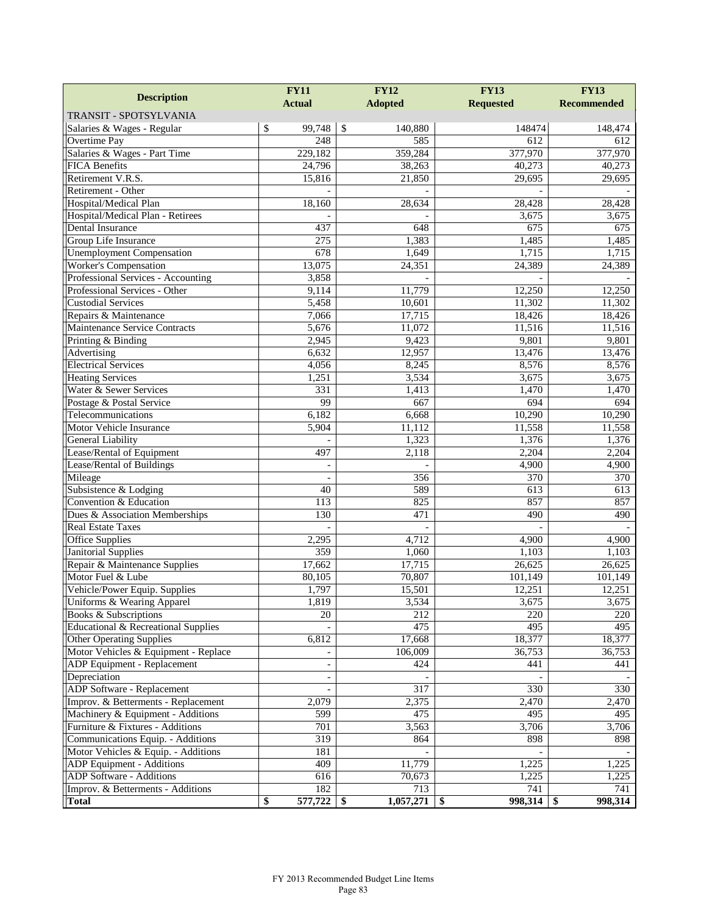|                                      | <b>FY12</b><br><b>FY11</b> |                  | <b>FY13</b>      | <b>FY13</b>        |  |
|--------------------------------------|----------------------------|------------------|------------------|--------------------|--|
| <b>Description</b>                   | <b>Actual</b>              | <b>Adopted</b>   | <b>Requested</b> | <b>Recommended</b> |  |
| TRANSIT - SPOTSYLVANIA               |                            |                  |                  |                    |  |
| Salaries & Wages - Regular           | \$<br>99,748               | \$<br>140,880    | 148474           | 148,474            |  |
| Overtime Pay                         | 248                        | 585              | 612              | 612                |  |
| Salaries & Wages - Part Time         | 229,182                    | 359,284          | 377,970          | 377,970            |  |
| <b>FICA Benefits</b>                 | 24,796                     | 38,263           | 40,273           | 40,273             |  |
| Retirement V.R.S.                    | 15,816                     | 21,850           | 29,695           | 29,695             |  |
| Retirement - Other                   |                            |                  |                  |                    |  |
| Hospital/Medical Plan                | 18,160                     | 28,634           | 28,428           | 28,428             |  |
| Hospital/Medical Plan - Retirees     |                            |                  | 3,675            | 3,675              |  |
| Dental Insurance                     | 437                        | 648              | 675              | 675                |  |
| Group Life Insurance                 | 275                        | 1,383            | 1,485            | 1,485              |  |
| <b>Unemployment</b> Compensation     | 678                        | 1,649            | 1,715            | 1,715              |  |
| Worker's Compensation                | 13,075                     | 24,351           | 24,389           | 24,389             |  |
| Professional Services - Accounting   | 3,858                      |                  |                  |                    |  |
| Professional Services - Other        | 9,114                      | 11,779           | 12,250           | 12,250             |  |
| <b>Custodial Services</b>            | 5,458                      | 10,601           | 11,302           | 11,302             |  |
| Repairs & Maintenance                | 7,066                      | 17,715           | 18,426           | 18,426             |  |
| Maintenance Service Contracts        | 5,676                      | 11,072           | 11,516           | 11,516             |  |
| Printing & Binding                   | 2,945                      | 9,423            | 9,801            | 9,801              |  |
| Advertising                          | 6,632                      | 12,957           | 13,476           | 13,476             |  |
| <b>Electrical Services</b>           | 4,056                      | 8,245            | 8,576            | 8,576              |  |
| <b>Heating Services</b>              | 1,251                      | 3,534            | 3,675            | 3,675              |  |
| Water & Sewer Services               | 331                        | 1,413            | 1,470            | 1,470              |  |
| Postage & Postal Service             | 99                         | 667              | 694              | 694                |  |
| Telecommunications                   | 6,182                      | 6,668            | 10,290           | 10,290             |  |
| Motor Vehicle Insurance              | 5,904                      | 11,112           | 11,558           | 11,558             |  |
| General Liability                    |                            | 1,323            | 1,376            | 1,376              |  |
| Lease/Rental of Equipment            | 497                        | 2,118            | 2,204            | 2,204              |  |
| Lease/Rental of Buildings            |                            |                  | 4,900            | 4,900              |  |
| Mileage                              | $\overline{a}$             | 356              | 370              | 370                |  |
| Subsistence & Lodging                | 40                         | 589              | 613              | 613                |  |
| Convention & Education               | 113                        | 825              | 857              | 857                |  |
| Dues & Association Memberships       | 130                        | 471              | 490              | 490                |  |
| <b>Real Estate Taxes</b>             |                            |                  |                  |                    |  |
| <b>Office Supplies</b>               | 2,295                      | 4,712            | 4,900            | 4,900              |  |
| <b>Janitorial Supplies</b>           | 359                        | 1,060            | 1,103            | 1,103              |  |
| Repair & Maintenance Supplies        | 17,662                     | 17,715           | 26,625           | 26,625             |  |
| Motor Fuel & Lube                    | 80,105                     | 70,807           | 101,149          | 101,149            |  |
| Vehicle/Power Equip. Supplies        | 1,797                      | 15,501           | 12,251           | 12,251             |  |
| Uniforms & Wearing Apparel           | 1,819                      | 3,534            | 3,675            | 3,675              |  |
| Books & Subscriptions                | 20                         | 212              | 220              | 220                |  |
| Educational & Recreational Supplies  |                            | 475              | 495              | 495                |  |
| <b>Other Operating Supplies</b>      | 6,812                      | 17,668           | 18,377           | 18,377             |  |
| Motor Vehicles & Equipment - Replace |                            | 106,009          | 36,753           | 36,753             |  |
| ADP Equipment - Replacement          | $\overline{\phantom{a}}$   | 424              | 441              | 441                |  |
| Depreciation                         | $\overline{\phantom{a}}$   |                  |                  |                    |  |
| ADP Software - Replacement           |                            | 317              | 330              | 330                |  |
| Improv. & Betterments - Replacement  | 2,079                      | 2,375            | 2,470            | 2,470              |  |
| Machinery & Equipment - Additions    | 599                        | 475              | 495              | 495                |  |
| Furniture & Fixtures - Additions     | 701                        | 3,563            | 3,706            | 3,706              |  |
| Communications Equip. - Additions    | 319                        | 864              | 898              | 898                |  |
| Motor Vehicles & Equip. - Additions  | 181                        |                  |                  |                    |  |
| ADP Equipment - Additions            | 409                        | 11,779           | 1,225            | 1,225              |  |
| ADP Software - Additions             | 616                        | 70,673           | 1,225            | 1,225              |  |
| Improv. & Betterments - Additions    | 182                        | 713              | 741              | 741                |  |
| <b>Total</b>                         | 577,722<br>\$              | 1,057,271<br>-\$ | 998,314<br>-S    | 998,314<br>-\$     |  |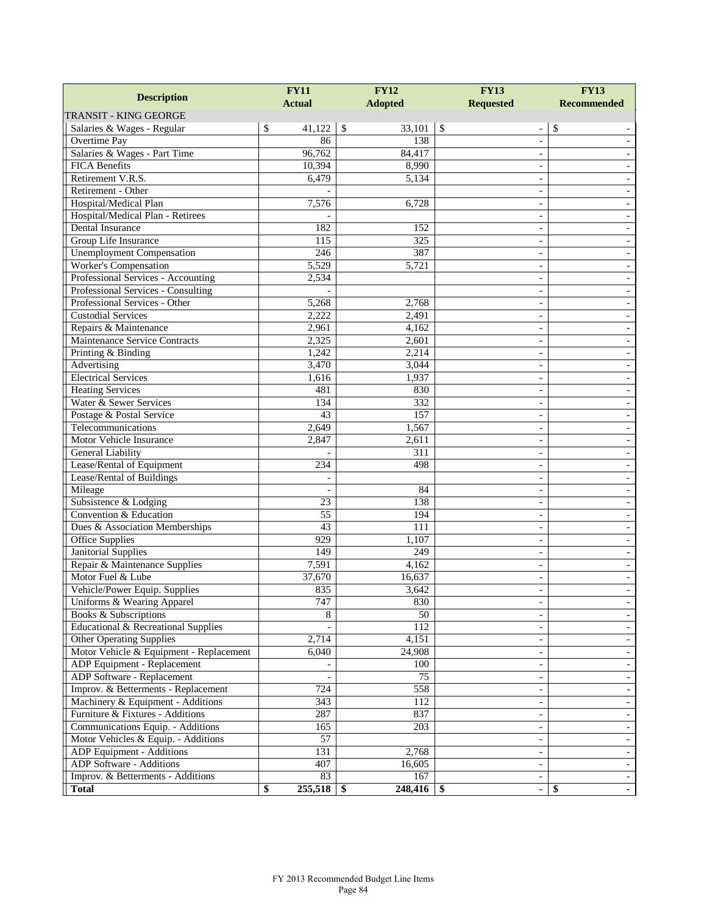| <b>Description</b>                                               | <b>FY11</b>        | <b>FY12</b>          | <b>FY13</b>                                   | <b>FY13</b>        |  |
|------------------------------------------------------------------|--------------------|----------------------|-----------------------------------------------|--------------------|--|
|                                                                  | <b>Actual</b>      | <b>Adopted</b>       | <b>Requested</b>                              | <b>Recommended</b> |  |
| <b>TRANSIT - KING GEORGE</b>                                     |                    |                      |                                               |                    |  |
| Salaries & Wages - Regular                                       | \$<br>41,122       | $\sqrt{3}$<br>33,101 | $\sqrt{3}$                                    | \$                 |  |
| Overtime Pay                                                     | 86                 | 138                  |                                               |                    |  |
| Salaries & Wages - Part Time                                     | 96,762             | 84,417               | $\qquad \qquad -$                             |                    |  |
| <b>FICA</b> Benefits                                             | 10,394             | 8,990                | $\overline{\phantom{a}}$                      |                    |  |
| Retirement V.R.S.                                                | 6,479              | 5,134                | $\overline{\phantom{a}}$                      |                    |  |
| Retirement - Other                                               |                    |                      |                                               |                    |  |
| Hospital/Medical Plan                                            | 7,576              | 6,728                | $\overline{\phantom{a}}$                      |                    |  |
| Hospital/Medical Plan - Retirees                                 |                    |                      | $\qquad \qquad -$                             |                    |  |
| Dental Insurance                                                 | 182                | 152                  | $\overline{\phantom{a}}$                      |                    |  |
| Group Life Insurance                                             | 115<br>246         | 325<br>387           | $\sim$                                        |                    |  |
| <b>Unemployment</b> Compensation<br><b>Worker's Compensation</b> | 5,529              | 5,721                |                                               |                    |  |
| Professional Services - Accounting                               | 2,534              |                      | $\sim$                                        |                    |  |
| Professional Services - Consulting                               |                    |                      | $\qquad \qquad -$                             |                    |  |
| Professional Services - Other                                    | 5,268              | 2,768                | $\overline{\phantom{a}}$                      |                    |  |
| <b>Custodial Services</b>                                        | 2,222              | 2,491                | $\sim$                                        |                    |  |
| Repairs & Maintenance                                            | 2,961              | 4,162                |                                               |                    |  |
| Maintenance Service Contracts                                    | 2,325              | 2,601                | $\overline{\phantom{a}}$                      |                    |  |
| Printing & Binding                                               | 1,242              | 2,214                | $\qquad \qquad -$<br>$\overline{\phantom{a}}$ |                    |  |
| Advertising                                                      | 3,470              | 3,044                | $\sim$                                        |                    |  |
| <b>Electrical Services</b>                                       | 1,616              | 1,937                |                                               |                    |  |
| <b>Heating Services</b>                                          | 481                | 830                  | $\sim$                                        |                    |  |
| Water & Sewer Services                                           | 134                | 332                  | $\qquad \qquad -$                             |                    |  |
| Postage & Postal Service                                         | 43                 | 157                  | $\overline{\phantom{a}}$                      |                    |  |
| Telecommunications                                               | 2,649              | 1,567                | $\blacksquare$                                |                    |  |
| Motor Vehicle Insurance                                          | 2,847              | 2,611                |                                               |                    |  |
| General Liability                                                |                    | 311                  | $\overline{\phantom{a}}$                      |                    |  |
| Lease/Rental of Equipment                                        | 234                | 498                  | $\qquad \qquad -$                             |                    |  |
| Lease/Rental of Buildings                                        |                    |                      | $\overline{\phantom{a}}$                      |                    |  |
| Mileage                                                          |                    | 84                   | $\sim$                                        |                    |  |
| Subsistence & Lodging                                            | 23                 | 138                  | $\overline{a}$                                |                    |  |
| Convention & Education                                           | 55                 | 194                  | $\sim$                                        |                    |  |
| Dues & Association Memberships                                   | 43                 | 111                  | $\qquad \qquad -$                             |                    |  |
| Office Supplies                                                  | 929                | 1,107                | $\overline{\phantom{a}}$                      |                    |  |
| <b>Janitorial Supplies</b>                                       | 149                | 249                  | $\overline{\phantom{a}}$                      |                    |  |
| Repair & Maintenance Supplies                                    | 7,591              | 4,162                |                                               |                    |  |
| Motor Fuel & Lube                                                | 37,670             | 16,637               | $\overline{\phantom{a}}$                      |                    |  |
| Vehicle/Power Equip. Supplies                                    | 835                | 3,642                | $\overline{\phantom{a}}$                      |                    |  |
| Uniforms & Wearing Apparel                                       | 747                | 830                  | -                                             |                    |  |
| Books & Subscriptions                                            | 8                  | 50                   | $\overline{\phantom{a}}$                      |                    |  |
| Educational & Recreational Supplies                              |                    | $\overline{112}$     |                                               |                    |  |
| <b>Other Operating Supplies</b>                                  | $\overline{2,7}14$ | 4,151                | $\overline{\phantom{a}}$                      |                    |  |
| Motor Vehicle & Equipment - Replacement                          | 6,040              | 24,908               | $\overline{\phantom{a}}$                      |                    |  |
| ADP Equipment - Replacement                                      |                    | 100                  | $\blacksquare$                                |                    |  |
| ADP Software - Replacement                                       |                    | 75                   | $\overline{\phantom{a}}$                      |                    |  |
| Improv. & Betterments - Replacement                              | 724                | $\overline{558}$     | $\overline{\phantom{a}}$                      |                    |  |
| Machinery & Equipment - Additions                                | $\overline{3}43$   | 112                  | $\overline{\phantom{a}}$                      |                    |  |
| Furniture & Fixtures - Additions                                 | 287                | 837                  | $\overline{\phantom{a}}$                      |                    |  |
| Communications Equip. - Additions                                | 165                | 203                  | $\blacksquare$                                |                    |  |
| Motor Vehicles & Equip. - Additions                              | 57                 |                      | $\overline{\phantom{a}}$                      |                    |  |
| ADP Equipment - Additions                                        | 131                | 2,768                | $\overline{\phantom{a}}$                      |                    |  |
| ADP Software - Additions                                         | 407                | 16,605               | $\overline{\phantom{a}}$                      |                    |  |
| Improv. & Betterments - Additions                                | 83                 | 167                  | $\overline{\phantom{a}}$                      |                    |  |
| <b>Total</b>                                                     | \$<br>255,518      | $248,416$ \$<br>- \$ | $\blacksquare$                                | \$                 |  |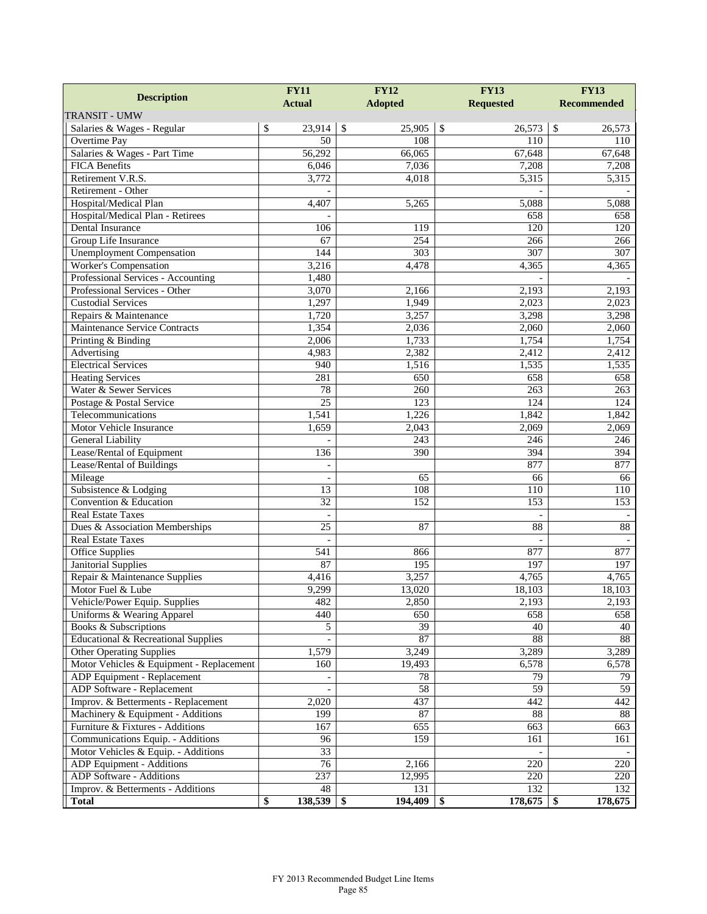|                                                                          | <b>FY12</b><br><b>FY11</b>      |                         | <b>FY13</b>         | <b>FY13</b>            |  |
|--------------------------------------------------------------------------|---------------------------------|-------------------------|---------------------|------------------------|--|
| <b>Description</b>                                                       | <b>Actual</b><br><b>Adopted</b> |                         | <b>Requested</b>    | <b>Recommended</b>     |  |
| <b>TRANSIT - UMW</b>                                                     |                                 |                         |                     |                        |  |
| Salaries & Wages - Regular                                               | \$<br>23,914                    | $\mathcal{S}$<br>25,905 | \$<br>26,573        | $\mathbb{S}$<br>26,573 |  |
| Overtime Pay                                                             | 50                              | 108                     | 110                 | 110                    |  |
| Salaries & Wages - Part Time                                             | 56,292                          | 66,065                  | 67,648              | 67,648                 |  |
| <b>FICA Benefits</b>                                                     | 6,046                           | 7,036                   | 7,208               | 7,208                  |  |
| Retirement V.R.S.                                                        | 3,772                           | 4,018                   | 5,315               | 5,315                  |  |
| Retirement - Other                                                       |                                 |                         |                     |                        |  |
| Hospital/Medical Plan                                                    | 4,407                           | 5,265                   | 5,088               | 5.088                  |  |
| Hospital/Medical Plan - Retirees                                         |                                 |                         | 658                 | 658                    |  |
| Dental Insurance                                                         | 106                             | 119                     | 120                 | 120                    |  |
| Group Life Insurance                                                     | 67                              | 254                     | 266                 | 266                    |  |
| <b>Unemployment Compensation</b>                                         | 144                             | $\overline{303}$        | 307                 | 307                    |  |
| Worker's Compensation                                                    | 3,216                           | 4,478                   | 4,365               | 4,365                  |  |
| Professional Services - Accounting                                       | 1,480                           |                         |                     |                        |  |
| Professional Services - Other                                            | 3,070                           | 2,166                   | 2,193               | 2,193                  |  |
| <b>Custodial Services</b>                                                | 1,297                           | 1,949                   | 2,023               | 2,023                  |  |
| Repairs & Maintenance                                                    | 1,720                           | 3,257                   | 3,298               | 3,298                  |  |
| Maintenance Service Contracts                                            | 1,354                           | 2,036                   | 2,060               | 2,060                  |  |
| Printing & Binding                                                       | 2,006                           | 1,733                   | 1,754               | 1,754                  |  |
| Advertising                                                              | 4,983                           | 2,382                   | 2,412               | 2,412                  |  |
| <b>Electrical Services</b>                                               | 940                             | 1,516                   | 1,535               | 1,535                  |  |
| <b>Heating Services</b>                                                  | 281                             | 650                     | 658                 | 658                    |  |
| Water & Sewer Services                                                   | 78                              | 260                     | 263                 | 263                    |  |
| Postage & Postal Service                                                 | 25                              | 123                     | 124                 | 124                    |  |
| Telecommunications                                                       | 1,541                           | 1,226                   | 1,842               | 1,842                  |  |
| Motor Vehicle Insurance                                                  | 1,659                           | 2,043                   | 2,069               | 2,069                  |  |
| General Liability                                                        |                                 | 243                     | 246                 | 246                    |  |
| Lease/Rental of Equipment                                                | 136                             | 390                     | 394                 | 394                    |  |
| Lease/Rental of Buildings                                                |                                 |                         | 877                 | 877                    |  |
| Mileage                                                                  | $\overline{\phantom{a}}$        | 65                      | 66                  | 66                     |  |
| Subsistence & Lodging                                                    | 13                              | 108                     | 110                 | 110                    |  |
| Convention & Education                                                   | 32                              | 152                     | 153                 | 153                    |  |
| <b>Real Estate Taxes</b>                                                 | $\blacksquare$                  |                         | $\bar{a}$           |                        |  |
| Dues & Association Memberships                                           | 25                              | 87                      | 88                  | 88                     |  |
| <b>Real Estate Taxes</b>                                                 | $\blacksquare$                  |                         | $\blacksquare$      |                        |  |
| <b>Office Supplies</b>                                                   | 541                             | 866                     | 877                 | 877                    |  |
| <b>Janitorial Supplies</b>                                               | 87                              | 195                     | 197                 | 197                    |  |
| Repair & Maintenance Supplies                                            | 4,416                           | 3,257                   | 4,765               | 4,765                  |  |
| Motor Fuel & Lube                                                        | 9,299                           | 13,020                  | 18,103              | 18,103                 |  |
| Vehicle/Power Equip. Supplies                                            | 482                             | 2,850                   | 2,193               | 2,193                  |  |
| Uniforms & Wearing Apparel                                               | 440                             | 650                     | 658                 | 658                    |  |
| Books & Subscriptions                                                    | 5                               | $\overline{39}$         | 40                  | 40                     |  |
| <b>Educational &amp; Recreational Supplies</b>                           |                                 | 87                      | 88                  | 88                     |  |
| <b>Other Operating Supplies</b>                                          | 1,579                           | 3,249                   | 3,289               | 3,289                  |  |
| Motor Vehicles & Equipment - Replacement                                 | 160                             | 19,493                  | 6,578               | 6,578                  |  |
| ADP Equipment - Replacement<br>ADP Software - Replacement                |                                 | 78<br>58                | 79<br>59            | 79<br>$\overline{59}$  |  |
|                                                                          |                                 |                         |                     |                        |  |
| Improv. & Betterments - Replacement<br>Machinery & Equipment - Additions | 2,020<br>199                    | 437<br>$87\,$           | 442<br>88           | 442<br>88              |  |
|                                                                          |                                 |                         |                     |                        |  |
| Furniture & Fixtures - Additions<br>Communications Equip. - Additions    | 167<br>96                       | 655<br>159              | 663<br>161          | 663                    |  |
| Motor Vehicles & Equip. - Additions                                      | 33                              |                         |                     | 161                    |  |
| ADP Equipment - Additions                                                | 76                              | 2,166                   | 220                 | 220                    |  |
| ADP Software - Additions                                                 | 237                             | 12,995                  | 220                 | 220                    |  |
| Improv. & Betterments - Additions                                        | 48                              | 131                     | 132                 | 132                    |  |
| <b>Total</b>                                                             | 138,539<br>\$                   | 194,409<br>\$           | $178,675$ \$<br>-\$ | 178,675                |  |
|                                                                          |                                 |                         |                     |                        |  |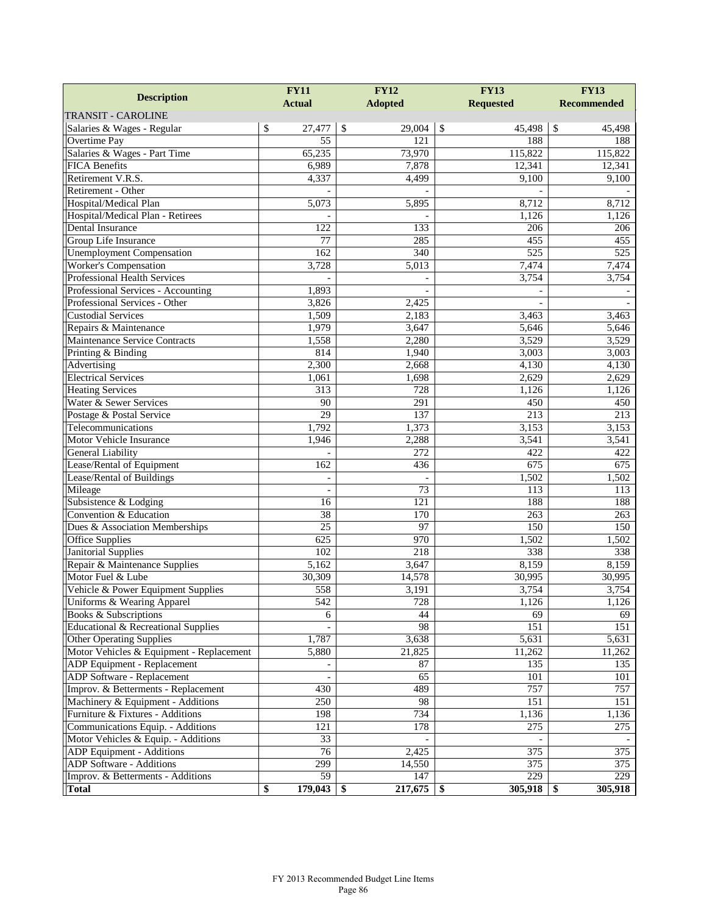| <b>Description</b>                       | <b>FY12</b><br><b>FY11</b> |                  | <b>FY13</b>      | <b>FY13</b>        |  |
|------------------------------------------|----------------------------|------------------|------------------|--------------------|--|
|                                          | <b>Actual</b>              | <b>Adopted</b>   | <b>Requested</b> | <b>Recommended</b> |  |
| <b>TRANSIT - CAROLINE</b>                |                            |                  |                  |                    |  |
| Salaries & Wages - Regular               | \$<br>27,477               | \$<br>29,004     | \$<br>45,498     | \$<br>45,498       |  |
| <b>Overtime Pay</b>                      | 55                         | 121              | 188              | 188                |  |
| Salaries & Wages - Part Time             | 65,235                     | 73,970           | 115,822          | 115,822            |  |
| <b>FICA Benefits</b>                     | 6,989                      | 7,878            | 12,341           | 12,341             |  |
| Retirement V.R.S.                        | 4,337                      | 4,499            | 9,100            | 9,100              |  |
| Retirement - Other                       |                            |                  |                  |                    |  |
| Hospital/Medical Plan                    | 5,073                      | 5,895            | 8,712            | 8,712              |  |
| Hospital/Medical Plan - Retirees         |                            |                  | 1,126            | 1,126              |  |
| Dental Insurance                         | 122                        | 133              | 206              | 206                |  |
| Group Life Insurance                     | $\overline{77}$            | 285              | 455              | 455                |  |
| <b>Unemployment Compensation</b>         | 162                        | $\overline{340}$ | 525              | $\overline{525}$   |  |
| <b>Worker's Compensation</b>             | 3,728                      | 5,013            | 7,474            | 7,474              |  |
| <b>Professional Health Services</b>      |                            |                  | 3,754            | 3,754              |  |
| Professional Services - Accounting       | 1,893                      |                  |                  |                    |  |
| Professional Services - Other            | 3,826                      | 2,425            |                  |                    |  |
| <b>Custodial Services</b>                | 1,509                      | 2,183            | 3,463            | 3,463              |  |
| Repairs & Maintenance                    | 1,979                      | 3,647            | 5,646            | $\overline{5,646}$ |  |
| <b>Maintenance Service Contracts</b>     | 1,558                      | 2,280            | 3,529            | 3,529              |  |
| Printing & Binding                       | 814                        | 1,940            | 3,003            | 3,003              |  |
| Advertising                              | 2,300                      | 2,668            | 4,130            | 4,130              |  |
| <b>Electrical Services</b>               | 1,061                      | 1,698            | 2,629            | 2,629              |  |
| <b>Heating Services</b>                  | $\overline{313}$           | 728              | 1,126            | 1,126              |  |
| Water & Sewer Services                   | 90                         | 291              | 450              | 450                |  |
| Postage & Postal Service                 | $\overline{29}$            | 137              | $\overline{213}$ | 213                |  |
| Telecommunications                       | 1,792                      | 1,373            | 3,153            | 3,153              |  |
| Motor Vehicle Insurance                  | 1,946                      | 2,288            | 3,541            | 3,541              |  |
| General Liability                        |                            | 272              | 422              | 422                |  |
| Lease/Rental of Equipment                | 162                        | 436              | 675              | 675                |  |
| Lease/Rental of Buildings                | $\bar{\phantom{a}}$        |                  | 1,502            | 1,502              |  |
| Mileage                                  | $\sim$                     | 73               | 113              | 113                |  |
| Subsistence & Lodging                    | 16                         | 121              | 188              | 188                |  |
| Convention & Education                   | 38                         | 170              | 263              | 263                |  |
| Dues & Association Memberships           | $\overline{25}$            | 97               | 150              | 150                |  |
| <b>Office Supplies</b>                   | 625                        | 970              | 1,502            | 1,502              |  |
| <b>Janitorial Supplies</b>               | $\overline{102}$           | 218              | 338              | 338                |  |
| Repair & Maintenance Supplies            | 5,162                      | 3,647            | 8,159            | 8,159              |  |
| Motor Fuel & Lube                        | 30,309                     | 14,578           | 30,995           | 30,995             |  |
| Vehicle & Power Equipment Supplies       | 558                        | 3,191            | 3,754            | 3,754              |  |
| Uniforms & Wearing Apparel               | 542                        | 728              | 1,126            | 1,126              |  |
| Books & Subscriptions                    | 6                          | 44               | 69               | 69                 |  |
| Educational & Recreational Supplies      |                            | 98               | 151              | 151                |  |
| <b>Other Operating Supplies</b>          | 1,787                      | 3,638            | 5,631            | 5,631              |  |
| Motor Vehicles & Equipment - Replacement | 5,880                      | 21,825           | 11,262           | 11,262             |  |
| <b>ADP</b> Equipment - Replacement       |                            | 87               | 135              | 135                |  |
| ADP Software - Replacement               |                            | 65               | 101              | 101                |  |
| Improv. & Betterments - Replacement      | 430                        | 489              | 757              | 757                |  |
| Machinery & Equipment - Additions        | 250                        | 98               | 151              | 151                |  |
| Furniture & Fixtures - Additions         | 198                        | 734              | 1,136            | 1,136              |  |
| Communications Equip. - Additions        | 121                        | 178              | 275              | 275                |  |
| Motor Vehicles & Equip. - Additions      | 33                         |                  |                  |                    |  |
| ADP Equipment - Additions                | 76                         | 2,425            | 375              | 375                |  |
| ADP Software - Additions                 | 299                        | 14,550           | 375              | 375                |  |
| Improv. & Betterments - Additions        | 59                         | 147              | 229              | 229                |  |
| <b>Total</b>                             | \$<br>$179,043$ \$         | $217,675$ \\$    | $305,918$ \$     | 305,918            |  |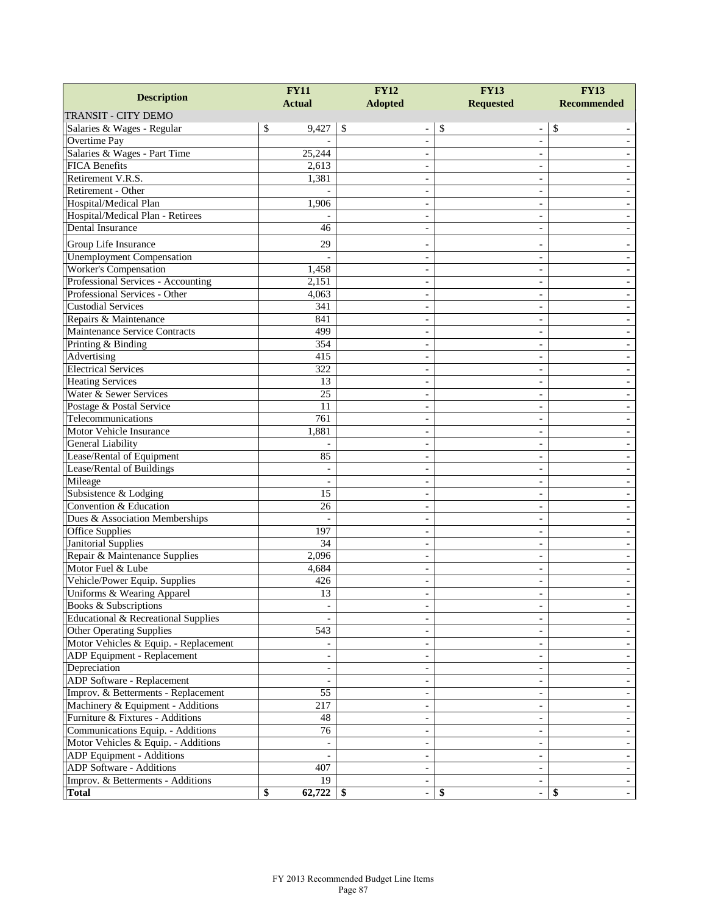| <b>Actual</b><br><b>Adopted</b><br><b>Requested</b><br><b>Recommended</b><br>\$<br>9,427<br>\$<br>\$<br>\$<br>Salaries & Wages - Regular<br>$\qquad \qquad \blacksquare$<br>Overtime Pay<br>÷,<br>$\overline{a}$<br>Salaries & Wages - Part Time<br>25,244<br><b>FICA Benefits</b><br>2,613<br>Retirement V.R.S.<br>1,381<br>$\sim$<br>Retirement - Other<br>Hospital/Medical Plan<br>1,906<br>$\overline{\phantom{0}}$<br>$\overline{\phantom{a}}$<br>Hospital/Medical Plan - Retirees<br>Dental Insurance<br>46<br>Group Life Insurance<br>29<br>$\overline{\phantom{a}}$<br><b>Unemployment Compensation</b><br>$\overline{\phantom{a}}$<br>$\overline{a}$<br><b>Worker's Compensation</b><br>1,458<br>$\sim$<br>$\overline{\phantom{0}}$<br>Professional Services - Accounting<br>2,151<br>Professional Services - Other<br>4,063<br><b>Custodial Services</b><br>341<br>$\sim$<br>$\overline{\phantom{0}}$<br>Repairs & Maintenance<br>841<br>$\overline{\phantom{a}}$<br>Maintenance Service Contracts<br>499<br>$\sim$<br>354<br>Printing & Binding<br>$\sim$<br>Advertising<br>415<br><b>Electrical Services</b><br>322<br>$\overline{\phantom{0}}$<br>$\overline{\phantom{a}}$<br><b>Heating Services</b><br>13<br>$\overline{a}$<br>$\overline{\phantom{a}}$<br>Water & Sewer Services<br>25<br>$\sim$<br>Postage & Postal Service<br>11<br>$\sim$<br>Telecommunications<br>761<br>Motor Vehicle Insurance<br>1,881<br>$\overline{\phantom{0}}$<br>$\overline{\phantom{a}}$<br>General Liability<br>$\overline{\phantom{a}}$<br>Lease/Rental of Equipment<br>85<br>$\sim$<br>Lease/Rental of Buildings<br>$\qquad \qquad -$<br>Mileage<br>Subsistence & Lodging<br>15<br>$\overline{\phantom{0}}$<br>$\overline{\phantom{a}}$<br>Convention & Education<br>26<br>$\overline{\phantom{a}}$<br>Dues & Association Memberships<br>$\sim$<br>Office Supplies<br>197<br>$\qquad \qquad -$<br><b>Janitorial Supplies</b><br>34<br>Repair & Maintenance Supplies<br>2,096<br>$\sim$<br>$\overline{\phantom{0}}$<br>Motor Fuel & Lube<br>4,684<br>Vehicle/Power Equip. Supplies<br>426<br>$\overline{\phantom{a}}$<br>Uniforms & Wearing Apparel<br>13<br>÷,<br>$\sim$<br>Books & Subscriptions<br>$\sim$<br><b>Educational &amp; Recreational Supplies</b><br>$\blacksquare$<br>$\overline{\phantom{0}}$<br><b>Other Operating Supplies</b><br>543<br>$\overline{\phantom{a}}$<br>Motor Vehicles & Equip. - Replacement<br>$\overline{\phantom{a}}$<br>ADP Equipment - Replacement<br>$\overline{\phantom{a}}$<br>Depreciation<br>$\overline{\phantom{a}}$<br>$\blacksquare$<br>ADP Software - Replacement<br>$\overline{\phantom{a}}$<br>$\overline{\phantom{0}}$<br>Improv. & Betterments - Replacement<br>55<br>$\overline{\phantom{a}}$<br>217<br>Machinery & Equipment - Additions<br>$\qquad \qquad -$<br>Furniture & Fixtures - Additions<br>48<br>$\qquad \qquad -$<br>Communications Equip. - Additions<br>76<br>$\overline{\phantom{a}}$<br>Motor Vehicles & Equip. - Additions<br>$\overline{\phantom{a}}$<br>$\overline{\phantom{a}}$<br>ADP Equipment - Additions<br>$\overline{\phantom{a}}$<br><b>ADP</b> Software - Additions<br>407<br>$\overline{\phantom{a}}$<br>$\overline{19}$<br>Improv. & Betterments - Additions |                            | <b>FY11</b>  | <b>FY12</b>     | <b>FY13</b> | <b>FY13</b> |  |
|---------------------------------------------------------------------------------------------------------------------------------------------------------------------------------------------------------------------------------------------------------------------------------------------------------------------------------------------------------------------------------------------------------------------------------------------------------------------------------------------------------------------------------------------------------------------------------------------------------------------------------------------------------------------------------------------------------------------------------------------------------------------------------------------------------------------------------------------------------------------------------------------------------------------------------------------------------------------------------------------------------------------------------------------------------------------------------------------------------------------------------------------------------------------------------------------------------------------------------------------------------------------------------------------------------------------------------------------------------------------------------------------------------------------------------------------------------------------------------------------------------------------------------------------------------------------------------------------------------------------------------------------------------------------------------------------------------------------------------------------------------------------------------------------------------------------------------------------------------------------------------------------------------------------------------------------------------------------------------------------------------------------------------------------------------------------------------------------------------------------------------------------------------------------------------------------------------------------------------------------------------------------------------------------------------------------------------------------------------------------------------------------------------------------------------------------------------------------------------------------------------------------------------------------------------------------------------------------------------------------------------------------------------------------------------------------------------------------------------------------------------------------------------------------------------------------------------------------------------------------------------------------------------------------------------------------------------------------------------------------------------------------------------------------------------------------------------------------------------------------------------------------------------------------------------------------------------------------------------------------|----------------------------|--------------|-----------------|-------------|-------------|--|
|                                                                                                                                                                                                                                                                                                                                                                                                                                                                                                                                                                                                                                                                                                                                                                                                                                                                                                                                                                                                                                                                                                                                                                                                                                                                                                                                                                                                                                                                                                                                                                                                                                                                                                                                                                                                                                                                                                                                                                                                                                                                                                                                                                                                                                                                                                                                                                                                                                                                                                                                                                                                                                                                                                                                                                                                                                                                                                                                                                                                                                                                                                                                                                                                                                             | <b>Description</b>         |              |                 |             |             |  |
|                                                                                                                                                                                                                                                                                                                                                                                                                                                                                                                                                                                                                                                                                                                                                                                                                                                                                                                                                                                                                                                                                                                                                                                                                                                                                                                                                                                                                                                                                                                                                                                                                                                                                                                                                                                                                                                                                                                                                                                                                                                                                                                                                                                                                                                                                                                                                                                                                                                                                                                                                                                                                                                                                                                                                                                                                                                                                                                                                                                                                                                                                                                                                                                                                                             | <b>TRANSIT - CITY DEMO</b> |              |                 |             |             |  |
|                                                                                                                                                                                                                                                                                                                                                                                                                                                                                                                                                                                                                                                                                                                                                                                                                                                                                                                                                                                                                                                                                                                                                                                                                                                                                                                                                                                                                                                                                                                                                                                                                                                                                                                                                                                                                                                                                                                                                                                                                                                                                                                                                                                                                                                                                                                                                                                                                                                                                                                                                                                                                                                                                                                                                                                                                                                                                                                                                                                                                                                                                                                                                                                                                                             |                            |              |                 |             |             |  |
|                                                                                                                                                                                                                                                                                                                                                                                                                                                                                                                                                                                                                                                                                                                                                                                                                                                                                                                                                                                                                                                                                                                                                                                                                                                                                                                                                                                                                                                                                                                                                                                                                                                                                                                                                                                                                                                                                                                                                                                                                                                                                                                                                                                                                                                                                                                                                                                                                                                                                                                                                                                                                                                                                                                                                                                                                                                                                                                                                                                                                                                                                                                                                                                                                                             |                            |              |                 |             |             |  |
|                                                                                                                                                                                                                                                                                                                                                                                                                                                                                                                                                                                                                                                                                                                                                                                                                                                                                                                                                                                                                                                                                                                                                                                                                                                                                                                                                                                                                                                                                                                                                                                                                                                                                                                                                                                                                                                                                                                                                                                                                                                                                                                                                                                                                                                                                                                                                                                                                                                                                                                                                                                                                                                                                                                                                                                                                                                                                                                                                                                                                                                                                                                                                                                                                                             |                            |              |                 |             |             |  |
|                                                                                                                                                                                                                                                                                                                                                                                                                                                                                                                                                                                                                                                                                                                                                                                                                                                                                                                                                                                                                                                                                                                                                                                                                                                                                                                                                                                                                                                                                                                                                                                                                                                                                                                                                                                                                                                                                                                                                                                                                                                                                                                                                                                                                                                                                                                                                                                                                                                                                                                                                                                                                                                                                                                                                                                                                                                                                                                                                                                                                                                                                                                                                                                                                                             |                            |              |                 |             |             |  |
|                                                                                                                                                                                                                                                                                                                                                                                                                                                                                                                                                                                                                                                                                                                                                                                                                                                                                                                                                                                                                                                                                                                                                                                                                                                                                                                                                                                                                                                                                                                                                                                                                                                                                                                                                                                                                                                                                                                                                                                                                                                                                                                                                                                                                                                                                                                                                                                                                                                                                                                                                                                                                                                                                                                                                                                                                                                                                                                                                                                                                                                                                                                                                                                                                                             |                            |              |                 |             |             |  |
|                                                                                                                                                                                                                                                                                                                                                                                                                                                                                                                                                                                                                                                                                                                                                                                                                                                                                                                                                                                                                                                                                                                                                                                                                                                                                                                                                                                                                                                                                                                                                                                                                                                                                                                                                                                                                                                                                                                                                                                                                                                                                                                                                                                                                                                                                                                                                                                                                                                                                                                                                                                                                                                                                                                                                                                                                                                                                                                                                                                                                                                                                                                                                                                                                                             |                            |              |                 |             |             |  |
|                                                                                                                                                                                                                                                                                                                                                                                                                                                                                                                                                                                                                                                                                                                                                                                                                                                                                                                                                                                                                                                                                                                                                                                                                                                                                                                                                                                                                                                                                                                                                                                                                                                                                                                                                                                                                                                                                                                                                                                                                                                                                                                                                                                                                                                                                                                                                                                                                                                                                                                                                                                                                                                                                                                                                                                                                                                                                                                                                                                                                                                                                                                                                                                                                                             |                            |              |                 |             |             |  |
|                                                                                                                                                                                                                                                                                                                                                                                                                                                                                                                                                                                                                                                                                                                                                                                                                                                                                                                                                                                                                                                                                                                                                                                                                                                                                                                                                                                                                                                                                                                                                                                                                                                                                                                                                                                                                                                                                                                                                                                                                                                                                                                                                                                                                                                                                                                                                                                                                                                                                                                                                                                                                                                                                                                                                                                                                                                                                                                                                                                                                                                                                                                                                                                                                                             |                            |              |                 |             |             |  |
|                                                                                                                                                                                                                                                                                                                                                                                                                                                                                                                                                                                                                                                                                                                                                                                                                                                                                                                                                                                                                                                                                                                                                                                                                                                                                                                                                                                                                                                                                                                                                                                                                                                                                                                                                                                                                                                                                                                                                                                                                                                                                                                                                                                                                                                                                                                                                                                                                                                                                                                                                                                                                                                                                                                                                                                                                                                                                                                                                                                                                                                                                                                                                                                                                                             |                            |              |                 |             |             |  |
|                                                                                                                                                                                                                                                                                                                                                                                                                                                                                                                                                                                                                                                                                                                                                                                                                                                                                                                                                                                                                                                                                                                                                                                                                                                                                                                                                                                                                                                                                                                                                                                                                                                                                                                                                                                                                                                                                                                                                                                                                                                                                                                                                                                                                                                                                                                                                                                                                                                                                                                                                                                                                                                                                                                                                                                                                                                                                                                                                                                                                                                                                                                                                                                                                                             |                            |              |                 |             |             |  |
|                                                                                                                                                                                                                                                                                                                                                                                                                                                                                                                                                                                                                                                                                                                                                                                                                                                                                                                                                                                                                                                                                                                                                                                                                                                                                                                                                                                                                                                                                                                                                                                                                                                                                                                                                                                                                                                                                                                                                                                                                                                                                                                                                                                                                                                                                                                                                                                                                                                                                                                                                                                                                                                                                                                                                                                                                                                                                                                                                                                                                                                                                                                                                                                                                                             |                            |              |                 |             |             |  |
|                                                                                                                                                                                                                                                                                                                                                                                                                                                                                                                                                                                                                                                                                                                                                                                                                                                                                                                                                                                                                                                                                                                                                                                                                                                                                                                                                                                                                                                                                                                                                                                                                                                                                                                                                                                                                                                                                                                                                                                                                                                                                                                                                                                                                                                                                                                                                                                                                                                                                                                                                                                                                                                                                                                                                                                                                                                                                                                                                                                                                                                                                                                                                                                                                                             |                            |              |                 |             |             |  |
|                                                                                                                                                                                                                                                                                                                                                                                                                                                                                                                                                                                                                                                                                                                                                                                                                                                                                                                                                                                                                                                                                                                                                                                                                                                                                                                                                                                                                                                                                                                                                                                                                                                                                                                                                                                                                                                                                                                                                                                                                                                                                                                                                                                                                                                                                                                                                                                                                                                                                                                                                                                                                                                                                                                                                                                                                                                                                                                                                                                                                                                                                                                                                                                                                                             |                            |              |                 |             |             |  |
|                                                                                                                                                                                                                                                                                                                                                                                                                                                                                                                                                                                                                                                                                                                                                                                                                                                                                                                                                                                                                                                                                                                                                                                                                                                                                                                                                                                                                                                                                                                                                                                                                                                                                                                                                                                                                                                                                                                                                                                                                                                                                                                                                                                                                                                                                                                                                                                                                                                                                                                                                                                                                                                                                                                                                                                                                                                                                                                                                                                                                                                                                                                                                                                                                                             |                            |              |                 |             |             |  |
|                                                                                                                                                                                                                                                                                                                                                                                                                                                                                                                                                                                                                                                                                                                                                                                                                                                                                                                                                                                                                                                                                                                                                                                                                                                                                                                                                                                                                                                                                                                                                                                                                                                                                                                                                                                                                                                                                                                                                                                                                                                                                                                                                                                                                                                                                                                                                                                                                                                                                                                                                                                                                                                                                                                                                                                                                                                                                                                                                                                                                                                                                                                                                                                                                                             |                            |              |                 |             |             |  |
|                                                                                                                                                                                                                                                                                                                                                                                                                                                                                                                                                                                                                                                                                                                                                                                                                                                                                                                                                                                                                                                                                                                                                                                                                                                                                                                                                                                                                                                                                                                                                                                                                                                                                                                                                                                                                                                                                                                                                                                                                                                                                                                                                                                                                                                                                                                                                                                                                                                                                                                                                                                                                                                                                                                                                                                                                                                                                                                                                                                                                                                                                                                                                                                                                                             |                            |              |                 |             |             |  |
|                                                                                                                                                                                                                                                                                                                                                                                                                                                                                                                                                                                                                                                                                                                                                                                                                                                                                                                                                                                                                                                                                                                                                                                                                                                                                                                                                                                                                                                                                                                                                                                                                                                                                                                                                                                                                                                                                                                                                                                                                                                                                                                                                                                                                                                                                                                                                                                                                                                                                                                                                                                                                                                                                                                                                                                                                                                                                                                                                                                                                                                                                                                                                                                                                                             |                            |              |                 |             |             |  |
|                                                                                                                                                                                                                                                                                                                                                                                                                                                                                                                                                                                                                                                                                                                                                                                                                                                                                                                                                                                                                                                                                                                                                                                                                                                                                                                                                                                                                                                                                                                                                                                                                                                                                                                                                                                                                                                                                                                                                                                                                                                                                                                                                                                                                                                                                                                                                                                                                                                                                                                                                                                                                                                                                                                                                                                                                                                                                                                                                                                                                                                                                                                                                                                                                                             |                            |              |                 |             |             |  |
|                                                                                                                                                                                                                                                                                                                                                                                                                                                                                                                                                                                                                                                                                                                                                                                                                                                                                                                                                                                                                                                                                                                                                                                                                                                                                                                                                                                                                                                                                                                                                                                                                                                                                                                                                                                                                                                                                                                                                                                                                                                                                                                                                                                                                                                                                                                                                                                                                                                                                                                                                                                                                                                                                                                                                                                                                                                                                                                                                                                                                                                                                                                                                                                                                                             |                            |              |                 |             |             |  |
|                                                                                                                                                                                                                                                                                                                                                                                                                                                                                                                                                                                                                                                                                                                                                                                                                                                                                                                                                                                                                                                                                                                                                                                                                                                                                                                                                                                                                                                                                                                                                                                                                                                                                                                                                                                                                                                                                                                                                                                                                                                                                                                                                                                                                                                                                                                                                                                                                                                                                                                                                                                                                                                                                                                                                                                                                                                                                                                                                                                                                                                                                                                                                                                                                                             |                            |              |                 |             |             |  |
|                                                                                                                                                                                                                                                                                                                                                                                                                                                                                                                                                                                                                                                                                                                                                                                                                                                                                                                                                                                                                                                                                                                                                                                                                                                                                                                                                                                                                                                                                                                                                                                                                                                                                                                                                                                                                                                                                                                                                                                                                                                                                                                                                                                                                                                                                                                                                                                                                                                                                                                                                                                                                                                                                                                                                                                                                                                                                                                                                                                                                                                                                                                                                                                                                                             |                            |              |                 |             |             |  |
|                                                                                                                                                                                                                                                                                                                                                                                                                                                                                                                                                                                                                                                                                                                                                                                                                                                                                                                                                                                                                                                                                                                                                                                                                                                                                                                                                                                                                                                                                                                                                                                                                                                                                                                                                                                                                                                                                                                                                                                                                                                                                                                                                                                                                                                                                                                                                                                                                                                                                                                                                                                                                                                                                                                                                                                                                                                                                                                                                                                                                                                                                                                                                                                                                                             |                            |              |                 |             |             |  |
|                                                                                                                                                                                                                                                                                                                                                                                                                                                                                                                                                                                                                                                                                                                                                                                                                                                                                                                                                                                                                                                                                                                                                                                                                                                                                                                                                                                                                                                                                                                                                                                                                                                                                                                                                                                                                                                                                                                                                                                                                                                                                                                                                                                                                                                                                                                                                                                                                                                                                                                                                                                                                                                                                                                                                                                                                                                                                                                                                                                                                                                                                                                                                                                                                                             |                            |              |                 |             |             |  |
|                                                                                                                                                                                                                                                                                                                                                                                                                                                                                                                                                                                                                                                                                                                                                                                                                                                                                                                                                                                                                                                                                                                                                                                                                                                                                                                                                                                                                                                                                                                                                                                                                                                                                                                                                                                                                                                                                                                                                                                                                                                                                                                                                                                                                                                                                                                                                                                                                                                                                                                                                                                                                                                                                                                                                                                                                                                                                                                                                                                                                                                                                                                                                                                                                                             |                            |              |                 |             |             |  |
|                                                                                                                                                                                                                                                                                                                                                                                                                                                                                                                                                                                                                                                                                                                                                                                                                                                                                                                                                                                                                                                                                                                                                                                                                                                                                                                                                                                                                                                                                                                                                                                                                                                                                                                                                                                                                                                                                                                                                                                                                                                                                                                                                                                                                                                                                                                                                                                                                                                                                                                                                                                                                                                                                                                                                                                                                                                                                                                                                                                                                                                                                                                                                                                                                                             |                            |              |                 |             |             |  |
|                                                                                                                                                                                                                                                                                                                                                                                                                                                                                                                                                                                                                                                                                                                                                                                                                                                                                                                                                                                                                                                                                                                                                                                                                                                                                                                                                                                                                                                                                                                                                                                                                                                                                                                                                                                                                                                                                                                                                                                                                                                                                                                                                                                                                                                                                                                                                                                                                                                                                                                                                                                                                                                                                                                                                                                                                                                                                                                                                                                                                                                                                                                                                                                                                                             |                            |              |                 |             |             |  |
|                                                                                                                                                                                                                                                                                                                                                                                                                                                                                                                                                                                                                                                                                                                                                                                                                                                                                                                                                                                                                                                                                                                                                                                                                                                                                                                                                                                                                                                                                                                                                                                                                                                                                                                                                                                                                                                                                                                                                                                                                                                                                                                                                                                                                                                                                                                                                                                                                                                                                                                                                                                                                                                                                                                                                                                                                                                                                                                                                                                                                                                                                                                                                                                                                                             |                            |              |                 |             |             |  |
|                                                                                                                                                                                                                                                                                                                                                                                                                                                                                                                                                                                                                                                                                                                                                                                                                                                                                                                                                                                                                                                                                                                                                                                                                                                                                                                                                                                                                                                                                                                                                                                                                                                                                                                                                                                                                                                                                                                                                                                                                                                                                                                                                                                                                                                                                                                                                                                                                                                                                                                                                                                                                                                                                                                                                                                                                                                                                                                                                                                                                                                                                                                                                                                                                                             |                            |              |                 |             |             |  |
|                                                                                                                                                                                                                                                                                                                                                                                                                                                                                                                                                                                                                                                                                                                                                                                                                                                                                                                                                                                                                                                                                                                                                                                                                                                                                                                                                                                                                                                                                                                                                                                                                                                                                                                                                                                                                                                                                                                                                                                                                                                                                                                                                                                                                                                                                                                                                                                                                                                                                                                                                                                                                                                                                                                                                                                                                                                                                                                                                                                                                                                                                                                                                                                                                                             |                            |              |                 |             |             |  |
|                                                                                                                                                                                                                                                                                                                                                                                                                                                                                                                                                                                                                                                                                                                                                                                                                                                                                                                                                                                                                                                                                                                                                                                                                                                                                                                                                                                                                                                                                                                                                                                                                                                                                                                                                                                                                                                                                                                                                                                                                                                                                                                                                                                                                                                                                                                                                                                                                                                                                                                                                                                                                                                                                                                                                                                                                                                                                                                                                                                                                                                                                                                                                                                                                                             |                            |              |                 |             |             |  |
|                                                                                                                                                                                                                                                                                                                                                                                                                                                                                                                                                                                                                                                                                                                                                                                                                                                                                                                                                                                                                                                                                                                                                                                                                                                                                                                                                                                                                                                                                                                                                                                                                                                                                                                                                                                                                                                                                                                                                                                                                                                                                                                                                                                                                                                                                                                                                                                                                                                                                                                                                                                                                                                                                                                                                                                                                                                                                                                                                                                                                                                                                                                                                                                                                                             |                            |              |                 |             |             |  |
|                                                                                                                                                                                                                                                                                                                                                                                                                                                                                                                                                                                                                                                                                                                                                                                                                                                                                                                                                                                                                                                                                                                                                                                                                                                                                                                                                                                                                                                                                                                                                                                                                                                                                                                                                                                                                                                                                                                                                                                                                                                                                                                                                                                                                                                                                                                                                                                                                                                                                                                                                                                                                                                                                                                                                                                                                                                                                                                                                                                                                                                                                                                                                                                                                                             |                            |              |                 |             |             |  |
|                                                                                                                                                                                                                                                                                                                                                                                                                                                                                                                                                                                                                                                                                                                                                                                                                                                                                                                                                                                                                                                                                                                                                                                                                                                                                                                                                                                                                                                                                                                                                                                                                                                                                                                                                                                                                                                                                                                                                                                                                                                                                                                                                                                                                                                                                                                                                                                                                                                                                                                                                                                                                                                                                                                                                                                                                                                                                                                                                                                                                                                                                                                                                                                                                                             |                            |              |                 |             |             |  |
|                                                                                                                                                                                                                                                                                                                                                                                                                                                                                                                                                                                                                                                                                                                                                                                                                                                                                                                                                                                                                                                                                                                                                                                                                                                                                                                                                                                                                                                                                                                                                                                                                                                                                                                                                                                                                                                                                                                                                                                                                                                                                                                                                                                                                                                                                                                                                                                                                                                                                                                                                                                                                                                                                                                                                                                                                                                                                                                                                                                                                                                                                                                                                                                                                                             |                            |              |                 |             |             |  |
|                                                                                                                                                                                                                                                                                                                                                                                                                                                                                                                                                                                                                                                                                                                                                                                                                                                                                                                                                                                                                                                                                                                                                                                                                                                                                                                                                                                                                                                                                                                                                                                                                                                                                                                                                                                                                                                                                                                                                                                                                                                                                                                                                                                                                                                                                                                                                                                                                                                                                                                                                                                                                                                                                                                                                                                                                                                                                                                                                                                                                                                                                                                                                                                                                                             |                            |              |                 |             |             |  |
|                                                                                                                                                                                                                                                                                                                                                                                                                                                                                                                                                                                                                                                                                                                                                                                                                                                                                                                                                                                                                                                                                                                                                                                                                                                                                                                                                                                                                                                                                                                                                                                                                                                                                                                                                                                                                                                                                                                                                                                                                                                                                                                                                                                                                                                                                                                                                                                                                                                                                                                                                                                                                                                                                                                                                                                                                                                                                                                                                                                                                                                                                                                                                                                                                                             |                            |              |                 |             |             |  |
|                                                                                                                                                                                                                                                                                                                                                                                                                                                                                                                                                                                                                                                                                                                                                                                                                                                                                                                                                                                                                                                                                                                                                                                                                                                                                                                                                                                                                                                                                                                                                                                                                                                                                                                                                                                                                                                                                                                                                                                                                                                                                                                                                                                                                                                                                                                                                                                                                                                                                                                                                                                                                                                                                                                                                                                                                                                                                                                                                                                                                                                                                                                                                                                                                                             |                            |              |                 |             |             |  |
|                                                                                                                                                                                                                                                                                                                                                                                                                                                                                                                                                                                                                                                                                                                                                                                                                                                                                                                                                                                                                                                                                                                                                                                                                                                                                                                                                                                                                                                                                                                                                                                                                                                                                                                                                                                                                                                                                                                                                                                                                                                                                                                                                                                                                                                                                                                                                                                                                                                                                                                                                                                                                                                                                                                                                                                                                                                                                                                                                                                                                                                                                                                                                                                                                                             |                            |              |                 |             |             |  |
|                                                                                                                                                                                                                                                                                                                                                                                                                                                                                                                                                                                                                                                                                                                                                                                                                                                                                                                                                                                                                                                                                                                                                                                                                                                                                                                                                                                                                                                                                                                                                                                                                                                                                                                                                                                                                                                                                                                                                                                                                                                                                                                                                                                                                                                                                                                                                                                                                                                                                                                                                                                                                                                                                                                                                                                                                                                                                                                                                                                                                                                                                                                                                                                                                                             |                            |              |                 |             |             |  |
|                                                                                                                                                                                                                                                                                                                                                                                                                                                                                                                                                                                                                                                                                                                                                                                                                                                                                                                                                                                                                                                                                                                                                                                                                                                                                                                                                                                                                                                                                                                                                                                                                                                                                                                                                                                                                                                                                                                                                                                                                                                                                                                                                                                                                                                                                                                                                                                                                                                                                                                                                                                                                                                                                                                                                                                                                                                                                                                                                                                                                                                                                                                                                                                                                                             |                            |              |                 |             |             |  |
|                                                                                                                                                                                                                                                                                                                                                                                                                                                                                                                                                                                                                                                                                                                                                                                                                                                                                                                                                                                                                                                                                                                                                                                                                                                                                                                                                                                                                                                                                                                                                                                                                                                                                                                                                                                                                                                                                                                                                                                                                                                                                                                                                                                                                                                                                                                                                                                                                                                                                                                                                                                                                                                                                                                                                                                                                                                                                                                                                                                                                                                                                                                                                                                                                                             |                            |              |                 |             |             |  |
|                                                                                                                                                                                                                                                                                                                                                                                                                                                                                                                                                                                                                                                                                                                                                                                                                                                                                                                                                                                                                                                                                                                                                                                                                                                                                                                                                                                                                                                                                                                                                                                                                                                                                                                                                                                                                                                                                                                                                                                                                                                                                                                                                                                                                                                                                                                                                                                                                                                                                                                                                                                                                                                                                                                                                                                                                                                                                                                                                                                                                                                                                                                                                                                                                                             |                            |              |                 |             |             |  |
|                                                                                                                                                                                                                                                                                                                                                                                                                                                                                                                                                                                                                                                                                                                                                                                                                                                                                                                                                                                                                                                                                                                                                                                                                                                                                                                                                                                                                                                                                                                                                                                                                                                                                                                                                                                                                                                                                                                                                                                                                                                                                                                                                                                                                                                                                                                                                                                                                                                                                                                                                                                                                                                                                                                                                                                                                                                                                                                                                                                                                                                                                                                                                                                                                                             |                            |              |                 |             |             |  |
|                                                                                                                                                                                                                                                                                                                                                                                                                                                                                                                                                                                                                                                                                                                                                                                                                                                                                                                                                                                                                                                                                                                                                                                                                                                                                                                                                                                                                                                                                                                                                                                                                                                                                                                                                                                                                                                                                                                                                                                                                                                                                                                                                                                                                                                                                                                                                                                                                                                                                                                                                                                                                                                                                                                                                                                                                                                                                                                                                                                                                                                                                                                                                                                                                                             |                            |              |                 |             |             |  |
|                                                                                                                                                                                                                                                                                                                                                                                                                                                                                                                                                                                                                                                                                                                                                                                                                                                                                                                                                                                                                                                                                                                                                                                                                                                                                                                                                                                                                                                                                                                                                                                                                                                                                                                                                                                                                                                                                                                                                                                                                                                                                                                                                                                                                                                                                                                                                                                                                                                                                                                                                                                                                                                                                                                                                                                                                                                                                                                                                                                                                                                                                                                                                                                                                                             |                            |              |                 |             |             |  |
|                                                                                                                                                                                                                                                                                                                                                                                                                                                                                                                                                                                                                                                                                                                                                                                                                                                                                                                                                                                                                                                                                                                                                                                                                                                                                                                                                                                                                                                                                                                                                                                                                                                                                                                                                                                                                                                                                                                                                                                                                                                                                                                                                                                                                                                                                                                                                                                                                                                                                                                                                                                                                                                                                                                                                                                                                                                                                                                                                                                                                                                                                                                                                                                                                                             |                            |              |                 |             |             |  |
|                                                                                                                                                                                                                                                                                                                                                                                                                                                                                                                                                                                                                                                                                                                                                                                                                                                                                                                                                                                                                                                                                                                                                                                                                                                                                                                                                                                                                                                                                                                                                                                                                                                                                                                                                                                                                                                                                                                                                                                                                                                                                                                                                                                                                                                                                                                                                                                                                                                                                                                                                                                                                                                                                                                                                                                                                                                                                                                                                                                                                                                                                                                                                                                                                                             |                            |              |                 |             |             |  |
|                                                                                                                                                                                                                                                                                                                                                                                                                                                                                                                                                                                                                                                                                                                                                                                                                                                                                                                                                                                                                                                                                                                                                                                                                                                                                                                                                                                                                                                                                                                                                                                                                                                                                                                                                                                                                                                                                                                                                                                                                                                                                                                                                                                                                                                                                                                                                                                                                                                                                                                                                                                                                                                                                                                                                                                                                                                                                                                                                                                                                                                                                                                                                                                                                                             |                            |              |                 |             |             |  |
|                                                                                                                                                                                                                                                                                                                                                                                                                                                                                                                                                                                                                                                                                                                                                                                                                                                                                                                                                                                                                                                                                                                                                                                                                                                                                                                                                                                                                                                                                                                                                                                                                                                                                                                                                                                                                                                                                                                                                                                                                                                                                                                                                                                                                                                                                                                                                                                                                                                                                                                                                                                                                                                                                                                                                                                                                                                                                                                                                                                                                                                                                                                                                                                                                                             |                            |              |                 |             |             |  |
|                                                                                                                                                                                                                                                                                                                                                                                                                                                                                                                                                                                                                                                                                                                                                                                                                                                                                                                                                                                                                                                                                                                                                                                                                                                                                                                                                                                                                                                                                                                                                                                                                                                                                                                                                                                                                                                                                                                                                                                                                                                                                                                                                                                                                                                                                                                                                                                                                                                                                                                                                                                                                                                                                                                                                                                                                                                                                                                                                                                                                                                                                                                                                                                                                                             |                            |              |                 |             |             |  |
|                                                                                                                                                                                                                                                                                                                                                                                                                                                                                                                                                                                                                                                                                                                                                                                                                                                                                                                                                                                                                                                                                                                                                                                                                                                                                                                                                                                                                                                                                                                                                                                                                                                                                                                                                                                                                                                                                                                                                                                                                                                                                                                                                                                                                                                                                                                                                                                                                                                                                                                                                                                                                                                                                                                                                                                                                                                                                                                                                                                                                                                                                                                                                                                                                                             |                            |              |                 |             |             |  |
|                                                                                                                                                                                                                                                                                                                                                                                                                                                                                                                                                                                                                                                                                                                                                                                                                                                                                                                                                                                                                                                                                                                                                                                                                                                                                                                                                                                                                                                                                                                                                                                                                                                                                                                                                                                                                                                                                                                                                                                                                                                                                                                                                                                                                                                                                                                                                                                                                                                                                                                                                                                                                                                                                                                                                                                                                                                                                                                                                                                                                                                                                                                                                                                                                                             |                            |              |                 |             |             |  |
|                                                                                                                                                                                                                                                                                                                                                                                                                                                                                                                                                                                                                                                                                                                                                                                                                                                                                                                                                                                                                                                                                                                                                                                                                                                                                                                                                                                                                                                                                                                                                                                                                                                                                                                                                                                                                                                                                                                                                                                                                                                                                                                                                                                                                                                                                                                                                                                                                                                                                                                                                                                                                                                                                                                                                                                                                                                                                                                                                                                                                                                                                                                                                                                                                                             |                            |              |                 |             |             |  |
|                                                                                                                                                                                                                                                                                                                                                                                                                                                                                                                                                                                                                                                                                                                                                                                                                                                                                                                                                                                                                                                                                                                                                                                                                                                                                                                                                                                                                                                                                                                                                                                                                                                                                                                                                                                                                                                                                                                                                                                                                                                                                                                                                                                                                                                                                                                                                                                                                                                                                                                                                                                                                                                                                                                                                                                                                                                                                                                                                                                                                                                                                                                                                                                                                                             | <b>Total</b>               | \$<br>62,722 | $\omega$<br>-\$ | \$<br>ä,    | \$          |  |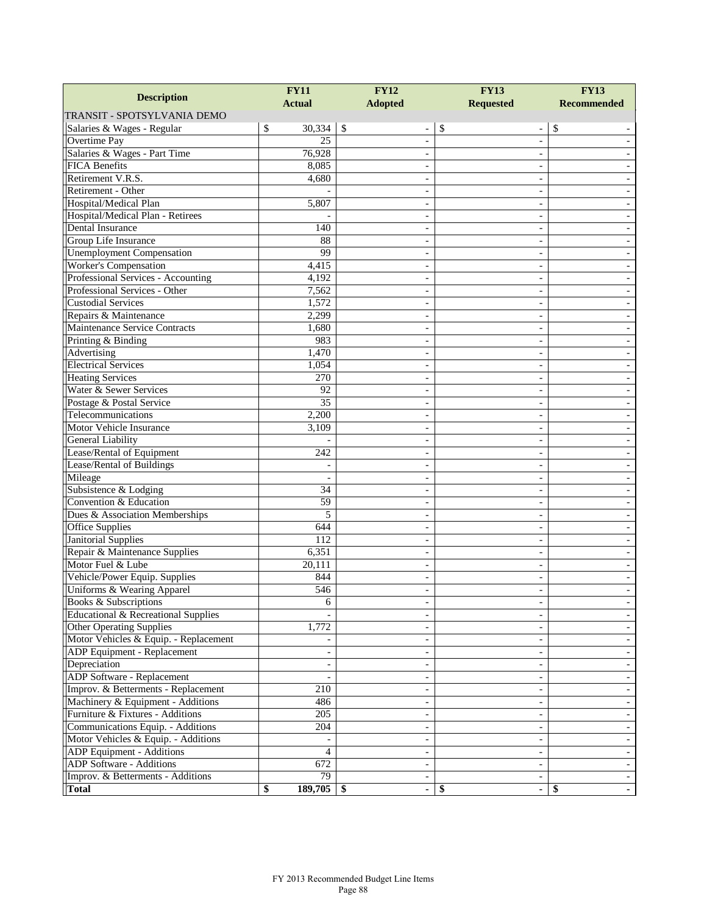| <b>Description</b>                             | <b>FY11</b>     | <b>FY12</b>                     | <b>FY13</b>                        | <b>FY13</b>        |
|------------------------------------------------|-----------------|---------------------------------|------------------------------------|--------------------|
|                                                | <b>Actual</b>   | <b>Adopted</b>                  | <b>Requested</b>                   | <b>Recommended</b> |
| TRANSIT - SPOTSYLVANIA DEMO                    |                 |                                 |                                    |                    |
| Salaries & Wages - Regular                     | \$<br>30,334    | $\sqrt{S}$<br>$\qquad \qquad -$ | \$<br>$\qquad \qquad \blacksquare$ | \$                 |
| <b>Overtime Pay</b>                            | 25              |                                 |                                    |                    |
| Salaries & Wages - Part Time                   | 76,928          | ÷,                              | $\sim$                             |                    |
| <b>FICA Benefits</b>                           | 8,085           | $\overline{\phantom{0}}$        | $\overline{\phantom{a}}$           |                    |
| Retirement V.R.S.                              | 4,680           |                                 | $\sim$                             |                    |
| Retirement - Other                             |                 |                                 | $\overline{\phantom{a}}$           |                    |
| Hospital/Medical Plan                          | 5,807           |                                 |                                    |                    |
| Hospital/Medical Plan - Retirees               |                 | ÷,                              | $\sim$                             |                    |
| Dental Insurance                               | 140             | $\overline{a}$                  | $\overline{\phantom{a}}$           |                    |
| Group Life Insurance                           | 88              |                                 | $\sim$                             |                    |
| <b>Unemployment Compensation</b>               | 99              |                                 | $\qquad \qquad -$                  |                    |
| <b>Worker's Compensation</b>                   | 4,415           |                                 |                                    |                    |
| Professional Services - Accounting             | 4,192           | ÷,                              | $\sim$                             |                    |
| Professional Services - Other                  | 7,562           | ۳                               | $\overline{\phantom{a}}$           |                    |
| <b>Custodial Services</b>                      | 1,572           |                                 | $\sim$                             |                    |
| Repairs & Maintenance                          | 2,299           |                                 | $\overline{\phantom{a}}$           |                    |
| Maintenance Service Contracts                  | 1,680           |                                 |                                    |                    |
| Printing & Binding                             | 983             | ÷                               | $\sim$                             |                    |
| Advertising                                    | 1,470           | ۳                               | $\overline{\phantom{a}}$           |                    |
| <b>Electrical Services</b>                     | 1,054           |                                 | $\sim$                             |                    |
| <b>Heating Services</b>                        | 270             |                                 | $\qquad \qquad -$                  |                    |
| Water & Sewer Services                         | 92              |                                 |                                    |                    |
| Postage & Postal Service                       | $\overline{35}$ | ÷,                              | $\sim$                             |                    |
| Telecommunications                             | 2,200           | $\overline{\phantom{0}}$        | $\overline{\phantom{a}}$           |                    |
| Motor Vehicle Insurance                        | 3,109           |                                 | $\sim$                             |                    |
| General Liability                              |                 |                                 | $\sim$                             |                    |
| Lease/Rental of Equipment                      | 242             |                                 |                                    |                    |
| Lease/Rental of Buildings                      |                 | $\overline{\phantom{0}}$        | $\sim$                             |                    |
| Mileage                                        |                 | $\overline{\phantom{0}}$        | $\overline{\phantom{a}}$           |                    |
| Subsistence & Lodging                          | 34              |                                 | $\sim$                             |                    |
| Convention & Education                         | 59              |                                 | $\sim$                             |                    |
| Dues & Association Memberships                 | 5               |                                 |                                    |                    |
| <b>Office Supplies</b>                         | 644             | $\overline{\phantom{0}}$        | $\sim$                             |                    |
| <b>Janitorial Supplies</b>                     | 112             | $\overline{\phantom{0}}$        | $\overline{\phantom{a}}$           |                    |
| Repair & Maintenance Supplies                  | 6,351           | $\overline{a}$                  | $\sim$                             |                    |
| Motor Fuel & Lube                              | 20,111          |                                 | $\sim$                             |                    |
| Vehicle/Power Equip. Supplies                  | 844             |                                 |                                    |                    |
| Uniforms & Wearing Apparel                     | 546             | $\overline{\phantom{0}}$        | $\sim$                             |                    |
| Books & Subscriptions                          | 6               | -                               | -                                  |                    |
| <b>Educational &amp; Recreational Supplies</b> |                 |                                 | $\overline{\phantom{a}}$           |                    |
| <b>Other Operating Supplies</b>                | 1,772           |                                 |                                    |                    |
| Motor Vehicles & Equip. - Replacement          |                 |                                 |                                    |                    |
| ADP Equipment - Replacement                    | $\sim$          |                                 | $\sim$                             |                    |
| Depreciation                                   |                 |                                 |                                    |                    |
| <b>ADP Software - Replacement</b>              |                 |                                 | $\overline{\phantom{a}}$           |                    |
| Improv. & Betterments - Replacement            |                 |                                 | $\overline{\phantom{a}}$           |                    |
| Machinery & Equipment - Additions              | 210<br>486      |                                 | $\overline{\phantom{a}}$           |                    |
| Furniture & Fixtures - Additions               |                 |                                 |                                    |                    |
|                                                | 205             |                                 | $\overline{\phantom{a}}$           |                    |
| Communications Equip. - Additions              | 204             |                                 | $\overline{\phantom{a}}$           |                    |
| Motor Vehicles & Equip. - Additions            |                 |                                 | $\overline{\phantom{a}}$           |                    |
| ADP Equipment - Additions                      | 4               |                                 | $\overline{\phantom{a}}$           |                    |
| <b>ADP</b> Software - Additions                | 672             |                                 |                                    |                    |
| Improv. & Betterments - Additions              | 79              | $\overline{\phantom{a}}$        | $\overline{\phantom{a}}$           |                    |
| <b>Total</b>                                   | \$<br>189,705   | S<br>۰                          | \$<br>٠                            | \$                 |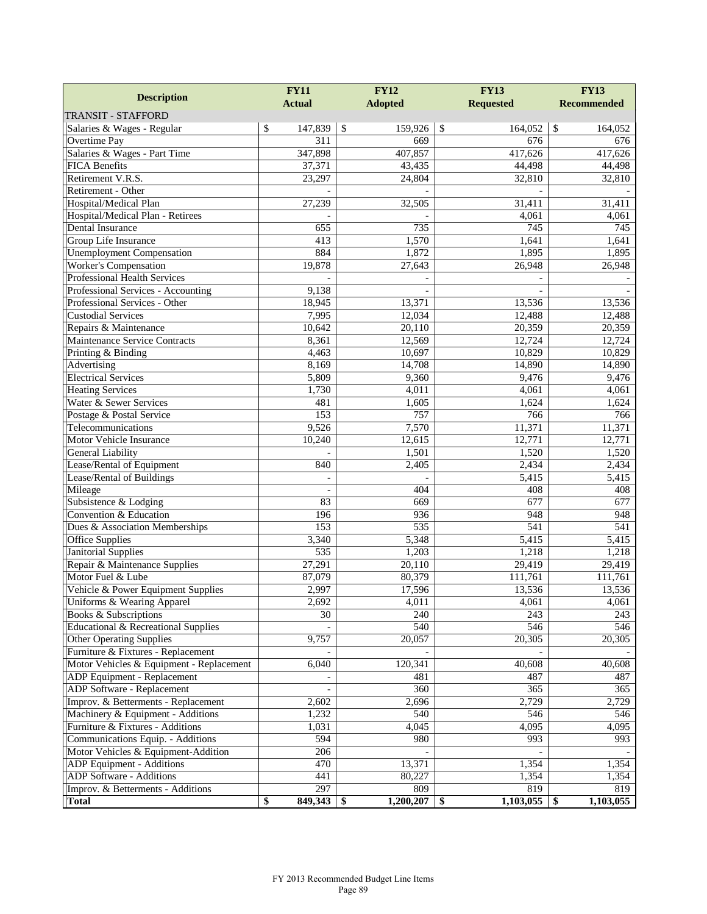|                                                    | <b>FY11</b>              | <b>FY12</b>      | <b>FY13</b>       | <b>FY13</b>        |  |
|----------------------------------------------------|--------------------------|------------------|-------------------|--------------------|--|
| <b>Description</b>                                 | <b>Actual</b>            | <b>Adopted</b>   | <b>Requested</b>  | <b>Recommended</b> |  |
| <b>TRANSIT - STAFFORD</b>                          |                          |                  |                   |                    |  |
| Salaries & Wages - Regular                         | \$<br>147,839            | \$<br>159,926    | \$<br>164,052     | \$<br>164,052      |  |
| Overtime Pay                                       | $\overline{311}$         | 669              | 676               | 676                |  |
| Salaries & Wages - Part Time                       | 347,898                  | 407,857          | 417,626           | 417,626            |  |
| <b>FICA Benefits</b>                               | 37,371                   | 43,435           | 44,498            | 44,498             |  |
| Retirement V.R.S.                                  | 23,297                   | 24,804           | 32,810            | 32,810             |  |
| Retirement - Other                                 |                          |                  |                   |                    |  |
| Hospital/Medical Plan                              | 27,239                   | 32,505           | 31,411            | 31,411             |  |
| Hospital/Medical Plan - Retirees                   |                          |                  | 4,061             | 4,061              |  |
| Dental Insurance                                   | 655                      | 735              | 745               | 745                |  |
| Group Life Insurance                               | 413                      | 1,570            | 1,641             | 1,641              |  |
| <b>Unemployment Compensation</b>                   | 884                      | 1,872            | 1,895             | 1,895              |  |
| Worker's Compensation                              | 19,878                   | 27,643           | 26,948            | 26,948             |  |
| Professional Health Services                       |                          |                  |                   |                    |  |
| Professional Services - Accounting                 | 9,138                    |                  |                   |                    |  |
| Professional Services - Other                      | 18,945                   | 13,371           | 13,536            | 13,536             |  |
| <b>Custodial Services</b>                          | 7,995                    | 12,034           | 12,488            | 12,488             |  |
| Repairs & Maintenance                              | 10,642                   | 20,110           | 20,359            | 20,359             |  |
| Maintenance Service Contracts                      | 8,361                    | 12,569           | 12,724            | 12,724             |  |
| Printing & Binding                                 | 4,463                    | 10,697           | 10,829            | 10,829             |  |
| Advertising                                        | 8,169                    | 14,708           | 14,890            | 14,890             |  |
| <b>Electrical Services</b>                         | 5,809                    | 9,360            | 9,476             | 9,476              |  |
| <b>Heating Services</b>                            | 1,730                    | 4,011            | 4,061             | 4,061              |  |
| Water & Sewer Services                             | 481                      | 1,605            | 1,624             | 1,624              |  |
| Postage & Postal Service                           | 153                      | 757              | 766               | 766                |  |
| Telecommunications                                 | 9,526                    | 7,570            | 11,371            | 11,371             |  |
| Motor Vehicle Insurance                            | 10,240                   | 12,615           | 12,771            | 12,771             |  |
| General Liability                                  |                          | 1,501            | 1,520             | 1,520              |  |
| Lease/Rental of Equipment                          | 840                      | 2,405            | 2,434             | 2,434              |  |
| Lease/Rental of Buildings                          | $\overline{\phantom{a}}$ |                  | 5,415             | 5,415              |  |
| Mileage                                            |                          | 404              | 408               | 408                |  |
| Subsistence & Lodging                              | 83                       | 669              | 677               | 677                |  |
| Convention & Education                             | 196                      | 936              | 948               | 948                |  |
| Dues & Association Memberships                     | 153                      | 535              | 541               | 541                |  |
| Office Supplies                                    | 3,340                    | 5,348            | 5,415             | 5,415              |  |
| <b>Janitorial Supplies</b>                         | $\overline{535}$         | 1,203            | 1,218             | 1,218              |  |
| Repair & Maintenance Supplies<br>Motor Fuel & Lube | 27,291<br>87,079         | 20,110<br>80,379 | 29,419<br>111,761 | 29,419             |  |
| Vehicle & Power Equipment Supplies                 |                          |                  | 13,536            | 111,761<br>13,536  |  |
| Uniforms & Wearing Apparel                         | 2,997<br>2,692           | 17,596<br>4,011  | 4,061             | 4,061              |  |
| Books & Subscriptions                              | 30                       | 240              | 243               | 243                |  |
| Educational & Recreational Supplies                |                          | 540              | 546               | 546                |  |
| <b>Other Operating Supplies</b>                    | 9,757                    | 20,057           | 20,305            | 20,305             |  |
| Furniture & Fixtures - Replacement                 |                          |                  |                   |                    |  |
| Motor Vehicles & Equipment - Replacement           | 6,040                    | 120,341          | 40,608            | 40,608             |  |
| ADP Equipment - Replacement                        |                          | 481              | 487               | 487                |  |
| ADP Software - Replacement                         |                          | 360              | 365               | 365                |  |
| Improv. & Betterments - Replacement                | 2,602                    | 2,696            | 2,729             | 2,729              |  |
| Machinery & Equipment - Additions                  | 1,232                    | 540              | 546               | 546                |  |
| Furniture & Fixtures - Additions                   | 1,031                    | 4,045            | 4,095             | 4,095              |  |
| Communications Equip. - Additions                  | 594                      | 980              | 993               | 993                |  |
| Motor Vehicles & Equipment-Addition                | 206                      |                  |                   |                    |  |
| ADP Equipment - Additions                          | 470                      | 13,371           | 1,354             | 1,354              |  |
| ADP Software - Additions                           | 441                      | 80,227           | 1,354             | 1,354              |  |
| Improv. & Betterments - Additions                  | 297                      | 809              | 819               | 819                |  |
| <b>Total</b>                                       | \$<br>849,343            | 1,200,207<br>-\$ | 1,103,055<br>-\$  | 1,103,055<br>-\$   |  |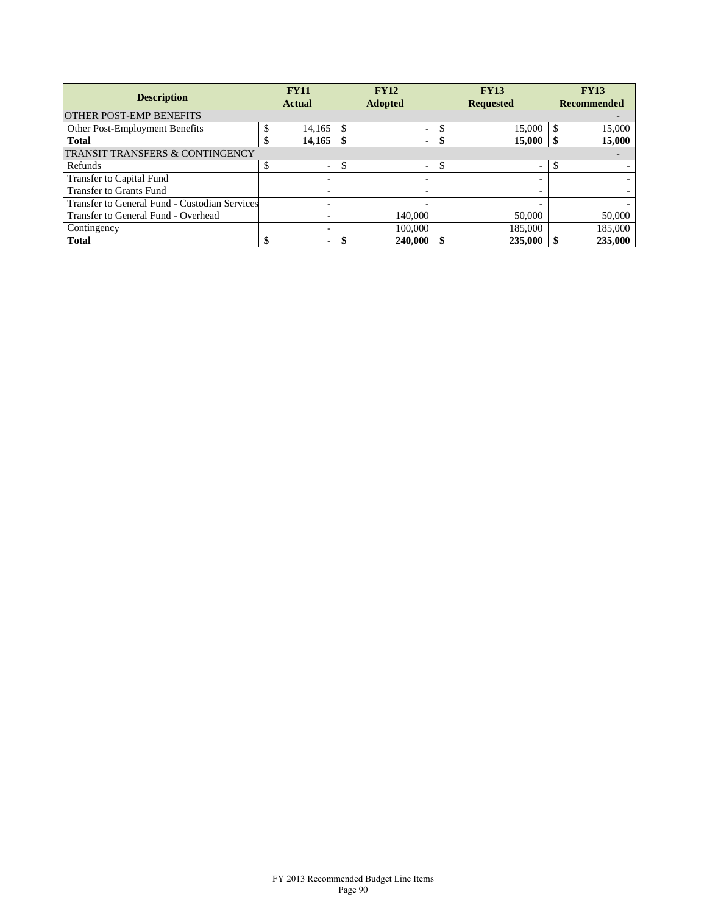| <b>Description</b>                            |    | <b>FY11</b><br><b>Actual</b> |      | <b>FY12</b><br><b>Adopted</b> |               | <b>FY13</b><br><b>Requested</b> |    | <b>FY13</b><br><b>Recommended</b> |
|-----------------------------------------------|----|------------------------------|------|-------------------------------|---------------|---------------------------------|----|-----------------------------------|
| <b>OTHER POST-EMP BENEFITS</b>                |    |                              |      |                               |               |                                 |    |                                   |
| Other Post-Employment Benefits                | S  | 14.165                       | l \$ | $\overline{\phantom{a}}$      |               | 15,000                          | S  | 15,000                            |
| <b>Total</b>                                  | \$ | 14,165                       |      | ۰.                            |               | 15,000                          | \$ | 15,000                            |
| <b>TRANSIT TRANSFERS &amp; CONTINGENCY</b>    |    |                              |      |                               |               |                                 |    |                                   |
| Refunds                                       | S  | $\overline{\phantom{0}}$     | \$   | $\overline{\phantom{a}}$      | <sup>\$</sup> | $\overline{\phantom{a}}$        | \$ |                                   |
| Transfer to Capital Fund                      |    | -                            |      |                               |               | $\overline{\phantom{0}}$        |    |                                   |
| Transfer to Grants Fund                       |    | -                            |      |                               |               |                                 |    |                                   |
| Transfer to General Fund - Custodian Services |    | -                            |      |                               |               |                                 |    |                                   |
| Transfer to General Fund - Overhead           |    |                              |      | 140,000                       |               | 50,000                          |    | 50,000                            |
| Contingency                                   |    | $\overline{\phantom{0}}$     |      | 100,000                       |               | 185,000                         |    | 185,000                           |
| <b>Total</b>                                  |    | ۰.                           |      | 240,000                       |               | 235,000                         |    | 235,000                           |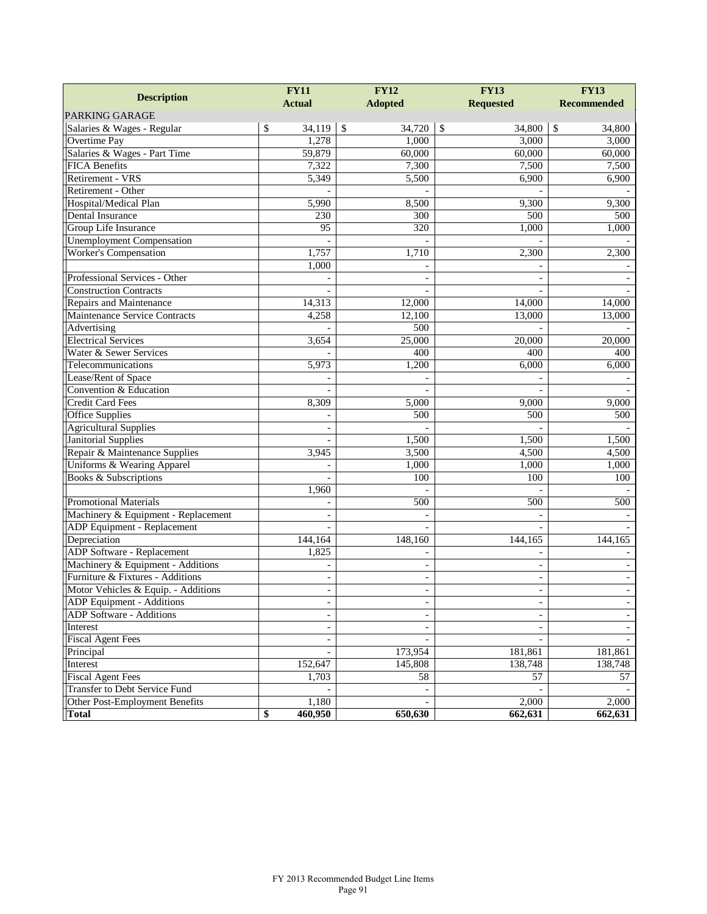|                                     | <b>FY12</b><br><b>FY11</b> |                          | <b>FY13</b>              | <b>FY13</b>        |  |
|-------------------------------------|----------------------------|--------------------------|--------------------------|--------------------|--|
| <b>Description</b>                  | <b>Actual</b>              | <b>Adopted</b>           |                          | <b>Recommended</b> |  |
| <b>PARKING GARAGE</b>               |                            |                          | <b>Requested</b>         |                    |  |
| Salaries & Wages - Regular          | \$<br>34,119               | \$<br>34,720             | \$<br>34,800             | \$<br>34,800       |  |
| Overtime Pay                        | 1,278                      | 1,000                    | 3,000                    | 3,000              |  |
| Salaries & Wages - Part Time        | 59,879                     | 60,000                   | 60,000                   | 60,000             |  |
| <b>FICA Benefits</b>                | 7,322                      | 7,300                    | 7,500                    | 7,500              |  |
| Retirement - VRS                    | 5,349                      | 5,500                    | 6,900                    | 6,900              |  |
| Retirement - Other                  |                            |                          |                          |                    |  |
| Hospital/Medical Plan               | 5,990                      | 8,500                    | 9,300                    | 9,300              |  |
| Dental Insurance                    | 230                        | 300                      | 500                      | 500                |  |
| Group Life Insurance                | 95                         | 320                      | 1,000                    | 1,000              |  |
| <b>Unemployment Compensation</b>    |                            |                          |                          |                    |  |
| <b>Worker's Compensation</b>        | 1,757                      | 1,710                    | 2,300                    | 2,300              |  |
|                                     | $\overline{1,000}$         |                          |                          |                    |  |
| Professional Services - Other       |                            |                          |                          |                    |  |
| <b>Construction Contracts</b>       |                            |                          |                          |                    |  |
| Repairs and Maintenance             | 14,313                     | 12,000                   | 14,000                   | 14,000             |  |
| Maintenance Service Contracts       | 4,258                      | 12,100                   | 13,000                   | 13,000             |  |
| Advertising                         |                            | 500                      |                          |                    |  |
| <b>Electrical Services</b>          | 3,654                      | 25,000                   | 20,000                   | 20,000             |  |
| Water & Sewer Services              |                            | 400                      | 400                      | 400                |  |
| Telecommunications                  | 5,973                      | 1,200                    | 6,000                    | 6,000              |  |
| Lease/Rent of Space                 |                            |                          |                          |                    |  |
| Convention & Education              |                            |                          | $\overline{a}$           |                    |  |
| Credit Card Fees                    | 8,309                      | 5,000                    | 9,000                    | 9,000              |  |
| <b>Office Supplies</b>              |                            | 500                      | 500                      | 500                |  |
| <b>Agricultural Supplies</b>        |                            |                          |                          |                    |  |
| <b>Janitorial Supplies</b>          |                            | 1,500                    | 1,500                    | 1,500              |  |
| Repair & Maintenance Supplies       | 3,945                      | 3,500                    | 4,500                    | 4,500              |  |
| Uniforms & Wearing Apparel          |                            | 1,000                    | 1,000                    | 1,000              |  |
| Books & Subscriptions               |                            | 100                      | 100                      | 100                |  |
|                                     | 1,960                      |                          |                          |                    |  |
| <b>Promotional Materials</b>        |                            | 500                      | 500                      | 500                |  |
| Machinery & Equipment - Replacement | $\overline{a}$             |                          |                          |                    |  |
| <b>ADP</b> Equipment - Replacement  |                            |                          |                          |                    |  |
| Depreciation                        | 144,164                    | 148,160                  | 144,165                  | 144,165            |  |
| ADP Software - Replacement          | 1,825                      |                          | $\sim$                   |                    |  |
| Machinery & Equipment - Additions   |                            |                          | $\overline{\phantom{a}}$ |                    |  |
| Furniture & Fixtures - Additions    | $\overline{\phantom{a}}$   | $\overline{\phantom{a}}$ | $\sim$                   |                    |  |
| Motor Vehicles & Equip. - Additions | $\overline{\phantom{a}}$   | $\overline{a}$           | $\overline{\phantom{a}}$ |                    |  |
| ADP Equipment - Additions           | $\qquad \qquad -$          | -                        | -                        |                    |  |
| ADP Software - Additions            | $\overline{\phantom{a}}$   | $\overline{\phantom{a}}$ | $\blacksquare$           |                    |  |
| Interest                            |                            |                          |                          |                    |  |
| <b>Fiscal Agent Fees</b>            | $\overline{\phantom{a}}$   |                          |                          |                    |  |
| Principal                           |                            | 173,954                  | 181,861                  | 181,861            |  |
| Interest                            | 152,647                    | 145,808                  | 138,748                  | 138,748            |  |
| <b>Fiscal Agent Fees</b>            | 1,703                      | 58                       | 57                       | 57                 |  |
| Transfer to Debt Service Fund       |                            |                          |                          |                    |  |
| Other Post-Employment Benefits      | 1,180                      |                          | $\overline{2,000}$       | 2,000              |  |
| <b>Total</b>                        | 460,950<br>\$              | 650,630                  | 662,631                  | 662,631            |  |